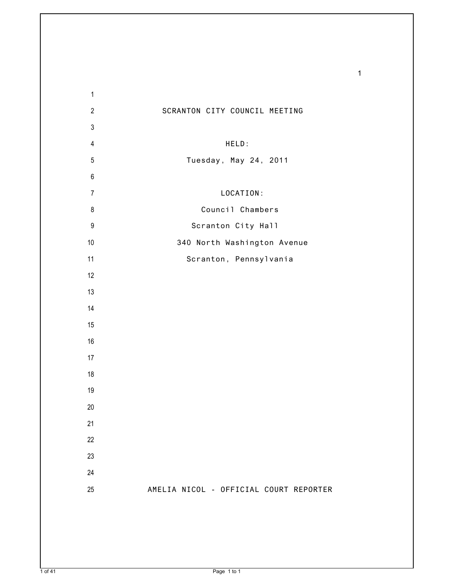| $\mathbf{1}$     |                                        |
|------------------|----------------------------------------|
| $\overline{2}$   | SCRANTON CITY COUNCIL MEETING          |
| $\mathsf 3$      |                                        |
| $\overline{4}$   | HELD:                                  |
| $\sqrt{5}$       | Tuesday, May 24, 2011                  |
| $\,6\,$          |                                        |
| $\overline{7}$   | LOCATION:                              |
| $\bf 8$          | Council Chambers                       |
| $\boldsymbol{9}$ | Scranton City Hall                     |
| 10               | 340 North Washington Avenue            |
| 11               | Scranton, Pennsylvania                 |
| 12               |                                        |
| 13               |                                        |
| 14               |                                        |
| 15               |                                        |
| 16               |                                        |
| 17               |                                        |
| 18               |                                        |
| 19               |                                        |
| $20\,$           |                                        |
| 21               |                                        |
| 22               |                                        |
| 23               |                                        |
| 24               |                                        |
| 25               | AMELIA NICOL - OFFICIAL COURT REPORTER |
|                  |                                        |
|                  |                                        |
|                  |                                        |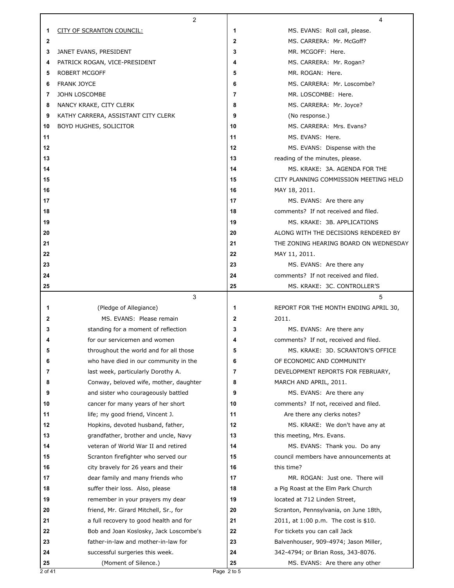|              | 2                                                                            |                | 4                                                           |
|--------------|------------------------------------------------------------------------------|----------------|-------------------------------------------------------------|
| 1            | CITY OF SCRANTON COUNCIL:                                                    | 1              | MS. EVANS: Roll call, please.                               |
| $\mathbf{2}$ |                                                                              | $\mathbf{2}$   | MS. CARRERA: Mr. McGoff?                                    |
| 3            | JANET EVANS, PRESIDENT                                                       | 3              | MR. MCGOFF: Here.                                           |
| 4            | PATRICK ROGAN, VICE-PRESIDENT                                                | 4              | MS. CARRERA: Mr. Rogan?                                     |
| 5            | <b>ROBERT MCGOFF</b>                                                         | 5              | MR. ROGAN: Here.                                            |
| 6            | <b>FRANK JOYCE</b>                                                           | 6              | MS. CARRERA: Mr. Loscombe?                                  |
| 7            | JOHN LOSCOMBE                                                                | $\overline{7}$ | MR. LOSCOMBE: Here.                                         |
| 8            | NANCY KRAKE, CITY CLERK                                                      | 8              | MS. CARRERA: Mr. Joyce?                                     |
| 9            | KATHY CARRERA, ASSISTANT CITY CLERK                                          | 9              | (No response.)                                              |
| 10           | BOYD HUGHES, SOLICITOR                                                       | 10             | MS. CARRERA: Mrs. Evans?                                    |
| 11           |                                                                              | 11             | MS. EVANS: Here.                                            |
| 12           |                                                                              | 12             | MS. EVANS: Dispense with the                                |
| 13           |                                                                              | 13             | reading of the minutes, please.                             |
| 14           |                                                                              | 14             | MS. KRAKE: 3A, AGENDA FOR THE                               |
| 15           |                                                                              | 15             | CITY PLANNING COMMISSION MEETING HELD                       |
| 16           |                                                                              | 16             | MAY 18, 2011.                                               |
| 17           |                                                                              | 17             | MS. EVANS: Are there any                                    |
| 18           |                                                                              | 18             | comments? If not received and filed.                        |
| 19           |                                                                              | 19             | MS. KRAKE: 3B. APPLICATIONS                                 |
| 20           |                                                                              | 20             | ALONG WITH THE DECISIONS RENDERED BY                        |
| 21           |                                                                              | 21             | THE ZONING HEARING BOARD ON WEDNESDAY                       |
| 22           |                                                                              | 22             | MAY 11, 2011.                                               |
| 23           |                                                                              | 23             | MS. EVANS: Are there any                                    |
| 24           |                                                                              | 24             | comments? If not received and filed.                        |
| 25           |                                                                              | 25             | MS. KRAKE: 3C. CONTROLLER'S                                 |
|              | 3                                                                            |                | 5                                                           |
| 1            | (Pledge of Allegiance)                                                       | 1              | REPORT FOR THE MONTH ENDING APRIL 30,                       |
| $\mathbf{2}$ | MS. EVANS: Please remain                                                     | $\mathbf{2}$   | 2011.                                                       |
| 3            | standing for a moment of reflection                                          | 3              | MS. EVANS: Are there any                                    |
| 4            | for our servicemen and women                                                 | 4              | comments? If not, received and filed.                       |
| 5            | throughout the world and for all those                                       | 5              | MS. KRAKE: 3D. SCRANTON'S OFFICE                            |
| 6<br>7       | who have died in our community in the                                        | 6<br>7         | OF ECONOMIC AND COMMUNITY                                   |
| 8            | last week, particularly Dorothy A.<br>Conway, beloved wife, mother, daughter | 8              | DEVELOPMENT REPORTS FOR FEBRUARY,<br>MARCH AND APRIL, 2011. |
| 9            | and sister who courageously battled                                          | 9              | MS. EVANS: Are there any                                    |
| 10           | cancer for many years of her short                                           | 10             | comments? If not, received and filed.                       |
| 11           | life; my good friend, Vincent J.                                             | 11             | Are there any clerks notes?                                 |
| 12           | Hopkins, devoted husband, father,                                            | 12             | MS. KRAKE: We don't have any at                             |
| 13           | grandfather, brother and uncle, Navy                                         | 13             | this meeting, Mrs. Evans.                                   |
| 14           | veteran of World War II and retired                                          | 14             | MS. EVANS: Thank you. Do any                                |
| 15           | Scranton firefighter who served our                                          | 15             | council members have announcements at                       |
| 16           | city bravely for 26 years and their                                          | 16             | this time?                                                  |
| 17           | dear family and many friends who                                             | 17             | MR. ROGAN: Just one. There will                             |
| 18           | suffer their loss. Also, please                                              | 18             | a Pig Roast at the Elm Park Church                          |
| 19           | remember in your prayers my dear                                             | 19             | located at 712 Linden Street,                               |
| 20           | friend, Mr. Girard Mitchell, Sr., for                                        | 20             | Scranton, Pennsylvania, on June 18th,                       |
| 21           | a full recovery to good health and for                                       | 21             | 2011, at 1:00 p.m. The cost is \$10.                        |
| 22           | Bob and Joan Koslosky, Jack Loscombe's                                       | 22             | For tickets you can call Jack                               |
| 23           | father-in-law and mother-in-law for                                          | 23             | Balvenhouser, 909-4974; Jason Miller,                       |
|              |                                                                              |                |                                                             |
| 24           |                                                                              | 24             | 342-4794; or Brian Ross, 343-8076.                          |
| 25           | successful surgeries this week.<br>(Moment of Silence.)                      | 25             | MS. EVANS: Are there any other                              |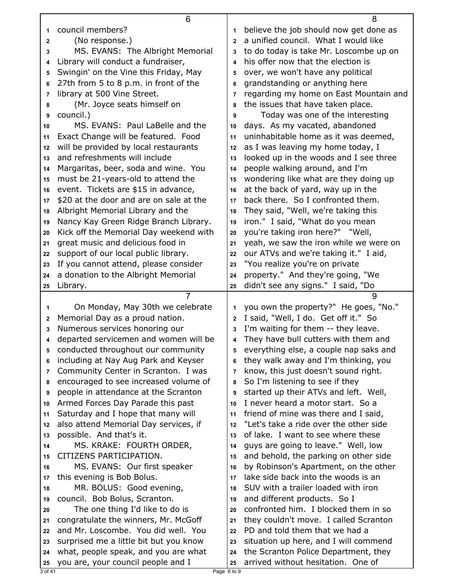|          | 6                                                                           |                | 8                                                                              |
|----------|-----------------------------------------------------------------------------|----------------|--------------------------------------------------------------------------------|
| 1        | council members?                                                            | 1              | believe the job should now get done as                                         |
| 2        | (No response.)                                                              | $\mathbf{2}$   | a unified council. What I would like                                           |
| 3        | MS. EVANS: The Albright Memorial                                            | 3              | to do today is take Mr. Loscombe up on                                         |
| 4        | Library will conduct a fundraiser,                                          | 4              | his offer now that the election is                                             |
| 5        | Swingin' on the Vine this Friday, May                                       | 5              | over, we won't have any political                                              |
| 6        | 27th from 5 to 8 p.m. in front of the                                       | 6              | grandstanding or anything here                                                 |
| 7        | library at 500 Vine Street.                                                 | 7              | regarding my home on East Mountain and                                         |
| 8        | (Mr. Joyce seats himself on                                                 | 8              | the issues that have taken place.                                              |
| 9        | council.)                                                                   | 9              | Today was one of the interesting                                               |
| 10       | MS. EVANS: Paul LaBelle and the                                             | 10             | days. As my vacated, abandoned                                                 |
| 11       | Exact Change will be featured. Food                                         | 11             | uninhabitable home as it was deemed,                                           |
| 12       | will be provided by local restaurants                                       | 12             | as I was leaving my home today, I                                              |
| 13       | and refreshments will include                                               | 13             | looked up in the woods and I see three                                         |
| 14       | Margaritas, beer, soda and wine. You                                        | 14             | people walking around, and I'm                                                 |
| 15       | must be 21-years-old to attend the                                          | 15             | wondering like what are they doing up                                          |
| 16       | event. Tickets are \$15 in advance,                                         | 16             | at the back of yard, way up in the                                             |
|          | \$20 at the door and are on sale at the                                     | 17             | back there. So I confronted them.                                              |
| 17       | Albright Memorial Library and the                                           | 18             | They said, "Well, we're taking this                                            |
| 18<br>19 | Nancy Kay Green Ridge Branch Library.                                       | 19             | iron." I said, "What do you mean                                               |
| 20       | Kick off the Memorial Day weekend with                                      | 20             | you're taking iron here?" "Well,                                               |
| 21       | great music and delicious food in                                           | 21             | yeah, we saw the iron while we were on                                         |
| 22       | support of our local public library.                                        | 22             | our ATVs and we're taking it." I aid,                                          |
| 23       | If you cannot attend, please consider                                       | 23             | "You realize you're on private                                                 |
| 24       | a donation to the Albright Memorial                                         | 24             | property." And they're going, "We                                              |
| 25       | Library.                                                                    | 25             | didn't see any signs." I said, "Do                                             |
|          |                                                                             |                |                                                                                |
|          | 7                                                                           |                |                                                                                |
|          |                                                                             | 1              | 9                                                                              |
| 1        | On Monday, May 30th we celebrate                                            | $\overline{2}$ | you own the property?" He goes, "No."                                          |
| 2<br>3   | Memorial Day as a proud nation.                                             | 3              | I said, "Well, I do. Get off it." So                                           |
| 4        | Numerous services honoring our                                              | 4              | I'm waiting for them -- they leave.                                            |
| 5        | departed servicemen and women will be                                       | 5              | They have bull cutters with them and                                           |
| 6        | conducted throughout our community                                          | 6              | everything else, a couple nap saks and                                         |
| 7        | including at Nay Aug Park and Keyser                                        | 7              | they walk away and I'm thinking, you                                           |
| 8        | Community Center in Scranton. I was                                         | 8              | know, this just doesn't sound right.                                           |
| 9        | encouraged to see increased volume of                                       | 9              | So I'm listening to see if they                                                |
| 10       | people in attendance at the Scranton                                        | 10             | started up their ATVs and left. Well,<br>I never heard a motor start. So a     |
| 11       | Armed Forces Day Parade this past                                           | 11             |                                                                                |
| 12       | Saturday and I hope that many will<br>also attend Memorial Day services, if | 12             | friend of mine was there and I said,<br>"Let's take a ride over the other side |
| 13       | possible. And that's it.                                                    | 13             | of lake. I want to see where these                                             |
| 14       | MS. KRAKE: FOURTH ORDER,                                                    | 14             | guys are going to leave." Well, low                                            |
| 15       | CITIZENS PARTICIPATION.                                                     | 15             | and behold, the parking on other side                                          |
| 16       | MS. EVANS: Our first speaker                                                | 16             | by Robinson's Apartment, on the other                                          |
| 17       | this evening is Bob Bolus.                                                  | 17             | lake side back into the woods is an                                            |
| 18       | MR. BOLUS: Good evening,                                                    | 18             | SUV with a trailer loaded with iron                                            |
| 19       | council. Bob Bolus, Scranton.                                               | 19             | and different products. So I                                                   |
| 20       | The one thing I'd like to do is                                             | 20             | confronted him. I blocked them in so                                           |
| 21       | congratulate the winners, Mr. McGoff                                        | 21             | they couldn't move. I called Scranton                                          |
| 22       | and Mr. Loscombe. You did well. You                                         | 22             | PD and told them that we had a                                                 |
| 23       | surprised me a little bit but you know                                      | 23             | situation up here, and I will commend                                          |
| 24       | what, people speak, and you are what                                        | 24             | the Scranton Police Department, they                                           |
| 25       | you are, your council people and I                                          | 25             | arrived without hesitation. One of                                             |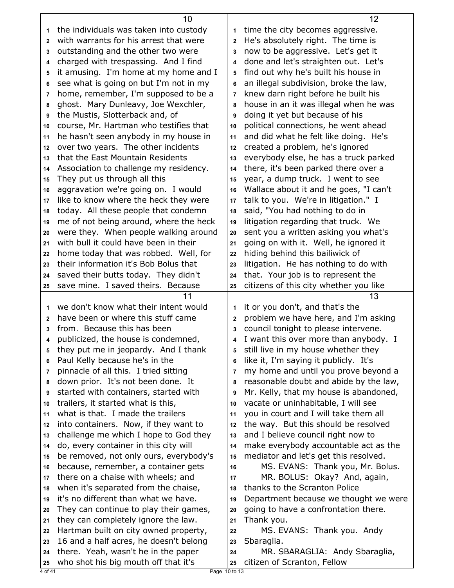|    | 10                                                                           |                         | 12                                                                         |
|----|------------------------------------------------------------------------------|-------------------------|----------------------------------------------------------------------------|
| 1  | the individuals was taken into custody                                       | 1                       | time the city becomes aggressive.                                          |
| 2  | with warrants for his arrest that were                                       | $\overline{2}$          | He's absolutely right. The time is                                         |
| 3  | outstanding and the other two were                                           | 3                       | now to be aggressive. Let's get it                                         |
| 4  | charged with trespassing. And I find                                         | $\overline{\mathbf{4}}$ | done and let's straighten out. Let's                                       |
| 5  | it amusing. I'm home at my home and I                                        | 5                       | find out why he's built his house in                                       |
| 6  | see what is going on but I'm not in my                                       | 6                       | an illegal subdivision, broke the law,                                     |
| 7  | home, remember, I'm supposed to be a                                         | $\overline{7}$          | knew darn right before he built his                                        |
| 8  | ghost. Mary Dunleavy, Joe Wexchler,                                          | 8                       | house in an it was illegal when he was                                     |
| 9  | the Mustis, Slotterback and, of                                              | 9                       | doing it yet but because of his                                            |
| 10 | course, Mr. Hartman who testifies that                                       | 10                      | political connections, he went ahead                                       |
| 11 | he hasn't seen anybody in my house in                                        | 11                      | and did what he felt like doing. He's                                      |
| 12 | over two years. The other incidents                                          | 12                      | created a problem, he's ignored                                            |
| 13 | that the East Mountain Residents                                             | 13                      | everybody else, he has a truck parked                                      |
| 14 | Association to challenge my residency.                                       | 14                      | there, it's been parked there over a                                       |
| 15 | They put us through all this                                                 | 15                      | year, a dump truck. I went to see                                          |
| 16 | aggravation we're going on. I would                                          | 16                      | Wallace about it and he goes, "I can't                                     |
| 17 | like to know where the heck they were                                        | 17                      | talk to you. We're in litigation." I                                       |
| 18 | today. All these people that condemn                                         | 18                      | said, "You had nothing to do in                                            |
| 19 | me of not being around, where the heck                                       | 19                      | litigation regarding that truck. We                                        |
| 20 | were they. When people walking around                                        | 20                      | sent you a written asking you what's                                       |
| 21 | with bull it could have been in their                                        | 21                      | going on with it. Well, he ignored it                                      |
| 22 | home today that was robbed. Well, for                                        | 22                      | hiding behind this bailiwick of                                            |
| 23 | their information it's Bob Bolus that                                        | 23                      | litigation. He has nothing to do with                                      |
| 24 | saved their butts today. They didn't                                         | 24                      | that. Your job is to represent the                                         |
| 25 | save mine. I saved theirs. Because                                           | 25                      | citizens of this city whether you like                                     |
|    |                                                                              |                         |                                                                            |
|    | 11                                                                           |                         | 13                                                                         |
| 1  | we don't know what their intent would                                        | 1                       |                                                                            |
| 2  | have been or where this stuff came                                           | $\mathbf{2}$            | it or you don't, and that's the                                            |
| 3  | from. Because this has been                                                  | 3                       | problem we have here, and I'm asking                                       |
|    |                                                                              | 4                       | council tonight to please intervene.                                       |
| 5  | publicized, the house is condemned,                                          | 5                       | I want this over more than anybody. I                                      |
| 6  | they put me in jeopardy. And I thank                                         | 6                       | still live in my house whether they                                        |
| 7  | Paul Kelly because he's in the                                               | $\overline{7}$          | like it, I'm saying it publicly. It's                                      |
| 8  | pinnacle of all this. I tried sitting                                        | 8                       | my home and until you prove beyond a                                       |
| 9  | down prior. It's not been done. It                                           | 9                       | reasonable doubt and abide by the law,                                     |
| 10 | started with containers, started with                                        | 10                      | Mr. Kelly, that my house is abandoned,                                     |
| 11 | trailers, it started what is this,<br>what is that. I made the trailers      | 11                      | vacate or uninhabitable, I will see                                        |
| 12 | into containers. Now, if they want to                                        | 12                      | you in court and I will take them all                                      |
| 13 |                                                                              | 13                      | the way. But this should be resolved<br>and I believe council right now to |
| 14 | challenge me which I hope to God they                                        | 14                      |                                                                            |
| 15 | do, every container in this city will                                        | 15                      | make everybody accountable act as the                                      |
| 16 | be removed, not only ours, everybody's                                       | 16                      | mediator and let's get this resolved.<br>MS. EVANS: Thank you, Mr. Bolus.  |
| 17 | because, remember, a container gets<br>there on a chaise with wheels; and    | 17                      | MR. BOLUS: Okay? And, again,                                               |
| 18 |                                                                              | 18                      | thanks to the Scranton Police                                              |
| 19 | when it's separated from the chaise,<br>it's no different than what we have. | 19                      | Department because we thought we were                                      |
| 20 | They can continue to play their games,                                       | 20                      | going to have a confrontation there.                                       |
| 21 | they can completely ignore the law.                                          | 21                      | Thank you.                                                                 |
| 22 | Hartman built on city owned property,                                        | 22                      | MS. EVANS: Thank you. Andy                                                 |
| 23 | 16 and a half acres, he doesn't belong                                       | 23                      | Sbaraglia.                                                                 |
| 24 | there. Yeah, wasn't he in the paper                                          | 24                      | MR. SBARAGLIA: Andy Sbaraglia,                                             |
| 25 | who shot his big mouth off that it's                                         | 25                      | citizen of Scranton, Fellow                                                |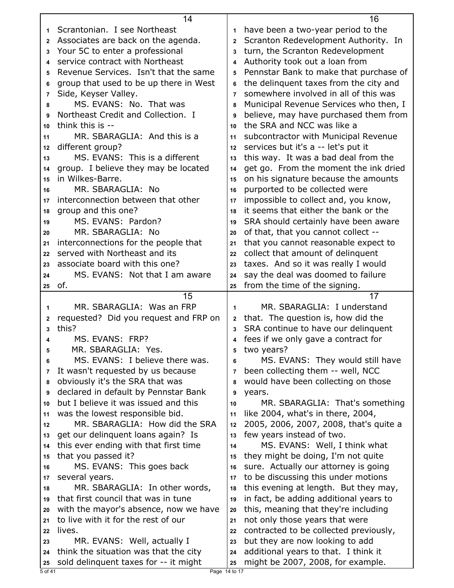|              | 14                                                                             |                | 16                                                                        |
|--------------|--------------------------------------------------------------------------------|----------------|---------------------------------------------------------------------------|
| 1            | Scrantonian. I see Northeast                                                   | 1              | have been a two-year period to the                                        |
| $\mathbf{2}$ | Associates are back on the agenda.                                             | $\mathbf{2}$   | Scranton Redevelopment Authority. In                                      |
| 3            | Your 5C to enter a professional                                                | 3              | turn, the Scranton Redevelopment                                          |
| 4            | service contract with Northeast                                                | 4              | Authority took out a loan from                                            |
| 5            | Revenue Services. Isn't that the same                                          | 5              | Pennstar Bank to make that purchase of                                    |
| 6            | group that used to be up there in West                                         | 6              | the delinquent taxes from the city and                                    |
| 7            | Side, Keyser Valley.                                                           | $\overline{7}$ | somewhere involved in all of this was                                     |
| 8            | MS. EVANS: No. That was                                                        | 8              | Municipal Revenue Services who then, I                                    |
| 9            | Northeast Credit and Collection. I                                             | 9              | believe, may have purchased them from                                     |
| 10           | think this is --                                                               | 10             | the SRA and NCC was like a                                                |
| 11           | MR. SBARAGLIA: And this is a                                                   | 11             | subcontractor with Municipal Revenue                                      |
| 12           | different group?                                                               | 12             | services but it's a -- let's put it                                       |
| 13           | MS. EVANS: This is a different                                                 | 13             | this way. It was a bad deal from the                                      |
| 14           | group. I believe they may be located                                           | 14             | get go. From the moment the ink dried                                     |
| 15           | in Wilkes-Barre.                                                               | 15             | on his signature because the amounts                                      |
| 16           | MR. SBARAGLIA: No                                                              | 16             | purported to be collected were                                            |
| 17           | interconnection between that other                                             | 17             | impossible to collect and, you know,                                      |
| 18           | group and this one?                                                            | 18             | it seems that either the bank or the                                      |
| 19           | MS. EVANS: Pardon?                                                             | 19             | SRA should certainly have been aware                                      |
| 20           | MR. SBARAGLIA: No                                                              | 20             | of that, that you cannot collect --                                       |
| 21           | interconnections for the people that                                           | 21             | that you cannot reasonable expect to                                      |
| 22           | served with Northeast and its                                                  | 22             | collect that amount of delinquent                                         |
| 23           | associate board with this one?                                                 | 23             | taxes. And so it was really I would                                       |
| 24           | MS. EVANS: Not that I am aware                                                 | 24             | say the deal was doomed to failure                                        |
| 25           | of.                                                                            | 25             | from the time of the signing.                                             |
|              |                                                                                |                |                                                                           |
|              | 15                                                                             |                | 17                                                                        |
| $\mathbf 1$  | MR. SBARAGLIA: Was an FRP                                                      | 1              | MR. SBARAGLIA: I understand                                               |
| $\mathbf{2}$ | requested? Did you request and FRP on                                          | $\mathbf{2}$   | that. The question is, how did the                                        |
| 3            | this?                                                                          | 3              | SRA continue to have our delinquent                                       |
| 4            | MS. EVANS: FRP?                                                                |                | 4 fees if we only gave a contract for                                     |
| 5            | MR. SBARAGLIA: Yes.                                                            | 5              | two years?                                                                |
| 6            | MS. EVANS: I believe there was.                                                | 6              | MS. EVANS: They would still have                                          |
| 7            | It wasn't requested by us because                                              | 7              | been collecting them -- well, NCC                                         |
| 8            | obviously it's the SRA that was                                                | 8              | would have been collecting on those                                       |
| 9            | declared in default by Pennstar Bank                                           | 9              | years.                                                                    |
| 10           | but I believe it was issued and this                                           | 10             | MR. SBARAGLIA: That's something                                           |
| 11           | was the lowest responsible bid.                                                | 11             | like 2004, what's in there, 2004,                                         |
| 12           | MR. SBARAGLIA: How did the SRA                                                 | 12             | 2005, 2006, 2007, 2008, that's quite a                                    |
| 13           | get our delinquent loans again? Is                                             | 13             | few years instead of two.                                                 |
| 14           | this ever ending with that first time                                          | 14             | MS. EVANS: Well, I think what                                             |
| 15           | that you passed it?                                                            | 15             | they might be doing, I'm not quite                                        |
| 16           | MS. EVANS: This goes back                                                      | 16             | sure. Actually our attorney is going                                      |
| 17           | several years.                                                                 | 17             | to be discussing this under motions                                       |
| 18           | MR. SBARAGLIA: In other words,                                                 | 18             | this evening at length. But they may,                                     |
| 19           | that first council that was in tune                                            | 19             | in fact, be adding additional years to                                    |
| 20           | with the mayor's absence, now we have                                          | 20             | this, meaning that they're including                                      |
| 21           | to live with it for the rest of our                                            | 21             | not only those years that were                                            |
| 22           | lives.                                                                         | 22             | contracted to be collected previously,                                    |
| 23           | MR. EVANS: Well, actually I                                                    | 23             | but they are now looking to add                                           |
| 24<br>25     | think the situation was that the city<br>sold delinquent taxes for -- it might | 24<br>25       | additional years to that. I think it<br>might be 2007, 2008, for example. |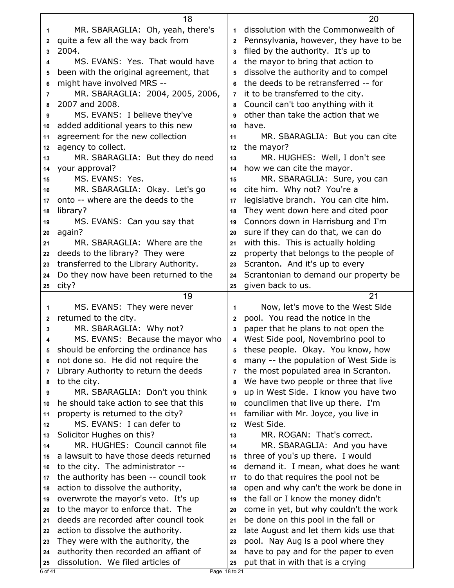|              | 18                                                                         |                | 20                                                                         |
|--------------|----------------------------------------------------------------------------|----------------|----------------------------------------------------------------------------|
| $\mathbf 1$  | MR. SBARAGLIA: Oh, yeah, there's                                           | 1              | dissolution with the Commonwealth of                                       |
| $\mathbf{2}$ | quite a few all the way back from                                          | $\mathbf{2}$   | Pennsylvania, however, they have to be                                     |
| 3            | 2004.                                                                      | 3              | filed by the authority. It's up to                                         |
| 4            | MS. EVANS: Yes. That would have                                            | 4              | the mayor to bring that action to                                          |
| 5            | been with the original agreement, that                                     | 5              | dissolve the authority and to compel                                       |
| 6            | might have involved MRS --                                                 | 6              | the deeds to be retransferred -- for                                       |
| 7            | MR. SBARAGLIA: 2004, 2005, 2006,                                           | 7              | it to be transferred to the city.                                          |
| 8            | 2007 and 2008.                                                             | 8              | Council can't too anything with it                                         |
| 9            | MS. EVANS: I believe they've                                               | 9              | other than take the action that we                                         |
| 10           | added additional years to this new                                         | 10             | have.                                                                      |
| 11           | agreement for the new collection                                           | 11             | MR. SBARAGLIA: But you can cite                                            |
| 12           | agency to collect.                                                         | 12             | the mayor?                                                                 |
| 13           | MR. SBARAGLIA: But they do need                                            | 13             | MR. HUGHES: Well, I don't see                                              |
| 14           | your approval?                                                             | 14             | how we can cite the mayor.                                                 |
| 15           | MS. EVANS: Yes.                                                            | 15             | MR. SBARAGLIA: Sure, you can                                               |
| 16           | MR. SBARAGLIA: Okay. Let's go                                              | 16             | cite him. Why not? You're a                                                |
| 17           | onto -- where are the deeds to the                                         | 17             | legislative branch. You can cite him.                                      |
| 18           | library?                                                                   | 18             | They went down here and cited poor                                         |
| 19           | MS. EVANS: Can you say that                                                | 19             | Connors down in Harrisburg and I'm                                         |
| 20           | again?                                                                     | 20             | sure if they can do that, we can do                                        |
| 21           | MR. SBARAGLIA: Where are the                                               | 21             | with this. This is actually holding                                        |
| 22           | deeds to the library? They were                                            | 22             | property that belongs to the people of                                     |
| 23           | transferred to the Library Authority.                                      | 23             | Scranton. And it's up to every                                             |
| 24           | Do they now have been returned to the                                      | 24             | Scrantonian to demand our property be                                      |
| 25           | city?                                                                      | 25             | given back to us.                                                          |
|              |                                                                            |                |                                                                            |
|              | 19                                                                         |                | 21                                                                         |
| 1            | MS. EVANS: They were never                                                 | 1              | Now, let's move to the West Side                                           |
| 2            | returned to the city.                                                      | $\mathbf{2}$   | pool. You read the notice in the                                           |
| 3            | MR. SBARAGLIA: Why not?                                                    | 3              | paper that he plans to not open the                                        |
| 4            | MS. EVANS: Because the mayor who                                           | 4              | West Side pool, Novembrino pool to                                         |
| 5            | should be enforcing the ordinance has                                      | 5              | these people. Okay. You know, how                                          |
| 6            | not done so. He did not require the                                        | 6              | many -- the population of West Side is                                     |
| 7            | Library Authority to return the deeds                                      | $\overline{7}$ | the most populated area in Scranton.                                       |
| 8            | to the city.                                                               | 8              | We have two people or three that live                                      |
| 9            | MR. SBARAGLIA: Don't you think                                             | 9              | up in West Side. I know you have two                                       |
| 10           | he should take action to see that this                                     | 10             | councilmen that live up there. I'm                                         |
| 11           | property is returned to the city?                                          | 11             | familiar with Mr. Joyce, you live in                                       |
| 12           | MS. EVANS: I can defer to                                                  | 12             | West Side.                                                                 |
| 13           | Solicitor Hughes on this?                                                  | 13             | MR. ROGAN: That's correct.                                                 |
| 14           | MR. HUGHES: Council cannot file                                            | 14             | MR. SBARAGLIA: And you have                                                |
| 15           | a lawsuit to have those deeds returned                                     | 15             | three of you's up there. I would                                           |
| 16           | to the city. The administrator --                                          | 16             | demand it. I mean, what does he want                                       |
| 17           | the authority has been -- council took                                     | 17             | to do that requires the pool not be                                        |
| 18           | action to dissolve the authority,                                          | 18             | open and why can't the work be done in                                     |
| 19           | overwrote the mayor's veto. It's up                                        | 19             | the fall or I know the money didn't                                        |
| 20           | to the mayor to enforce that. The                                          | 20             | come in yet, but why couldn't the work                                     |
| 21           | deeds are recorded after council took                                      | 21             | be done on this pool in the fall or                                        |
| 22           | action to dissolve the authority.                                          | 22             | late August and let them kids use that                                     |
| 23           | They were with the authority, the                                          | 23             | pool. Nay Aug is a pool where they                                         |
| 24<br>25     | authority then recorded an affiant of<br>dissolution. We filed articles of | 24<br>25       | have to pay and for the paper to even<br>put that in with that is a crying |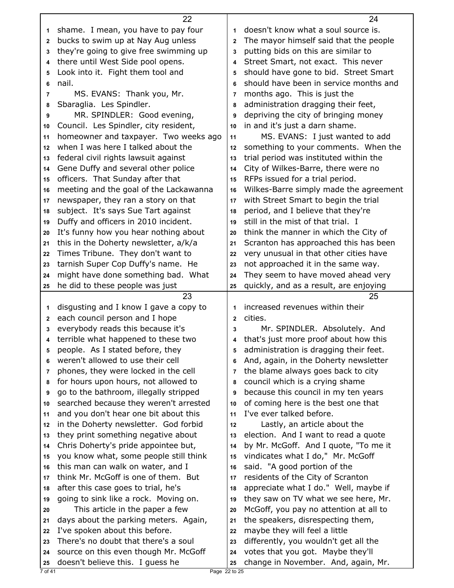|              | 22                                                                            |                | 24                                                                         |
|--------------|-------------------------------------------------------------------------------|----------------|----------------------------------------------------------------------------|
| 1            | shame. I mean, you have to pay four                                           | 1              | doesn't know what a soul source is.                                        |
| $\mathbf{2}$ | bucks to swim up at Nay Aug unless                                            | $\overline{2}$ | The mayor himself said that the people                                     |
| 3            | they're going to give free swimming up                                        | 3              | putting bids on this are similar to                                        |
| 4            | there until West Side pool opens.                                             | 4              | Street Smart, not exact. This never                                        |
| 5            | Look into it. Fight them tool and                                             | 5              | should have gone to bid. Street Smart                                      |
| 6            | nail.                                                                         | 6              | should have been in service months and                                     |
| 7            | MS. EVANS: Thank you, Mr.                                                     | 7              | months ago. This is just the                                               |
| 8            | Sbaraglia. Les Spindler.                                                      | 8              | administration dragging their feet,                                        |
| 9            | MR. SPINDLER: Good evening,                                                   | 9              | depriving the city of bringing money                                       |
| 10           | Council. Les Spindler, city resident,                                         | 10             | in and it's just a darn shame.                                             |
| 11           | homeowner and taxpayer. Two weeks ago                                         | 11             | MS. EVANS: I just wanted to add                                            |
| 12           | when I was here I talked about the                                            | 12             | something to your comments. When the                                       |
| 13           | federal civil rights lawsuit against                                          | 13             | trial period was instituted within the                                     |
| 14           | Gene Duffy and several other police                                           | 14             | City of Wilkes-Barre, there were no                                        |
| 15           | officers. That Sunday after that                                              | 15             | RFPs issued for a trial period.                                            |
| 16           | meeting and the goal of the Lackawanna                                        | 16             | Wilkes-Barre simply made the agreement                                     |
| 17           | newspaper, they ran a story on that                                           | 17             | with Street Smart to begin the trial                                       |
| 18           | subject. It's says Sue Tart against                                           | 18             | period, and I believe that they're                                         |
| 19           | Duffy and officers in 2010 incident.                                          | 19             | still in the mist of that trial. I                                         |
| 20           | It's funny how you hear nothing about                                         | 20             | think the manner in which the City of                                      |
| 21           | this in the Doherty newsletter, a/k/a                                         | 21             | Scranton has approached this has been                                      |
| 22           | Times Tribune. They don't want to                                             | 22             | very unusual in that other cities have                                     |
| 23           | tarnish Super Cop Duffy's name. He                                            | 23             | not approached it in the same way.                                         |
| 24           | might have done something bad. What                                           | 24             | They seem to have moved ahead very                                         |
| 25           | he did to these people was just                                               | 25             | quickly, and as a result, are enjoying                                     |
|              | 23                                                                            |                | 25                                                                         |
|              |                                                                               |                |                                                                            |
|              |                                                                               |                |                                                                            |
| 1            | disgusting and I know I gave a copy to                                        | 1              | increased revenues within their                                            |
| $\mathbf{2}$ | each council person and I hope                                                | $\overline{2}$ | cities.                                                                    |
| 3            | everybody reads this because it's                                             | 3              | Mr. SPINDLER. Absolutely. And                                              |
| 4            | terrible what happened to these two                                           | 4              | that's just more proof about how this                                      |
| 5            | people. As I stated before, they                                              | 5              | administration is dragging their feet.                                     |
| 6            | weren't allowed to use their cell                                             | 6              | And, again, in the Doherty newsletter                                      |
| 7            | phones, they were locked in the cell                                          | 7              | the blame always goes back to city                                         |
| 8            | for hours upon hours, not allowed to                                          | 8              | council which is a crying shame                                            |
| 9            | go to the bathroom, illegally stripped                                        | 9<br>10        | because this council in my ten years                                       |
| 10<br>11     | searched because they weren't arrested                                        | 11             | of coming here is the best one that                                        |
| 12           | and you don't hear one bit about this                                         | 12             | I've ever talked before.                                                   |
| 13           | in the Doherty newsletter. God forbid                                         | 13             | Lastly, an article about the                                               |
| 14           | they print something negative about                                           | 14             | election. And I want to read a quote                                       |
| 15           | Chris Doherty's pride appointee but,                                          | 15             | by Mr. McGoff. And I quote, "To me it                                      |
| 16           | you know what, some people still think                                        | 16             | vindicates what I do," Mr. McGoff                                          |
| 17           | this man can walk on water, and I                                             | 17             | said. "A good portion of the                                               |
|              | think Mr. McGoff is one of them. But                                          |                | residents of the City of Scranton                                          |
| 18<br>19     | after this case goes to trial, he's                                           | 18<br>19       | appreciate what I do." Well, maybe if                                      |
| 20           | going to sink like a rock. Moving on.                                         | 20             | they saw on TV what we see here, Mr.                                       |
| 21           | This article in the paper a few                                               | 21             | McGoff, you pay no attention at all to                                     |
| 22           | days about the parking meters. Again,                                         | 22             | the speakers, disrespecting them,                                          |
| 23           | I've spoken about this before.                                                | 23             | maybe they will feel a little                                              |
| 24           | There's no doubt that there's a soul<br>source on this even though Mr. McGoff | 24             | differently, you wouldn't get all the<br>votes that you got. Maybe they'll |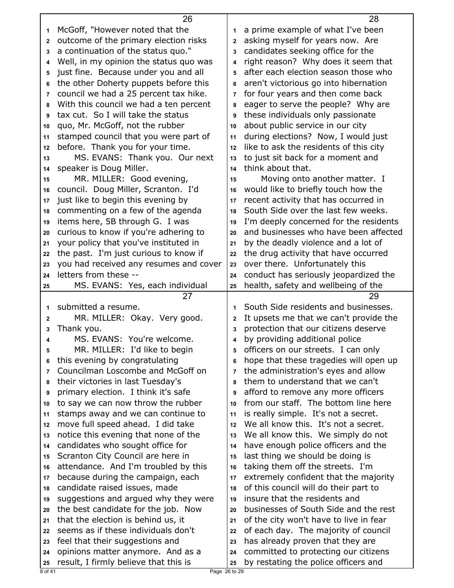|          | 26                                                                         |                | 28                                                                           |
|----------|----------------------------------------------------------------------------|----------------|------------------------------------------------------------------------------|
| 1        | McGoff, "However noted that the                                            | 1              | a prime example of what I've been                                            |
| 2        | outcome of the primary election risks                                      | $\mathbf{2}$   | asking myself for years now. Are                                             |
| 3        | a continuation of the status quo."                                         | 3              | candidates seeking office for the                                            |
| 4        | Well, in my opinion the status quo was                                     | 4              | right reason? Why does it seem that                                          |
| 5        | just fine. Because under you and all                                       | 5              | after each election season those who                                         |
| 6        | the other Doherty puppets before this                                      | 6              | aren't victorious go into hibernation                                        |
| 7        | council we had a 25 percent tax hike.                                      | $\overline{7}$ | for four years and then come back                                            |
| 8        | With this council we had a ten percent                                     | 8              | eager to serve the people? Why are                                           |
| 9        | tax cut. So I will take the status                                         | 9              | these individuals only passionate                                            |
| 10       | quo, Mr. McGoff, not the rubber                                            | 10             | about public service in our city                                             |
| 11       | stamped council that you were part of                                      | 11             | during elections? Now, I would just                                          |
| 12       | before. Thank you for your time.                                           | 12             | like to ask the residents of this city                                       |
| 13       | MS. EVANS: Thank you. Our next                                             | 13             | to just sit back for a moment and                                            |
| 14       | speaker is Doug Miller.                                                    | 14             | think about that.                                                            |
| 15       | MR. MILLER: Good evening,                                                  | 15             | Moving onto another matter. I                                                |
| 16       | council. Doug Miller, Scranton. I'd                                        | 16             | would like to briefly touch how the                                          |
| 17       | just like to begin this evening by                                         | 17             | recent activity that has occurred in                                         |
| 18       | commenting on a few of the agenda                                          | 18             | South Side over the last few weeks.                                          |
| 19       | items here, 5B through G. I was                                            | 19             | I'm deeply concerned for the residents                                       |
| 20       | curious to know if you're adhering to                                      | 20             | and businesses who have been affected                                        |
| 21       | your policy that you've instituted in                                      | 21             | by the deadly violence and a lot of                                          |
| 22       | the past. I'm just curious to know if                                      | 22             | the drug activity that have occurred                                         |
| 23       | you had received any resumes and cover                                     | 23             | over there. Unfortunately this                                               |
| 24       | letters from these --                                                      | 24             | conduct has seriously jeopardized the                                        |
| 25       | MS. EVANS: Yes, each individual                                            | 25             | health, safety and wellbeing of the                                          |
|          |                                                                            |                |                                                                              |
|          |                                                                            |                |                                                                              |
|          | 27                                                                         |                | 29                                                                           |
| 1        | submitted a resume.                                                        | 1              | South Side residents and businesses.                                         |
| 2        | MR. MILLER: Okay. Very good.                                               | $\mathbf 2$    | It upsets me that we can't provide the                                       |
| 3        | Thank you.                                                                 | 3              | protection that our citizens deserve                                         |
| 4        | MS. EVANS: You're welcome.                                                 | 4              | by providing additional police                                               |
| 5        | MR. MILLER: I'd like to begin                                              | 5              | officers on our streets. I can only                                          |
| 6        | this evening by congratulating                                             | 6              | hope that these tragedies will open up                                       |
| 7        | Councilman Loscombe and McGoff on                                          | 7              | the administration's eyes and allow                                          |
| 8        | their victories in last Tuesday's                                          | 8              | them to understand that we can't                                             |
| 9        | primary election. I think it's safe                                        | 9              | afford to remove any more officers                                           |
| 10       | to say we can now throw the rubber                                         | 10             | from our staff. The bottom line here                                         |
| 11       | stamps away and we can continue to                                         | 11             | is really simple. It's not a secret.                                         |
| 12       | move full speed ahead. I did take                                          | 12             | We all know this. It's not a secret.                                         |
| 13       | notice this evening that none of the                                       | 13             | We all know this. We simply do not                                           |
| 14       | candidates who sought office for                                           | 14             | have enough police officers and the                                          |
| 15       | Scranton City Council are here in                                          | 15             | last thing we should be doing is                                             |
| 16       | attendance. And I'm troubled by this                                       | 16             | taking them off the streets. I'm                                             |
| 17       | because during the campaign, each                                          | 17             | extremely confident that the majority                                        |
| 18       | candidate raised issues, made                                              | 18             | of this council will do their part to                                        |
| 19       | suggestions and argued why they were                                       | 19             | insure that the residents and                                                |
| 20       | the best candidate for the job. Now                                        | 20             | businesses of South Side and the rest                                        |
| 21       | that the election is behind us, it                                         | 21             | of the city won't have to live in fear                                       |
| 22       | seems as if these individuals don't                                        | 22             | of each day. The majority of council                                         |
| 23       | feel that their suggestions and                                            | 23             | has already proven that they are                                             |
| 24<br>25 | opinions matter anymore. And as a<br>result, I firmly believe that this is | 24<br>25       | committed to protecting our citizens<br>by restating the police officers and |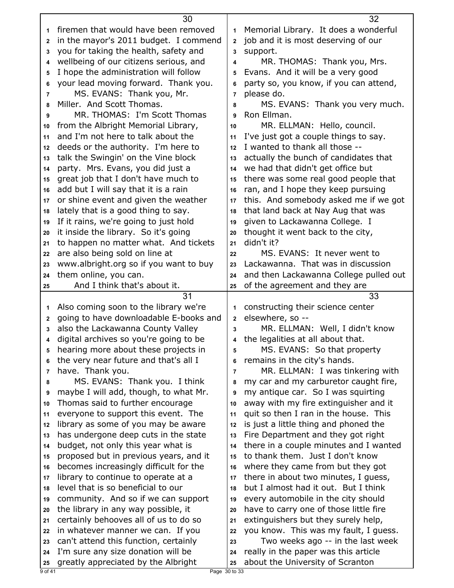|                   | 30                                                                           |                     | 32                                                                           |
|-------------------|------------------------------------------------------------------------------|---------------------|------------------------------------------------------------------------------|
| 1                 | firemen that would have been removed                                         | 1                   | Memorial Library. It does a wonderful                                        |
| $\mathbf{2}$      | in the mayor's 2011 budget. I commend                                        | $\overline{2}$      | job and it is most deserving of our                                          |
| 3                 | you for taking the health, safety and                                        | 3                   | support.                                                                     |
| 4                 | wellbeing of our citizens serious, and                                       | 4                   | MR. THOMAS: Thank you, Mrs.                                                  |
| 5                 | I hope the administration will follow                                        | 5                   | Evans. And it will be a very good                                            |
| 6                 | your lead moving forward. Thank you.                                         | 6                   | party so, you know, if you can attend,                                       |
| $\overline{7}$    | MS. EVANS: Thank you, Mr.                                                    | $\overline{7}$      | please do.                                                                   |
| 8                 | Miller. And Scott Thomas.                                                    | 8                   | MS. EVANS: Thank you very much.                                              |
| 9                 | MR. THOMAS: I'm Scott Thomas                                                 | 9                   | Ron Ellman.                                                                  |
| 10                | from the Albright Memorial Library,                                          | 10                  | MR. ELLMAN: Hello, council.                                                  |
| 11                | and I'm not here to talk about the                                           | 11                  | I've just got a couple things to say.                                        |
| 12                | deeds or the authority. I'm here to                                          | 12                  | I wanted to thank all those --                                               |
| 13                | talk the Swingin' on the Vine block                                          | 13                  | actually the bunch of candidates that                                        |
| 14                | party. Mrs. Evans, you did just a                                            | 14                  | we had that didn't get office but                                            |
|                   | great job that I don't have much to                                          | 15                  | there was some real good people that                                         |
| 15                | add but I will say that it is a rain                                         |                     | ran, and I hope they keep pursuing                                           |
| 16                | or shine event and given the weather                                         | 16                  | this. And somebody asked me if we got                                        |
| 17                |                                                                              | 17                  |                                                                              |
| 18                | lately that is a good thing to say.<br>If it rains, we're going to just hold | 18                  | that land back at Nay Aug that was<br>given to Lackawanna College. I         |
| 19                | it inside the library. So it's going                                         | 19                  | thought it went back to the city,                                            |
| 20<br>21          | to happen no matter what. And tickets                                        | 20<br>21            | didn't it?                                                                   |
| 22                | are also being sold on line at                                               | 22                  | MS. EVANS: It never went to                                                  |
| 23                | www.albright.org so if you want to buy                                       | 23                  | Lackawanna. That was in discussion                                           |
| 24                | them online, you can.                                                        | 24                  | and then Lackawanna College pulled out                                       |
| 25                | And I think that's about it.                                                 | 25                  | of the agreement and they are                                                |
|                   |                                                                              |                     |                                                                              |
|                   |                                                                              |                     |                                                                              |
|                   | 31                                                                           |                     | 33                                                                           |
| 1                 | Also coming soon to the library we're                                        | 1                   | constructing their science center                                            |
| $\mathbf{2}$<br>3 | going to have downloadable E-books and                                       | $\overline{2}$<br>3 | elsewhere, so --                                                             |
|                   | also the Lackawanna County Valley                                            | 4                   | MR. ELLMAN: Well, I didn't know                                              |
| 4                 | digital archives so you're going to be                                       |                     | the legalities at all about that.                                            |
| 5                 | hearing more about these projects in                                         | 5<br>6              | MS. EVANS: So that property                                                  |
| 6                 | the very near future and that's all I                                        |                     | remains in the city's hands.                                                 |
| 7                 | have. Thank you.                                                             | $\overline{7}$<br>8 | MR. ELLMAN: I was tinkering with                                             |
| 8<br>9            | MS. EVANS: Thank you. I think                                                | 9                   | my car and my carburetor caught fire,                                        |
|                   | maybe I will add, though, to what Mr.                                        |                     | my antique car. So I was squirting                                           |
| 10                | Thomas said to further encourage                                             | 10                  | away with my fire extinguisher and it                                        |
| 11<br>12          | everyone to support this event. The                                          | 11<br>12            | quit so then I ran in the house. This                                        |
|                   | library as some of you may be aware                                          |                     | is just a little thing and phoned the                                        |
| 13                | has undergone deep cuts in the state                                         | 13<br>14            | Fire Department and they got right                                           |
| 14                | budget, not only this year what is                                           |                     | there in a couple minutes and I wanted                                       |
| 15<br>16          | proposed but in previous years, and it                                       | 15<br>16            | to thank them. Just I don't know                                             |
| 17                | becomes increasingly difficult for the                                       | 17                  | where they came from but they got                                            |
| 18                | library to continue to operate at a<br>level that is so beneficial to our    | 18                  | there in about two minutes, I guess,<br>but I almost had it out. But I think |
| 19                | community. And so if we can support                                          | 19                  | every automobile in the city should                                          |
| 20                | the library in any way possible, it                                          | 20                  | have to carry one of those little fire                                       |
| 21                | certainly behooves all of us to do so                                        | 21                  | extinguishers but they surely help,                                          |
| 22                | in whatever manner we can. If you                                            | 22                  | you know. This was my fault, I guess.                                        |
| 23                | can't attend this function, certainly                                        | 23                  | Two weeks ago -- in the last week                                            |
| 24                | I'm sure any size donation will be                                           | 24                  | really in the paper was this article                                         |
| 25                | greatly appreciated by the Albright                                          | 25                  | about the University of Scranton                                             |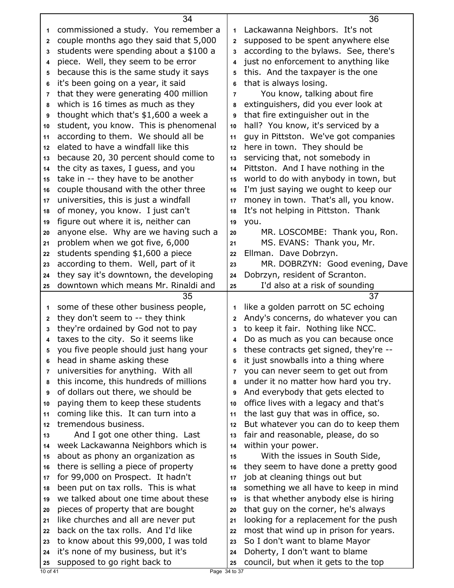|                | 34                                     |                | 36                                     |
|----------------|----------------------------------------|----------------|----------------------------------------|
| 1.             | commissioned a study. You remember a   | 1              | Lackawanna Neighbors. It's not         |
| $\mathbf 2$    | couple months ago they said that 5,000 | $\overline{2}$ | supposed to be spent anywhere else     |
| 3              | students were spending about a \$100 a | 3              | according to the bylaws. See, there's  |
| 4              | piece. Well, they seem to be error     | 4              | just no enforcement to anything like   |
| 5              | because this is the same study it says | 5              | this. And the taxpayer is the one      |
| 6              | it's been going on a year, it said     | 6              | that is always losing.                 |
| $\overline{7}$ | that they were generating 400 million  | 7              | You know, talking about fire           |
| 8              | which is 16 times as much as they      | 8              | extinguishers, did you ever look at    |
| 9              | thought which that's \$1,600 a week a  | 9              | that fire extinguisher out in the      |
| 10             | student, you know. This is phenomenal  | 10             | hall? You know, it's serviced by a     |
| 11             | according to them. We should all be    | 11             | guy in Pittston. We've got companies   |
| 12             | elated to have a windfall like this    | 12             | here in town. They should be           |
| 13             | because 20, 30 percent should come to  | 13             | servicing that, not somebody in        |
| 14             | the city as taxes, I guess, and you    | 14             | Pittston. And I have nothing in the    |
| 15             | take in -- they have to be another     | 15             | world to do with anybody in town, but  |
| 16             | couple thousand with the other three   | 16             | I'm just saying we ought to keep our   |
| 17             | universities, this is just a windfall  | 17             | money in town. That's all, you know.   |
| 18             | of money, you know. I just can't       | 18             | It's not helping in Pittston. Thank    |
| 19             | figure out where it is, neither can    | 19             | you.                                   |
| 20             | anyone else. Why are we having such a  | 20             | MR. LOSCOMBE: Thank you, Ron.          |
| 21             | problem when we got five, 6,000        | 21             | MS. EVANS: Thank you, Mr.              |
| 22             | students spending \$1,600 a piece      | 22             | Ellman. Dave Dobrzyn.                  |
| 23             | according to them. Well, part of it    | 23             | MR. DOBRZYN: Good evening, Dave        |
| 24             | they say it's downtown, the developing | 24             | Dobrzyn, resident of Scranton.         |
| 25             | downtown which means Mr. Rinaldi and   | 25             | I'd also at a risk of sounding         |
|                |                                        |                |                                        |
|                | 35                                     |                | 37                                     |
| 1              | some of these other business people,   | 1              | like a golden parrott on 5C echoing    |
| 2              | they don't seem to -- they think       | 2              | Andy's concerns, do whatever you can   |
| 3              | they're ordained by God not to pay     | 3              | to keep it fair. Nothing like NCC.     |
| 4              | taxes to the city. So it seems like    | 4              | Do as much as you can because once     |
| 5              | you five people should just hang your  | 5              | these contracts get signed, they're -- |
| 6              | head in shame asking these             | 6              | it just snowballs into a thing where   |
| 7              | universities for anything. With all    | 7              | you can never seem to get out from     |
| 8              | this income, this hundreds of millions | 8              | under it no matter how hard you try.   |
| 9              | of dollars out there, we should be     | 9              | And everybody that gets elected to     |
| 10             | paying them to keep these students     | 10             | office lives with a legacy and that's  |
| 11             | coming like this. It can turn into a   | 11             | the last guy that was in office, so.   |
| 12             | tremendous business.                   | 12             | But whatever you can do to keep them   |
| 13             | And I got one other thing. Last        | 13             | fair and reasonable, please, do so     |
| 14             | week Lackawanna Neighbors which is     | 14             | within your power.                     |
| 15             | about as phony an organization as      | 15             | With the issues in South Side,         |
| 16             | there is selling a piece of property   | 16             | they seem to have done a pretty good   |
| 17             | for 99,000 on Prospect. It hadn't      | 17             | job at cleaning things out but         |
| 18             | been put on tax rolls. This is what    | 18             | something we all have to keep in mind  |
| 19             | we talked about one time about these   | 19             | is that whether anybody else is hiring |
| 20             | pieces of property that are bought     | 20             | that guy on the corner, he's always    |
| 21             | like churches and all are never put    | 21             | looking for a replacement for the push |
| 22             | back on the tax rolls. And I'd like    | 22             | most that wind up in prison for years. |
| 23             | to know about this 99,000, I was told  | 23             | So I don't want to blame Mayor         |
| 24             | it's none of my business, but it's     | 24             | Doherty, I don't want to blame         |
| 25             | supposed to go right back to           | 25             | council, but when it gets to the top   |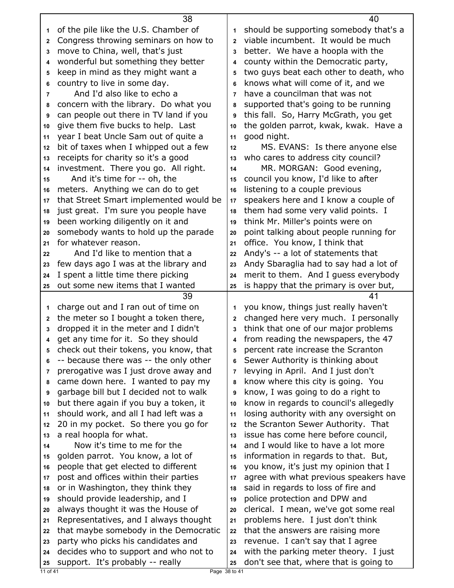|                | 38                                                                        |              | 40                                                                              |
|----------------|---------------------------------------------------------------------------|--------------|---------------------------------------------------------------------------------|
| 1              | of the pile like the U.S. Chamber of                                      | 1            | should be supporting somebody that's a                                          |
| $\mathbf{2}$   | Congress throwing seminars on how to                                      | $\mathbf{2}$ | viable incumbent. It would be much                                              |
| 3              | move to China, well, that's just                                          | 3            | better. We have a hoopla with the                                               |
| 4              | wonderful but something they better                                       | 4            | county within the Democratic party,                                             |
| 5              | keep in mind as they might want a                                         | 5            | two guys beat each other to death, who                                          |
| 6              | country to live in some day.                                              | 6            | knows what will come of it, and we                                              |
| 7              | And I'd also like to echo a                                               | 7            | have a councilman that was not                                                  |
| 8              | concern with the library. Do what you                                     | 8            | supported that's going to be running                                            |
| 9              | can people out there in TV land if you                                    | 9            | this fall. So, Harry McGrath, you get                                           |
| 10             | give them five bucks to help. Last                                        | 10           | the golden parrot, kwak, kwak. Have a                                           |
| 11             | year I beat Uncle Sam out of quite a                                      | 11           | good night.                                                                     |
| 12             | bit of taxes when I whipped out a few                                     | 12           | MS. EVANS: Is there anyone else                                                 |
| 13             | receipts for charity so it's a good                                       | 13           | who cares to address city council?                                              |
| 14             | investment. There you go. All right.                                      | 14           | MR. MORGAN: Good evening,                                                       |
| 15             | And it's time for -- oh, the                                              | 15           | council you know, I'd like to after                                             |
| 16             | meters. Anything we can do to get                                         | 16           | listening to a couple previous                                                  |
| 17             | that Street Smart implemented would be                                    | 17           | speakers here and I know a couple of                                            |
| 18             | just great. I'm sure you people have                                      | 18           | them had some very valid points. I                                              |
| 19             | been working diligently on it and                                         | 19           | think Mr. Miller's points were on                                               |
| 20             | somebody wants to hold up the parade                                      | 20           | point talking about people running for                                          |
| 21             | for whatever reason.                                                      | 21           | office. You know, I think that                                                  |
| 22             | And I'd like to mention that a                                            | 22           | Andy's -- a lot of statements that                                              |
| 23             | few days ago I was at the library and                                     | 23           | Andy Sbaraglia had to say had a lot of                                          |
| 24             | I spent a little time there picking                                       | 24           | merit to them. And I guess everybody                                            |
|                | out some new items that I wanted                                          | 25           | is happy that the primary is over but,                                          |
| 25             |                                                                           |              |                                                                                 |
|                | 39                                                                        |              | 41                                                                              |
| 1              | charge out and I ran out of time on                                       | 1            | you know, things just really haven't                                            |
| $\mathbf 2$    | the meter so I bought a token there,                                      | 2            | changed here very much. I personally                                            |
| 3              | dropped it in the meter and I didn't                                      | 3            | think that one of our major problems                                            |
| 4              | get any time for it. So they should                                       | 4            | from reading the newspapers, the 47                                             |
| 5              | check out their tokens, you know, that                                    | 5            | percent rate increase the Scranton                                              |
| 6              | -- because there was -- the only other                                    | 6            | Sewer Authority is thinking about                                               |
| $\overline{7}$ | prerogative was I just drove away and                                     | 7            | levying in April. And I just don't                                              |
| 8              | came down here. I wanted to pay my                                        | 8            | know where this city is going. You                                              |
| 9              | garbage bill but I decided not to walk                                    | 9            | know, I was going to do a right to                                              |
| 10             | but there again if you buy a token, it                                    | 10           | know in regards to council's allegedly                                          |
| 11             | should work, and all I had left was a                                     | 11           | losing authority with any oversight on                                          |
| 12             | 20 in my pocket. So there you go for                                      | 12           | the Scranton Sewer Authority. That                                              |
| 13             | a real hoopla for what.                                                   | 13           | issue has come here before council,                                             |
| 14             | Now it's time to me for the                                               | 14           | and I would like to have a lot more                                             |
| 15             | golden parrot. You know, a lot of                                         | 15           | information in regards to that. But,                                            |
| 16             | people that get elected to different                                      | 16           | you know, it's just my opinion that I                                           |
| 17             | post and offices within their parties                                     | 17           | agree with what previous speakers have                                          |
| 18             | or in Washington, they think they                                         | 18           | said in regards to loss of fire and                                             |
| 19             | should provide leadership, and I                                          | 19           | police protection and DPW and                                                   |
| 20             | always thought it was the House of                                        | 20           | clerical. I mean, we've got some real                                           |
| 21             | Representatives, and I always thought                                     | 21           | problems here. I just don't think                                               |
| 22             | that maybe somebody in the Democratic                                     | 22           | that the answers are raising more                                               |
| 23             | party who picks his candidates and                                        | 23           | revenue. I can't say that I agree                                               |
| 24<br>25       | decides who to support and who not to<br>support. It's probably -- really | 24<br>25     | with the parking meter theory. I just<br>don't see that, where that is going to |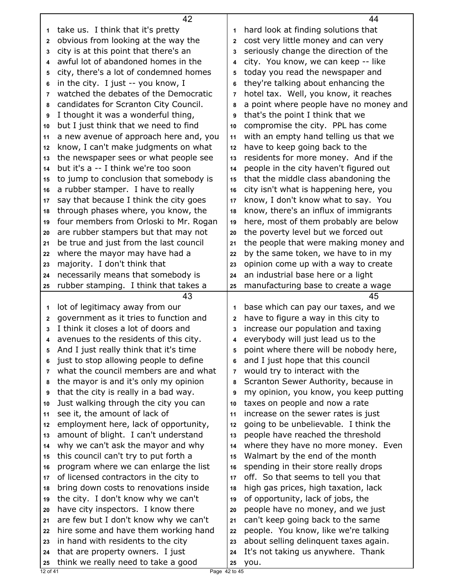| take us. I think that it's pretty<br>hard look at finding solutions that<br>1<br>1<br>obvious from looking at the way the<br>cost very little money and can very<br>$\mathbf{2}$<br>$\mathbf{2}$<br>city is at this point that there's an<br>seriously change the direction of the<br>3<br>3<br>awful lot of abandoned homes in the<br>city. You know, we can keep -- like<br>4<br>4<br>city, there's a lot of condemned homes<br>today you read the newspaper and<br>5<br>5<br>in the city. I just -- you know, I<br>they're talking about enhancing the<br>6<br>6<br>watched the debates of the Democratic<br>hotel tax. Well, you know, it reaches<br>$\overline{7}$<br>$\overline{7}$<br>candidates for Scranton City Council.<br>a point where people have no money and<br>8<br>8<br>I thought it was a wonderful thing,<br>that's the point I think that we<br>9<br>9<br>but I just think that we need to find<br>compromise the city. PPL has come<br>10<br>10<br>a new avenue of approach here and, you<br>with an empty hand telling us that we<br>11<br>11<br>know, I can't make judgments on what<br>have to keep going back to the<br>12<br>12<br>the newspaper sees or what people see<br>residents for more money. And if the<br>13<br>13<br>but it's a -- I think we're too soon<br>people in the city haven't figured out<br>14<br>14<br>to jump to conclusion that somebody is<br>that the middle class abandoning the<br>15<br>15 |    | 42                                     |    | 44                                     |
|-----------------------------------------------------------------------------------------------------------------------------------------------------------------------------------------------------------------------------------------------------------------------------------------------------------------------------------------------------------------------------------------------------------------------------------------------------------------------------------------------------------------------------------------------------------------------------------------------------------------------------------------------------------------------------------------------------------------------------------------------------------------------------------------------------------------------------------------------------------------------------------------------------------------------------------------------------------------------------------------------------------------------------------------------------------------------------------------------------------------------------------------------------------------------------------------------------------------------------------------------------------------------------------------------------------------------------------------------------------------------------------------------------------------------------------------------------|----|----------------------------------------|----|----------------------------------------|
|                                                                                                                                                                                                                                                                                                                                                                                                                                                                                                                                                                                                                                                                                                                                                                                                                                                                                                                                                                                                                                                                                                                                                                                                                                                                                                                                                                                                                                                     |    |                                        |    |                                        |
|                                                                                                                                                                                                                                                                                                                                                                                                                                                                                                                                                                                                                                                                                                                                                                                                                                                                                                                                                                                                                                                                                                                                                                                                                                                                                                                                                                                                                                                     |    |                                        |    |                                        |
|                                                                                                                                                                                                                                                                                                                                                                                                                                                                                                                                                                                                                                                                                                                                                                                                                                                                                                                                                                                                                                                                                                                                                                                                                                                                                                                                                                                                                                                     |    |                                        |    |                                        |
|                                                                                                                                                                                                                                                                                                                                                                                                                                                                                                                                                                                                                                                                                                                                                                                                                                                                                                                                                                                                                                                                                                                                                                                                                                                                                                                                                                                                                                                     |    |                                        |    |                                        |
|                                                                                                                                                                                                                                                                                                                                                                                                                                                                                                                                                                                                                                                                                                                                                                                                                                                                                                                                                                                                                                                                                                                                                                                                                                                                                                                                                                                                                                                     |    |                                        |    |                                        |
|                                                                                                                                                                                                                                                                                                                                                                                                                                                                                                                                                                                                                                                                                                                                                                                                                                                                                                                                                                                                                                                                                                                                                                                                                                                                                                                                                                                                                                                     |    |                                        |    |                                        |
|                                                                                                                                                                                                                                                                                                                                                                                                                                                                                                                                                                                                                                                                                                                                                                                                                                                                                                                                                                                                                                                                                                                                                                                                                                                                                                                                                                                                                                                     |    |                                        |    |                                        |
|                                                                                                                                                                                                                                                                                                                                                                                                                                                                                                                                                                                                                                                                                                                                                                                                                                                                                                                                                                                                                                                                                                                                                                                                                                                                                                                                                                                                                                                     |    |                                        |    |                                        |
|                                                                                                                                                                                                                                                                                                                                                                                                                                                                                                                                                                                                                                                                                                                                                                                                                                                                                                                                                                                                                                                                                                                                                                                                                                                                                                                                                                                                                                                     |    |                                        |    |                                        |
|                                                                                                                                                                                                                                                                                                                                                                                                                                                                                                                                                                                                                                                                                                                                                                                                                                                                                                                                                                                                                                                                                                                                                                                                                                                                                                                                                                                                                                                     |    |                                        |    |                                        |
|                                                                                                                                                                                                                                                                                                                                                                                                                                                                                                                                                                                                                                                                                                                                                                                                                                                                                                                                                                                                                                                                                                                                                                                                                                                                                                                                                                                                                                                     |    |                                        |    |                                        |
|                                                                                                                                                                                                                                                                                                                                                                                                                                                                                                                                                                                                                                                                                                                                                                                                                                                                                                                                                                                                                                                                                                                                                                                                                                                                                                                                                                                                                                                     |    |                                        |    |                                        |
|                                                                                                                                                                                                                                                                                                                                                                                                                                                                                                                                                                                                                                                                                                                                                                                                                                                                                                                                                                                                                                                                                                                                                                                                                                                                                                                                                                                                                                                     |    |                                        |    |                                        |
|                                                                                                                                                                                                                                                                                                                                                                                                                                                                                                                                                                                                                                                                                                                                                                                                                                                                                                                                                                                                                                                                                                                                                                                                                                                                                                                                                                                                                                                     |    |                                        |    |                                        |
|                                                                                                                                                                                                                                                                                                                                                                                                                                                                                                                                                                                                                                                                                                                                                                                                                                                                                                                                                                                                                                                                                                                                                                                                                                                                                                                                                                                                                                                     |    |                                        |    |                                        |
|                                                                                                                                                                                                                                                                                                                                                                                                                                                                                                                                                                                                                                                                                                                                                                                                                                                                                                                                                                                                                                                                                                                                                                                                                                                                                                                                                                                                                                                     | 16 | a rubber stamper. I have to really     | 16 | city isn't what is happening here, you |
| say that because I think the city goes<br>know, I don't know what to say. You<br>17<br>17                                                                                                                                                                                                                                                                                                                                                                                                                                                                                                                                                                                                                                                                                                                                                                                                                                                                                                                                                                                                                                                                                                                                                                                                                                                                                                                                                           |    |                                        |    |                                        |
| through phases where, you know, the<br>know, there's an influx of immigrants<br>18<br>18                                                                                                                                                                                                                                                                                                                                                                                                                                                                                                                                                                                                                                                                                                                                                                                                                                                                                                                                                                                                                                                                                                                                                                                                                                                                                                                                                            |    |                                        |    |                                        |
| four members from Orloski to Mr. Rogan<br>here, most of them probably are below<br>19<br>19                                                                                                                                                                                                                                                                                                                                                                                                                                                                                                                                                                                                                                                                                                                                                                                                                                                                                                                                                                                                                                                                                                                                                                                                                                                                                                                                                         |    |                                        |    |                                        |
| are rubber stampers but that may not<br>the poverty level but we forced out<br>20<br>20                                                                                                                                                                                                                                                                                                                                                                                                                                                                                                                                                                                                                                                                                                                                                                                                                                                                                                                                                                                                                                                                                                                                                                                                                                                                                                                                                             |    |                                        |    |                                        |
| be true and just from the last council<br>the people that were making money and<br>21<br>21                                                                                                                                                                                                                                                                                                                                                                                                                                                                                                                                                                                                                                                                                                                                                                                                                                                                                                                                                                                                                                                                                                                                                                                                                                                                                                                                                         |    |                                        |    |                                        |
| where the mayor may have had a<br>by the same token, we have to in my<br>22<br>22                                                                                                                                                                                                                                                                                                                                                                                                                                                                                                                                                                                                                                                                                                                                                                                                                                                                                                                                                                                                                                                                                                                                                                                                                                                                                                                                                                   |    |                                        |    |                                        |
| majority. I don't think that<br>opinion come up with a way to create<br>23<br>23                                                                                                                                                                                                                                                                                                                                                                                                                                                                                                                                                                                                                                                                                                                                                                                                                                                                                                                                                                                                                                                                                                                                                                                                                                                                                                                                                                    |    |                                        |    |                                        |
| necessarily means that somebody is<br>an industrial base here or a light<br>24<br>24                                                                                                                                                                                                                                                                                                                                                                                                                                                                                                                                                                                                                                                                                                                                                                                                                                                                                                                                                                                                                                                                                                                                                                                                                                                                                                                                                                |    |                                        |    |                                        |
| rubber stamping. I think that takes a<br>manufacturing base to create a wage<br>25<br>25                                                                                                                                                                                                                                                                                                                                                                                                                                                                                                                                                                                                                                                                                                                                                                                                                                                                                                                                                                                                                                                                                                                                                                                                                                                                                                                                                            |    |                                        |    |                                        |
| 43<br>45                                                                                                                                                                                                                                                                                                                                                                                                                                                                                                                                                                                                                                                                                                                                                                                                                                                                                                                                                                                                                                                                                                                                                                                                                                                                                                                                                                                                                                            |    |                                        |    |                                        |
| lot of legitimacy away from our<br>base which can pay our taxes, and we<br>1<br>1                                                                                                                                                                                                                                                                                                                                                                                                                                                                                                                                                                                                                                                                                                                                                                                                                                                                                                                                                                                                                                                                                                                                                                                                                                                                                                                                                                   |    |                                        |    |                                        |
| government as it tries to function and<br>have to figure a way in this city to<br>$\mathbf{2}$<br>$\mathbf{2}$                                                                                                                                                                                                                                                                                                                                                                                                                                                                                                                                                                                                                                                                                                                                                                                                                                                                                                                                                                                                                                                                                                                                                                                                                                                                                                                                      |    |                                        |    |                                        |
| I think it closes a lot of doors and<br>increase our population and taxing<br>3<br>3                                                                                                                                                                                                                                                                                                                                                                                                                                                                                                                                                                                                                                                                                                                                                                                                                                                                                                                                                                                                                                                                                                                                                                                                                                                                                                                                                                |    |                                        |    |                                        |
| avenues to the residents of this city.<br>everybody will just lead us to the<br>4<br>4                                                                                                                                                                                                                                                                                                                                                                                                                                                                                                                                                                                                                                                                                                                                                                                                                                                                                                                                                                                                                                                                                                                                                                                                                                                                                                                                                              |    |                                        |    |                                        |
|                                                                                                                                                                                                                                                                                                                                                                                                                                                                                                                                                                                                                                                                                                                                                                                                                                                                                                                                                                                                                                                                                                                                                                                                                                                                                                                                                                                                                                                     |    |                                        |    |                                        |
|                                                                                                                                                                                                                                                                                                                                                                                                                                                                                                                                                                                                                                                                                                                                                                                                                                                                                                                                                                                                                                                                                                                                                                                                                                                                                                                                                                                                                                                     |    |                                        |    |                                        |
|                                                                                                                                                                                                                                                                                                                                                                                                                                                                                                                                                                                                                                                                                                                                                                                                                                                                                                                                                                                                                                                                                                                                                                                                                                                                                                                                                                                                                                                     | 5  | And I just really think that it's time | 5  | point where there will be nobody here, |
|                                                                                                                                                                                                                                                                                                                                                                                                                                                                                                                                                                                                                                                                                                                                                                                                                                                                                                                                                                                                                                                                                                                                                                                                                                                                                                                                                                                                                                                     | 6  | just to stop allowing people to define | 6  | and I just hope that this council      |
|                                                                                                                                                                                                                                                                                                                                                                                                                                                                                                                                                                                                                                                                                                                                                                                                                                                                                                                                                                                                                                                                                                                                                                                                                                                                                                                                                                                                                                                     | 7  | what the council members are and what  | 7  | would try to interact with the         |
|                                                                                                                                                                                                                                                                                                                                                                                                                                                                                                                                                                                                                                                                                                                                                                                                                                                                                                                                                                                                                                                                                                                                                                                                                                                                                                                                                                                                                                                     | 8  | the mayor is and it's only my opinion  | 8  | Scranton Sewer Authority, because in   |
|                                                                                                                                                                                                                                                                                                                                                                                                                                                                                                                                                                                                                                                                                                                                                                                                                                                                                                                                                                                                                                                                                                                                                                                                                                                                                                                                                                                                                                                     | 9  | that the city is really in a bad way.  | 9  | my opinion, you know, you keep putting |
|                                                                                                                                                                                                                                                                                                                                                                                                                                                                                                                                                                                                                                                                                                                                                                                                                                                                                                                                                                                                                                                                                                                                                                                                                                                                                                                                                                                                                                                     | 10 | Just walking through the city you can  | 10 | taxes on people and now a rate         |
|                                                                                                                                                                                                                                                                                                                                                                                                                                                                                                                                                                                                                                                                                                                                                                                                                                                                                                                                                                                                                                                                                                                                                                                                                                                                                                                                                                                                                                                     | 11 | see it, the amount of lack of          | 11 | increase on the sewer rates is just    |
|                                                                                                                                                                                                                                                                                                                                                                                                                                                                                                                                                                                                                                                                                                                                                                                                                                                                                                                                                                                                                                                                                                                                                                                                                                                                                                                                                                                                                                                     | 12 | employment here, lack of opportunity,  | 12 | going to be unbelievable. I think the  |
|                                                                                                                                                                                                                                                                                                                                                                                                                                                                                                                                                                                                                                                                                                                                                                                                                                                                                                                                                                                                                                                                                                                                                                                                                                                                                                                                                                                                                                                     | 13 | amount of blight. I can't understand   | 13 | people have reached the threshold      |
|                                                                                                                                                                                                                                                                                                                                                                                                                                                                                                                                                                                                                                                                                                                                                                                                                                                                                                                                                                                                                                                                                                                                                                                                                                                                                                                                                                                                                                                     | 14 | why we can't ask the mayor and why     | 14 | where they have no more money. Even    |
|                                                                                                                                                                                                                                                                                                                                                                                                                                                                                                                                                                                                                                                                                                                                                                                                                                                                                                                                                                                                                                                                                                                                                                                                                                                                                                                                                                                                                                                     | 15 | this council can't try to put forth a  | 15 | Walmart by the end of the month        |
|                                                                                                                                                                                                                                                                                                                                                                                                                                                                                                                                                                                                                                                                                                                                                                                                                                                                                                                                                                                                                                                                                                                                                                                                                                                                                                                                                                                                                                                     | 16 | program where we can enlarge the list  | 16 | spending in their store really drops   |
|                                                                                                                                                                                                                                                                                                                                                                                                                                                                                                                                                                                                                                                                                                                                                                                                                                                                                                                                                                                                                                                                                                                                                                                                                                                                                                                                                                                                                                                     | 17 | of licensed contractors in the city to | 17 | off. So that seems to tell you that    |
|                                                                                                                                                                                                                                                                                                                                                                                                                                                                                                                                                                                                                                                                                                                                                                                                                                                                                                                                                                                                                                                                                                                                                                                                                                                                                                                                                                                                                                                     | 18 | bring down costs to renovations inside | 18 | high gas prices, high taxation, lack   |
|                                                                                                                                                                                                                                                                                                                                                                                                                                                                                                                                                                                                                                                                                                                                                                                                                                                                                                                                                                                                                                                                                                                                                                                                                                                                                                                                                                                                                                                     | 19 | the city. I don't know why we can't    | 19 | of opportunity, lack of jobs, the      |
|                                                                                                                                                                                                                                                                                                                                                                                                                                                                                                                                                                                                                                                                                                                                                                                                                                                                                                                                                                                                                                                                                                                                                                                                                                                                                                                                                                                                                                                     | 20 | have city inspectors. I know there     | 20 | people have no money, and we just      |
|                                                                                                                                                                                                                                                                                                                                                                                                                                                                                                                                                                                                                                                                                                                                                                                                                                                                                                                                                                                                                                                                                                                                                                                                                                                                                                                                                                                                                                                     | 21 | are few but I don't know why we can't  | 21 | can't keep going back to the same      |
|                                                                                                                                                                                                                                                                                                                                                                                                                                                                                                                                                                                                                                                                                                                                                                                                                                                                                                                                                                                                                                                                                                                                                                                                                                                                                                                                                                                                                                                     | 22 | hire some and have them working hand   | 22 | people. You know, like we're talking   |
|                                                                                                                                                                                                                                                                                                                                                                                                                                                                                                                                                                                                                                                                                                                                                                                                                                                                                                                                                                                                                                                                                                                                                                                                                                                                                                                                                                                                                                                     | 23 | in hand with residents to the city     | 23 | about selling delinquent taxes again.  |
| think we really need to take a good<br>you.<br>25<br>25<br>Page 42 to 45<br>12 of 41                                                                                                                                                                                                                                                                                                                                                                                                                                                                                                                                                                                                                                                                                                                                                                                                                                                                                                                                                                                                                                                                                                                                                                                                                                                                                                                                                                | 24 | that are property owners. I just       | 24 | It's not taking us anywhere. Thank     |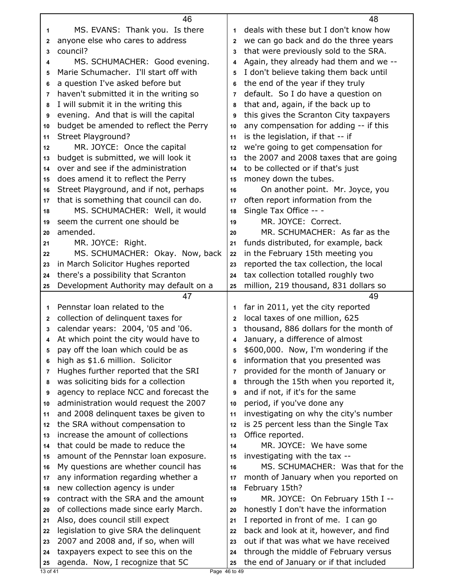|                | 46                                                                         |                | 48                                                                             |
|----------------|----------------------------------------------------------------------------|----------------|--------------------------------------------------------------------------------|
| 1              | MS. EVANS: Thank you. Is there                                             | 1              | deals with these but I don't know how                                          |
| $\mathbf{2}$   | anyone else who cares to address                                           | $\mathbf{2}$   | we can go back and do the three years                                          |
| 3              | council?                                                                   | 3              | that were previously sold to the SRA.                                          |
| 4              | MS. SCHUMACHER: Good evening.                                              | 4              | Again, they already had them and we --                                         |
| 5              | Marie Schumacher. I'll start off with                                      | 5              | I don't believe taking them back until                                         |
| 6              | a question I've asked before but                                           | 6              | the end of the year if they truly                                              |
| $\overline{7}$ | haven't submitted it in the writing so                                     | $\overline{7}$ | default. So I do have a question on                                            |
| 8              | I will submit it in the writing this                                       | 8              | that and, again, if the back up to                                             |
| 9              | evening. And that is will the capital                                      | 9              | this gives the Scranton City taxpayers                                         |
| 10             | budget be amended to reflect the Perry                                     | 10             | any compensation for adding -- if this                                         |
| 11             | Street Playground?                                                         | 11             | is the legislation, if that -- if                                              |
| 12             | MR. JOYCE: Once the capital                                                | 12             | we're going to get compensation for                                            |
| 13             | budget is submitted, we will look it                                       | 13             | the 2007 and 2008 taxes that are going                                         |
| 14             | over and see if the administration                                         | 14             | to be collected or if that's just                                              |
| 15             | does amend it to reflect the Perry                                         | 15             | money down the tubes.                                                          |
| 16             | Street Playground, and if not, perhaps                                     | 16             | On another point. Mr. Joyce, you                                               |
| 17             | that is something that council can do.                                     | 17             | often report information from the                                              |
| 18             | MS. SCHUMACHER: Well, it would                                             | 18             | Single Tax Office -- -                                                         |
| 19             | seem the current one should be                                             | 19             | MR. JOYCE: Correct.                                                            |
| 20             | amended.                                                                   | 20             | MR. SCHUMACHER: As far as the                                                  |
| 21             | MR. JOYCE: Right.                                                          | 21             | funds distributed, for example, back                                           |
| 22             | MS. SCHUMACHER: Okay. Now, back                                            | 22             | in the February 15th meeting you                                               |
| 23             | in March Solicitor Hughes reported                                         | 23             | reported the tax collection, the local                                         |
| 24             | there's a possibility that Scranton                                        | 24             | tax collection totalled roughly two                                            |
| 25             | Development Authority may default on a                                     | 25             | million, 219 thousand, 831 dollars so                                          |
|                |                                                                            |                |                                                                                |
|                | 47                                                                         |                | 49                                                                             |
| 1              | Pennstar loan related to the                                               | 1              | far in 2011, yet the city reported                                             |
| 2              | collection of delinquent taxes for                                         | $\mathbf{2}$   | local taxes of one million, 625                                                |
| 3              | calendar years: 2004, '05 and '06.                                         | 3              | thousand, 886 dollars for the month of                                         |
| 4              | At which point the city would have to                                      | 4              | January, a difference of almost                                                |
| 5              | pay off the loan which could be as                                         | 5              | \$600,000. Now, I'm wondering if the                                           |
| 6              | high as \$1.6 million. Solicitor                                           | 6              | information that you presented was                                             |
| 7              | Hughes further reported that the SRI                                       | 7              | provided for the month of January or                                           |
| 8              | was soliciting bids for a collection                                       | 8              | through the 15th when you reported it,                                         |
| 9              | agency to replace NCC and forecast the                                     | 9              | and if not, if it's for the same                                               |
| 10             | administration would request the 2007                                      | 10             | period, if you've done any                                                     |
| 11             | and 2008 delinquent taxes be given to                                      | 11             | investigating on why the city's number                                         |
| 12             | the SRA without compensation to                                            | 12             | is 25 percent less than the Single Tax                                         |
| 13             | increase the amount of collections                                         | 13             | Office reported.                                                               |
| 14             | that could be made to reduce the                                           | 14             | MR. JOYCE: We have some                                                        |
| 15             | amount of the Pennstar loan exposure.                                      | 15             | investigating with the tax --                                                  |
| 16             | My questions are whether council has                                       | 16             | MS. SCHUMACHER: Was that for the                                               |
| 17             | any information regarding whether a                                        | 17             | month of January when you reported on                                          |
| 18             | new collection agency is under                                             | 18             | February 15th?                                                                 |
| 19             | contract with the SRA and the amount                                       | 19             | MR. JOYCE: On February 15th I --                                               |
| 20             | of collections made since early March.                                     | 20             | honestly I don't have the information                                          |
| 21             | Also, does council still expect                                            | 21             | I reported in front of me. I can go                                            |
| 22             | legislation to give SRA the delinquent                                     | 22             | back and look at it, however, and find                                         |
| 23<br>24       | 2007 and 2008 and, if so, when will<br>taxpayers expect to see this on the | 23<br>24       | out if that was what we have received<br>through the middle of February versus |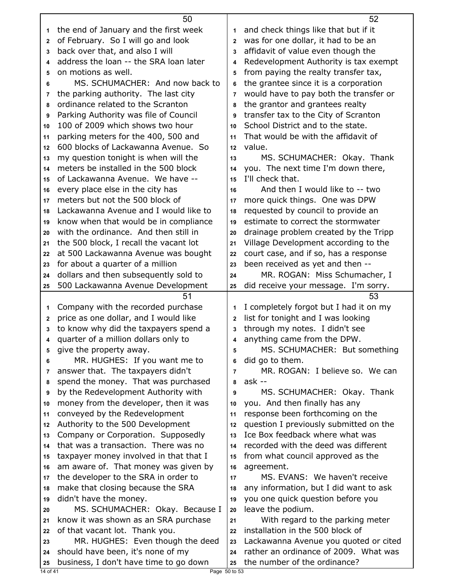| the end of January and the first week<br>and check things like that but if it<br>1<br>1<br>of February. So I will go and look<br>was for one dollar, it had to be an<br>2<br>$\mathbf{2}$<br>back over that, and also I will<br>affidavit of value even though the<br>3<br>3<br>address the loan -- the SRA loan later<br>Redevelopment Authority is tax exempt<br>4<br>4<br>on motions as well.<br>from paying the realty transfer tax,<br>5<br>5<br>MS. SCHUMACHER: And now back to<br>the grantee since it is a corporation<br>6<br>6<br>the parking authority. The last city<br>would have to pay both the transfer or<br>7<br>7<br>ordinance related to the Scranton<br>the grantor and grantees realty<br>8<br>8<br>Parking Authority was file of Council<br>transfer tax to the City of Scranton<br>9<br>9<br>100 of 2009 which shows two hour<br>School District and to the state.<br>10<br>10<br>parking meters for the 400, 500 and<br>That would be with the affidavit of<br>11<br>11<br>600 blocks of Lackawanna Avenue. So<br>value.<br>12<br>12<br>my question tonight is when will the<br>MS. SCHUMACHER: Okay. Thank<br>13<br>13<br>meters be installed in the 500 block<br>you. The next time I'm down there,<br>14<br>14<br>I'll check that.<br>of Lackawanna Avenue. We have --<br>15<br>15<br>every place else in the city has<br>And then I would like to -- two<br>16<br>16<br>meters but not the 500 block of<br>more quick things. One was DPW<br>17<br>17<br>Lackawanna Avenue and I would like to<br>requested by council to provide an<br>18<br>18<br>estimate to correct the stormwater<br>know when that would be in compliance<br>19<br>19<br>with the ordinance. And then still in<br>drainage problem created by the Tripp<br>20<br>20<br>Village Development according to the<br>the 500 block, I recall the vacant lot<br>21<br>21<br>at 500 Lackawanna Avenue was bought<br>court case, and if so, has a response<br>22<br>22<br>for about a quarter of a million<br>been received as yet and then --<br>23<br>23<br>dollars and then subsequently sold to<br>MR. ROGAN: Miss Schumacher, I<br>24<br>24<br>500 Lackawanna Avenue Development<br>did receive your message. I'm sorry.<br>25<br>25<br>51<br>53<br>I completely forgot but I had it on my<br>Company with the recorded purchase<br>1<br>1<br>price as one dollar, and I would like<br>list for tonight and I was looking<br>$\overline{2}$<br>2<br>to know why did the taxpayers spend a<br>through my notes. I didn't see<br>3<br>3<br>quarter of a million dollars only to<br>anything came from the DPW.<br>4<br>4<br>MS. SCHUMACHER: But something<br>give the property away.<br>5<br>5<br>MR. HUGHES: If you want me to<br>did go to them.<br>6<br>6<br>answer that. The taxpayers didn't<br>MR. ROGAN: I believe so. We can<br>7<br>7<br>spend the money. That was purchased<br>ask --<br>8<br>8<br>by the Redevelopment Authority with<br>MS. SCHUMACHER: Okay. Thank<br>9<br>9<br>money from the developer, then it was<br>you. And then finally has any<br>10<br>10<br>conveyed by the Redevelopment<br>response been forthcoming on the<br>11<br>11<br>question I previously submitted on the<br>Authority to the 500 Development<br>12<br>12<br>Ice Box feedback where what was<br>Company or Corporation. Supposedly<br>13<br>13<br>recorded with the deed was different<br>that was a transaction. There was no<br>14<br>14<br>taxpayer money involved in that that I<br>from what council approved as the<br>15<br>15<br>am aware of. That money was given by<br>agreement.<br>16<br>16<br>the developer to the SRA in order to<br>MS. EVANS: We haven't receive<br>17<br>17<br>make that closing because the SRA<br>any information, but I did want to ask<br>18<br>18<br>didn't have the money.<br>you one quick question before you<br>19<br>19<br>leave the podium.<br>MS. SCHUMACHER: Okay. Because I<br>20<br>20<br>know it was shown as an SRA purchase<br>With regard to the parking meter<br>21<br>21<br>installation in the 500 block of<br>of that vacant lot. Thank you.<br>22<br>22<br>MR. HUGHES: Even though the deed<br>Lackawanna Avenue you quoted or cited<br>23<br>23<br>rather an ordinance of 2009. What was<br>should have been, it's none of my<br>24<br>24<br>business, I don't have time to go down<br>the number of the ordinance?<br>25<br>25<br>14 of 41<br>Page 50 to 53 | 50 | 52 |
|----------------------------------------------------------------------------------------------------------------------------------------------------------------------------------------------------------------------------------------------------------------------------------------------------------------------------------------------------------------------------------------------------------------------------------------------------------------------------------------------------------------------------------------------------------------------------------------------------------------------------------------------------------------------------------------------------------------------------------------------------------------------------------------------------------------------------------------------------------------------------------------------------------------------------------------------------------------------------------------------------------------------------------------------------------------------------------------------------------------------------------------------------------------------------------------------------------------------------------------------------------------------------------------------------------------------------------------------------------------------------------------------------------------------------------------------------------------------------------------------------------------------------------------------------------------------------------------------------------------------------------------------------------------------------------------------------------------------------------------------------------------------------------------------------------------------------------------------------------------------------------------------------------------------------------------------------------------------------------------------------------------------------------------------------------------------------------------------------------------------------------------------------------------------------------------------------------------------------------------------------------------------------------------------------------------------------------------------------------------------------------------------------------------------------------------------------------------------------------------------------------------------------------------------------------------------------------------------------------------------------------------------------------------------------------------------------------------------------------------------------------------------------------------------------------------------------------------------------------------------------------------------------------------------------------------------------------------------------------------------------------------------------------------------------------------------------------------------------------------------------------------------------------------------------------------------------------------------------------------------------------------------------------------------------------------------------------------------------------------------------------------------------------------------------------------------------------------------------------------------------------------------------------------------------------------------------------------------------------------------------------------------------------------------------------------------------------------------------------------------------------------------------------------------------------------------------------------------------------------------------------------------------------------------------------------------------------------------------------------------------------------------------------------------------------------------------------------------------------------------------------------------------------------------------------------------------------------------------------------------------------------------------------------------------------------------------------------------------------------------------------------------------------------------|----|----|
|                                                                                                                                                                                                                                                                                                                                                                                                                                                                                                                                                                                                                                                                                                                                                                                                                                                                                                                                                                                                                                                                                                                                                                                                                                                                                                                                                                                                                                                                                                                                                                                                                                                                                                                                                                                                                                                                                                                                                                                                                                                                                                                                                                                                                                                                                                                                                                                                                                                                                                                                                                                                                                                                                                                                                                                                                                                                                                                                                                                                                                                                                                                                                                                                                                                                                                                                                                                                                                                                                                                                                                                                                                                                                                                                                                                                                                                                                                                                                                                                                                                                                                                                                                                                                                                                                                                                                                                                                      |    |    |
|                                                                                                                                                                                                                                                                                                                                                                                                                                                                                                                                                                                                                                                                                                                                                                                                                                                                                                                                                                                                                                                                                                                                                                                                                                                                                                                                                                                                                                                                                                                                                                                                                                                                                                                                                                                                                                                                                                                                                                                                                                                                                                                                                                                                                                                                                                                                                                                                                                                                                                                                                                                                                                                                                                                                                                                                                                                                                                                                                                                                                                                                                                                                                                                                                                                                                                                                                                                                                                                                                                                                                                                                                                                                                                                                                                                                                                                                                                                                                                                                                                                                                                                                                                                                                                                                                                                                                                                                                      |    |    |
|                                                                                                                                                                                                                                                                                                                                                                                                                                                                                                                                                                                                                                                                                                                                                                                                                                                                                                                                                                                                                                                                                                                                                                                                                                                                                                                                                                                                                                                                                                                                                                                                                                                                                                                                                                                                                                                                                                                                                                                                                                                                                                                                                                                                                                                                                                                                                                                                                                                                                                                                                                                                                                                                                                                                                                                                                                                                                                                                                                                                                                                                                                                                                                                                                                                                                                                                                                                                                                                                                                                                                                                                                                                                                                                                                                                                                                                                                                                                                                                                                                                                                                                                                                                                                                                                                                                                                                                                                      |    |    |
|                                                                                                                                                                                                                                                                                                                                                                                                                                                                                                                                                                                                                                                                                                                                                                                                                                                                                                                                                                                                                                                                                                                                                                                                                                                                                                                                                                                                                                                                                                                                                                                                                                                                                                                                                                                                                                                                                                                                                                                                                                                                                                                                                                                                                                                                                                                                                                                                                                                                                                                                                                                                                                                                                                                                                                                                                                                                                                                                                                                                                                                                                                                                                                                                                                                                                                                                                                                                                                                                                                                                                                                                                                                                                                                                                                                                                                                                                                                                                                                                                                                                                                                                                                                                                                                                                                                                                                                                                      |    |    |
|                                                                                                                                                                                                                                                                                                                                                                                                                                                                                                                                                                                                                                                                                                                                                                                                                                                                                                                                                                                                                                                                                                                                                                                                                                                                                                                                                                                                                                                                                                                                                                                                                                                                                                                                                                                                                                                                                                                                                                                                                                                                                                                                                                                                                                                                                                                                                                                                                                                                                                                                                                                                                                                                                                                                                                                                                                                                                                                                                                                                                                                                                                                                                                                                                                                                                                                                                                                                                                                                                                                                                                                                                                                                                                                                                                                                                                                                                                                                                                                                                                                                                                                                                                                                                                                                                                                                                                                                                      |    |    |
|                                                                                                                                                                                                                                                                                                                                                                                                                                                                                                                                                                                                                                                                                                                                                                                                                                                                                                                                                                                                                                                                                                                                                                                                                                                                                                                                                                                                                                                                                                                                                                                                                                                                                                                                                                                                                                                                                                                                                                                                                                                                                                                                                                                                                                                                                                                                                                                                                                                                                                                                                                                                                                                                                                                                                                                                                                                                                                                                                                                                                                                                                                                                                                                                                                                                                                                                                                                                                                                                                                                                                                                                                                                                                                                                                                                                                                                                                                                                                                                                                                                                                                                                                                                                                                                                                                                                                                                                                      |    |    |
|                                                                                                                                                                                                                                                                                                                                                                                                                                                                                                                                                                                                                                                                                                                                                                                                                                                                                                                                                                                                                                                                                                                                                                                                                                                                                                                                                                                                                                                                                                                                                                                                                                                                                                                                                                                                                                                                                                                                                                                                                                                                                                                                                                                                                                                                                                                                                                                                                                                                                                                                                                                                                                                                                                                                                                                                                                                                                                                                                                                                                                                                                                                                                                                                                                                                                                                                                                                                                                                                                                                                                                                                                                                                                                                                                                                                                                                                                                                                                                                                                                                                                                                                                                                                                                                                                                                                                                                                                      |    |    |
|                                                                                                                                                                                                                                                                                                                                                                                                                                                                                                                                                                                                                                                                                                                                                                                                                                                                                                                                                                                                                                                                                                                                                                                                                                                                                                                                                                                                                                                                                                                                                                                                                                                                                                                                                                                                                                                                                                                                                                                                                                                                                                                                                                                                                                                                                                                                                                                                                                                                                                                                                                                                                                                                                                                                                                                                                                                                                                                                                                                                                                                                                                                                                                                                                                                                                                                                                                                                                                                                                                                                                                                                                                                                                                                                                                                                                                                                                                                                                                                                                                                                                                                                                                                                                                                                                                                                                                                                                      |    |    |
|                                                                                                                                                                                                                                                                                                                                                                                                                                                                                                                                                                                                                                                                                                                                                                                                                                                                                                                                                                                                                                                                                                                                                                                                                                                                                                                                                                                                                                                                                                                                                                                                                                                                                                                                                                                                                                                                                                                                                                                                                                                                                                                                                                                                                                                                                                                                                                                                                                                                                                                                                                                                                                                                                                                                                                                                                                                                                                                                                                                                                                                                                                                                                                                                                                                                                                                                                                                                                                                                                                                                                                                                                                                                                                                                                                                                                                                                                                                                                                                                                                                                                                                                                                                                                                                                                                                                                                                                                      |    |    |
|                                                                                                                                                                                                                                                                                                                                                                                                                                                                                                                                                                                                                                                                                                                                                                                                                                                                                                                                                                                                                                                                                                                                                                                                                                                                                                                                                                                                                                                                                                                                                                                                                                                                                                                                                                                                                                                                                                                                                                                                                                                                                                                                                                                                                                                                                                                                                                                                                                                                                                                                                                                                                                                                                                                                                                                                                                                                                                                                                                                                                                                                                                                                                                                                                                                                                                                                                                                                                                                                                                                                                                                                                                                                                                                                                                                                                                                                                                                                                                                                                                                                                                                                                                                                                                                                                                                                                                                                                      |    |    |
|                                                                                                                                                                                                                                                                                                                                                                                                                                                                                                                                                                                                                                                                                                                                                                                                                                                                                                                                                                                                                                                                                                                                                                                                                                                                                                                                                                                                                                                                                                                                                                                                                                                                                                                                                                                                                                                                                                                                                                                                                                                                                                                                                                                                                                                                                                                                                                                                                                                                                                                                                                                                                                                                                                                                                                                                                                                                                                                                                                                                                                                                                                                                                                                                                                                                                                                                                                                                                                                                                                                                                                                                                                                                                                                                                                                                                                                                                                                                                                                                                                                                                                                                                                                                                                                                                                                                                                                                                      |    |    |
|                                                                                                                                                                                                                                                                                                                                                                                                                                                                                                                                                                                                                                                                                                                                                                                                                                                                                                                                                                                                                                                                                                                                                                                                                                                                                                                                                                                                                                                                                                                                                                                                                                                                                                                                                                                                                                                                                                                                                                                                                                                                                                                                                                                                                                                                                                                                                                                                                                                                                                                                                                                                                                                                                                                                                                                                                                                                                                                                                                                                                                                                                                                                                                                                                                                                                                                                                                                                                                                                                                                                                                                                                                                                                                                                                                                                                                                                                                                                                                                                                                                                                                                                                                                                                                                                                                                                                                                                                      |    |    |
|                                                                                                                                                                                                                                                                                                                                                                                                                                                                                                                                                                                                                                                                                                                                                                                                                                                                                                                                                                                                                                                                                                                                                                                                                                                                                                                                                                                                                                                                                                                                                                                                                                                                                                                                                                                                                                                                                                                                                                                                                                                                                                                                                                                                                                                                                                                                                                                                                                                                                                                                                                                                                                                                                                                                                                                                                                                                                                                                                                                                                                                                                                                                                                                                                                                                                                                                                                                                                                                                                                                                                                                                                                                                                                                                                                                                                                                                                                                                                                                                                                                                                                                                                                                                                                                                                                                                                                                                                      |    |    |
|                                                                                                                                                                                                                                                                                                                                                                                                                                                                                                                                                                                                                                                                                                                                                                                                                                                                                                                                                                                                                                                                                                                                                                                                                                                                                                                                                                                                                                                                                                                                                                                                                                                                                                                                                                                                                                                                                                                                                                                                                                                                                                                                                                                                                                                                                                                                                                                                                                                                                                                                                                                                                                                                                                                                                                                                                                                                                                                                                                                                                                                                                                                                                                                                                                                                                                                                                                                                                                                                                                                                                                                                                                                                                                                                                                                                                                                                                                                                                                                                                                                                                                                                                                                                                                                                                                                                                                                                                      |    |    |
|                                                                                                                                                                                                                                                                                                                                                                                                                                                                                                                                                                                                                                                                                                                                                                                                                                                                                                                                                                                                                                                                                                                                                                                                                                                                                                                                                                                                                                                                                                                                                                                                                                                                                                                                                                                                                                                                                                                                                                                                                                                                                                                                                                                                                                                                                                                                                                                                                                                                                                                                                                                                                                                                                                                                                                                                                                                                                                                                                                                                                                                                                                                                                                                                                                                                                                                                                                                                                                                                                                                                                                                                                                                                                                                                                                                                                                                                                                                                                                                                                                                                                                                                                                                                                                                                                                                                                                                                                      |    |    |
|                                                                                                                                                                                                                                                                                                                                                                                                                                                                                                                                                                                                                                                                                                                                                                                                                                                                                                                                                                                                                                                                                                                                                                                                                                                                                                                                                                                                                                                                                                                                                                                                                                                                                                                                                                                                                                                                                                                                                                                                                                                                                                                                                                                                                                                                                                                                                                                                                                                                                                                                                                                                                                                                                                                                                                                                                                                                                                                                                                                                                                                                                                                                                                                                                                                                                                                                                                                                                                                                                                                                                                                                                                                                                                                                                                                                                                                                                                                                                                                                                                                                                                                                                                                                                                                                                                                                                                                                                      |    |    |
|                                                                                                                                                                                                                                                                                                                                                                                                                                                                                                                                                                                                                                                                                                                                                                                                                                                                                                                                                                                                                                                                                                                                                                                                                                                                                                                                                                                                                                                                                                                                                                                                                                                                                                                                                                                                                                                                                                                                                                                                                                                                                                                                                                                                                                                                                                                                                                                                                                                                                                                                                                                                                                                                                                                                                                                                                                                                                                                                                                                                                                                                                                                                                                                                                                                                                                                                                                                                                                                                                                                                                                                                                                                                                                                                                                                                                                                                                                                                                                                                                                                                                                                                                                                                                                                                                                                                                                                                                      |    |    |
|                                                                                                                                                                                                                                                                                                                                                                                                                                                                                                                                                                                                                                                                                                                                                                                                                                                                                                                                                                                                                                                                                                                                                                                                                                                                                                                                                                                                                                                                                                                                                                                                                                                                                                                                                                                                                                                                                                                                                                                                                                                                                                                                                                                                                                                                                                                                                                                                                                                                                                                                                                                                                                                                                                                                                                                                                                                                                                                                                                                                                                                                                                                                                                                                                                                                                                                                                                                                                                                                                                                                                                                                                                                                                                                                                                                                                                                                                                                                                                                                                                                                                                                                                                                                                                                                                                                                                                                                                      |    |    |
|                                                                                                                                                                                                                                                                                                                                                                                                                                                                                                                                                                                                                                                                                                                                                                                                                                                                                                                                                                                                                                                                                                                                                                                                                                                                                                                                                                                                                                                                                                                                                                                                                                                                                                                                                                                                                                                                                                                                                                                                                                                                                                                                                                                                                                                                                                                                                                                                                                                                                                                                                                                                                                                                                                                                                                                                                                                                                                                                                                                                                                                                                                                                                                                                                                                                                                                                                                                                                                                                                                                                                                                                                                                                                                                                                                                                                                                                                                                                                                                                                                                                                                                                                                                                                                                                                                                                                                                                                      |    |    |
|                                                                                                                                                                                                                                                                                                                                                                                                                                                                                                                                                                                                                                                                                                                                                                                                                                                                                                                                                                                                                                                                                                                                                                                                                                                                                                                                                                                                                                                                                                                                                                                                                                                                                                                                                                                                                                                                                                                                                                                                                                                                                                                                                                                                                                                                                                                                                                                                                                                                                                                                                                                                                                                                                                                                                                                                                                                                                                                                                                                                                                                                                                                                                                                                                                                                                                                                                                                                                                                                                                                                                                                                                                                                                                                                                                                                                                                                                                                                                                                                                                                                                                                                                                                                                                                                                                                                                                                                                      |    |    |
|                                                                                                                                                                                                                                                                                                                                                                                                                                                                                                                                                                                                                                                                                                                                                                                                                                                                                                                                                                                                                                                                                                                                                                                                                                                                                                                                                                                                                                                                                                                                                                                                                                                                                                                                                                                                                                                                                                                                                                                                                                                                                                                                                                                                                                                                                                                                                                                                                                                                                                                                                                                                                                                                                                                                                                                                                                                                                                                                                                                                                                                                                                                                                                                                                                                                                                                                                                                                                                                                                                                                                                                                                                                                                                                                                                                                                                                                                                                                                                                                                                                                                                                                                                                                                                                                                                                                                                                                                      |    |    |
|                                                                                                                                                                                                                                                                                                                                                                                                                                                                                                                                                                                                                                                                                                                                                                                                                                                                                                                                                                                                                                                                                                                                                                                                                                                                                                                                                                                                                                                                                                                                                                                                                                                                                                                                                                                                                                                                                                                                                                                                                                                                                                                                                                                                                                                                                                                                                                                                                                                                                                                                                                                                                                                                                                                                                                                                                                                                                                                                                                                                                                                                                                                                                                                                                                                                                                                                                                                                                                                                                                                                                                                                                                                                                                                                                                                                                                                                                                                                                                                                                                                                                                                                                                                                                                                                                                                                                                                                                      |    |    |
|                                                                                                                                                                                                                                                                                                                                                                                                                                                                                                                                                                                                                                                                                                                                                                                                                                                                                                                                                                                                                                                                                                                                                                                                                                                                                                                                                                                                                                                                                                                                                                                                                                                                                                                                                                                                                                                                                                                                                                                                                                                                                                                                                                                                                                                                                                                                                                                                                                                                                                                                                                                                                                                                                                                                                                                                                                                                                                                                                                                                                                                                                                                                                                                                                                                                                                                                                                                                                                                                                                                                                                                                                                                                                                                                                                                                                                                                                                                                                                                                                                                                                                                                                                                                                                                                                                                                                                                                                      |    |    |
|                                                                                                                                                                                                                                                                                                                                                                                                                                                                                                                                                                                                                                                                                                                                                                                                                                                                                                                                                                                                                                                                                                                                                                                                                                                                                                                                                                                                                                                                                                                                                                                                                                                                                                                                                                                                                                                                                                                                                                                                                                                                                                                                                                                                                                                                                                                                                                                                                                                                                                                                                                                                                                                                                                                                                                                                                                                                                                                                                                                                                                                                                                                                                                                                                                                                                                                                                                                                                                                                                                                                                                                                                                                                                                                                                                                                                                                                                                                                                                                                                                                                                                                                                                                                                                                                                                                                                                                                                      |    |    |
|                                                                                                                                                                                                                                                                                                                                                                                                                                                                                                                                                                                                                                                                                                                                                                                                                                                                                                                                                                                                                                                                                                                                                                                                                                                                                                                                                                                                                                                                                                                                                                                                                                                                                                                                                                                                                                                                                                                                                                                                                                                                                                                                                                                                                                                                                                                                                                                                                                                                                                                                                                                                                                                                                                                                                                                                                                                                                                                                                                                                                                                                                                                                                                                                                                                                                                                                                                                                                                                                                                                                                                                                                                                                                                                                                                                                                                                                                                                                                                                                                                                                                                                                                                                                                                                                                                                                                                                                                      |    |    |
|                                                                                                                                                                                                                                                                                                                                                                                                                                                                                                                                                                                                                                                                                                                                                                                                                                                                                                                                                                                                                                                                                                                                                                                                                                                                                                                                                                                                                                                                                                                                                                                                                                                                                                                                                                                                                                                                                                                                                                                                                                                                                                                                                                                                                                                                                                                                                                                                                                                                                                                                                                                                                                                                                                                                                                                                                                                                                                                                                                                                                                                                                                                                                                                                                                                                                                                                                                                                                                                                                                                                                                                                                                                                                                                                                                                                                                                                                                                                                                                                                                                                                                                                                                                                                                                                                                                                                                                                                      |    |    |
|                                                                                                                                                                                                                                                                                                                                                                                                                                                                                                                                                                                                                                                                                                                                                                                                                                                                                                                                                                                                                                                                                                                                                                                                                                                                                                                                                                                                                                                                                                                                                                                                                                                                                                                                                                                                                                                                                                                                                                                                                                                                                                                                                                                                                                                                                                                                                                                                                                                                                                                                                                                                                                                                                                                                                                                                                                                                                                                                                                                                                                                                                                                                                                                                                                                                                                                                                                                                                                                                                                                                                                                                                                                                                                                                                                                                                                                                                                                                                                                                                                                                                                                                                                                                                                                                                                                                                                                                                      |    |    |
|                                                                                                                                                                                                                                                                                                                                                                                                                                                                                                                                                                                                                                                                                                                                                                                                                                                                                                                                                                                                                                                                                                                                                                                                                                                                                                                                                                                                                                                                                                                                                                                                                                                                                                                                                                                                                                                                                                                                                                                                                                                                                                                                                                                                                                                                                                                                                                                                                                                                                                                                                                                                                                                                                                                                                                                                                                                                                                                                                                                                                                                                                                                                                                                                                                                                                                                                                                                                                                                                                                                                                                                                                                                                                                                                                                                                                                                                                                                                                                                                                                                                                                                                                                                                                                                                                                                                                                                                                      |    |    |
|                                                                                                                                                                                                                                                                                                                                                                                                                                                                                                                                                                                                                                                                                                                                                                                                                                                                                                                                                                                                                                                                                                                                                                                                                                                                                                                                                                                                                                                                                                                                                                                                                                                                                                                                                                                                                                                                                                                                                                                                                                                                                                                                                                                                                                                                                                                                                                                                                                                                                                                                                                                                                                                                                                                                                                                                                                                                                                                                                                                                                                                                                                                                                                                                                                                                                                                                                                                                                                                                                                                                                                                                                                                                                                                                                                                                                                                                                                                                                                                                                                                                                                                                                                                                                                                                                                                                                                                                                      |    |    |
|                                                                                                                                                                                                                                                                                                                                                                                                                                                                                                                                                                                                                                                                                                                                                                                                                                                                                                                                                                                                                                                                                                                                                                                                                                                                                                                                                                                                                                                                                                                                                                                                                                                                                                                                                                                                                                                                                                                                                                                                                                                                                                                                                                                                                                                                                                                                                                                                                                                                                                                                                                                                                                                                                                                                                                                                                                                                                                                                                                                                                                                                                                                                                                                                                                                                                                                                                                                                                                                                                                                                                                                                                                                                                                                                                                                                                                                                                                                                                                                                                                                                                                                                                                                                                                                                                                                                                                                                                      |    |    |
|                                                                                                                                                                                                                                                                                                                                                                                                                                                                                                                                                                                                                                                                                                                                                                                                                                                                                                                                                                                                                                                                                                                                                                                                                                                                                                                                                                                                                                                                                                                                                                                                                                                                                                                                                                                                                                                                                                                                                                                                                                                                                                                                                                                                                                                                                                                                                                                                                                                                                                                                                                                                                                                                                                                                                                                                                                                                                                                                                                                                                                                                                                                                                                                                                                                                                                                                                                                                                                                                                                                                                                                                                                                                                                                                                                                                                                                                                                                                                                                                                                                                                                                                                                                                                                                                                                                                                                                                                      |    |    |
|                                                                                                                                                                                                                                                                                                                                                                                                                                                                                                                                                                                                                                                                                                                                                                                                                                                                                                                                                                                                                                                                                                                                                                                                                                                                                                                                                                                                                                                                                                                                                                                                                                                                                                                                                                                                                                                                                                                                                                                                                                                                                                                                                                                                                                                                                                                                                                                                                                                                                                                                                                                                                                                                                                                                                                                                                                                                                                                                                                                                                                                                                                                                                                                                                                                                                                                                                                                                                                                                                                                                                                                                                                                                                                                                                                                                                                                                                                                                                                                                                                                                                                                                                                                                                                                                                                                                                                                                                      |    |    |
|                                                                                                                                                                                                                                                                                                                                                                                                                                                                                                                                                                                                                                                                                                                                                                                                                                                                                                                                                                                                                                                                                                                                                                                                                                                                                                                                                                                                                                                                                                                                                                                                                                                                                                                                                                                                                                                                                                                                                                                                                                                                                                                                                                                                                                                                                                                                                                                                                                                                                                                                                                                                                                                                                                                                                                                                                                                                                                                                                                                                                                                                                                                                                                                                                                                                                                                                                                                                                                                                                                                                                                                                                                                                                                                                                                                                                                                                                                                                                                                                                                                                                                                                                                                                                                                                                                                                                                                                                      |    |    |
|                                                                                                                                                                                                                                                                                                                                                                                                                                                                                                                                                                                                                                                                                                                                                                                                                                                                                                                                                                                                                                                                                                                                                                                                                                                                                                                                                                                                                                                                                                                                                                                                                                                                                                                                                                                                                                                                                                                                                                                                                                                                                                                                                                                                                                                                                                                                                                                                                                                                                                                                                                                                                                                                                                                                                                                                                                                                                                                                                                                                                                                                                                                                                                                                                                                                                                                                                                                                                                                                                                                                                                                                                                                                                                                                                                                                                                                                                                                                                                                                                                                                                                                                                                                                                                                                                                                                                                                                                      |    |    |
|                                                                                                                                                                                                                                                                                                                                                                                                                                                                                                                                                                                                                                                                                                                                                                                                                                                                                                                                                                                                                                                                                                                                                                                                                                                                                                                                                                                                                                                                                                                                                                                                                                                                                                                                                                                                                                                                                                                                                                                                                                                                                                                                                                                                                                                                                                                                                                                                                                                                                                                                                                                                                                                                                                                                                                                                                                                                                                                                                                                                                                                                                                                                                                                                                                                                                                                                                                                                                                                                                                                                                                                                                                                                                                                                                                                                                                                                                                                                                                                                                                                                                                                                                                                                                                                                                                                                                                                                                      |    |    |
|                                                                                                                                                                                                                                                                                                                                                                                                                                                                                                                                                                                                                                                                                                                                                                                                                                                                                                                                                                                                                                                                                                                                                                                                                                                                                                                                                                                                                                                                                                                                                                                                                                                                                                                                                                                                                                                                                                                                                                                                                                                                                                                                                                                                                                                                                                                                                                                                                                                                                                                                                                                                                                                                                                                                                                                                                                                                                                                                                                                                                                                                                                                                                                                                                                                                                                                                                                                                                                                                                                                                                                                                                                                                                                                                                                                                                                                                                                                                                                                                                                                                                                                                                                                                                                                                                                                                                                                                                      |    |    |
|                                                                                                                                                                                                                                                                                                                                                                                                                                                                                                                                                                                                                                                                                                                                                                                                                                                                                                                                                                                                                                                                                                                                                                                                                                                                                                                                                                                                                                                                                                                                                                                                                                                                                                                                                                                                                                                                                                                                                                                                                                                                                                                                                                                                                                                                                                                                                                                                                                                                                                                                                                                                                                                                                                                                                                                                                                                                                                                                                                                                                                                                                                                                                                                                                                                                                                                                                                                                                                                                                                                                                                                                                                                                                                                                                                                                                                                                                                                                                                                                                                                                                                                                                                                                                                                                                                                                                                                                                      |    |    |
|                                                                                                                                                                                                                                                                                                                                                                                                                                                                                                                                                                                                                                                                                                                                                                                                                                                                                                                                                                                                                                                                                                                                                                                                                                                                                                                                                                                                                                                                                                                                                                                                                                                                                                                                                                                                                                                                                                                                                                                                                                                                                                                                                                                                                                                                                                                                                                                                                                                                                                                                                                                                                                                                                                                                                                                                                                                                                                                                                                                                                                                                                                                                                                                                                                                                                                                                                                                                                                                                                                                                                                                                                                                                                                                                                                                                                                                                                                                                                                                                                                                                                                                                                                                                                                                                                                                                                                                                                      |    |    |
|                                                                                                                                                                                                                                                                                                                                                                                                                                                                                                                                                                                                                                                                                                                                                                                                                                                                                                                                                                                                                                                                                                                                                                                                                                                                                                                                                                                                                                                                                                                                                                                                                                                                                                                                                                                                                                                                                                                                                                                                                                                                                                                                                                                                                                                                                                                                                                                                                                                                                                                                                                                                                                                                                                                                                                                                                                                                                                                                                                                                                                                                                                                                                                                                                                                                                                                                                                                                                                                                                                                                                                                                                                                                                                                                                                                                                                                                                                                                                                                                                                                                                                                                                                                                                                                                                                                                                                                                                      |    |    |
|                                                                                                                                                                                                                                                                                                                                                                                                                                                                                                                                                                                                                                                                                                                                                                                                                                                                                                                                                                                                                                                                                                                                                                                                                                                                                                                                                                                                                                                                                                                                                                                                                                                                                                                                                                                                                                                                                                                                                                                                                                                                                                                                                                                                                                                                                                                                                                                                                                                                                                                                                                                                                                                                                                                                                                                                                                                                                                                                                                                                                                                                                                                                                                                                                                                                                                                                                                                                                                                                                                                                                                                                                                                                                                                                                                                                                                                                                                                                                                                                                                                                                                                                                                                                                                                                                                                                                                                                                      |    |    |
|                                                                                                                                                                                                                                                                                                                                                                                                                                                                                                                                                                                                                                                                                                                                                                                                                                                                                                                                                                                                                                                                                                                                                                                                                                                                                                                                                                                                                                                                                                                                                                                                                                                                                                                                                                                                                                                                                                                                                                                                                                                                                                                                                                                                                                                                                                                                                                                                                                                                                                                                                                                                                                                                                                                                                                                                                                                                                                                                                                                                                                                                                                                                                                                                                                                                                                                                                                                                                                                                                                                                                                                                                                                                                                                                                                                                                                                                                                                                                                                                                                                                                                                                                                                                                                                                                                                                                                                                                      |    |    |
|                                                                                                                                                                                                                                                                                                                                                                                                                                                                                                                                                                                                                                                                                                                                                                                                                                                                                                                                                                                                                                                                                                                                                                                                                                                                                                                                                                                                                                                                                                                                                                                                                                                                                                                                                                                                                                                                                                                                                                                                                                                                                                                                                                                                                                                                                                                                                                                                                                                                                                                                                                                                                                                                                                                                                                                                                                                                                                                                                                                                                                                                                                                                                                                                                                                                                                                                                                                                                                                                                                                                                                                                                                                                                                                                                                                                                                                                                                                                                                                                                                                                                                                                                                                                                                                                                                                                                                                                                      |    |    |
|                                                                                                                                                                                                                                                                                                                                                                                                                                                                                                                                                                                                                                                                                                                                                                                                                                                                                                                                                                                                                                                                                                                                                                                                                                                                                                                                                                                                                                                                                                                                                                                                                                                                                                                                                                                                                                                                                                                                                                                                                                                                                                                                                                                                                                                                                                                                                                                                                                                                                                                                                                                                                                                                                                                                                                                                                                                                                                                                                                                                                                                                                                                                                                                                                                                                                                                                                                                                                                                                                                                                                                                                                                                                                                                                                                                                                                                                                                                                                                                                                                                                                                                                                                                                                                                                                                                                                                                                                      |    |    |
|                                                                                                                                                                                                                                                                                                                                                                                                                                                                                                                                                                                                                                                                                                                                                                                                                                                                                                                                                                                                                                                                                                                                                                                                                                                                                                                                                                                                                                                                                                                                                                                                                                                                                                                                                                                                                                                                                                                                                                                                                                                                                                                                                                                                                                                                                                                                                                                                                                                                                                                                                                                                                                                                                                                                                                                                                                                                                                                                                                                                                                                                                                                                                                                                                                                                                                                                                                                                                                                                                                                                                                                                                                                                                                                                                                                                                                                                                                                                                                                                                                                                                                                                                                                                                                                                                                                                                                                                                      |    |    |
|                                                                                                                                                                                                                                                                                                                                                                                                                                                                                                                                                                                                                                                                                                                                                                                                                                                                                                                                                                                                                                                                                                                                                                                                                                                                                                                                                                                                                                                                                                                                                                                                                                                                                                                                                                                                                                                                                                                                                                                                                                                                                                                                                                                                                                                                                                                                                                                                                                                                                                                                                                                                                                                                                                                                                                                                                                                                                                                                                                                                                                                                                                                                                                                                                                                                                                                                                                                                                                                                                                                                                                                                                                                                                                                                                                                                                                                                                                                                                                                                                                                                                                                                                                                                                                                                                                                                                                                                                      |    |    |
|                                                                                                                                                                                                                                                                                                                                                                                                                                                                                                                                                                                                                                                                                                                                                                                                                                                                                                                                                                                                                                                                                                                                                                                                                                                                                                                                                                                                                                                                                                                                                                                                                                                                                                                                                                                                                                                                                                                                                                                                                                                                                                                                                                                                                                                                                                                                                                                                                                                                                                                                                                                                                                                                                                                                                                                                                                                                                                                                                                                                                                                                                                                                                                                                                                                                                                                                                                                                                                                                                                                                                                                                                                                                                                                                                                                                                                                                                                                                                                                                                                                                                                                                                                                                                                                                                                                                                                                                                      |    |    |
|                                                                                                                                                                                                                                                                                                                                                                                                                                                                                                                                                                                                                                                                                                                                                                                                                                                                                                                                                                                                                                                                                                                                                                                                                                                                                                                                                                                                                                                                                                                                                                                                                                                                                                                                                                                                                                                                                                                                                                                                                                                                                                                                                                                                                                                                                                                                                                                                                                                                                                                                                                                                                                                                                                                                                                                                                                                                                                                                                                                                                                                                                                                                                                                                                                                                                                                                                                                                                                                                                                                                                                                                                                                                                                                                                                                                                                                                                                                                                                                                                                                                                                                                                                                                                                                                                                                                                                                                                      |    |    |
|                                                                                                                                                                                                                                                                                                                                                                                                                                                                                                                                                                                                                                                                                                                                                                                                                                                                                                                                                                                                                                                                                                                                                                                                                                                                                                                                                                                                                                                                                                                                                                                                                                                                                                                                                                                                                                                                                                                                                                                                                                                                                                                                                                                                                                                                                                                                                                                                                                                                                                                                                                                                                                                                                                                                                                                                                                                                                                                                                                                                                                                                                                                                                                                                                                                                                                                                                                                                                                                                                                                                                                                                                                                                                                                                                                                                                                                                                                                                                                                                                                                                                                                                                                                                                                                                                                                                                                                                                      |    |    |
|                                                                                                                                                                                                                                                                                                                                                                                                                                                                                                                                                                                                                                                                                                                                                                                                                                                                                                                                                                                                                                                                                                                                                                                                                                                                                                                                                                                                                                                                                                                                                                                                                                                                                                                                                                                                                                                                                                                                                                                                                                                                                                                                                                                                                                                                                                                                                                                                                                                                                                                                                                                                                                                                                                                                                                                                                                                                                                                                                                                                                                                                                                                                                                                                                                                                                                                                                                                                                                                                                                                                                                                                                                                                                                                                                                                                                                                                                                                                                                                                                                                                                                                                                                                                                                                                                                                                                                                                                      |    |    |
|                                                                                                                                                                                                                                                                                                                                                                                                                                                                                                                                                                                                                                                                                                                                                                                                                                                                                                                                                                                                                                                                                                                                                                                                                                                                                                                                                                                                                                                                                                                                                                                                                                                                                                                                                                                                                                                                                                                                                                                                                                                                                                                                                                                                                                                                                                                                                                                                                                                                                                                                                                                                                                                                                                                                                                                                                                                                                                                                                                                                                                                                                                                                                                                                                                                                                                                                                                                                                                                                                                                                                                                                                                                                                                                                                                                                                                                                                                                                                                                                                                                                                                                                                                                                                                                                                                                                                                                                                      |    |    |
|                                                                                                                                                                                                                                                                                                                                                                                                                                                                                                                                                                                                                                                                                                                                                                                                                                                                                                                                                                                                                                                                                                                                                                                                                                                                                                                                                                                                                                                                                                                                                                                                                                                                                                                                                                                                                                                                                                                                                                                                                                                                                                                                                                                                                                                                                                                                                                                                                                                                                                                                                                                                                                                                                                                                                                                                                                                                                                                                                                                                                                                                                                                                                                                                                                                                                                                                                                                                                                                                                                                                                                                                                                                                                                                                                                                                                                                                                                                                                                                                                                                                                                                                                                                                                                                                                                                                                                                                                      |    |    |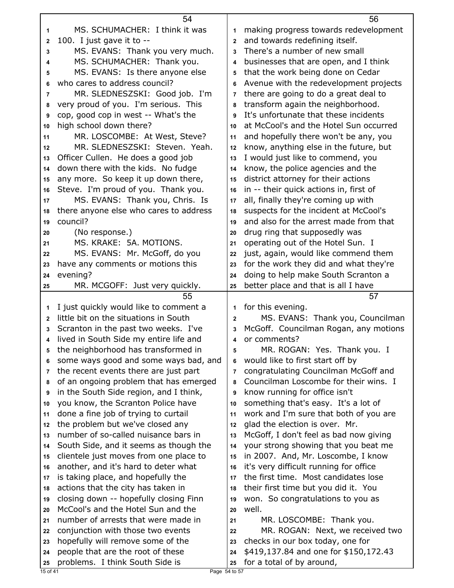|              | 54                                                                   |                | 56                                                                 |
|--------------|----------------------------------------------------------------------|----------------|--------------------------------------------------------------------|
| 1            | MS. SCHUMACHER: I think it was                                       | 1              | making progress towards redevelopment                              |
| 2            | 100. I just gave it to --                                            | $\overline{2}$ | and towards redefining itself.                                     |
| 3            | MS. EVANS: Thank you very much.                                      | 3              | There's a number of new small                                      |
| 4            | MS. SCHUMACHER: Thank you.                                           | 4              | businesses that are open, and I think                              |
| 5            | MS. EVANS: Is there anyone else                                      | 5              | that the work being done on Cedar                                  |
| 6            | who cares to address council?                                        | 6              | Avenue with the redevelopment projects                             |
| 7            | MR. SLEDNESZSKI: Good job. I'm                                       | $\overline{7}$ | there are going to do a great deal to                              |
| 8            | very proud of you. I'm serious. This                                 | 8              | transform again the neighborhood.                                  |
| 9            | cop, good cop in west -- What's the                                  | 9              | It's unfortunate that these incidents                              |
| 10           | high school down there?                                              | 10             | at McCool's and the Hotel Sun occurred                             |
| 11           | MR. LOSCOMBE: At West, Steve?                                        | 11             | and hopefully there won't be any, you                              |
| 12           | MR. SLEDNESZSKI: Steven. Yeah.                                       | 12             | know, anything else in the future, but                             |
| 13           | Officer Cullen. He does a good job                                   | 13             | I would just like to commend, you                                  |
| 14           | down there with the kids. No fudge                                   | 14             | know, the police agencies and the                                  |
| 15           | any more. So keep it up down there,                                  | 15             | district attorney for their actions                                |
| 16           | Steve. I'm proud of you. Thank you.                                  | 16             | in -- their quick actions in, first of                             |
| 17           | MS. EVANS: Thank you, Chris. Is                                      | 17             | all, finally they're coming up with                                |
| 18           | there anyone else who cares to address                               | 18             | suspects for the incident at McCool's                              |
| 19           | council?                                                             | 19             | and also for the arrest made from that                             |
| 20           | (No response.)                                                       | 20             | drug ring that supposedly was                                      |
| 21           | MS. KRAKE: 5A. MOTIONS.                                              | 21             | operating out of the Hotel Sun. I                                  |
| 22           | MS. EVANS: Mr. McGoff, do you                                        | 22             | just, again, would like commend them                               |
| 23           | have any comments or motions this                                    | 23             | for the work they did and what they're                             |
| 24           | evening?                                                             | 24             | doing to help make South Scranton a                                |
| 25           | MR. MCGOFF: Just very quickly.                                       | 25             | better place and that is all I have                                |
|              |                                                                      |                |                                                                    |
|              | 55                                                                   |                | 57                                                                 |
| 1            | I just quickly would like to comment a                               | 1              | for this evening.                                                  |
| $\mathbf{2}$ | little bit on the situations in South                                | $\mathbf{2}$   | MS. EVANS: Thank you, Councilman                                   |
| 3            | Scranton in the past two weeks. I've                                 | 3              | McGoff. Councilman Rogan, any motions                              |
| 4            | lived in South Side my entire life and                               | 4              | or comments?                                                       |
| 5            | the neighborhood has transformed in                                  | 5              | MR. ROGAN: Yes. Thank you. I                                       |
| 6            | some ways good and some ways bad, and                                | 6              | would like to first start off by                                   |
| 7            | the recent events there are just part                                | $\overline{7}$ | congratulating Councilman McGoff and                               |
| 8            | of an ongoing problem that has emerged                               | 8              | Councilman Loscombe for their wins. I                              |
| 9            | in the South Side region, and I think,                               | 9              | know running for office isn't                                      |
| 10           | you know, the Scranton Police have                                   | 10             | something that's easy. It's a lot of                               |
| 11           | done a fine job of trying to curtail                                 | 11             | work and I'm sure that both of you are                             |
| 12           | the problem but we've closed any                                     | 12             | glad the election is over. Mr.                                     |
| 13           | number of so-called nuisance bars in                                 | 13             | McGoff, I don't feel as bad now giving                             |
| 14           | South Side, and it seems as though the                               | 14             | your strong showing that you beat me                               |
| 15           | clientele just moves from one place to                               | 15             | in 2007. And, Mr. Loscombe, I know                                 |
| 16           | another, and it's hard to deter what                                 | 16             | it's very difficult running for office                             |
| 17           | is taking place, and hopefully the                                   | 17             | the first time. Most candidates lose                               |
| 18           | actions that the city has taken in                                   | 18             | their first time but you did it. You                               |
| 19           | closing down -- hopefully closing Finn                               | 19             | won. So congratulations to you as                                  |
| 20           | McCool's and the Hotel Sun and the                                   | 20             | well.                                                              |
| 21           | number of arrests that were made in                                  | 21             | MR. LOSCOMBE: Thank you.                                           |
| 22           | conjunction with those two events                                    | 22             | MR. ROGAN: Next, we received two                                   |
| 23           | hopefully will remove some of the                                    | 23             | checks in our box today, one for                                   |
| 24<br>25     | people that are the root of these<br>problems. I think South Side is | 24<br>25       | \$419,137.84 and one for \$150,172.43<br>for a total of by around, |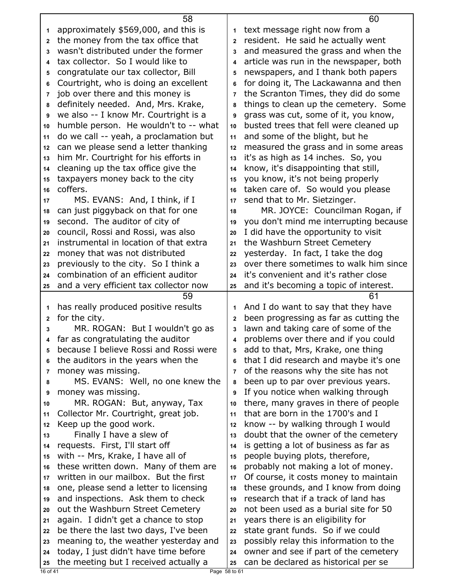|              | 58                                     |                         | 60                                     |
|--------------|----------------------------------------|-------------------------|----------------------------------------|
| 1            | approximately \$569,000, and this is   | 1                       | text message right now from a          |
| $\mathbf{2}$ | the money from the tax office that     | $\mathbf{2}$            | resident. He said he actually went     |
| 3            | wasn't distributed under the former    | 3                       | and measured the grass and when the    |
| 4            | tax collector. So I would like to      | 4                       | article was run in the newspaper, both |
| 5            | congratulate our tax collector, Bill   | 5                       | newspapers, and I thank both papers    |
| 6            | Courtright, who is doing an excellent  | 6                       | for doing it, The Lackawanna and then  |
| 7            | job over there and this money is       | $\overline{7}$          | the Scranton Times, they did do some   |
| 8            | definitely needed. And, Mrs. Krake,    | 8                       | things to clean up the cemetery. Some  |
| 9            | we also -- I know Mr. Courtright is a  | 9                       | grass was cut, some of it, you know,   |
| 10           | humble person. He wouldn't to -- what  | 10                      | busted trees that fell were cleaned up |
| 11           | do we call -- yeah, a proclamation but | 11                      | and some of the blight, but he         |
| 12           | can we please send a letter thanking   | 12                      | measured the grass and in some areas   |
| 13           | him Mr. Courtright for his efforts in  | 13                      | it's as high as 14 inches. So, you     |
| 14           | cleaning up the tax office give the    | 14                      | know, it's disappointing that still,   |
| 15           | taxpayers money back to the city       | 15                      | you know, it's not being properly      |
| 16           | coffers.                               | 16                      | taken care of. So would you please     |
| 17           | MS. EVANS: And, I think, if I          | 17                      | send that to Mr. Sietzinger.           |
| 18           | can just piggyback on that for one     | 18                      | MR. JOYCE: Councilman Rogan, if        |
| 19           | second. The auditor of city of         | 19                      | you don't mind me interrupting because |
| 20           | council, Rossi and Rossi, was also     | 20                      | I did have the opportunity to visit    |
| 21           | instrumental in location of that extra | 21                      | the Washburn Street Cemetery           |
| 22           | money that was not distributed         | 22                      | yesterday. In fact, I take the dog     |
| 23           | previously to the city. So I think a   | 23                      | over there sometimes to walk him since |
| 24           | combination of an efficient auditor    | 24                      | it's convenient and it's rather close  |
| 25           | and a very efficient tax collector now | 25                      | and it's becoming a topic of interest. |
|              |                                        |                         |                                        |
|              | 59                                     |                         | 61                                     |
| 1            | has really produced positive results   | 1                       | And I do want to say that they have    |
| $\mathbf{2}$ | for the city.                          | $\overline{2}$          | been progressing as far as cutting the |
| 3            | MR. ROGAN: But I wouldn't go as        | 3                       | lawn and taking care of some of the    |
| 4            | far as congratulating the auditor      | $\overline{\mathbf{4}}$ | problems over there and if you could   |
| 5            | because I believe Rossi and Rossi were | 5                       | add to that, Mrs, Krake, one thing     |
| 6            | the auditors in the years when the     | 6                       | that I did research and maybe it's one |
| 7            | money was missing.                     | $\overline{7}$          | of the reasons why the site has not    |
| 8            | MS. EVANS: Well, no one knew the       | 8                       | been up to par over previous years.    |
| 9            | money was missing.                     | 9                       | If you notice when walking through     |
| 10           | MR. ROGAN: But, anyway, Tax            | 10                      | there, many graves in there of people  |
| 11           | Collector Mr. Courtright, great job.   | 11                      | that are born in the 1700's and I      |
| 12           | Keep up the good work.                 | 12                      | know -- by walking through I would     |
| 13           | Finally I have a slew of               | 13                      | doubt that the owner of the cemetery   |
| 14           | requests. First, I'll start off        | 14                      | is getting a lot of business as far as |
| 15           | with -- Mrs, Krake, I have all of      | 15                      | people buying plots, therefore,        |
| 16           | these written down. Many of them are   | 16                      | probably not making a lot of money.    |
| 17           | written in our mailbox. But the first  | 17                      | Of course, it costs money to maintain  |
| 18           | one, please send a letter to licensing | 18                      | these grounds, and I know from doing   |
| 19           | and inspections. Ask them to check     | 19                      | research that if a track of land has   |
| 20           | out the Washburn Street Cemetery       | 20                      | not been used as a burial site for 50  |
| 21           | again. I didn't get a chance to stop   | 21                      | years there is an eligibility for      |
| 22           | be there the last two days, I've been  | 22                      | state grant funds. So if we could      |
| 23           | meaning to, the weather yesterday and  | 23                      | possibly relay this information to the |
| 24           | today, I just didn't have time before  | 24                      | owner and see if part of the cemetery  |
| 25           | the meeting but I received actually a  | 25                      | can be declared as historical per se   |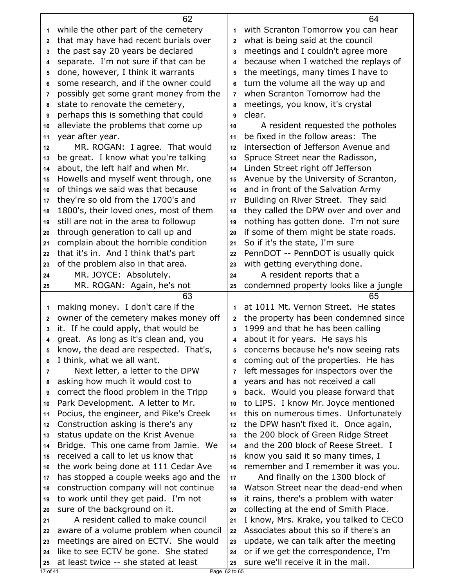|              | 62                                                                            |                         | 64                                                                         |
|--------------|-------------------------------------------------------------------------------|-------------------------|----------------------------------------------------------------------------|
| 1            | while the other part of the cemetery                                          | 1                       | with Scranton Tomorrow you can hear                                        |
| $\mathbf{2}$ | that may have had recent burials over                                         | $\overline{2}$          | what is being said at the council                                          |
| 3            | the past say 20 years be declared                                             | 3                       | meetings and I couldn't agree more                                         |
| 4            | separate. I'm not sure if that can be                                         | $\overline{\mathbf{4}}$ | because when I watched the replays of                                      |
| 5            | done, however, I think it warrants                                            | 5                       | the meetings, many times I have to                                         |
| 6            | some research, and if the owner could                                         | 6                       | turn the volume all the way up and                                         |
| 7            | possibly get some grant money from the                                        | $\overline{7}$          | when Scranton Tomorrow had the                                             |
| 8            | state to renovate the cemetery,                                               | 8                       | meetings, you know, it's crystal                                           |
|              | perhaps this is something that could                                          | 9                       | clear.                                                                     |
| 9            |                                                                               |                         |                                                                            |
| 10           | alleviate the problems that come up                                           | 10                      | A resident requested the potholes                                          |
| 11           | year after year.                                                              | 11                      | be fixed in the follow areas: The                                          |
| 12           | MR. ROGAN: I agree. That would                                                | 12                      | intersection of Jefferson Avenue and                                       |
| 13           | be great. I know what you're talking                                          | 13                      | Spruce Street near the Radisson,                                           |
| 14           | about, the left half and when Mr.                                             | 14                      | Linden Street right off Jefferson                                          |
| 15           | Howells and myself went through, one                                          | 15                      | Avenue by the University of Scranton,                                      |
| 16           | of things we said was that because                                            | 16                      | and in front of the Salvation Army                                         |
| 17           | they're so old from the 1700's and                                            | 17                      | Building on River Street. They said                                        |
| 18           | 1800's, their loved ones, most of them                                        | 18                      | they called the DPW over and over and                                      |
| 19           | still are not in the area to followup                                         | 19                      | nothing has gotten done. I'm not sure                                      |
| 20           | through generation to call up and                                             | 20                      | if some of them might be state roads.                                      |
| 21           | complain about the horrible condition                                         | 21                      | So if it's the state, I'm sure                                             |
| 22           | that it's in. And I think that's part                                         | 22                      | PennDOT -- PennDOT is usually quick                                        |
| 23           | of the problem also in that area.                                             | 23                      | with getting everything done.                                              |
| 24           | MR. JOYCE: Absolutely.                                                        | 24                      | A resident reports that a                                                  |
|              | MR. ROGAN: Again, he's not                                                    | 25                      | condemned property looks like a jungle                                     |
| 25           |                                                                               |                         |                                                                            |
|              | 63                                                                            |                         | 65                                                                         |
| 1            |                                                                               | 1                       | at 1011 Mt. Vernon Street. He states                                       |
| $\mathbf 2$  | making money. I don't care if the<br>owner of the cemetery makes money off    | $\mathbf{2}$            |                                                                            |
| 3            |                                                                               | 3                       | the property has been condemned since                                      |
| 4            | it. If he could apply, that would be                                          | 4                       | 1999 and that he has been calling                                          |
|              | great. As long as it's clean and, you                                         |                         | about it for years. He says his                                            |
| 5            | know, the dead are respected. That's,                                         | 5                       | concerns because he's now seeing rats                                      |
| 6            | I think, what we all want.                                                    | 6                       | coming out of the properties. He has                                       |
| 7            | Next letter, a letter to the DPW                                              | $\overline{7}$          | left messages for inspectors over the                                      |
| 8            | asking how much it would cost to                                              | 8                       | years and has not received a call                                          |
| 9            | correct the flood problem in the Tripp                                        | 9                       | back. Would you please forward that                                        |
| 10           | Park Development. A letter to Mr.                                             | 10                      | to LIPS. I know Mr. Joyce mentioned                                        |
| 11           | Pocius, the engineer, and Pike's Creek                                        | 11                      | this on numerous times. Unfortunately                                      |
| 12           | Construction asking is there's any                                            | 12                      | the DPW hasn't fixed it. Once again,                                       |
| 13           | status update on the Krist Avenue                                             | 13                      | the 200 block of Green Ridge Street                                        |
| 14           | Bridge. This one came from Jamie. We                                          | 14                      | and the 200 block of Reese Street. I                                       |
| 15           | received a call to let us know that                                           | 15                      | know you said it so many times, I                                          |
| 16           | the work being done at 111 Cedar Ave                                          | 16                      | remember and I remember it was you.                                        |
| 17           | has stopped a couple weeks ago and the                                        | 17                      | And finally on the 1300 block of                                           |
| 18           | construction company will not continue                                        | 18                      | Watson Street near the dead-end when                                       |
| 19           | to work until they get paid. I'm not                                          | 19                      | it rains, there's a problem with water                                     |
| 20           | sure of the background on it.                                                 | 20                      | collecting at the end of Smith Place.                                      |
| 21           | A resident called to make council                                             | 21                      | I know, Mrs. Krake, you talked to CECO                                     |
| 22           | aware of a volume problem when council                                        | 22                      | Associates about this so if there's an                                     |
| 23           | meetings are aired on ECTV. She would                                         | 23                      | update, we can talk after the meeting                                      |
| 24<br>25     | like to see ECTV be gone. She stated<br>at least twice -- she stated at least | 24<br>25                | or if we get the correspondence, I'm<br>sure we'll receive it in the mail. |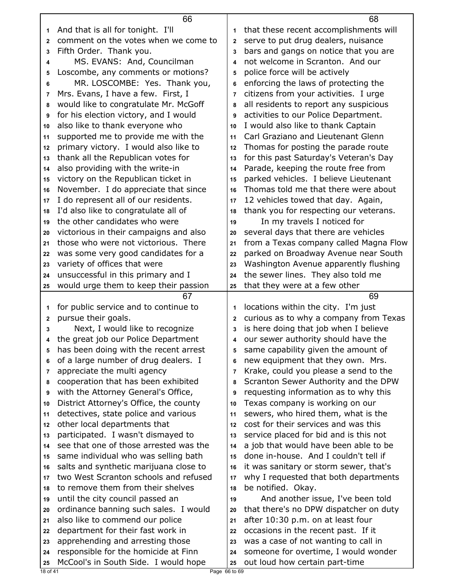| And that is all for tonight. I'll<br>that these recent accomplishments will<br>1<br>1<br>comment on the votes when we come to<br>serve to put drug dealers, nuisance<br>$\overline{2}$<br>$\mathbf{2}$<br>Fifth Order. Thank you.<br>bars and gangs on notice that you are<br>3<br>3<br>MS. EVANS: And, Councilman<br>not welcome in Scranton. And our<br>4<br>4<br>Loscombe, any comments or motions?<br>police force will be actively<br>5<br>5<br>MR. LOSCOMBE: Yes. Thank you,<br>enforcing the laws of protecting the<br>6<br>6<br>Mrs. Evans, I have a few. First, I<br>citizens from your activities. I urge<br>7<br>7<br>would like to congratulate Mr. McGoff<br>all residents to report any suspicious<br>8<br>8<br>for his election victory, and I would<br>activities to our Police Department.<br>9<br>9<br>also like to thank everyone who<br>I would also like to thank Captain<br>10<br>10<br>Carl Graziano and Lieutenant Glenn<br>supported me to provide me with the<br>11<br>11<br>primary victory. I would also like to<br>Thomas for posting the parade route<br>12<br>12<br>thank all the Republican votes for<br>for this past Saturday's Veteran's Day<br>13<br>13<br>also providing with the write-in<br>Parade, keeping the route free from<br>14<br>14<br>victory on the Republican ticket in<br>parked vehicles. I believe Lieutenant<br>15<br>15<br>November. I do appreciate that since<br>Thomas told me that there were about<br>16<br>16<br>I do represent all of our residents.<br>12 vehicles towed that day. Again,<br>17<br>17<br>I'd also like to congratulate all of<br>thank you for respecting our veterans.<br>18<br>18<br>the other candidates who were<br>In my travels I noticed for<br>19<br>19<br>victorious in their campaigns and also<br>several days that there are vehicles<br>20<br>20<br>from a Texas company called Magna Flow<br>those who were not victorious. There<br>21<br>21<br>was some very good candidates for a<br>parked on Broadway Avenue near South<br>22<br>22<br>variety of offices that were<br>Washington Avenue apparently flushing<br>23<br>23<br>unsuccessful in this primary and I<br>the sewer lines. They also told me<br>24<br>24<br>would urge them to keep their passion<br>that they were at a few other<br>25<br>25<br>67<br>69<br>for public service and to continue to<br>locations within the city. I'm just<br>1<br>1<br>pursue their goals.<br>curious as to why a company from Texas<br>$\mathbf{2}$<br>2<br>Next, I would like to recognize<br>is here doing that job when I believe<br>3<br>3<br>the great job our Police Department<br>our sewer authority should have the<br>4<br>4<br>has been doing with the recent arrest<br>same capability given the amount of<br>5<br>of a large number of drug dealers. I<br>new equipment that they own. Mrs.<br>6<br>6<br>appreciate the multi agency<br>Krake, could you please a send to the<br>7<br>7<br>cooperation that has been exhibited<br>Scranton Sewer Authority and the DPW<br>8<br>8<br>with the Attorney General's Office,<br>requesting information as to why this<br>9<br>9<br>District Attorney's Office, the county<br>Texas company is working on our<br>10<br>10<br>detectives, state police and various<br>sewers, who hired them, what is the<br>11<br>11<br>cost for their services and was this<br>other local departments that<br>12<br>12<br>participated. I wasn't dismayed to<br>service placed for bid and is this not<br>13<br>13<br>see that one of those arrested was the<br>a job that would have been able to be<br>14<br>14<br>done in-house. And I couldn't tell if<br>same individual who was selling bath<br>15<br>15<br>salts and synthetic marijuana close to<br>it was sanitary or storm sewer, that's<br>16<br>16<br>two West Scranton schools and refused<br>why I requested that both departments<br>17<br>17<br>to remove them from their shelves<br>be notified. Okay.<br>18<br>18<br>until the city council passed an<br>And another issue, I've been told<br>19<br>19<br>ordinance banning such sales. I would<br>that there's no DPW dispatcher on duty<br>20<br>20<br>also like to commend our police<br>after 10:30 p.m. on at least four<br>21<br>21<br>department for their fast work in<br>occasions in the recent past. If it<br>22<br>22<br>apprehending and arresting those<br>was a case of not wanting to call in<br>23<br>23<br>responsible for the homicide at Finn<br>someone for overtime, I would wonder<br>24<br>24<br>McCool's in South Side. I would hope<br>out loud how certain part-time<br>25<br>25<br>18 of 41<br>Page 66 to 69 |  | 66 | 68 |
|-------------------------------------------------------------------------------------------------------------------------------------------------------------------------------------------------------------------------------------------------------------------------------------------------------------------------------------------------------------------------------------------------------------------------------------------------------------------------------------------------------------------------------------------------------------------------------------------------------------------------------------------------------------------------------------------------------------------------------------------------------------------------------------------------------------------------------------------------------------------------------------------------------------------------------------------------------------------------------------------------------------------------------------------------------------------------------------------------------------------------------------------------------------------------------------------------------------------------------------------------------------------------------------------------------------------------------------------------------------------------------------------------------------------------------------------------------------------------------------------------------------------------------------------------------------------------------------------------------------------------------------------------------------------------------------------------------------------------------------------------------------------------------------------------------------------------------------------------------------------------------------------------------------------------------------------------------------------------------------------------------------------------------------------------------------------------------------------------------------------------------------------------------------------------------------------------------------------------------------------------------------------------------------------------------------------------------------------------------------------------------------------------------------------------------------------------------------------------------------------------------------------------------------------------------------------------------------------------------------------------------------------------------------------------------------------------------------------------------------------------------------------------------------------------------------------------------------------------------------------------------------------------------------------------------------------------------------------------------------------------------------------------------------------------------------------------------------------------------------------------------------------------------------------------------------------------------------------------------------------------------------------------------------------------------------------------------------------------------------------------------------------------------------------------------------------------------------------------------------------------------------------------------------------------------------------------------------------------------------------------------------------------------------------------------------------------------------------------------------------------------------------------------------------------------------------------------------------------------------------------------------------------------------------------------------------------------------------------------------------------------------------------------------------------------------------------------------------------------------------------------------------------------------------------------------------------------------------------------------------------------------------------------------------------------------------------------------------------------------------------------------------------------------------------------------------------------------------------------------------------------------------------------------------------------------------------------------------------------------------------------------------------|--|----|----|
|                                                                                                                                                                                                                                                                                                                                                                                                                                                                                                                                                                                                                                                                                                                                                                                                                                                                                                                                                                                                                                                                                                                                                                                                                                                                                                                                                                                                                                                                                                                                                                                                                                                                                                                                                                                                                                                                                                                                                                                                                                                                                                                                                                                                                                                                                                                                                                                                                                                                                                                                                                                                                                                                                                                                                                                                                                                                                                                                                                                                                                                                                                                                                                                                                                                                                                                                                                                                                                                                                                                                                                                                                                                                                                                                                                                                                                                                                                                                                                                                                                                                                                                                                                                                                                                                                                                                                                                                                                                                                                                                                                                                                                                 |  |    |    |
|                                                                                                                                                                                                                                                                                                                                                                                                                                                                                                                                                                                                                                                                                                                                                                                                                                                                                                                                                                                                                                                                                                                                                                                                                                                                                                                                                                                                                                                                                                                                                                                                                                                                                                                                                                                                                                                                                                                                                                                                                                                                                                                                                                                                                                                                                                                                                                                                                                                                                                                                                                                                                                                                                                                                                                                                                                                                                                                                                                                                                                                                                                                                                                                                                                                                                                                                                                                                                                                                                                                                                                                                                                                                                                                                                                                                                                                                                                                                                                                                                                                                                                                                                                                                                                                                                                                                                                                                                                                                                                                                                                                                                                                 |  |    |    |
|                                                                                                                                                                                                                                                                                                                                                                                                                                                                                                                                                                                                                                                                                                                                                                                                                                                                                                                                                                                                                                                                                                                                                                                                                                                                                                                                                                                                                                                                                                                                                                                                                                                                                                                                                                                                                                                                                                                                                                                                                                                                                                                                                                                                                                                                                                                                                                                                                                                                                                                                                                                                                                                                                                                                                                                                                                                                                                                                                                                                                                                                                                                                                                                                                                                                                                                                                                                                                                                                                                                                                                                                                                                                                                                                                                                                                                                                                                                                                                                                                                                                                                                                                                                                                                                                                                                                                                                                                                                                                                                                                                                                                                                 |  |    |    |
|                                                                                                                                                                                                                                                                                                                                                                                                                                                                                                                                                                                                                                                                                                                                                                                                                                                                                                                                                                                                                                                                                                                                                                                                                                                                                                                                                                                                                                                                                                                                                                                                                                                                                                                                                                                                                                                                                                                                                                                                                                                                                                                                                                                                                                                                                                                                                                                                                                                                                                                                                                                                                                                                                                                                                                                                                                                                                                                                                                                                                                                                                                                                                                                                                                                                                                                                                                                                                                                                                                                                                                                                                                                                                                                                                                                                                                                                                                                                                                                                                                                                                                                                                                                                                                                                                                                                                                                                                                                                                                                                                                                                                                                 |  |    |    |
|                                                                                                                                                                                                                                                                                                                                                                                                                                                                                                                                                                                                                                                                                                                                                                                                                                                                                                                                                                                                                                                                                                                                                                                                                                                                                                                                                                                                                                                                                                                                                                                                                                                                                                                                                                                                                                                                                                                                                                                                                                                                                                                                                                                                                                                                                                                                                                                                                                                                                                                                                                                                                                                                                                                                                                                                                                                                                                                                                                                                                                                                                                                                                                                                                                                                                                                                                                                                                                                                                                                                                                                                                                                                                                                                                                                                                                                                                                                                                                                                                                                                                                                                                                                                                                                                                                                                                                                                                                                                                                                                                                                                                                                 |  |    |    |
|                                                                                                                                                                                                                                                                                                                                                                                                                                                                                                                                                                                                                                                                                                                                                                                                                                                                                                                                                                                                                                                                                                                                                                                                                                                                                                                                                                                                                                                                                                                                                                                                                                                                                                                                                                                                                                                                                                                                                                                                                                                                                                                                                                                                                                                                                                                                                                                                                                                                                                                                                                                                                                                                                                                                                                                                                                                                                                                                                                                                                                                                                                                                                                                                                                                                                                                                                                                                                                                                                                                                                                                                                                                                                                                                                                                                                                                                                                                                                                                                                                                                                                                                                                                                                                                                                                                                                                                                                                                                                                                                                                                                                                                 |  |    |    |
|                                                                                                                                                                                                                                                                                                                                                                                                                                                                                                                                                                                                                                                                                                                                                                                                                                                                                                                                                                                                                                                                                                                                                                                                                                                                                                                                                                                                                                                                                                                                                                                                                                                                                                                                                                                                                                                                                                                                                                                                                                                                                                                                                                                                                                                                                                                                                                                                                                                                                                                                                                                                                                                                                                                                                                                                                                                                                                                                                                                                                                                                                                                                                                                                                                                                                                                                                                                                                                                                                                                                                                                                                                                                                                                                                                                                                                                                                                                                                                                                                                                                                                                                                                                                                                                                                                                                                                                                                                                                                                                                                                                                                                                 |  |    |    |
|                                                                                                                                                                                                                                                                                                                                                                                                                                                                                                                                                                                                                                                                                                                                                                                                                                                                                                                                                                                                                                                                                                                                                                                                                                                                                                                                                                                                                                                                                                                                                                                                                                                                                                                                                                                                                                                                                                                                                                                                                                                                                                                                                                                                                                                                                                                                                                                                                                                                                                                                                                                                                                                                                                                                                                                                                                                                                                                                                                                                                                                                                                                                                                                                                                                                                                                                                                                                                                                                                                                                                                                                                                                                                                                                                                                                                                                                                                                                                                                                                                                                                                                                                                                                                                                                                                                                                                                                                                                                                                                                                                                                                                                 |  |    |    |
|                                                                                                                                                                                                                                                                                                                                                                                                                                                                                                                                                                                                                                                                                                                                                                                                                                                                                                                                                                                                                                                                                                                                                                                                                                                                                                                                                                                                                                                                                                                                                                                                                                                                                                                                                                                                                                                                                                                                                                                                                                                                                                                                                                                                                                                                                                                                                                                                                                                                                                                                                                                                                                                                                                                                                                                                                                                                                                                                                                                                                                                                                                                                                                                                                                                                                                                                                                                                                                                                                                                                                                                                                                                                                                                                                                                                                                                                                                                                                                                                                                                                                                                                                                                                                                                                                                                                                                                                                                                                                                                                                                                                                                                 |  |    |    |
|                                                                                                                                                                                                                                                                                                                                                                                                                                                                                                                                                                                                                                                                                                                                                                                                                                                                                                                                                                                                                                                                                                                                                                                                                                                                                                                                                                                                                                                                                                                                                                                                                                                                                                                                                                                                                                                                                                                                                                                                                                                                                                                                                                                                                                                                                                                                                                                                                                                                                                                                                                                                                                                                                                                                                                                                                                                                                                                                                                                                                                                                                                                                                                                                                                                                                                                                                                                                                                                                                                                                                                                                                                                                                                                                                                                                                                                                                                                                                                                                                                                                                                                                                                                                                                                                                                                                                                                                                                                                                                                                                                                                                                                 |  |    |    |
|                                                                                                                                                                                                                                                                                                                                                                                                                                                                                                                                                                                                                                                                                                                                                                                                                                                                                                                                                                                                                                                                                                                                                                                                                                                                                                                                                                                                                                                                                                                                                                                                                                                                                                                                                                                                                                                                                                                                                                                                                                                                                                                                                                                                                                                                                                                                                                                                                                                                                                                                                                                                                                                                                                                                                                                                                                                                                                                                                                                                                                                                                                                                                                                                                                                                                                                                                                                                                                                                                                                                                                                                                                                                                                                                                                                                                                                                                                                                                                                                                                                                                                                                                                                                                                                                                                                                                                                                                                                                                                                                                                                                                                                 |  |    |    |
|                                                                                                                                                                                                                                                                                                                                                                                                                                                                                                                                                                                                                                                                                                                                                                                                                                                                                                                                                                                                                                                                                                                                                                                                                                                                                                                                                                                                                                                                                                                                                                                                                                                                                                                                                                                                                                                                                                                                                                                                                                                                                                                                                                                                                                                                                                                                                                                                                                                                                                                                                                                                                                                                                                                                                                                                                                                                                                                                                                                                                                                                                                                                                                                                                                                                                                                                                                                                                                                                                                                                                                                                                                                                                                                                                                                                                                                                                                                                                                                                                                                                                                                                                                                                                                                                                                                                                                                                                                                                                                                                                                                                                                                 |  |    |    |
|                                                                                                                                                                                                                                                                                                                                                                                                                                                                                                                                                                                                                                                                                                                                                                                                                                                                                                                                                                                                                                                                                                                                                                                                                                                                                                                                                                                                                                                                                                                                                                                                                                                                                                                                                                                                                                                                                                                                                                                                                                                                                                                                                                                                                                                                                                                                                                                                                                                                                                                                                                                                                                                                                                                                                                                                                                                                                                                                                                                                                                                                                                                                                                                                                                                                                                                                                                                                                                                                                                                                                                                                                                                                                                                                                                                                                                                                                                                                                                                                                                                                                                                                                                                                                                                                                                                                                                                                                                                                                                                                                                                                                                                 |  |    |    |
|                                                                                                                                                                                                                                                                                                                                                                                                                                                                                                                                                                                                                                                                                                                                                                                                                                                                                                                                                                                                                                                                                                                                                                                                                                                                                                                                                                                                                                                                                                                                                                                                                                                                                                                                                                                                                                                                                                                                                                                                                                                                                                                                                                                                                                                                                                                                                                                                                                                                                                                                                                                                                                                                                                                                                                                                                                                                                                                                                                                                                                                                                                                                                                                                                                                                                                                                                                                                                                                                                                                                                                                                                                                                                                                                                                                                                                                                                                                                                                                                                                                                                                                                                                                                                                                                                                                                                                                                                                                                                                                                                                                                                                                 |  |    |    |
|                                                                                                                                                                                                                                                                                                                                                                                                                                                                                                                                                                                                                                                                                                                                                                                                                                                                                                                                                                                                                                                                                                                                                                                                                                                                                                                                                                                                                                                                                                                                                                                                                                                                                                                                                                                                                                                                                                                                                                                                                                                                                                                                                                                                                                                                                                                                                                                                                                                                                                                                                                                                                                                                                                                                                                                                                                                                                                                                                                                                                                                                                                                                                                                                                                                                                                                                                                                                                                                                                                                                                                                                                                                                                                                                                                                                                                                                                                                                                                                                                                                                                                                                                                                                                                                                                                                                                                                                                                                                                                                                                                                                                                                 |  |    |    |
|                                                                                                                                                                                                                                                                                                                                                                                                                                                                                                                                                                                                                                                                                                                                                                                                                                                                                                                                                                                                                                                                                                                                                                                                                                                                                                                                                                                                                                                                                                                                                                                                                                                                                                                                                                                                                                                                                                                                                                                                                                                                                                                                                                                                                                                                                                                                                                                                                                                                                                                                                                                                                                                                                                                                                                                                                                                                                                                                                                                                                                                                                                                                                                                                                                                                                                                                                                                                                                                                                                                                                                                                                                                                                                                                                                                                                                                                                                                                                                                                                                                                                                                                                                                                                                                                                                                                                                                                                                                                                                                                                                                                                                                 |  |    |    |
|                                                                                                                                                                                                                                                                                                                                                                                                                                                                                                                                                                                                                                                                                                                                                                                                                                                                                                                                                                                                                                                                                                                                                                                                                                                                                                                                                                                                                                                                                                                                                                                                                                                                                                                                                                                                                                                                                                                                                                                                                                                                                                                                                                                                                                                                                                                                                                                                                                                                                                                                                                                                                                                                                                                                                                                                                                                                                                                                                                                                                                                                                                                                                                                                                                                                                                                                                                                                                                                                                                                                                                                                                                                                                                                                                                                                                                                                                                                                                                                                                                                                                                                                                                                                                                                                                                                                                                                                                                                                                                                                                                                                                                                 |  |    |    |
|                                                                                                                                                                                                                                                                                                                                                                                                                                                                                                                                                                                                                                                                                                                                                                                                                                                                                                                                                                                                                                                                                                                                                                                                                                                                                                                                                                                                                                                                                                                                                                                                                                                                                                                                                                                                                                                                                                                                                                                                                                                                                                                                                                                                                                                                                                                                                                                                                                                                                                                                                                                                                                                                                                                                                                                                                                                                                                                                                                                                                                                                                                                                                                                                                                                                                                                                                                                                                                                                                                                                                                                                                                                                                                                                                                                                                                                                                                                                                                                                                                                                                                                                                                                                                                                                                                                                                                                                                                                                                                                                                                                                                                                 |  |    |    |
|                                                                                                                                                                                                                                                                                                                                                                                                                                                                                                                                                                                                                                                                                                                                                                                                                                                                                                                                                                                                                                                                                                                                                                                                                                                                                                                                                                                                                                                                                                                                                                                                                                                                                                                                                                                                                                                                                                                                                                                                                                                                                                                                                                                                                                                                                                                                                                                                                                                                                                                                                                                                                                                                                                                                                                                                                                                                                                                                                                                                                                                                                                                                                                                                                                                                                                                                                                                                                                                                                                                                                                                                                                                                                                                                                                                                                                                                                                                                                                                                                                                                                                                                                                                                                                                                                                                                                                                                                                                                                                                                                                                                                                                 |  |    |    |
|                                                                                                                                                                                                                                                                                                                                                                                                                                                                                                                                                                                                                                                                                                                                                                                                                                                                                                                                                                                                                                                                                                                                                                                                                                                                                                                                                                                                                                                                                                                                                                                                                                                                                                                                                                                                                                                                                                                                                                                                                                                                                                                                                                                                                                                                                                                                                                                                                                                                                                                                                                                                                                                                                                                                                                                                                                                                                                                                                                                                                                                                                                                                                                                                                                                                                                                                                                                                                                                                                                                                                                                                                                                                                                                                                                                                                                                                                                                                                                                                                                                                                                                                                                                                                                                                                                                                                                                                                                                                                                                                                                                                                                                 |  |    |    |
|                                                                                                                                                                                                                                                                                                                                                                                                                                                                                                                                                                                                                                                                                                                                                                                                                                                                                                                                                                                                                                                                                                                                                                                                                                                                                                                                                                                                                                                                                                                                                                                                                                                                                                                                                                                                                                                                                                                                                                                                                                                                                                                                                                                                                                                                                                                                                                                                                                                                                                                                                                                                                                                                                                                                                                                                                                                                                                                                                                                                                                                                                                                                                                                                                                                                                                                                                                                                                                                                                                                                                                                                                                                                                                                                                                                                                                                                                                                                                                                                                                                                                                                                                                                                                                                                                                                                                                                                                                                                                                                                                                                                                                                 |  |    |    |
|                                                                                                                                                                                                                                                                                                                                                                                                                                                                                                                                                                                                                                                                                                                                                                                                                                                                                                                                                                                                                                                                                                                                                                                                                                                                                                                                                                                                                                                                                                                                                                                                                                                                                                                                                                                                                                                                                                                                                                                                                                                                                                                                                                                                                                                                                                                                                                                                                                                                                                                                                                                                                                                                                                                                                                                                                                                                                                                                                                                                                                                                                                                                                                                                                                                                                                                                                                                                                                                                                                                                                                                                                                                                                                                                                                                                                                                                                                                                                                                                                                                                                                                                                                                                                                                                                                                                                                                                                                                                                                                                                                                                                                                 |  |    |    |
|                                                                                                                                                                                                                                                                                                                                                                                                                                                                                                                                                                                                                                                                                                                                                                                                                                                                                                                                                                                                                                                                                                                                                                                                                                                                                                                                                                                                                                                                                                                                                                                                                                                                                                                                                                                                                                                                                                                                                                                                                                                                                                                                                                                                                                                                                                                                                                                                                                                                                                                                                                                                                                                                                                                                                                                                                                                                                                                                                                                                                                                                                                                                                                                                                                                                                                                                                                                                                                                                                                                                                                                                                                                                                                                                                                                                                                                                                                                                                                                                                                                                                                                                                                                                                                                                                                                                                                                                                                                                                                                                                                                                                                                 |  |    |    |
|                                                                                                                                                                                                                                                                                                                                                                                                                                                                                                                                                                                                                                                                                                                                                                                                                                                                                                                                                                                                                                                                                                                                                                                                                                                                                                                                                                                                                                                                                                                                                                                                                                                                                                                                                                                                                                                                                                                                                                                                                                                                                                                                                                                                                                                                                                                                                                                                                                                                                                                                                                                                                                                                                                                                                                                                                                                                                                                                                                                                                                                                                                                                                                                                                                                                                                                                                                                                                                                                                                                                                                                                                                                                                                                                                                                                                                                                                                                                                                                                                                                                                                                                                                                                                                                                                                                                                                                                                                                                                                                                                                                                                                                 |  |    |    |
|                                                                                                                                                                                                                                                                                                                                                                                                                                                                                                                                                                                                                                                                                                                                                                                                                                                                                                                                                                                                                                                                                                                                                                                                                                                                                                                                                                                                                                                                                                                                                                                                                                                                                                                                                                                                                                                                                                                                                                                                                                                                                                                                                                                                                                                                                                                                                                                                                                                                                                                                                                                                                                                                                                                                                                                                                                                                                                                                                                                                                                                                                                                                                                                                                                                                                                                                                                                                                                                                                                                                                                                                                                                                                                                                                                                                                                                                                                                                                                                                                                                                                                                                                                                                                                                                                                                                                                                                                                                                                                                                                                                                                                                 |  |    |    |
|                                                                                                                                                                                                                                                                                                                                                                                                                                                                                                                                                                                                                                                                                                                                                                                                                                                                                                                                                                                                                                                                                                                                                                                                                                                                                                                                                                                                                                                                                                                                                                                                                                                                                                                                                                                                                                                                                                                                                                                                                                                                                                                                                                                                                                                                                                                                                                                                                                                                                                                                                                                                                                                                                                                                                                                                                                                                                                                                                                                                                                                                                                                                                                                                                                                                                                                                                                                                                                                                                                                                                                                                                                                                                                                                                                                                                                                                                                                                                                                                                                                                                                                                                                                                                                                                                                                                                                                                                                                                                                                                                                                                                                                 |  |    |    |
|                                                                                                                                                                                                                                                                                                                                                                                                                                                                                                                                                                                                                                                                                                                                                                                                                                                                                                                                                                                                                                                                                                                                                                                                                                                                                                                                                                                                                                                                                                                                                                                                                                                                                                                                                                                                                                                                                                                                                                                                                                                                                                                                                                                                                                                                                                                                                                                                                                                                                                                                                                                                                                                                                                                                                                                                                                                                                                                                                                                                                                                                                                                                                                                                                                                                                                                                                                                                                                                                                                                                                                                                                                                                                                                                                                                                                                                                                                                                                                                                                                                                                                                                                                                                                                                                                                                                                                                                                                                                                                                                                                                                                                                 |  |    |    |
|                                                                                                                                                                                                                                                                                                                                                                                                                                                                                                                                                                                                                                                                                                                                                                                                                                                                                                                                                                                                                                                                                                                                                                                                                                                                                                                                                                                                                                                                                                                                                                                                                                                                                                                                                                                                                                                                                                                                                                                                                                                                                                                                                                                                                                                                                                                                                                                                                                                                                                                                                                                                                                                                                                                                                                                                                                                                                                                                                                                                                                                                                                                                                                                                                                                                                                                                                                                                                                                                                                                                                                                                                                                                                                                                                                                                                                                                                                                                                                                                                                                                                                                                                                                                                                                                                                                                                                                                                                                                                                                                                                                                                                                 |  |    |    |
|                                                                                                                                                                                                                                                                                                                                                                                                                                                                                                                                                                                                                                                                                                                                                                                                                                                                                                                                                                                                                                                                                                                                                                                                                                                                                                                                                                                                                                                                                                                                                                                                                                                                                                                                                                                                                                                                                                                                                                                                                                                                                                                                                                                                                                                                                                                                                                                                                                                                                                                                                                                                                                                                                                                                                                                                                                                                                                                                                                                                                                                                                                                                                                                                                                                                                                                                                                                                                                                                                                                                                                                                                                                                                                                                                                                                                                                                                                                                                                                                                                                                                                                                                                                                                                                                                                                                                                                                                                                                                                                                                                                                                                                 |  |    |    |
|                                                                                                                                                                                                                                                                                                                                                                                                                                                                                                                                                                                                                                                                                                                                                                                                                                                                                                                                                                                                                                                                                                                                                                                                                                                                                                                                                                                                                                                                                                                                                                                                                                                                                                                                                                                                                                                                                                                                                                                                                                                                                                                                                                                                                                                                                                                                                                                                                                                                                                                                                                                                                                                                                                                                                                                                                                                                                                                                                                                                                                                                                                                                                                                                                                                                                                                                                                                                                                                                                                                                                                                                                                                                                                                                                                                                                                                                                                                                                                                                                                                                                                                                                                                                                                                                                                                                                                                                                                                                                                                                                                                                                                                 |  |    |    |
|                                                                                                                                                                                                                                                                                                                                                                                                                                                                                                                                                                                                                                                                                                                                                                                                                                                                                                                                                                                                                                                                                                                                                                                                                                                                                                                                                                                                                                                                                                                                                                                                                                                                                                                                                                                                                                                                                                                                                                                                                                                                                                                                                                                                                                                                                                                                                                                                                                                                                                                                                                                                                                                                                                                                                                                                                                                                                                                                                                                                                                                                                                                                                                                                                                                                                                                                                                                                                                                                                                                                                                                                                                                                                                                                                                                                                                                                                                                                                                                                                                                                                                                                                                                                                                                                                                                                                                                                                                                                                                                                                                                                                                                 |  |    |    |
|                                                                                                                                                                                                                                                                                                                                                                                                                                                                                                                                                                                                                                                                                                                                                                                                                                                                                                                                                                                                                                                                                                                                                                                                                                                                                                                                                                                                                                                                                                                                                                                                                                                                                                                                                                                                                                                                                                                                                                                                                                                                                                                                                                                                                                                                                                                                                                                                                                                                                                                                                                                                                                                                                                                                                                                                                                                                                                                                                                                                                                                                                                                                                                                                                                                                                                                                                                                                                                                                                                                                                                                                                                                                                                                                                                                                                                                                                                                                                                                                                                                                                                                                                                                                                                                                                                                                                                                                                                                                                                                                                                                                                                                 |  |    |    |
|                                                                                                                                                                                                                                                                                                                                                                                                                                                                                                                                                                                                                                                                                                                                                                                                                                                                                                                                                                                                                                                                                                                                                                                                                                                                                                                                                                                                                                                                                                                                                                                                                                                                                                                                                                                                                                                                                                                                                                                                                                                                                                                                                                                                                                                                                                                                                                                                                                                                                                                                                                                                                                                                                                                                                                                                                                                                                                                                                                                                                                                                                                                                                                                                                                                                                                                                                                                                                                                                                                                                                                                                                                                                                                                                                                                                                                                                                                                                                                                                                                                                                                                                                                                                                                                                                                                                                                                                                                                                                                                                                                                                                                                 |  |    |    |
|                                                                                                                                                                                                                                                                                                                                                                                                                                                                                                                                                                                                                                                                                                                                                                                                                                                                                                                                                                                                                                                                                                                                                                                                                                                                                                                                                                                                                                                                                                                                                                                                                                                                                                                                                                                                                                                                                                                                                                                                                                                                                                                                                                                                                                                                                                                                                                                                                                                                                                                                                                                                                                                                                                                                                                                                                                                                                                                                                                                                                                                                                                                                                                                                                                                                                                                                                                                                                                                                                                                                                                                                                                                                                                                                                                                                                                                                                                                                                                                                                                                                                                                                                                                                                                                                                                                                                                                                                                                                                                                                                                                                                                                 |  |    |    |
|                                                                                                                                                                                                                                                                                                                                                                                                                                                                                                                                                                                                                                                                                                                                                                                                                                                                                                                                                                                                                                                                                                                                                                                                                                                                                                                                                                                                                                                                                                                                                                                                                                                                                                                                                                                                                                                                                                                                                                                                                                                                                                                                                                                                                                                                                                                                                                                                                                                                                                                                                                                                                                                                                                                                                                                                                                                                                                                                                                                                                                                                                                                                                                                                                                                                                                                                                                                                                                                                                                                                                                                                                                                                                                                                                                                                                                                                                                                                                                                                                                                                                                                                                                                                                                                                                                                                                                                                                                                                                                                                                                                                                                                 |  |    |    |
|                                                                                                                                                                                                                                                                                                                                                                                                                                                                                                                                                                                                                                                                                                                                                                                                                                                                                                                                                                                                                                                                                                                                                                                                                                                                                                                                                                                                                                                                                                                                                                                                                                                                                                                                                                                                                                                                                                                                                                                                                                                                                                                                                                                                                                                                                                                                                                                                                                                                                                                                                                                                                                                                                                                                                                                                                                                                                                                                                                                                                                                                                                                                                                                                                                                                                                                                                                                                                                                                                                                                                                                                                                                                                                                                                                                                                                                                                                                                                                                                                                                                                                                                                                                                                                                                                                                                                                                                                                                                                                                                                                                                                                                 |  |    |    |
|                                                                                                                                                                                                                                                                                                                                                                                                                                                                                                                                                                                                                                                                                                                                                                                                                                                                                                                                                                                                                                                                                                                                                                                                                                                                                                                                                                                                                                                                                                                                                                                                                                                                                                                                                                                                                                                                                                                                                                                                                                                                                                                                                                                                                                                                                                                                                                                                                                                                                                                                                                                                                                                                                                                                                                                                                                                                                                                                                                                                                                                                                                                                                                                                                                                                                                                                                                                                                                                                                                                                                                                                                                                                                                                                                                                                                                                                                                                                                                                                                                                                                                                                                                                                                                                                                                                                                                                                                                                                                                                                                                                                                                                 |  |    |    |
|                                                                                                                                                                                                                                                                                                                                                                                                                                                                                                                                                                                                                                                                                                                                                                                                                                                                                                                                                                                                                                                                                                                                                                                                                                                                                                                                                                                                                                                                                                                                                                                                                                                                                                                                                                                                                                                                                                                                                                                                                                                                                                                                                                                                                                                                                                                                                                                                                                                                                                                                                                                                                                                                                                                                                                                                                                                                                                                                                                                                                                                                                                                                                                                                                                                                                                                                                                                                                                                                                                                                                                                                                                                                                                                                                                                                                                                                                                                                                                                                                                                                                                                                                                                                                                                                                                                                                                                                                                                                                                                                                                                                                                                 |  |    |    |
|                                                                                                                                                                                                                                                                                                                                                                                                                                                                                                                                                                                                                                                                                                                                                                                                                                                                                                                                                                                                                                                                                                                                                                                                                                                                                                                                                                                                                                                                                                                                                                                                                                                                                                                                                                                                                                                                                                                                                                                                                                                                                                                                                                                                                                                                                                                                                                                                                                                                                                                                                                                                                                                                                                                                                                                                                                                                                                                                                                                                                                                                                                                                                                                                                                                                                                                                                                                                                                                                                                                                                                                                                                                                                                                                                                                                                                                                                                                                                                                                                                                                                                                                                                                                                                                                                                                                                                                                                                                                                                                                                                                                                                                 |  |    |    |
|                                                                                                                                                                                                                                                                                                                                                                                                                                                                                                                                                                                                                                                                                                                                                                                                                                                                                                                                                                                                                                                                                                                                                                                                                                                                                                                                                                                                                                                                                                                                                                                                                                                                                                                                                                                                                                                                                                                                                                                                                                                                                                                                                                                                                                                                                                                                                                                                                                                                                                                                                                                                                                                                                                                                                                                                                                                                                                                                                                                                                                                                                                                                                                                                                                                                                                                                                                                                                                                                                                                                                                                                                                                                                                                                                                                                                                                                                                                                                                                                                                                                                                                                                                                                                                                                                                                                                                                                                                                                                                                                                                                                                                                 |  |    |    |
|                                                                                                                                                                                                                                                                                                                                                                                                                                                                                                                                                                                                                                                                                                                                                                                                                                                                                                                                                                                                                                                                                                                                                                                                                                                                                                                                                                                                                                                                                                                                                                                                                                                                                                                                                                                                                                                                                                                                                                                                                                                                                                                                                                                                                                                                                                                                                                                                                                                                                                                                                                                                                                                                                                                                                                                                                                                                                                                                                                                                                                                                                                                                                                                                                                                                                                                                                                                                                                                                                                                                                                                                                                                                                                                                                                                                                                                                                                                                                                                                                                                                                                                                                                                                                                                                                                                                                                                                                                                                                                                                                                                                                                                 |  |    |    |
|                                                                                                                                                                                                                                                                                                                                                                                                                                                                                                                                                                                                                                                                                                                                                                                                                                                                                                                                                                                                                                                                                                                                                                                                                                                                                                                                                                                                                                                                                                                                                                                                                                                                                                                                                                                                                                                                                                                                                                                                                                                                                                                                                                                                                                                                                                                                                                                                                                                                                                                                                                                                                                                                                                                                                                                                                                                                                                                                                                                                                                                                                                                                                                                                                                                                                                                                                                                                                                                                                                                                                                                                                                                                                                                                                                                                                                                                                                                                                                                                                                                                                                                                                                                                                                                                                                                                                                                                                                                                                                                                                                                                                                                 |  |    |    |
|                                                                                                                                                                                                                                                                                                                                                                                                                                                                                                                                                                                                                                                                                                                                                                                                                                                                                                                                                                                                                                                                                                                                                                                                                                                                                                                                                                                                                                                                                                                                                                                                                                                                                                                                                                                                                                                                                                                                                                                                                                                                                                                                                                                                                                                                                                                                                                                                                                                                                                                                                                                                                                                                                                                                                                                                                                                                                                                                                                                                                                                                                                                                                                                                                                                                                                                                                                                                                                                                                                                                                                                                                                                                                                                                                                                                                                                                                                                                                                                                                                                                                                                                                                                                                                                                                                                                                                                                                                                                                                                                                                                                                                                 |  |    |    |
|                                                                                                                                                                                                                                                                                                                                                                                                                                                                                                                                                                                                                                                                                                                                                                                                                                                                                                                                                                                                                                                                                                                                                                                                                                                                                                                                                                                                                                                                                                                                                                                                                                                                                                                                                                                                                                                                                                                                                                                                                                                                                                                                                                                                                                                                                                                                                                                                                                                                                                                                                                                                                                                                                                                                                                                                                                                                                                                                                                                                                                                                                                                                                                                                                                                                                                                                                                                                                                                                                                                                                                                                                                                                                                                                                                                                                                                                                                                                                                                                                                                                                                                                                                                                                                                                                                                                                                                                                                                                                                                                                                                                                                                 |  |    |    |
|                                                                                                                                                                                                                                                                                                                                                                                                                                                                                                                                                                                                                                                                                                                                                                                                                                                                                                                                                                                                                                                                                                                                                                                                                                                                                                                                                                                                                                                                                                                                                                                                                                                                                                                                                                                                                                                                                                                                                                                                                                                                                                                                                                                                                                                                                                                                                                                                                                                                                                                                                                                                                                                                                                                                                                                                                                                                                                                                                                                                                                                                                                                                                                                                                                                                                                                                                                                                                                                                                                                                                                                                                                                                                                                                                                                                                                                                                                                                                                                                                                                                                                                                                                                                                                                                                                                                                                                                                                                                                                                                                                                                                                                 |  |    |    |
|                                                                                                                                                                                                                                                                                                                                                                                                                                                                                                                                                                                                                                                                                                                                                                                                                                                                                                                                                                                                                                                                                                                                                                                                                                                                                                                                                                                                                                                                                                                                                                                                                                                                                                                                                                                                                                                                                                                                                                                                                                                                                                                                                                                                                                                                                                                                                                                                                                                                                                                                                                                                                                                                                                                                                                                                                                                                                                                                                                                                                                                                                                                                                                                                                                                                                                                                                                                                                                                                                                                                                                                                                                                                                                                                                                                                                                                                                                                                                                                                                                                                                                                                                                                                                                                                                                                                                                                                                                                                                                                                                                                                                                                 |  |    |    |
|                                                                                                                                                                                                                                                                                                                                                                                                                                                                                                                                                                                                                                                                                                                                                                                                                                                                                                                                                                                                                                                                                                                                                                                                                                                                                                                                                                                                                                                                                                                                                                                                                                                                                                                                                                                                                                                                                                                                                                                                                                                                                                                                                                                                                                                                                                                                                                                                                                                                                                                                                                                                                                                                                                                                                                                                                                                                                                                                                                                                                                                                                                                                                                                                                                                                                                                                                                                                                                                                                                                                                                                                                                                                                                                                                                                                                                                                                                                                                                                                                                                                                                                                                                                                                                                                                                                                                                                                                                                                                                                                                                                                                                                 |  |    |    |
|                                                                                                                                                                                                                                                                                                                                                                                                                                                                                                                                                                                                                                                                                                                                                                                                                                                                                                                                                                                                                                                                                                                                                                                                                                                                                                                                                                                                                                                                                                                                                                                                                                                                                                                                                                                                                                                                                                                                                                                                                                                                                                                                                                                                                                                                                                                                                                                                                                                                                                                                                                                                                                                                                                                                                                                                                                                                                                                                                                                                                                                                                                                                                                                                                                                                                                                                                                                                                                                                                                                                                                                                                                                                                                                                                                                                                                                                                                                                                                                                                                                                                                                                                                                                                                                                                                                                                                                                                                                                                                                                                                                                                                                 |  |    |    |
|                                                                                                                                                                                                                                                                                                                                                                                                                                                                                                                                                                                                                                                                                                                                                                                                                                                                                                                                                                                                                                                                                                                                                                                                                                                                                                                                                                                                                                                                                                                                                                                                                                                                                                                                                                                                                                                                                                                                                                                                                                                                                                                                                                                                                                                                                                                                                                                                                                                                                                                                                                                                                                                                                                                                                                                                                                                                                                                                                                                                                                                                                                                                                                                                                                                                                                                                                                                                                                                                                                                                                                                                                                                                                                                                                                                                                                                                                                                                                                                                                                                                                                                                                                                                                                                                                                                                                                                                                                                                                                                                                                                                                                                 |  |    |    |
|                                                                                                                                                                                                                                                                                                                                                                                                                                                                                                                                                                                                                                                                                                                                                                                                                                                                                                                                                                                                                                                                                                                                                                                                                                                                                                                                                                                                                                                                                                                                                                                                                                                                                                                                                                                                                                                                                                                                                                                                                                                                                                                                                                                                                                                                                                                                                                                                                                                                                                                                                                                                                                                                                                                                                                                                                                                                                                                                                                                                                                                                                                                                                                                                                                                                                                                                                                                                                                                                                                                                                                                                                                                                                                                                                                                                                                                                                                                                                                                                                                                                                                                                                                                                                                                                                                                                                                                                                                                                                                                                                                                                                                                 |  |    |    |
|                                                                                                                                                                                                                                                                                                                                                                                                                                                                                                                                                                                                                                                                                                                                                                                                                                                                                                                                                                                                                                                                                                                                                                                                                                                                                                                                                                                                                                                                                                                                                                                                                                                                                                                                                                                                                                                                                                                                                                                                                                                                                                                                                                                                                                                                                                                                                                                                                                                                                                                                                                                                                                                                                                                                                                                                                                                                                                                                                                                                                                                                                                                                                                                                                                                                                                                                                                                                                                                                                                                                                                                                                                                                                                                                                                                                                                                                                                                                                                                                                                                                                                                                                                                                                                                                                                                                                                                                                                                                                                                                                                                                                                                 |  |    |    |
|                                                                                                                                                                                                                                                                                                                                                                                                                                                                                                                                                                                                                                                                                                                                                                                                                                                                                                                                                                                                                                                                                                                                                                                                                                                                                                                                                                                                                                                                                                                                                                                                                                                                                                                                                                                                                                                                                                                                                                                                                                                                                                                                                                                                                                                                                                                                                                                                                                                                                                                                                                                                                                                                                                                                                                                                                                                                                                                                                                                                                                                                                                                                                                                                                                                                                                                                                                                                                                                                                                                                                                                                                                                                                                                                                                                                                                                                                                                                                                                                                                                                                                                                                                                                                                                                                                                                                                                                                                                                                                                                                                                                                                                 |  |    |    |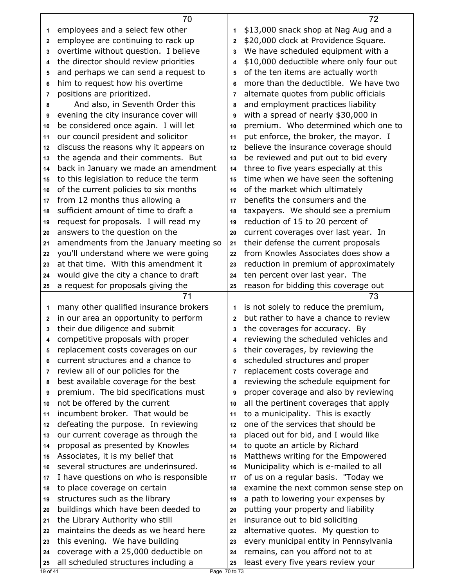|              | 70                                                                      |                | 72                                      |
|--------------|-------------------------------------------------------------------------|----------------|-----------------------------------------|
| 1.           | employees and a select few other                                        | 1              | \$13,000 snack shop at Nag Aug and a    |
| $\mathbf{2}$ | employee are continuing to rack up                                      | $\overline{2}$ | \$20,000 clock at Providence Square.    |
| 3            | overtime without question. I believe                                    | 3              | We have scheduled equipment with a      |
| 4            | the director should review priorities                                   | 4              | \$10,000 deductible where only four out |
| 5            | and perhaps we can send a request to                                    | 5              | of the ten items are actually worth     |
| 6            | him to request how his overtime                                         | 6              | more than the deductible. We have two   |
| 7            | positions are prioritized.                                              | 7              | alternate quotes from public officials  |
| 8            | And also, in Seventh Order this                                         | 8              | and employment practices liability      |
| 9            | evening the city insurance cover will                                   | 9              | with a spread of nearly \$30,000 in     |
| 10           | be considered once again. I will let                                    | 10             | premium. Who determined which one to    |
| 11           | our council president and solicitor                                     | 11             | put enforce, the broker, the mayor. I   |
| 12           | discuss the reasons why it appears on                                   | 12             | believe the insurance coverage should   |
| 13           | the agenda and their comments. But                                      | 13             | be reviewed and put out to bid every    |
| 14           | back in January we made an amendment                                    | 14             | three to five years especially at this  |
| 15           | to this legislation to reduce the term                                  | 15             | time when we have seen the softening    |
| 16           | of the current policies to six months                                   | 16             | of the market which ultimately          |
| 17           | from 12 months thus allowing a                                          | 17             | benefits the consumers and the          |
| 18           | sufficient amount of time to draft a                                    | 18             | taxpayers. We should see a premium      |
| 19           | request for proposals. I will read my                                   | 19             | reduction of 15 to 20 percent of        |
| 20           | answers to the question on the                                          | 20             | current coverages over last year. In    |
| 21           | amendments from the January meeting so                                  | 21             | their defense the current proposals     |
| 22           | you'll understand where we were going                                   | 22             | from Knowles Associates does show a     |
| 23           | at that time. With this amendment it                                    | 23             | reduction in premium of approximately   |
| 24           | would give the city a chance to draft                                   | 24             | ten percent over last year. The         |
| 25           | a request for proposals giving the                                      | 25             | reason for bidding this coverage out    |
|              |                                                                         |                |                                         |
|              | 71                                                                      |                | 73                                      |
| 1            | many other qualified insurance brokers                                  | 1              | is not solely to reduce the premium,    |
| $\mathbf{2}$ |                                                                         | $\mathbf{2}$   | but rather to have a chance to review   |
| 3            | in our area an opportunity to perform<br>their due diligence and submit | 3              | the coverages for accuracy. By          |
| 4            | competitive proposals with proper                                       | 4              | reviewing the scheduled vehicles and    |
| 5            | replacement costs coverages on our                                      | 5              | their coverages, by reviewing the       |
| 6            | current structures and a chance to                                      | 6              | scheduled structures and proper         |
| 7            | review all of our policies for the                                      | 7              | replacement costs coverage and          |
| 8            | best available coverage for the best                                    | 8              | reviewing the schedule equipment for    |
| 9            |                                                                         | 9              | proper coverage and also by reviewing   |
| 10           | premium. The bid specifications must<br>not be offered by the current   | 10             | all the pertinent coverages that apply  |
| 11           | incumbent broker. That would be                                         | 11             | to a municipality. This is exactly      |
| 12           | defeating the purpose. In reviewing                                     | 12             | one of the services that should be      |
| 13           | our current coverage as through the                                     | 13             | placed out for bid, and I would like    |
| 14           | proposal as presented by Knowles                                        | 14             | to quote an article by Richard          |
| 15           | Associates, it is my belief that                                        | 15             | Matthews writing for the Empowered      |
| 16           | several structures are underinsured.                                    | 16             | Municipality which is e-mailed to all   |
| 17           | I have questions on who is responsible                                  | 17             | of us on a regular basis. "Today we     |
| 18           | to place coverage on certain                                            | 18             | examine the next common sense step on   |
| 19           | structures such as the library                                          | 19             | a path to lowering your expenses by     |
| 20           | buildings which have been deeded to                                     | 20             | putting your property and liability     |
| 21           | the Library Authority who still                                         | 21             | insurance out to bid soliciting         |
| 22           | maintains the deeds as we heard here                                    | 22             | alternative quotes. My question to      |
| 23           | this evening. We have building                                          | 23             | every municipal entity in Pennsylvania  |
| 24           | coverage with a 25,000 deductible on                                    | 24             | remains, can you afford not to at       |
| 25           | all scheduled structures including a                                    | 25             | least every five years review your      |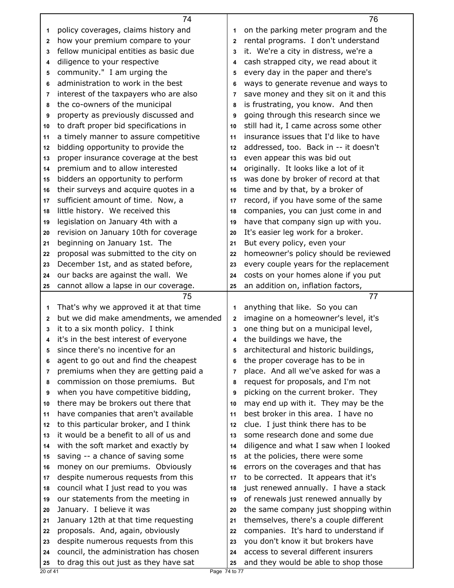|              | 74                                                                               |                | 76                                                                           |
|--------------|----------------------------------------------------------------------------------|----------------|------------------------------------------------------------------------------|
| 1            | policy coverages, claims history and                                             | 1              | on the parking meter program and the                                         |
| 2            | how your premium compare to your                                                 | $\mathbf{2}$   | rental programs. I don't understand                                          |
| 3            | fellow municipal entities as basic due                                           | 3              | it. We're a city in distress, we're a                                        |
| 4            | diligence to your respective                                                     | 4              | cash strapped city, we read about it                                         |
| 5            | community." I am urging the                                                      | 5              | every day in the paper and there's                                           |
| 6            | administration to work in the best                                               | 6              | ways to generate revenue and ways to                                         |
| 7            | interest of the taxpayers who are also                                           | $\overline{7}$ | save money and they sit on it and this                                       |
| 8            | the co-owners of the municipal                                                   | 8              | is frustrating, you know. And then                                           |
| 9            | property as previously discussed and                                             | 9              | going through this research since we                                         |
| 10           | to draft proper bid specifications in                                            | 10             | still had it, I came across some other                                       |
| 11           | a timely manner to assure competitive                                            | 11             | insurance issues that I'd like to have                                       |
| 12           | bidding opportunity to provide the                                               | 12             | addressed, too. Back in -- it doesn't                                        |
| 13           | proper insurance coverage at the best                                            | 13             | even appear this was bid out                                                 |
| 14           | premium and to allow interested                                                  | 14             | originally. It looks like a lot of it                                        |
| 15           | bidders an opportunity to perform                                                | 15             | was done by broker of record at that                                         |
| 16           | their surveys and acquire quotes in a                                            | 16             | time and by that, by a broker of                                             |
| 17           | sufficient amount of time. Now, a                                                | 17             | record, if you have some of the same                                         |
| 18           | little history. We received this                                                 | 18             | companies, you can just come in and                                          |
| 19           | legislation on January 4th with a                                                | 19             | have that company sign up with you.                                          |
| 20           | revision on January 10th for coverage                                            | 20             | It's easier leg work for a broker.                                           |
| 21           | beginning on January 1st. The                                                    | 21             | But every policy, even your                                                  |
| 22           | proposal was submitted to the city on                                            | 22             | homeowner's policy should be reviewed                                        |
| 23           | December 1st, and as stated before,                                              | 23             | every couple years for the replacement                                       |
| 24           | our backs are against the wall. We                                               | 24             | costs on your homes alone if you put                                         |
| 25           | cannot allow a lapse in our coverage.                                            | 25             | an addition on, inflation factors,                                           |
|              |                                                                                  |                |                                                                              |
|              | 75                                                                               |                | 77                                                                           |
| 1            | That's why we approved it at that time                                           | 1              | anything that like. So you can                                               |
| $\mathbf{2}$ | but we did make amendments, we amended                                           | $\mathbf{2}$   | imagine on a homeowner's level, it's                                         |
| 3            | it to a six month policy. I think                                                | 3              | one thing but on a municipal level,                                          |
| 4            | it's in the best interest of everyone                                            | 4              | the buildings we have, the                                                   |
| 5            | since there's no incentive for an                                                | 5              | architectural and historic buildings,                                        |
| 6            | agent to go out and find the cheapest                                            | 6              | the proper coverage has to be in                                             |
| 7            | premiums when they are getting paid a                                            | $\overline{7}$ | place. And all we've asked for was a                                         |
| 8            | commission on those premiums. But                                                | 8              | request for proposals, and I'm not                                           |
| 9            | when you have competitive bidding,                                               | 9              | picking on the current broker. They                                          |
| 10           | there may be brokers out there that                                              | 10             | may end up with it. They may be the                                          |
| 11           | have companies that aren't available                                             | 11             | best broker in this area. I have no                                          |
| 12           | to this particular broker, and I think                                           | 12             | clue. I just think there has to be                                           |
| 13           | it would be a benefit to all of us and                                           | 13             | some research done and some due                                              |
| 14           | with the soft market and exactly by                                              | 14             | diligence and what I saw when I looked                                       |
| 15           | saving -- a chance of saving some                                                | 15             | at the policies, there were some                                             |
| 16           | money on our premiums. Obviously                                                 | 16             | errors on the coverages and that has                                         |
| 17           | despite numerous requests from this                                              | 17             | to be corrected. It appears that it's                                        |
| 18           | council what I just read to you was                                              | 18             | just renewed annually. I have a stack                                        |
| 19           | our statements from the meeting in                                               | 19             | of renewals just renewed annually by                                         |
| 20           | January. I believe it was                                                        | 20             | the same company just shopping within                                        |
| 21           | January 12th at that time requesting                                             | 21             | themselves, there's a couple different                                       |
| 22           | proposals. And, again, obviously                                                 | 22             | companies. It's hard to understand if                                        |
| 23           | despite numerous requests from this                                              | 23             | you don't know it but brokers have                                           |
| 24<br>25     | council, the administration has chosen<br>to drag this out just as they have sat | 24<br>25       | access to several different insurers<br>and they would be able to shop those |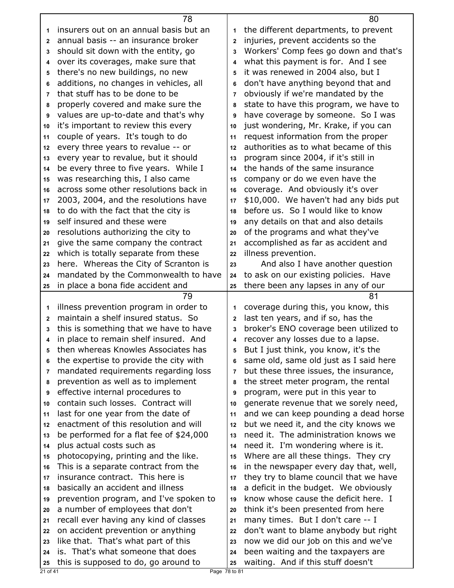|                | 78                                                    |                | 80                                     |
|----------------|-------------------------------------------------------|----------------|----------------------------------------|
| 1              | insurers out on an annual basis but an                | 1              | the different departments, to prevent  |
| $\mathbf{2}$   | annual basis -- an insurance broker                   | $\overline{2}$ | injuries, prevent accidents so the     |
| 3              | should sit down with the entity, go                   | 3              | Workers' Comp fees go down and that's  |
| 4              | over its coverages, make sure that                    | 4              | what this payment is for. And I see    |
| 5              | there's no new buildings, no new                      | 5              | it was renewed in 2004 also, but I     |
| 6              | additions, no changes in vehicles, all                | 6              | don't have anything beyond that and    |
| $\overline{7}$ | that stuff has to be done to be                       | $\overline{7}$ | obviously if we're mandated by the     |
| 8              | properly covered and make sure the                    | 8              | state to have this program, we have to |
| 9              | values are up-to-date and that's why                  | 9              | have coverage by someone. So I was     |
| 10             | it's important to review this every                   | 10             | just wondering, Mr. Krake, if you can  |
| 11             | couple of years. It's tough to do                     | 11             | request information from the proper    |
| 12             | every three years to revalue -- or                    | 12             | authorities as to what became of this  |
| 13             | every year to revalue, but it should                  | 13             | program since 2004, if it's still in   |
| 14             | be every three to five years. While I                 | 14             | the hands of the same insurance        |
| 15             | was researching this, I also came                     | 15             | company or do we even have the         |
| 16             | across some other resolutions back in                 | 16             | coverage. And obviously it's over      |
| 17             | 2003, 2004, and the resolutions have                  | 17             | \$10,000. We haven't had any bids put  |
| 18             | to do with the fact that the city is                  | 18             | before us. So I would like to know     |
| 19             | self insured and these were                           | 19             | any details on that and also details   |
| 20             | resolutions authorizing the city to                   | 20             | of the programs and what they've       |
| 21             | give the same company the contract                    | 21             | accomplished as far as accident and    |
| 22             | which is totally separate from these                  | 22             | illness prevention.                    |
| 23             | here. Whereas the City of Scranton is                 | 23             | And also I have another question       |
| 24             | mandated by the Commonwealth to have                  | 24             | to ask on our existing policies. Have  |
| 25             | in place a bona fide accident and                     | 25             | there been any lapses in any of our    |
|                |                                                       |                |                                        |
|                |                                                       |                |                                        |
|                | 79                                                    |                | 81                                     |
| 1              | illness prevention program in order to                | 1              | coverage during this, you know, this   |
| $\mathbf{2}$   | maintain a shelf insured status. So                   | $\mathbf{2}$   | last ten years, and if so, has the     |
| 3              | this is something that we have to have                | 3              | broker's ENO coverage been utilized to |
| 4              | in place to remain shelf insured. And                 | 4              | recover any losses due to a lapse.     |
| 5              | then whereas Knowles Associates has                   | 5              | But I just think, you know, it's the   |
| 6              | the expertise to provide the city with                | 6              | same old, same old just as I said here |
| 7              | mandated requirements regarding loss                  | 7              | but these three issues, the insurance, |
| 8              | prevention as well as to implement                    | 8              | the street meter program, the rental   |
| 9              | effective internal procedures to                      | 9              | program, were put in this year to      |
| 10             | contain such losses. Contract will                    | 10             | generate revenue that we sorely need,  |
| 11             | last for one year from the date of                    | 11             | and we can keep pounding a dead horse  |
| 12             | enactment of this resolution and will                 | 12             | but we need it, and the city knows we  |
| 13             | be performed for a flat fee of \$24,000               | 13             | need it. The administration knows we   |
| 14             | plus actual costs such as                             | 14             | need it. I'm wondering where is it.    |
| 15             | photocopying, printing and the like.                  | 15             | Where are all these things. They cry   |
| 16             | This is a separate contract from the                  | 16             | in the newspaper every day that, well, |
| 17             | insurance contract. This here is                      | 17             | they try to blame council that we have |
| 18             | basically an accident and illness                     | 18             | a deficit in the budget. We obviously  |
| 19             | prevention program, and I've spoken to                | 19             | know whose cause the deficit here. I   |
| 20             | a number of employees that don't                      | 20             | think it's been presented from here    |
| 21             | recall ever having any kind of classes                | 21             | many times. But I don't care -- I      |
| 22             | on accident prevention or anything                    | 22             | don't want to blame anybody but right  |
| 23             | like that. That's what part of this                   | 23             | now we did our job on this and we've   |
| 24             | is. That's what someone that does                     | 24             | been waiting and the taxpayers are     |
| 25<br>21 of 41 | this is supposed to do, go around to<br>Page 78 to 81 | 25             | waiting. And if this stuff doesn't     |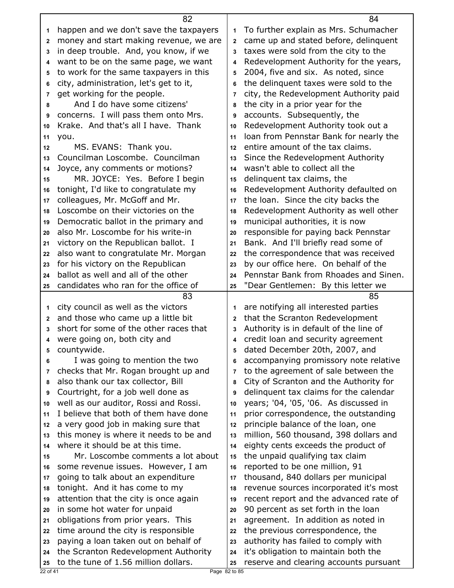|              | 82                                                                           |                | 84                                                                             |
|--------------|------------------------------------------------------------------------------|----------------|--------------------------------------------------------------------------------|
| 1            | happen and we don't save the taxpayers                                       | 1              | To further explain as Mrs. Schumacher                                          |
| $\mathbf{2}$ | money and start making revenue, we are                                       | $\mathbf{2}$   | came up and stated before, delinquent                                          |
| 3            | in deep trouble. And, you know, if we                                        | 3              | taxes were sold from the city to the                                           |
| 4            | want to be on the same page, we want                                         | 4              | Redevelopment Authority for the years,                                         |
| 5            | to work for the same taxpayers in this                                       | 5              | 2004, five and six. As noted, since                                            |
| 6            | city, administration, let's get to it,                                       | 6              | the delinquent taxes were sold to the                                          |
| 7            | get working for the people.                                                  | 7              | city, the Redevelopment Authority paid                                         |
| 8            | And I do have some citizens'                                                 | 8              | the city in a prior year for the                                               |
| 9            | concerns. I will pass them onto Mrs.                                         | 9              | accounts. Subsequently, the                                                    |
| 10           | Krake. And that's all I have. Thank                                          | 10             | Redevelopment Authority took out a                                             |
| 11           | you.                                                                         | 11             | loan from Pennstar Bank for nearly the                                         |
| 12           | MS. EVANS: Thank you.                                                        | 12             | entire amount of the tax claims.                                               |
| 13           | Councilman Loscombe. Councilman                                              | 13             | Since the Redevelopment Authority                                              |
| 14           | Joyce, any comments or motions?                                              | 14             | wasn't able to collect all the                                                 |
| 15           | MR. JOYCE: Yes. Before I begin                                               | 15             | delinguent tax claims, the                                                     |
| 16           | tonight, I'd like to congratulate my                                         | 16             | Redevelopment Authority defaulted on                                           |
| 17           | colleagues, Mr. McGoff and Mr.                                               | 17             | the loan. Since the city backs the                                             |
| 18           | Loscombe on their victories on the                                           | 18             | Redevelopment Authority as well other                                          |
| 19           | Democratic ballot in the primary and                                         | 19             | municipal authorities, it is now                                               |
| 20           | also Mr. Loscombe for his write-in                                           | 20             | responsible for paying back Pennstar                                           |
| 21           | victory on the Republican ballot. I                                          | 21             | Bank. And I'll briefly read some of                                            |
| 22           | also want to congratulate Mr. Morgan                                         | 22             | the correspondence that was received                                           |
| 23           | for his victory on the Republican                                            | 23             | by our office here. On behalf of the                                           |
| 24           | ballot as well and all of the other                                          | 24             | Pennstar Bank from Rhoades and Sinen.                                          |
| 25           | candidates who ran for the office of                                         | 25             | "Dear Gentlemen: By this letter we                                             |
|              |                                                                              |                |                                                                                |
|              | 83                                                                           |                | 85                                                                             |
| 1            | city council as well as the victors                                          | 1              | are notifying all interested parties                                           |
| $\mathbf{2}$ | and those who came up a little bit                                           | $\overline{2}$ | that the Scranton Redevelopment                                                |
| 3            | short for some of the other races that                                       | 3              | Authority is in default of the line of                                         |
| 4            | were going on, both city and                                                 | 4              | credit loan and security agreement                                             |
| 5            | countywide.                                                                  | 5              | dated December 20th, 2007, and                                                 |
| 6            | I was going to mention the two                                               | 6              | accompanying promissory note relative                                          |
| 7            | checks that Mr. Rogan brought up and                                         | 7              | to the agreement of sale between the                                           |
| 8            | also thank our tax collector, Bill                                           | 8              | City of Scranton and the Authority for                                         |
| 9            | Courtright, for a job well done as                                           | 9              | delinquent tax claims for the calendar                                         |
| 10           | well as our auditor, Rossi and Rossi.                                        | 10             | years; '04, '05, '06. As discussed in                                          |
| 11           | I believe that both of them have done                                        | 11             | prior correspondence, the outstanding                                          |
| 12           | a very good job in making sure that                                          | 12             | principle balance of the loan, one                                             |
| 13           | this money is where it needs to be and                                       | 13             | million, 560 thousand, 398 dollars and                                         |
| 14           | where it should be at this time.                                             | 14             | eighty cents exceeds the product of                                            |
| 15           | Mr. Loscombe comments a lot about                                            | 15             | the unpaid qualifying tax claim                                                |
| 16           | some revenue issues. However, I am                                           | 16             | reported to be one million, 91                                                 |
| 17           | going to talk about an expenditure                                           | 17             | thousand, 840 dollars per municipal                                            |
| 18           | tonight. And it has come to my                                               | 18             | revenue sources incorporated it's most                                         |
| 19           | attention that the city is once again                                        | 19             | recent report and the advanced rate of                                         |
| 20           | in some hot water for unpaid                                                 | 20             | 90 percent as set forth in the loan                                            |
| 21           | obligations from prior years. This                                           | 21             | agreement. In addition as noted in                                             |
| 22           | time around the city is responsible                                          | 22             | the previous correspondence, the                                               |
| 23           | paying a loan taken out on behalf of                                         | 23             | authority has failed to comply with                                            |
| 24           | the Scranton Redevelopment Authority<br>to the tune of 1.56 million dollars. | 24             | it's obligation to maintain both the<br>reserve and clearing accounts pursuant |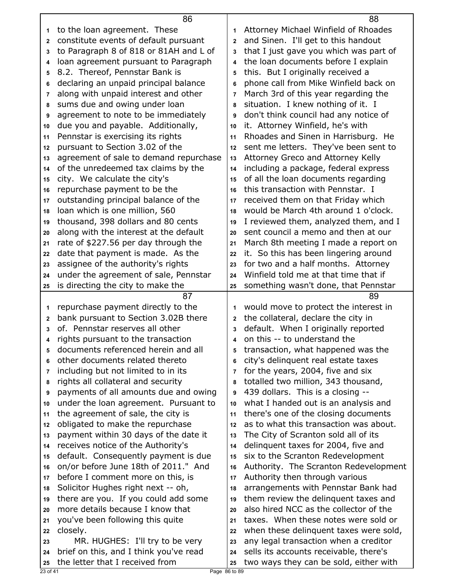| Attorney Michael Winfield of Rhoades<br>to the loan agreement. These<br>1<br>1<br>constitute events of default pursuant<br>and Sinen. I'll get to this handout<br>$\mathbf{2}$<br>$\mathbf{2}$<br>to Paragraph 8 of 818 or 81AH and L of<br>that I just gave you which was part of<br>3<br>3<br>the loan documents before I explain<br>loan agreement pursuant to Paragraph<br>4<br>4<br>8.2. Thereof, Pennstar Bank is<br>this. But I originally received a<br>5<br>5<br>declaring an unpaid principal balance<br>phone call from Mike Winfield back on<br>6<br>6<br>March 3rd of this year regarding the<br>along with unpaid interest and other<br>$\overline{7}$<br>7<br>situation. I knew nothing of it. I<br>sums due and owing under loan<br>8<br>8<br>agreement to note to be immediately<br>don't think council had any notice of<br>9<br>9<br>due you and payable. Additionally,<br>it. Attorney Winfield, he's with<br>10<br>10<br>Rhoades and Sinen in Harrisburg. He<br>Pennstar is exercising its rights<br>11<br>11<br>pursuant to Section 3.02 of the<br>sent me letters. They've been sent to<br>12<br>12<br>agreement of sale to demand repurchase<br>Attorney Greco and Attorney Kelly<br>13<br>13<br>of the unredeemed tax claims by the<br>including a package, federal express<br>14<br>14<br>city. We calculate the city's<br>of all the loan documents regarding<br>15<br>15<br>repurchase payment to be the<br>this transaction with Pennstar. I<br>16<br>16<br>outstanding principal balance of the<br>received them on that Friday which<br>17<br>17<br>would be March 4th around 1 o'clock.<br>loan which is one million, 560<br>18<br>18<br>thousand, 398 dollars and 80 cents<br>I reviewed them, analyzed them, and I<br>19<br>19<br>along with the interest at the default<br>sent council a memo and then at our<br>20<br>20<br>rate of \$227.56 per day through the<br>March 8th meeting I made a report on<br>21<br>21<br>date that payment is made. As the<br>it. So this has been lingering around<br>22<br>22<br>assignee of the authority's rights<br>for two and a half months. Attorney<br>23<br>23<br>Winfield told me at that time that if<br>under the agreement of sale, Pennstar<br>24<br>24<br>is directing the city to make the<br>something wasn't done, that Pennstar<br>25<br>25<br>87<br>89<br>repurchase payment directly to the<br>would move to protect the interest in<br>1<br>1<br>bank pursuant to Section 3.02B there<br>the collateral, declare the city in<br>$\mathbf 2$<br>$\mathbf{2}$<br>of. Pennstar reserves all other<br>default. When I originally reported<br>3<br>3<br>on this -- to understand the<br>rights pursuant to the transaction<br>4<br>4<br>documents referenced herein and all<br>transaction, what happened was the<br>5<br>5<br>other documents related thereto<br>city's delinquent real estate taxes<br>6<br>6<br>including but not limited to in its<br>for the years, 2004, five and six<br>$\overline{7}$<br>7<br>rights all collateral and security<br>totalled two million, 343 thousand,<br>8<br>8<br>payments of all amounts due and owing<br>439 dollars. This is a closing --<br>9<br>9<br>under the loan agreement. Pursuant to<br>what I handed out is an analysis and<br>10<br>10<br>there's one of the closing documents<br>the agreement of sale, the city is<br>11<br>11<br>obligated to make the repurchase<br>as to what this transaction was about.<br>12<br>12<br>payment within 30 days of the date it<br>The City of Scranton sold all of its<br>13<br>13<br>receives notice of the Authority's<br>delinquent taxes for 2004, five and<br>14<br>14<br>default. Consequently payment is due<br>six to the Scranton Redevelopment<br>15<br>15<br>on/or before June 18th of 2011." And<br>Authority. The Scranton Redevelopment<br>16<br>16<br>before I comment more on this, is<br>Authority then through various<br>17<br>17<br>Solicitor Hughes right next -- oh,<br>arrangements with Pennstar Bank had<br>18<br>18<br>there are you. If you could add some<br>them review the delinquent taxes and<br>19<br>19<br>also hired NCC as the collector of the<br>more details because I know that<br>20<br>20<br>taxes. When these notes were sold or<br>you've been following this quite<br>21<br>21<br>closely.<br>when these delinquent taxes were sold,<br>22<br>22 |    | 86                                     |    | 88                                     |
|----------------------------------------------------------------------------------------------------------------------------------------------------------------------------------------------------------------------------------------------------------------------------------------------------------------------------------------------------------------------------------------------------------------------------------------------------------------------------------------------------------------------------------------------------------------------------------------------------------------------------------------------------------------------------------------------------------------------------------------------------------------------------------------------------------------------------------------------------------------------------------------------------------------------------------------------------------------------------------------------------------------------------------------------------------------------------------------------------------------------------------------------------------------------------------------------------------------------------------------------------------------------------------------------------------------------------------------------------------------------------------------------------------------------------------------------------------------------------------------------------------------------------------------------------------------------------------------------------------------------------------------------------------------------------------------------------------------------------------------------------------------------------------------------------------------------------------------------------------------------------------------------------------------------------------------------------------------------------------------------------------------------------------------------------------------------------------------------------------------------------------------------------------------------------------------------------------------------------------------------------------------------------------------------------------------------------------------------------------------------------------------------------------------------------------------------------------------------------------------------------------------------------------------------------------------------------------------------------------------------------------------------------------------------------------------------------------------------------------------------------------------------------------------------------------------------------------------------------------------------------------------------------------------------------------------------------------------------------------------------------------------------------------------------------------------------------------------------------------------------------------------------------------------------------------------------------------------------------------------------------------------------------------------------------------------------------------------------------------------------------------------------------------------------------------------------------------------------------------------------------------------------------------------------------------------------------------------------------------------------------------------------------------------------------------------------------------------------------------------------------------------------------------------------------------------------------------------------------------------------------------------------------------------------------------------------------------------------------------------------------------------------------------------------------------------------------------------------------------------------------------------------------------------------------------------------------------------------------------------------------------------------------------------------------------------------------------------------------------------------------------|----|----------------------------------------|----|----------------------------------------|
|                                                                                                                                                                                                                                                                                                                                                                                                                                                                                                                                                                                                                                                                                                                                                                                                                                                                                                                                                                                                                                                                                                                                                                                                                                                                                                                                                                                                                                                                                                                                                                                                                                                                                                                                                                                                                                                                                                                                                                                                                                                                                                                                                                                                                                                                                                                                                                                                                                                                                                                                                                                                                                                                                                                                                                                                                                                                                                                                                                                                                                                                                                                                                                                                                                                                                                                                                                                                                                                                                                                                                                                                                                                                                                                                                                                                                                                                                                                                                                                                                                                                                                                                                                                                                                                                                                                                                                                  |    |                                        |    |                                        |
|                                                                                                                                                                                                                                                                                                                                                                                                                                                                                                                                                                                                                                                                                                                                                                                                                                                                                                                                                                                                                                                                                                                                                                                                                                                                                                                                                                                                                                                                                                                                                                                                                                                                                                                                                                                                                                                                                                                                                                                                                                                                                                                                                                                                                                                                                                                                                                                                                                                                                                                                                                                                                                                                                                                                                                                                                                                                                                                                                                                                                                                                                                                                                                                                                                                                                                                                                                                                                                                                                                                                                                                                                                                                                                                                                                                                                                                                                                                                                                                                                                                                                                                                                                                                                                                                                                                                                                                  |    |                                        |    |                                        |
|                                                                                                                                                                                                                                                                                                                                                                                                                                                                                                                                                                                                                                                                                                                                                                                                                                                                                                                                                                                                                                                                                                                                                                                                                                                                                                                                                                                                                                                                                                                                                                                                                                                                                                                                                                                                                                                                                                                                                                                                                                                                                                                                                                                                                                                                                                                                                                                                                                                                                                                                                                                                                                                                                                                                                                                                                                                                                                                                                                                                                                                                                                                                                                                                                                                                                                                                                                                                                                                                                                                                                                                                                                                                                                                                                                                                                                                                                                                                                                                                                                                                                                                                                                                                                                                                                                                                                                                  |    |                                        |    |                                        |
|                                                                                                                                                                                                                                                                                                                                                                                                                                                                                                                                                                                                                                                                                                                                                                                                                                                                                                                                                                                                                                                                                                                                                                                                                                                                                                                                                                                                                                                                                                                                                                                                                                                                                                                                                                                                                                                                                                                                                                                                                                                                                                                                                                                                                                                                                                                                                                                                                                                                                                                                                                                                                                                                                                                                                                                                                                                                                                                                                                                                                                                                                                                                                                                                                                                                                                                                                                                                                                                                                                                                                                                                                                                                                                                                                                                                                                                                                                                                                                                                                                                                                                                                                                                                                                                                                                                                                                                  |    |                                        |    |                                        |
|                                                                                                                                                                                                                                                                                                                                                                                                                                                                                                                                                                                                                                                                                                                                                                                                                                                                                                                                                                                                                                                                                                                                                                                                                                                                                                                                                                                                                                                                                                                                                                                                                                                                                                                                                                                                                                                                                                                                                                                                                                                                                                                                                                                                                                                                                                                                                                                                                                                                                                                                                                                                                                                                                                                                                                                                                                                                                                                                                                                                                                                                                                                                                                                                                                                                                                                                                                                                                                                                                                                                                                                                                                                                                                                                                                                                                                                                                                                                                                                                                                                                                                                                                                                                                                                                                                                                                                                  |    |                                        |    |                                        |
|                                                                                                                                                                                                                                                                                                                                                                                                                                                                                                                                                                                                                                                                                                                                                                                                                                                                                                                                                                                                                                                                                                                                                                                                                                                                                                                                                                                                                                                                                                                                                                                                                                                                                                                                                                                                                                                                                                                                                                                                                                                                                                                                                                                                                                                                                                                                                                                                                                                                                                                                                                                                                                                                                                                                                                                                                                                                                                                                                                                                                                                                                                                                                                                                                                                                                                                                                                                                                                                                                                                                                                                                                                                                                                                                                                                                                                                                                                                                                                                                                                                                                                                                                                                                                                                                                                                                                                                  |    |                                        |    |                                        |
|                                                                                                                                                                                                                                                                                                                                                                                                                                                                                                                                                                                                                                                                                                                                                                                                                                                                                                                                                                                                                                                                                                                                                                                                                                                                                                                                                                                                                                                                                                                                                                                                                                                                                                                                                                                                                                                                                                                                                                                                                                                                                                                                                                                                                                                                                                                                                                                                                                                                                                                                                                                                                                                                                                                                                                                                                                                                                                                                                                                                                                                                                                                                                                                                                                                                                                                                                                                                                                                                                                                                                                                                                                                                                                                                                                                                                                                                                                                                                                                                                                                                                                                                                                                                                                                                                                                                                                                  |    |                                        |    |                                        |
|                                                                                                                                                                                                                                                                                                                                                                                                                                                                                                                                                                                                                                                                                                                                                                                                                                                                                                                                                                                                                                                                                                                                                                                                                                                                                                                                                                                                                                                                                                                                                                                                                                                                                                                                                                                                                                                                                                                                                                                                                                                                                                                                                                                                                                                                                                                                                                                                                                                                                                                                                                                                                                                                                                                                                                                                                                                                                                                                                                                                                                                                                                                                                                                                                                                                                                                                                                                                                                                                                                                                                                                                                                                                                                                                                                                                                                                                                                                                                                                                                                                                                                                                                                                                                                                                                                                                                                                  |    |                                        |    |                                        |
|                                                                                                                                                                                                                                                                                                                                                                                                                                                                                                                                                                                                                                                                                                                                                                                                                                                                                                                                                                                                                                                                                                                                                                                                                                                                                                                                                                                                                                                                                                                                                                                                                                                                                                                                                                                                                                                                                                                                                                                                                                                                                                                                                                                                                                                                                                                                                                                                                                                                                                                                                                                                                                                                                                                                                                                                                                                                                                                                                                                                                                                                                                                                                                                                                                                                                                                                                                                                                                                                                                                                                                                                                                                                                                                                                                                                                                                                                                                                                                                                                                                                                                                                                                                                                                                                                                                                                                                  |    |                                        |    |                                        |
|                                                                                                                                                                                                                                                                                                                                                                                                                                                                                                                                                                                                                                                                                                                                                                                                                                                                                                                                                                                                                                                                                                                                                                                                                                                                                                                                                                                                                                                                                                                                                                                                                                                                                                                                                                                                                                                                                                                                                                                                                                                                                                                                                                                                                                                                                                                                                                                                                                                                                                                                                                                                                                                                                                                                                                                                                                                                                                                                                                                                                                                                                                                                                                                                                                                                                                                                                                                                                                                                                                                                                                                                                                                                                                                                                                                                                                                                                                                                                                                                                                                                                                                                                                                                                                                                                                                                                                                  |    |                                        |    |                                        |
|                                                                                                                                                                                                                                                                                                                                                                                                                                                                                                                                                                                                                                                                                                                                                                                                                                                                                                                                                                                                                                                                                                                                                                                                                                                                                                                                                                                                                                                                                                                                                                                                                                                                                                                                                                                                                                                                                                                                                                                                                                                                                                                                                                                                                                                                                                                                                                                                                                                                                                                                                                                                                                                                                                                                                                                                                                                                                                                                                                                                                                                                                                                                                                                                                                                                                                                                                                                                                                                                                                                                                                                                                                                                                                                                                                                                                                                                                                                                                                                                                                                                                                                                                                                                                                                                                                                                                                                  |    |                                        |    |                                        |
|                                                                                                                                                                                                                                                                                                                                                                                                                                                                                                                                                                                                                                                                                                                                                                                                                                                                                                                                                                                                                                                                                                                                                                                                                                                                                                                                                                                                                                                                                                                                                                                                                                                                                                                                                                                                                                                                                                                                                                                                                                                                                                                                                                                                                                                                                                                                                                                                                                                                                                                                                                                                                                                                                                                                                                                                                                                                                                                                                                                                                                                                                                                                                                                                                                                                                                                                                                                                                                                                                                                                                                                                                                                                                                                                                                                                                                                                                                                                                                                                                                                                                                                                                                                                                                                                                                                                                                                  |    |                                        |    |                                        |
|                                                                                                                                                                                                                                                                                                                                                                                                                                                                                                                                                                                                                                                                                                                                                                                                                                                                                                                                                                                                                                                                                                                                                                                                                                                                                                                                                                                                                                                                                                                                                                                                                                                                                                                                                                                                                                                                                                                                                                                                                                                                                                                                                                                                                                                                                                                                                                                                                                                                                                                                                                                                                                                                                                                                                                                                                                                                                                                                                                                                                                                                                                                                                                                                                                                                                                                                                                                                                                                                                                                                                                                                                                                                                                                                                                                                                                                                                                                                                                                                                                                                                                                                                                                                                                                                                                                                                                                  |    |                                        |    |                                        |
|                                                                                                                                                                                                                                                                                                                                                                                                                                                                                                                                                                                                                                                                                                                                                                                                                                                                                                                                                                                                                                                                                                                                                                                                                                                                                                                                                                                                                                                                                                                                                                                                                                                                                                                                                                                                                                                                                                                                                                                                                                                                                                                                                                                                                                                                                                                                                                                                                                                                                                                                                                                                                                                                                                                                                                                                                                                                                                                                                                                                                                                                                                                                                                                                                                                                                                                                                                                                                                                                                                                                                                                                                                                                                                                                                                                                                                                                                                                                                                                                                                                                                                                                                                                                                                                                                                                                                                                  |    |                                        |    |                                        |
|                                                                                                                                                                                                                                                                                                                                                                                                                                                                                                                                                                                                                                                                                                                                                                                                                                                                                                                                                                                                                                                                                                                                                                                                                                                                                                                                                                                                                                                                                                                                                                                                                                                                                                                                                                                                                                                                                                                                                                                                                                                                                                                                                                                                                                                                                                                                                                                                                                                                                                                                                                                                                                                                                                                                                                                                                                                                                                                                                                                                                                                                                                                                                                                                                                                                                                                                                                                                                                                                                                                                                                                                                                                                                                                                                                                                                                                                                                                                                                                                                                                                                                                                                                                                                                                                                                                                                                                  |    |                                        |    |                                        |
|                                                                                                                                                                                                                                                                                                                                                                                                                                                                                                                                                                                                                                                                                                                                                                                                                                                                                                                                                                                                                                                                                                                                                                                                                                                                                                                                                                                                                                                                                                                                                                                                                                                                                                                                                                                                                                                                                                                                                                                                                                                                                                                                                                                                                                                                                                                                                                                                                                                                                                                                                                                                                                                                                                                                                                                                                                                                                                                                                                                                                                                                                                                                                                                                                                                                                                                                                                                                                                                                                                                                                                                                                                                                                                                                                                                                                                                                                                                                                                                                                                                                                                                                                                                                                                                                                                                                                                                  |    |                                        |    |                                        |
|                                                                                                                                                                                                                                                                                                                                                                                                                                                                                                                                                                                                                                                                                                                                                                                                                                                                                                                                                                                                                                                                                                                                                                                                                                                                                                                                                                                                                                                                                                                                                                                                                                                                                                                                                                                                                                                                                                                                                                                                                                                                                                                                                                                                                                                                                                                                                                                                                                                                                                                                                                                                                                                                                                                                                                                                                                                                                                                                                                                                                                                                                                                                                                                                                                                                                                                                                                                                                                                                                                                                                                                                                                                                                                                                                                                                                                                                                                                                                                                                                                                                                                                                                                                                                                                                                                                                                                                  |    |                                        |    |                                        |
|                                                                                                                                                                                                                                                                                                                                                                                                                                                                                                                                                                                                                                                                                                                                                                                                                                                                                                                                                                                                                                                                                                                                                                                                                                                                                                                                                                                                                                                                                                                                                                                                                                                                                                                                                                                                                                                                                                                                                                                                                                                                                                                                                                                                                                                                                                                                                                                                                                                                                                                                                                                                                                                                                                                                                                                                                                                                                                                                                                                                                                                                                                                                                                                                                                                                                                                                                                                                                                                                                                                                                                                                                                                                                                                                                                                                                                                                                                                                                                                                                                                                                                                                                                                                                                                                                                                                                                                  |    |                                        |    |                                        |
|                                                                                                                                                                                                                                                                                                                                                                                                                                                                                                                                                                                                                                                                                                                                                                                                                                                                                                                                                                                                                                                                                                                                                                                                                                                                                                                                                                                                                                                                                                                                                                                                                                                                                                                                                                                                                                                                                                                                                                                                                                                                                                                                                                                                                                                                                                                                                                                                                                                                                                                                                                                                                                                                                                                                                                                                                                                                                                                                                                                                                                                                                                                                                                                                                                                                                                                                                                                                                                                                                                                                                                                                                                                                                                                                                                                                                                                                                                                                                                                                                                                                                                                                                                                                                                                                                                                                                                                  |    |                                        |    |                                        |
|                                                                                                                                                                                                                                                                                                                                                                                                                                                                                                                                                                                                                                                                                                                                                                                                                                                                                                                                                                                                                                                                                                                                                                                                                                                                                                                                                                                                                                                                                                                                                                                                                                                                                                                                                                                                                                                                                                                                                                                                                                                                                                                                                                                                                                                                                                                                                                                                                                                                                                                                                                                                                                                                                                                                                                                                                                                                                                                                                                                                                                                                                                                                                                                                                                                                                                                                                                                                                                                                                                                                                                                                                                                                                                                                                                                                                                                                                                                                                                                                                                                                                                                                                                                                                                                                                                                                                                                  |    |                                        |    |                                        |
|                                                                                                                                                                                                                                                                                                                                                                                                                                                                                                                                                                                                                                                                                                                                                                                                                                                                                                                                                                                                                                                                                                                                                                                                                                                                                                                                                                                                                                                                                                                                                                                                                                                                                                                                                                                                                                                                                                                                                                                                                                                                                                                                                                                                                                                                                                                                                                                                                                                                                                                                                                                                                                                                                                                                                                                                                                                                                                                                                                                                                                                                                                                                                                                                                                                                                                                                                                                                                                                                                                                                                                                                                                                                                                                                                                                                                                                                                                                                                                                                                                                                                                                                                                                                                                                                                                                                                                                  |    |                                        |    |                                        |
|                                                                                                                                                                                                                                                                                                                                                                                                                                                                                                                                                                                                                                                                                                                                                                                                                                                                                                                                                                                                                                                                                                                                                                                                                                                                                                                                                                                                                                                                                                                                                                                                                                                                                                                                                                                                                                                                                                                                                                                                                                                                                                                                                                                                                                                                                                                                                                                                                                                                                                                                                                                                                                                                                                                                                                                                                                                                                                                                                                                                                                                                                                                                                                                                                                                                                                                                                                                                                                                                                                                                                                                                                                                                                                                                                                                                                                                                                                                                                                                                                                                                                                                                                                                                                                                                                                                                                                                  |    |                                        |    |                                        |
|                                                                                                                                                                                                                                                                                                                                                                                                                                                                                                                                                                                                                                                                                                                                                                                                                                                                                                                                                                                                                                                                                                                                                                                                                                                                                                                                                                                                                                                                                                                                                                                                                                                                                                                                                                                                                                                                                                                                                                                                                                                                                                                                                                                                                                                                                                                                                                                                                                                                                                                                                                                                                                                                                                                                                                                                                                                                                                                                                                                                                                                                                                                                                                                                                                                                                                                                                                                                                                                                                                                                                                                                                                                                                                                                                                                                                                                                                                                                                                                                                                                                                                                                                                                                                                                                                                                                                                                  |    |                                        |    |                                        |
|                                                                                                                                                                                                                                                                                                                                                                                                                                                                                                                                                                                                                                                                                                                                                                                                                                                                                                                                                                                                                                                                                                                                                                                                                                                                                                                                                                                                                                                                                                                                                                                                                                                                                                                                                                                                                                                                                                                                                                                                                                                                                                                                                                                                                                                                                                                                                                                                                                                                                                                                                                                                                                                                                                                                                                                                                                                                                                                                                                                                                                                                                                                                                                                                                                                                                                                                                                                                                                                                                                                                                                                                                                                                                                                                                                                                                                                                                                                                                                                                                                                                                                                                                                                                                                                                                                                                                                                  |    |                                        |    |                                        |
|                                                                                                                                                                                                                                                                                                                                                                                                                                                                                                                                                                                                                                                                                                                                                                                                                                                                                                                                                                                                                                                                                                                                                                                                                                                                                                                                                                                                                                                                                                                                                                                                                                                                                                                                                                                                                                                                                                                                                                                                                                                                                                                                                                                                                                                                                                                                                                                                                                                                                                                                                                                                                                                                                                                                                                                                                                                                                                                                                                                                                                                                                                                                                                                                                                                                                                                                                                                                                                                                                                                                                                                                                                                                                                                                                                                                                                                                                                                                                                                                                                                                                                                                                                                                                                                                                                                                                                                  |    |                                        |    |                                        |
|                                                                                                                                                                                                                                                                                                                                                                                                                                                                                                                                                                                                                                                                                                                                                                                                                                                                                                                                                                                                                                                                                                                                                                                                                                                                                                                                                                                                                                                                                                                                                                                                                                                                                                                                                                                                                                                                                                                                                                                                                                                                                                                                                                                                                                                                                                                                                                                                                                                                                                                                                                                                                                                                                                                                                                                                                                                                                                                                                                                                                                                                                                                                                                                                                                                                                                                                                                                                                                                                                                                                                                                                                                                                                                                                                                                                                                                                                                                                                                                                                                                                                                                                                                                                                                                                                                                                                                                  |    |                                        |    |                                        |
|                                                                                                                                                                                                                                                                                                                                                                                                                                                                                                                                                                                                                                                                                                                                                                                                                                                                                                                                                                                                                                                                                                                                                                                                                                                                                                                                                                                                                                                                                                                                                                                                                                                                                                                                                                                                                                                                                                                                                                                                                                                                                                                                                                                                                                                                                                                                                                                                                                                                                                                                                                                                                                                                                                                                                                                                                                                                                                                                                                                                                                                                                                                                                                                                                                                                                                                                                                                                                                                                                                                                                                                                                                                                                                                                                                                                                                                                                                                                                                                                                                                                                                                                                                                                                                                                                                                                                                                  |    |                                        |    |                                        |
|                                                                                                                                                                                                                                                                                                                                                                                                                                                                                                                                                                                                                                                                                                                                                                                                                                                                                                                                                                                                                                                                                                                                                                                                                                                                                                                                                                                                                                                                                                                                                                                                                                                                                                                                                                                                                                                                                                                                                                                                                                                                                                                                                                                                                                                                                                                                                                                                                                                                                                                                                                                                                                                                                                                                                                                                                                                                                                                                                                                                                                                                                                                                                                                                                                                                                                                                                                                                                                                                                                                                                                                                                                                                                                                                                                                                                                                                                                                                                                                                                                                                                                                                                                                                                                                                                                                                                                                  |    |                                        |    |                                        |
|                                                                                                                                                                                                                                                                                                                                                                                                                                                                                                                                                                                                                                                                                                                                                                                                                                                                                                                                                                                                                                                                                                                                                                                                                                                                                                                                                                                                                                                                                                                                                                                                                                                                                                                                                                                                                                                                                                                                                                                                                                                                                                                                                                                                                                                                                                                                                                                                                                                                                                                                                                                                                                                                                                                                                                                                                                                                                                                                                                                                                                                                                                                                                                                                                                                                                                                                                                                                                                                                                                                                                                                                                                                                                                                                                                                                                                                                                                                                                                                                                                                                                                                                                                                                                                                                                                                                                                                  |    |                                        |    |                                        |
|                                                                                                                                                                                                                                                                                                                                                                                                                                                                                                                                                                                                                                                                                                                                                                                                                                                                                                                                                                                                                                                                                                                                                                                                                                                                                                                                                                                                                                                                                                                                                                                                                                                                                                                                                                                                                                                                                                                                                                                                                                                                                                                                                                                                                                                                                                                                                                                                                                                                                                                                                                                                                                                                                                                                                                                                                                                                                                                                                                                                                                                                                                                                                                                                                                                                                                                                                                                                                                                                                                                                                                                                                                                                                                                                                                                                                                                                                                                                                                                                                                                                                                                                                                                                                                                                                                                                                                                  |    |                                        |    |                                        |
|                                                                                                                                                                                                                                                                                                                                                                                                                                                                                                                                                                                                                                                                                                                                                                                                                                                                                                                                                                                                                                                                                                                                                                                                                                                                                                                                                                                                                                                                                                                                                                                                                                                                                                                                                                                                                                                                                                                                                                                                                                                                                                                                                                                                                                                                                                                                                                                                                                                                                                                                                                                                                                                                                                                                                                                                                                                                                                                                                                                                                                                                                                                                                                                                                                                                                                                                                                                                                                                                                                                                                                                                                                                                                                                                                                                                                                                                                                                                                                                                                                                                                                                                                                                                                                                                                                                                                                                  |    |                                        |    |                                        |
|                                                                                                                                                                                                                                                                                                                                                                                                                                                                                                                                                                                                                                                                                                                                                                                                                                                                                                                                                                                                                                                                                                                                                                                                                                                                                                                                                                                                                                                                                                                                                                                                                                                                                                                                                                                                                                                                                                                                                                                                                                                                                                                                                                                                                                                                                                                                                                                                                                                                                                                                                                                                                                                                                                                                                                                                                                                                                                                                                                                                                                                                                                                                                                                                                                                                                                                                                                                                                                                                                                                                                                                                                                                                                                                                                                                                                                                                                                                                                                                                                                                                                                                                                                                                                                                                                                                                                                                  |    |                                        |    |                                        |
|                                                                                                                                                                                                                                                                                                                                                                                                                                                                                                                                                                                                                                                                                                                                                                                                                                                                                                                                                                                                                                                                                                                                                                                                                                                                                                                                                                                                                                                                                                                                                                                                                                                                                                                                                                                                                                                                                                                                                                                                                                                                                                                                                                                                                                                                                                                                                                                                                                                                                                                                                                                                                                                                                                                                                                                                                                                                                                                                                                                                                                                                                                                                                                                                                                                                                                                                                                                                                                                                                                                                                                                                                                                                                                                                                                                                                                                                                                                                                                                                                                                                                                                                                                                                                                                                                                                                                                                  |    |                                        |    |                                        |
|                                                                                                                                                                                                                                                                                                                                                                                                                                                                                                                                                                                                                                                                                                                                                                                                                                                                                                                                                                                                                                                                                                                                                                                                                                                                                                                                                                                                                                                                                                                                                                                                                                                                                                                                                                                                                                                                                                                                                                                                                                                                                                                                                                                                                                                                                                                                                                                                                                                                                                                                                                                                                                                                                                                                                                                                                                                                                                                                                                                                                                                                                                                                                                                                                                                                                                                                                                                                                                                                                                                                                                                                                                                                                                                                                                                                                                                                                                                                                                                                                                                                                                                                                                                                                                                                                                                                                                                  |    |                                        |    |                                        |
|                                                                                                                                                                                                                                                                                                                                                                                                                                                                                                                                                                                                                                                                                                                                                                                                                                                                                                                                                                                                                                                                                                                                                                                                                                                                                                                                                                                                                                                                                                                                                                                                                                                                                                                                                                                                                                                                                                                                                                                                                                                                                                                                                                                                                                                                                                                                                                                                                                                                                                                                                                                                                                                                                                                                                                                                                                                                                                                                                                                                                                                                                                                                                                                                                                                                                                                                                                                                                                                                                                                                                                                                                                                                                                                                                                                                                                                                                                                                                                                                                                                                                                                                                                                                                                                                                                                                                                                  |    |                                        |    |                                        |
|                                                                                                                                                                                                                                                                                                                                                                                                                                                                                                                                                                                                                                                                                                                                                                                                                                                                                                                                                                                                                                                                                                                                                                                                                                                                                                                                                                                                                                                                                                                                                                                                                                                                                                                                                                                                                                                                                                                                                                                                                                                                                                                                                                                                                                                                                                                                                                                                                                                                                                                                                                                                                                                                                                                                                                                                                                                                                                                                                                                                                                                                                                                                                                                                                                                                                                                                                                                                                                                                                                                                                                                                                                                                                                                                                                                                                                                                                                                                                                                                                                                                                                                                                                                                                                                                                                                                                                                  |    |                                        |    |                                        |
|                                                                                                                                                                                                                                                                                                                                                                                                                                                                                                                                                                                                                                                                                                                                                                                                                                                                                                                                                                                                                                                                                                                                                                                                                                                                                                                                                                                                                                                                                                                                                                                                                                                                                                                                                                                                                                                                                                                                                                                                                                                                                                                                                                                                                                                                                                                                                                                                                                                                                                                                                                                                                                                                                                                                                                                                                                                                                                                                                                                                                                                                                                                                                                                                                                                                                                                                                                                                                                                                                                                                                                                                                                                                                                                                                                                                                                                                                                                                                                                                                                                                                                                                                                                                                                                                                                                                                                                  |    |                                        |    |                                        |
|                                                                                                                                                                                                                                                                                                                                                                                                                                                                                                                                                                                                                                                                                                                                                                                                                                                                                                                                                                                                                                                                                                                                                                                                                                                                                                                                                                                                                                                                                                                                                                                                                                                                                                                                                                                                                                                                                                                                                                                                                                                                                                                                                                                                                                                                                                                                                                                                                                                                                                                                                                                                                                                                                                                                                                                                                                                                                                                                                                                                                                                                                                                                                                                                                                                                                                                                                                                                                                                                                                                                                                                                                                                                                                                                                                                                                                                                                                                                                                                                                                                                                                                                                                                                                                                                                                                                                                                  |    |                                        |    |                                        |
|                                                                                                                                                                                                                                                                                                                                                                                                                                                                                                                                                                                                                                                                                                                                                                                                                                                                                                                                                                                                                                                                                                                                                                                                                                                                                                                                                                                                                                                                                                                                                                                                                                                                                                                                                                                                                                                                                                                                                                                                                                                                                                                                                                                                                                                                                                                                                                                                                                                                                                                                                                                                                                                                                                                                                                                                                                                                                                                                                                                                                                                                                                                                                                                                                                                                                                                                                                                                                                                                                                                                                                                                                                                                                                                                                                                                                                                                                                                                                                                                                                                                                                                                                                                                                                                                                                                                                                                  |    |                                        |    |                                        |
|                                                                                                                                                                                                                                                                                                                                                                                                                                                                                                                                                                                                                                                                                                                                                                                                                                                                                                                                                                                                                                                                                                                                                                                                                                                                                                                                                                                                                                                                                                                                                                                                                                                                                                                                                                                                                                                                                                                                                                                                                                                                                                                                                                                                                                                                                                                                                                                                                                                                                                                                                                                                                                                                                                                                                                                                                                                                                                                                                                                                                                                                                                                                                                                                                                                                                                                                                                                                                                                                                                                                                                                                                                                                                                                                                                                                                                                                                                                                                                                                                                                                                                                                                                                                                                                                                                                                                                                  |    |                                        |    |                                        |
|                                                                                                                                                                                                                                                                                                                                                                                                                                                                                                                                                                                                                                                                                                                                                                                                                                                                                                                                                                                                                                                                                                                                                                                                                                                                                                                                                                                                                                                                                                                                                                                                                                                                                                                                                                                                                                                                                                                                                                                                                                                                                                                                                                                                                                                                                                                                                                                                                                                                                                                                                                                                                                                                                                                                                                                                                                                                                                                                                                                                                                                                                                                                                                                                                                                                                                                                                                                                                                                                                                                                                                                                                                                                                                                                                                                                                                                                                                                                                                                                                                                                                                                                                                                                                                                                                                                                                                                  |    |                                        |    |                                        |
|                                                                                                                                                                                                                                                                                                                                                                                                                                                                                                                                                                                                                                                                                                                                                                                                                                                                                                                                                                                                                                                                                                                                                                                                                                                                                                                                                                                                                                                                                                                                                                                                                                                                                                                                                                                                                                                                                                                                                                                                                                                                                                                                                                                                                                                                                                                                                                                                                                                                                                                                                                                                                                                                                                                                                                                                                                                                                                                                                                                                                                                                                                                                                                                                                                                                                                                                                                                                                                                                                                                                                                                                                                                                                                                                                                                                                                                                                                                                                                                                                                                                                                                                                                                                                                                                                                                                                                                  |    |                                        |    |                                        |
|                                                                                                                                                                                                                                                                                                                                                                                                                                                                                                                                                                                                                                                                                                                                                                                                                                                                                                                                                                                                                                                                                                                                                                                                                                                                                                                                                                                                                                                                                                                                                                                                                                                                                                                                                                                                                                                                                                                                                                                                                                                                                                                                                                                                                                                                                                                                                                                                                                                                                                                                                                                                                                                                                                                                                                                                                                                                                                                                                                                                                                                                                                                                                                                                                                                                                                                                                                                                                                                                                                                                                                                                                                                                                                                                                                                                                                                                                                                                                                                                                                                                                                                                                                                                                                                                                                                                                                                  |    |                                        |    |                                        |
|                                                                                                                                                                                                                                                                                                                                                                                                                                                                                                                                                                                                                                                                                                                                                                                                                                                                                                                                                                                                                                                                                                                                                                                                                                                                                                                                                                                                                                                                                                                                                                                                                                                                                                                                                                                                                                                                                                                                                                                                                                                                                                                                                                                                                                                                                                                                                                                                                                                                                                                                                                                                                                                                                                                                                                                                                                                                                                                                                                                                                                                                                                                                                                                                                                                                                                                                                                                                                                                                                                                                                                                                                                                                                                                                                                                                                                                                                                                                                                                                                                                                                                                                                                                                                                                                                                                                                                                  |    |                                        |    |                                        |
|                                                                                                                                                                                                                                                                                                                                                                                                                                                                                                                                                                                                                                                                                                                                                                                                                                                                                                                                                                                                                                                                                                                                                                                                                                                                                                                                                                                                                                                                                                                                                                                                                                                                                                                                                                                                                                                                                                                                                                                                                                                                                                                                                                                                                                                                                                                                                                                                                                                                                                                                                                                                                                                                                                                                                                                                                                                                                                                                                                                                                                                                                                                                                                                                                                                                                                                                                                                                                                                                                                                                                                                                                                                                                                                                                                                                                                                                                                                                                                                                                                                                                                                                                                                                                                                                                                                                                                                  |    |                                        |    |                                        |
|                                                                                                                                                                                                                                                                                                                                                                                                                                                                                                                                                                                                                                                                                                                                                                                                                                                                                                                                                                                                                                                                                                                                                                                                                                                                                                                                                                                                                                                                                                                                                                                                                                                                                                                                                                                                                                                                                                                                                                                                                                                                                                                                                                                                                                                                                                                                                                                                                                                                                                                                                                                                                                                                                                                                                                                                                                                                                                                                                                                                                                                                                                                                                                                                                                                                                                                                                                                                                                                                                                                                                                                                                                                                                                                                                                                                                                                                                                                                                                                                                                                                                                                                                                                                                                                                                                                                                                                  |    |                                        |    |                                        |
|                                                                                                                                                                                                                                                                                                                                                                                                                                                                                                                                                                                                                                                                                                                                                                                                                                                                                                                                                                                                                                                                                                                                                                                                                                                                                                                                                                                                                                                                                                                                                                                                                                                                                                                                                                                                                                                                                                                                                                                                                                                                                                                                                                                                                                                                                                                                                                                                                                                                                                                                                                                                                                                                                                                                                                                                                                                                                                                                                                                                                                                                                                                                                                                                                                                                                                                                                                                                                                                                                                                                                                                                                                                                                                                                                                                                                                                                                                                                                                                                                                                                                                                                                                                                                                                                                                                                                                                  |    |                                        |    |                                        |
|                                                                                                                                                                                                                                                                                                                                                                                                                                                                                                                                                                                                                                                                                                                                                                                                                                                                                                                                                                                                                                                                                                                                                                                                                                                                                                                                                                                                                                                                                                                                                                                                                                                                                                                                                                                                                                                                                                                                                                                                                                                                                                                                                                                                                                                                                                                                                                                                                                                                                                                                                                                                                                                                                                                                                                                                                                                                                                                                                                                                                                                                                                                                                                                                                                                                                                                                                                                                                                                                                                                                                                                                                                                                                                                                                                                                                                                                                                                                                                                                                                                                                                                                                                                                                                                                                                                                                                                  |    |                                        |    |                                        |
|                                                                                                                                                                                                                                                                                                                                                                                                                                                                                                                                                                                                                                                                                                                                                                                                                                                                                                                                                                                                                                                                                                                                                                                                                                                                                                                                                                                                                                                                                                                                                                                                                                                                                                                                                                                                                                                                                                                                                                                                                                                                                                                                                                                                                                                                                                                                                                                                                                                                                                                                                                                                                                                                                                                                                                                                                                                                                                                                                                                                                                                                                                                                                                                                                                                                                                                                                                                                                                                                                                                                                                                                                                                                                                                                                                                                                                                                                                                                                                                                                                                                                                                                                                                                                                                                                                                                                                                  |    |                                        |    |                                        |
|                                                                                                                                                                                                                                                                                                                                                                                                                                                                                                                                                                                                                                                                                                                                                                                                                                                                                                                                                                                                                                                                                                                                                                                                                                                                                                                                                                                                                                                                                                                                                                                                                                                                                                                                                                                                                                                                                                                                                                                                                                                                                                                                                                                                                                                                                                                                                                                                                                                                                                                                                                                                                                                                                                                                                                                                                                                                                                                                                                                                                                                                                                                                                                                                                                                                                                                                                                                                                                                                                                                                                                                                                                                                                                                                                                                                                                                                                                                                                                                                                                                                                                                                                                                                                                                                                                                                                                                  |    |                                        |    |                                        |
|                                                                                                                                                                                                                                                                                                                                                                                                                                                                                                                                                                                                                                                                                                                                                                                                                                                                                                                                                                                                                                                                                                                                                                                                                                                                                                                                                                                                                                                                                                                                                                                                                                                                                                                                                                                                                                                                                                                                                                                                                                                                                                                                                                                                                                                                                                                                                                                                                                                                                                                                                                                                                                                                                                                                                                                                                                                                                                                                                                                                                                                                                                                                                                                                                                                                                                                                                                                                                                                                                                                                                                                                                                                                                                                                                                                                                                                                                                                                                                                                                                                                                                                                                                                                                                                                                                                                                                                  | 23 | MR. HUGHES: I'll try to be very        | 23 | any legal transaction when a creditor  |
| the letter that I received from<br>two ways they can be sold, either with<br>25<br>25<br>23 of 41<br>Page 86 to 89                                                                                                                                                                                                                                                                                                                                                                                                                                                                                                                                                                                                                                                                                                                                                                                                                                                                                                                                                                                                                                                                                                                                                                                                                                                                                                                                                                                                                                                                                                                                                                                                                                                                                                                                                                                                                                                                                                                                                                                                                                                                                                                                                                                                                                                                                                                                                                                                                                                                                                                                                                                                                                                                                                                                                                                                                                                                                                                                                                                                                                                                                                                                                                                                                                                                                                                                                                                                                                                                                                                                                                                                                                                                                                                                                                                                                                                                                                                                                                                                                                                                                                                                                                                                                                                               | 24 | brief on this, and I think you've read | 24 | sells its accounts receivable, there's |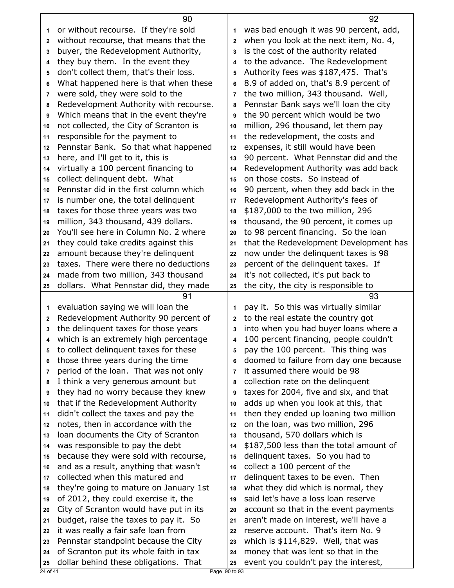|              | 90                                                                          |                | 92                                                                            |
|--------------|-----------------------------------------------------------------------------|----------------|-------------------------------------------------------------------------------|
| 1            | or without recourse. If they're sold                                        | 1              | was bad enough it was 90 percent, add,                                        |
| $\mathbf{2}$ | without recourse, that means that the                                       | $\overline{2}$ | when you look at the next item, No. 4,                                        |
| 3            | buyer, the Redevelopment Authority,                                         | 3              | is the cost of the authority related                                          |
| 4            | they buy them. In the event they                                            | 4              | to the advance. The Redevelopment                                             |
| 5            | don't collect them, that's their loss.                                      | 5              | Authority fees was \$187,475. That's                                          |
| 6            | What happened here is that when these                                       | 6              | 8.9 of added on, that's 8.9 percent of                                        |
| 7            | were sold, they were sold to the                                            | $\overline{7}$ | the two million, 343 thousand. Well,                                          |
| 8            | Redevelopment Authority with recourse.                                      | 8              | Pennstar Bank says we'll loan the city                                        |
| 9            | Which means that in the event they're                                       | 9              | the 90 percent which would be two                                             |
| 10           | not collected, the City of Scranton is                                      | 10             | million, 296 thousand, let them pay                                           |
| 11           | responsible for the payment to                                              | 11             | the redevelopment, the costs and                                              |
| 12           | Pennstar Bank. So that what happened                                        | 12             | expenses, it still would have been                                            |
| 13           | here, and I'll get to it, this is                                           | 13             | 90 percent. What Pennstar did and the                                         |
| 14           | virtually a 100 percent financing to                                        | 14             | Redevelopment Authority was add back                                          |
| 15           | collect delinquent debt. What                                               | 15             | on those costs. So instead of                                                 |
| 16           | Pennstar did in the first column which                                      | 16             | 90 percent, when they add back in the                                         |
| 17           | is number one, the total delinquent                                         | 17             | Redevelopment Authority's fees of                                             |
| 18           | taxes for those three years was two                                         | 18             | \$187,000 to the two million, 296                                             |
| 19           | million, 343 thousand, 439 dollars.                                         | 19             | thousand, the 90 percent, it comes up                                         |
| 20           | You'll see here in Column No. 2 where                                       | 20             | to 98 percent financing. So the loan                                          |
| 21           | they could take credits against this                                        | 21             | that the Redevelopment Development has                                        |
| 22           | amount because they're delinquent                                           | 22             | now under the delinquent taxes is 98                                          |
| 23           | taxes. There were there no deductions                                       | 23             | percent of the delinquent taxes. If                                           |
| 24           | made from two million, 343 thousand                                         | 24             | it's not collected, it's put back to                                          |
| 25           | dollars. What Pennstar did, they made                                       | 25             | the city, the city is responsible to                                          |
|              |                                                                             |                |                                                                               |
|              | 91                                                                          |                | 93                                                                            |
| 1            |                                                                             | 1              |                                                                               |
| $\mathbf{2}$ | evaluation saying we will loan the<br>Redevelopment Authority 90 percent of | 2              | pay it. So this was virtually similar<br>to the real estate the country got   |
| 3            | the delinquent taxes for those years                                        | 3              | into when you had buyer loans where a                                         |
| 4            | which is an extremely high percentage                                       | 4              |                                                                               |
| 5            | to collect delinquent taxes for these                                       | 5              | 100 percent financing, people couldn't                                        |
| 6            | those three years during the time                                           | 6              | pay the 100 percent. This thing was<br>doomed to failure from day one because |
| 7            | period of the loan. That was not only                                       | 7              | it assumed there would be 98                                                  |
| 8            | I think a very generous amount but                                          | 8              | collection rate on the delinguent                                             |
| 9            | they had no worry because they knew                                         | 9              | taxes for 2004, five and six, and that                                        |
| 10           | that if the Redevelopment Authority                                         | 10             | adds up when you look at this, that                                           |
| 11           | didn't collect the taxes and pay the                                        | 11             | then they ended up loaning two million                                        |
| 12           | notes, then in accordance with the                                          | 12             | on the loan, was two million, 296                                             |
| 13           | loan documents the City of Scranton                                         | 13             | thousand, 570 dollars which is                                                |
| 14           | was responsible to pay the debt                                             | 14             | \$187,500 less than the total amount of                                       |
| 15           | because they were sold with recourse,                                       | 15             | delinquent taxes. So you had to                                               |
| 16           | and as a result, anything that wasn't                                       | 16             | collect a 100 percent of the                                                  |
| 17           | collected when this matured and                                             | 17             | delinquent taxes to be even. Then                                             |
| 18           | they're going to mature on January 1st                                      | 18             | what they did which is normal, they                                           |
| 19           | of 2012, they could exercise it, the                                        | 19             | said let's have a loss loan reserve                                           |
| 20           | City of Scranton would have put in its                                      | 20             | account so that in the event payments                                         |
| 21           | budget, raise the taxes to pay it. So                                       | 21             | aren't made on interest, we'll have a                                         |
| 22           | it was really a fair safe loan from                                         | 22             | reserve account. That's item No. 9                                            |
| 23           | Pennstar standpoint because the City                                        | 23             | which is $$114,829$ . Well, that was                                          |
| 24           | of Scranton put its whole faith in tax                                      | 24             | money that was lent so that in the                                            |
| 25           | dollar behind these obligations. That                                       | 25             | event you couldn't pay the interest,                                          |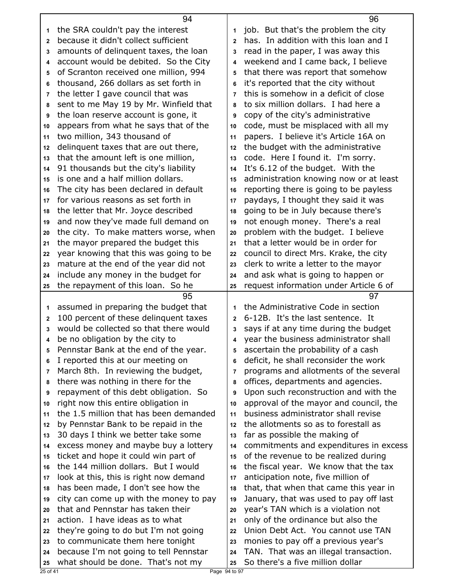|              | 94                                                                           |                | 96                                                                        |
|--------------|------------------------------------------------------------------------------|----------------|---------------------------------------------------------------------------|
| 1            | the SRA couldn't pay the interest                                            | 1              | job. But that's the problem the city                                      |
| $\mathbf{2}$ | because it didn't collect sufficient                                         | $\mathbf{2}$   | has. In addition with this loan and I                                     |
| 3            | amounts of delinquent taxes, the loan                                        | 3              | read in the paper, I was away this                                        |
| 4            | account would be debited. So the City                                        | 4              | weekend and I came back, I believe                                        |
| 5            | of Scranton received one million, 994                                        | 5              | that there was report that somehow                                        |
| 6            | thousand, 266 dollars as set forth in                                        | 6              | it's reported that the city without                                       |
| 7            | the letter I gave council that was                                           | $\overline{7}$ | this is somehow in a deficit of close                                     |
| 8            | sent to me May 19 by Mr. Winfield that                                       | 8              | to six million dollars. I had here a                                      |
| 9            | the loan reserve account is gone, it                                         | 9              | copy of the city's administrative                                         |
| 10           | appears from what he says that of the                                        | 10             | code, must be misplaced with all my                                       |
| 11           | two million, 343 thousand of                                                 | 11             | papers. I believe it's Article 16A on                                     |
| 12           | delinquent taxes that are out there,                                         | 12             | the budget with the administrative                                        |
| 13           | that the amount left is one million,                                         | 13             | code. Here I found it. I'm sorry.                                         |
| 14           | 91 thousands but the city's liability                                        | 14             | It's 6.12 of the budget. With the                                         |
| 15           | is one and a half million dollars.                                           | 15             | administration knowing now or at least                                    |
| 16           | The city has been declared in default                                        | 16             | reporting there is going to be payless                                    |
| 17           | for various reasons as set forth in                                          | 17             | paydays, I thought they said it was                                       |
| 18           | the letter that Mr. Joyce described                                          | 18             | going to be in July because there's                                       |
| 19           | and now they've made full demand on                                          | 19             | not enough money. There's a real                                          |
| 20           | the city. To make matters worse, when                                        | 20             | problem with the budget. I believe                                        |
| 21           | the mayor prepared the budget this                                           | 21             | that a letter would be in order for                                       |
| 22           | year knowing that this was going to be                                       | 22             | council to direct Mrs. Krake, the city                                    |
| 23           | mature at the end of the year did not                                        | 23             | clerk to write a letter to the mayor                                      |
| 24           | include any money in the budget for                                          | 24             | and ask what is going to happen or                                        |
|              |                                                                              |                |                                                                           |
|              |                                                                              |                |                                                                           |
| 25           | the repayment of this loan. So he                                            | 25             | request information under Article 6 of                                    |
|              | 95                                                                           |                | 97                                                                        |
| 1            | assumed in preparing the budget that                                         | 1              | the Administrative Code in section                                        |
| $\mathbf{2}$ | 100 percent of these delinquent taxes                                        | $\mathbf{2}$   | 6-12B. It's the last sentence. It                                         |
| 3            | would be collected so that there would                                       | 3              | says if at any time during the budget                                     |
| 4            | be no obligation by the city to                                              |                | year the business administrator shall                                     |
| 5            | Pennstar Bank at the end of the year.                                        | 5              | ascertain the probability of a cash                                       |
| 6            | I reported this at our meeting on                                            | 6              | deficit, he shall reconsider the work                                     |
| 7            | March 8th. In reviewing the budget,                                          | $\overline{7}$ | programs and allotments of the several                                    |
| 8            | there was nothing in there for the                                           | 8              | offices, departments and agencies.                                        |
| 9            | repayment of this debt obligation. So                                        | 9              | Upon such reconstruction and with the                                     |
| 10           | right now this entire obligation in                                          | 10             | approval of the mayor and council, the                                    |
| 11           | the 1.5 million that has been demanded                                       | 11             | business administrator shall revise                                       |
| 12           | by Pennstar Bank to be repaid in the                                         | 12             | the allotments so as to forestall as                                      |
| 13           | 30 days I think we better take some                                          | 13             | far as possible the making of                                             |
| 14           | excess money and maybe buy a lottery                                         | 14             | commitments and expenditures in excess                                    |
| 15           | ticket and hope it could win part of                                         | 15             | of the revenue to be realized during                                      |
| 16           | the 144 million dollars. But I would                                         | 16             | the fiscal year. We know that the tax                                     |
| 17           | look at this, this is right now demand                                       | 17             | anticipation note, five million of                                        |
| 18           | has been made, I don't see how the                                           | 18             | that, that when that came this year in                                    |
| 19           | city can come up with the money to pay                                       | 19             | January, that was used to pay off last                                    |
| 20           | that and Pennstar has taken their                                            | 20             | year's TAN which is a violation not                                       |
| 21           | action. I have ideas as to what                                              | 21             | only of the ordinance but also the                                        |
| 22           | they're going to do but I'm not going                                        | 22             | Union Debt Act. You cannot use TAN                                        |
| 23           | to communicate them here tonight                                             | 23             | monies to pay off a previous year's                                       |
| 24<br>25     | because I'm not going to tell Pennstar<br>what should be done. That's not my | 24<br>25       | TAN. That was an illegal transaction.<br>So there's a five million dollar |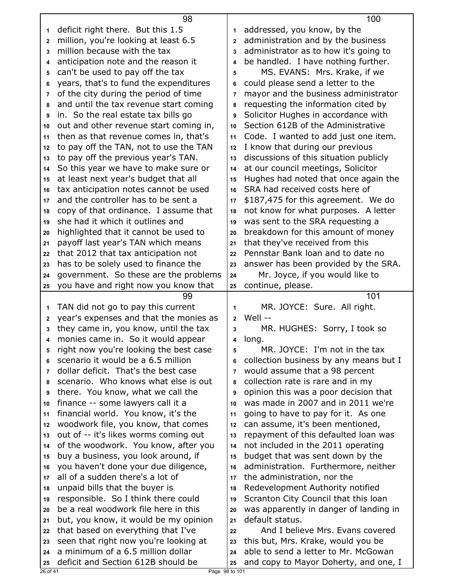| deficit right there. But this 1.5<br>addressed, you know, by the<br>1<br>1<br>administration and by the business<br>million, you're looking at least 6.5<br>$\overline{2}$<br>$\mathbf{2}$<br>million because with the tax<br>administrator as to how it's going to<br>3<br>3<br>be handled. I have nothing further.<br>anticipation note and the reason it<br>$\overline{\mathbf{4}}$<br>4<br>can't be used to pay off the tax<br>MS. EVANS: Mrs. Krake, if we<br>5<br>5<br>years, that's to fund the expenditures<br>could please send a letter to the<br>6<br>6<br>of the city during the period of time<br>mayor and the business administrator<br>7<br>$\overline{7}$<br>and until the tax revenue start coming<br>requesting the information cited by<br>8<br>8<br>in. So the real estate tax bills go<br>Solicitor Hughes in accordance with<br>9<br>9<br>Section 612B of the Administrative<br>out and other revenue start coming in,<br>10<br>10<br>then as that revenue comes in, that's<br>Code. I wanted to add just one item.<br>11<br>11<br>to pay off the TAN, not to use the TAN<br>I know that during our previous<br>12<br>12<br>to pay off the previous year's TAN.<br>discussions of this situation publicly<br>13<br>13<br>So this year we have to make sure or<br>at our council meetings, Solicitor<br>14<br>14<br>Hughes had noted that once again the<br>at least next year's budget that all<br>15<br>15<br>tax anticipation notes cannot be used<br>SRA had received costs here of<br>16<br>16<br>and the controller has to be sent a<br>\$187,475 for this agreement. We do<br>17<br>17<br>copy of that ordinance. I assume that<br>not know for what purposes. A letter<br>18<br>18<br>she had it which it outlines and<br>was sent to the SRA requesting a<br>19<br>19<br>breakdown for this amount of money<br>highlighted that it cannot be used to<br>20<br>20<br>payoff last year's TAN which means<br>that they've received from this<br>21<br>21<br>Pennstar Bank loan and to date no<br>that 2012 that tax anticipation not<br>22<br>22<br>has to be solely used to finance the<br>answer has been provided by the SRA.<br>23<br>23<br>government. So these are the problems<br>Mr. Joyce, if you would like to<br>24<br>24<br>you have and right now you know that<br>continue, please.<br>25<br>25<br>101<br>99<br>TAN did not go to pay this current<br>MR. JOYCE: Sure. All right.<br>1<br>1<br>year's expenses and that the monies as<br>Well --<br>$\overline{2}$<br>$\mathbf 2$<br>they came in, you know, until the tax<br>MR. HUGHES: Sorry, I took so<br>3<br>3<br>monies came in. So it would appear<br>long.<br>4<br>4<br>right now you're looking the best case<br>MR. JOYCE: I'm not in the tax<br>5<br>5<br>scenario it would be a 6.5 million<br>collection business by any means but I<br>6<br>6<br>dollar deficit. That's the best case<br>would assume that a 98 percent<br>$\overline{7}$<br>7<br>scenario. Who knows what else is out<br>collection rate is rare and in my<br>8<br>8<br>there. You know, what we call the<br>opinion this was a poor decision that<br>9<br>9<br>was made in 2007 and in 2011 we're<br>finance -- some lawyers call it a<br>10<br>10<br>financial world. You know, it's the<br>going to have to pay for it. As one<br>11<br>11<br>woodwork file, you know, that comes<br>can assume, it's been mentioned,<br>12<br>12<br>out of -- it's likes worms coming out<br>repayment of this defaulted loan was<br>13<br>13<br>of the woodwork. You know, after you<br>not included in the 2011 operating<br>14<br>14<br>buy a business, you look around, if<br>budget that was sent down by the<br>15<br>15<br>you haven't done your due diligence,<br>administration. Furthermore, neither<br>16<br>16<br>all of a sudden there's a lot of<br>the administration, nor the<br>17<br>17<br>Redevelopment Authority notified<br>unpaid bills that the buyer is<br>18<br>18<br>responsible. So I think there could<br>Scranton City Council that this loan<br>19<br>19<br>be a real woodwork file here in this<br>was apparently in danger of landing in<br>20<br>20<br>but, you know, it would be my opinion<br>default status.<br>21<br>21<br>that based on everything that I've<br>And I believe Mrs. Evans covered<br>22<br>22<br>seen that right now you're looking at<br>this but, Mrs. Krake, would you be<br>23<br>23<br>a minimum of a 6.5 million dollar<br>able to send a letter to Mr. McGowan<br>24<br>24<br>deficit and Section 612B should be<br>and copy to Mayor Doherty, and one, I<br>25<br>25<br>Page 98 to 101<br>26 of 41 | 98 | 100 |
|-------------------------------------------------------------------------------------------------------------------------------------------------------------------------------------------------------------------------------------------------------------------------------------------------------------------------------------------------------------------------------------------------------------------------------------------------------------------------------------------------------------------------------------------------------------------------------------------------------------------------------------------------------------------------------------------------------------------------------------------------------------------------------------------------------------------------------------------------------------------------------------------------------------------------------------------------------------------------------------------------------------------------------------------------------------------------------------------------------------------------------------------------------------------------------------------------------------------------------------------------------------------------------------------------------------------------------------------------------------------------------------------------------------------------------------------------------------------------------------------------------------------------------------------------------------------------------------------------------------------------------------------------------------------------------------------------------------------------------------------------------------------------------------------------------------------------------------------------------------------------------------------------------------------------------------------------------------------------------------------------------------------------------------------------------------------------------------------------------------------------------------------------------------------------------------------------------------------------------------------------------------------------------------------------------------------------------------------------------------------------------------------------------------------------------------------------------------------------------------------------------------------------------------------------------------------------------------------------------------------------------------------------------------------------------------------------------------------------------------------------------------------------------------------------------------------------------------------------------------------------------------------------------------------------------------------------------------------------------------------------------------------------------------------------------------------------------------------------------------------------------------------------------------------------------------------------------------------------------------------------------------------------------------------------------------------------------------------------------------------------------------------------------------------------------------------------------------------------------------------------------------------------------------------------------------------------------------------------------------------------------------------------------------------------------------------------------------------------------------------------------------------------------------------------------------------------------------------------------------------------------------------------------------------------------------------------------------------------------------------------------------------------------------------------------------------------------------------------------------------------------------------------------------------------------------------------------------------------------------------------------------------------------------------------------------------------------------------------------------------------------------------------------------------------------------------------------------------------------------------------------------------------------------------------------------------------------------------------------------------------------|----|-----|
|                                                                                                                                                                                                                                                                                                                                                                                                                                                                                                                                                                                                                                                                                                                                                                                                                                                                                                                                                                                                                                                                                                                                                                                                                                                                                                                                                                                                                                                                                                                                                                                                                                                                                                                                                                                                                                                                                                                                                                                                                                                                                                                                                                                                                                                                                                                                                                                                                                                                                                                                                                                                                                                                                                                                                                                                                                                                                                                                                                                                                                                                                                                                                                                                                                                                                                                                                                                                                                                                                                                                                                                                                                                                                                                                                                                                                                                                                                                                                                                                                                                                                                                                                                                                                                                                                                                                                                                                                                                                                                                                                                                                                               |    |     |
|                                                                                                                                                                                                                                                                                                                                                                                                                                                                                                                                                                                                                                                                                                                                                                                                                                                                                                                                                                                                                                                                                                                                                                                                                                                                                                                                                                                                                                                                                                                                                                                                                                                                                                                                                                                                                                                                                                                                                                                                                                                                                                                                                                                                                                                                                                                                                                                                                                                                                                                                                                                                                                                                                                                                                                                                                                                                                                                                                                                                                                                                                                                                                                                                                                                                                                                                                                                                                                                                                                                                                                                                                                                                                                                                                                                                                                                                                                                                                                                                                                                                                                                                                                                                                                                                                                                                                                                                                                                                                                                                                                                                                               |    |     |
|                                                                                                                                                                                                                                                                                                                                                                                                                                                                                                                                                                                                                                                                                                                                                                                                                                                                                                                                                                                                                                                                                                                                                                                                                                                                                                                                                                                                                                                                                                                                                                                                                                                                                                                                                                                                                                                                                                                                                                                                                                                                                                                                                                                                                                                                                                                                                                                                                                                                                                                                                                                                                                                                                                                                                                                                                                                                                                                                                                                                                                                                                                                                                                                                                                                                                                                                                                                                                                                                                                                                                                                                                                                                                                                                                                                                                                                                                                                                                                                                                                                                                                                                                                                                                                                                                                                                                                                                                                                                                                                                                                                                                               |    |     |
|                                                                                                                                                                                                                                                                                                                                                                                                                                                                                                                                                                                                                                                                                                                                                                                                                                                                                                                                                                                                                                                                                                                                                                                                                                                                                                                                                                                                                                                                                                                                                                                                                                                                                                                                                                                                                                                                                                                                                                                                                                                                                                                                                                                                                                                                                                                                                                                                                                                                                                                                                                                                                                                                                                                                                                                                                                                                                                                                                                                                                                                                                                                                                                                                                                                                                                                                                                                                                                                                                                                                                                                                                                                                                                                                                                                                                                                                                                                                                                                                                                                                                                                                                                                                                                                                                                                                                                                                                                                                                                                                                                                                                               |    |     |
|                                                                                                                                                                                                                                                                                                                                                                                                                                                                                                                                                                                                                                                                                                                                                                                                                                                                                                                                                                                                                                                                                                                                                                                                                                                                                                                                                                                                                                                                                                                                                                                                                                                                                                                                                                                                                                                                                                                                                                                                                                                                                                                                                                                                                                                                                                                                                                                                                                                                                                                                                                                                                                                                                                                                                                                                                                                                                                                                                                                                                                                                                                                                                                                                                                                                                                                                                                                                                                                                                                                                                                                                                                                                                                                                                                                                                                                                                                                                                                                                                                                                                                                                                                                                                                                                                                                                                                                                                                                                                                                                                                                                                               |    |     |
|                                                                                                                                                                                                                                                                                                                                                                                                                                                                                                                                                                                                                                                                                                                                                                                                                                                                                                                                                                                                                                                                                                                                                                                                                                                                                                                                                                                                                                                                                                                                                                                                                                                                                                                                                                                                                                                                                                                                                                                                                                                                                                                                                                                                                                                                                                                                                                                                                                                                                                                                                                                                                                                                                                                                                                                                                                                                                                                                                                                                                                                                                                                                                                                                                                                                                                                                                                                                                                                                                                                                                                                                                                                                                                                                                                                                                                                                                                                                                                                                                                                                                                                                                                                                                                                                                                                                                                                                                                                                                                                                                                                                                               |    |     |
|                                                                                                                                                                                                                                                                                                                                                                                                                                                                                                                                                                                                                                                                                                                                                                                                                                                                                                                                                                                                                                                                                                                                                                                                                                                                                                                                                                                                                                                                                                                                                                                                                                                                                                                                                                                                                                                                                                                                                                                                                                                                                                                                                                                                                                                                                                                                                                                                                                                                                                                                                                                                                                                                                                                                                                                                                                                                                                                                                                                                                                                                                                                                                                                                                                                                                                                                                                                                                                                                                                                                                                                                                                                                                                                                                                                                                                                                                                                                                                                                                                                                                                                                                                                                                                                                                                                                                                                                                                                                                                                                                                                                                               |    |     |
|                                                                                                                                                                                                                                                                                                                                                                                                                                                                                                                                                                                                                                                                                                                                                                                                                                                                                                                                                                                                                                                                                                                                                                                                                                                                                                                                                                                                                                                                                                                                                                                                                                                                                                                                                                                                                                                                                                                                                                                                                                                                                                                                                                                                                                                                                                                                                                                                                                                                                                                                                                                                                                                                                                                                                                                                                                                                                                                                                                                                                                                                                                                                                                                                                                                                                                                                                                                                                                                                                                                                                                                                                                                                                                                                                                                                                                                                                                                                                                                                                                                                                                                                                                                                                                                                                                                                                                                                                                                                                                                                                                                                                               |    |     |
|                                                                                                                                                                                                                                                                                                                                                                                                                                                                                                                                                                                                                                                                                                                                                                                                                                                                                                                                                                                                                                                                                                                                                                                                                                                                                                                                                                                                                                                                                                                                                                                                                                                                                                                                                                                                                                                                                                                                                                                                                                                                                                                                                                                                                                                                                                                                                                                                                                                                                                                                                                                                                                                                                                                                                                                                                                                                                                                                                                                                                                                                                                                                                                                                                                                                                                                                                                                                                                                                                                                                                                                                                                                                                                                                                                                                                                                                                                                                                                                                                                                                                                                                                                                                                                                                                                                                                                                                                                                                                                                                                                                                                               |    |     |
|                                                                                                                                                                                                                                                                                                                                                                                                                                                                                                                                                                                                                                                                                                                                                                                                                                                                                                                                                                                                                                                                                                                                                                                                                                                                                                                                                                                                                                                                                                                                                                                                                                                                                                                                                                                                                                                                                                                                                                                                                                                                                                                                                                                                                                                                                                                                                                                                                                                                                                                                                                                                                                                                                                                                                                                                                                                                                                                                                                                                                                                                                                                                                                                                                                                                                                                                                                                                                                                                                                                                                                                                                                                                                                                                                                                                                                                                                                                                                                                                                                                                                                                                                                                                                                                                                                                                                                                                                                                                                                                                                                                                                               |    |     |
|                                                                                                                                                                                                                                                                                                                                                                                                                                                                                                                                                                                                                                                                                                                                                                                                                                                                                                                                                                                                                                                                                                                                                                                                                                                                                                                                                                                                                                                                                                                                                                                                                                                                                                                                                                                                                                                                                                                                                                                                                                                                                                                                                                                                                                                                                                                                                                                                                                                                                                                                                                                                                                                                                                                                                                                                                                                                                                                                                                                                                                                                                                                                                                                                                                                                                                                                                                                                                                                                                                                                                                                                                                                                                                                                                                                                                                                                                                                                                                                                                                                                                                                                                                                                                                                                                                                                                                                                                                                                                                                                                                                                                               |    |     |
|                                                                                                                                                                                                                                                                                                                                                                                                                                                                                                                                                                                                                                                                                                                                                                                                                                                                                                                                                                                                                                                                                                                                                                                                                                                                                                                                                                                                                                                                                                                                                                                                                                                                                                                                                                                                                                                                                                                                                                                                                                                                                                                                                                                                                                                                                                                                                                                                                                                                                                                                                                                                                                                                                                                                                                                                                                                                                                                                                                                                                                                                                                                                                                                                                                                                                                                                                                                                                                                                                                                                                                                                                                                                                                                                                                                                                                                                                                                                                                                                                                                                                                                                                                                                                                                                                                                                                                                                                                                                                                                                                                                                                               |    |     |
|                                                                                                                                                                                                                                                                                                                                                                                                                                                                                                                                                                                                                                                                                                                                                                                                                                                                                                                                                                                                                                                                                                                                                                                                                                                                                                                                                                                                                                                                                                                                                                                                                                                                                                                                                                                                                                                                                                                                                                                                                                                                                                                                                                                                                                                                                                                                                                                                                                                                                                                                                                                                                                                                                                                                                                                                                                                                                                                                                                                                                                                                                                                                                                                                                                                                                                                                                                                                                                                                                                                                                                                                                                                                                                                                                                                                                                                                                                                                                                                                                                                                                                                                                                                                                                                                                                                                                                                                                                                                                                                                                                                                                               |    |     |
|                                                                                                                                                                                                                                                                                                                                                                                                                                                                                                                                                                                                                                                                                                                                                                                                                                                                                                                                                                                                                                                                                                                                                                                                                                                                                                                                                                                                                                                                                                                                                                                                                                                                                                                                                                                                                                                                                                                                                                                                                                                                                                                                                                                                                                                                                                                                                                                                                                                                                                                                                                                                                                                                                                                                                                                                                                                                                                                                                                                                                                                                                                                                                                                                                                                                                                                                                                                                                                                                                                                                                                                                                                                                                                                                                                                                                                                                                                                                                                                                                                                                                                                                                                                                                                                                                                                                                                                                                                                                                                                                                                                                                               |    |     |
|                                                                                                                                                                                                                                                                                                                                                                                                                                                                                                                                                                                                                                                                                                                                                                                                                                                                                                                                                                                                                                                                                                                                                                                                                                                                                                                                                                                                                                                                                                                                                                                                                                                                                                                                                                                                                                                                                                                                                                                                                                                                                                                                                                                                                                                                                                                                                                                                                                                                                                                                                                                                                                                                                                                                                                                                                                                                                                                                                                                                                                                                                                                                                                                                                                                                                                                                                                                                                                                                                                                                                                                                                                                                                                                                                                                                                                                                                                                                                                                                                                                                                                                                                                                                                                                                                                                                                                                                                                                                                                                                                                                                                               |    |     |
|                                                                                                                                                                                                                                                                                                                                                                                                                                                                                                                                                                                                                                                                                                                                                                                                                                                                                                                                                                                                                                                                                                                                                                                                                                                                                                                                                                                                                                                                                                                                                                                                                                                                                                                                                                                                                                                                                                                                                                                                                                                                                                                                                                                                                                                                                                                                                                                                                                                                                                                                                                                                                                                                                                                                                                                                                                                                                                                                                                                                                                                                                                                                                                                                                                                                                                                                                                                                                                                                                                                                                                                                                                                                                                                                                                                                                                                                                                                                                                                                                                                                                                                                                                                                                                                                                                                                                                                                                                                                                                                                                                                                                               |    |     |
|                                                                                                                                                                                                                                                                                                                                                                                                                                                                                                                                                                                                                                                                                                                                                                                                                                                                                                                                                                                                                                                                                                                                                                                                                                                                                                                                                                                                                                                                                                                                                                                                                                                                                                                                                                                                                                                                                                                                                                                                                                                                                                                                                                                                                                                                                                                                                                                                                                                                                                                                                                                                                                                                                                                                                                                                                                                                                                                                                                                                                                                                                                                                                                                                                                                                                                                                                                                                                                                                                                                                                                                                                                                                                                                                                                                                                                                                                                                                                                                                                                                                                                                                                                                                                                                                                                                                                                                                                                                                                                                                                                                                                               |    |     |
|                                                                                                                                                                                                                                                                                                                                                                                                                                                                                                                                                                                                                                                                                                                                                                                                                                                                                                                                                                                                                                                                                                                                                                                                                                                                                                                                                                                                                                                                                                                                                                                                                                                                                                                                                                                                                                                                                                                                                                                                                                                                                                                                                                                                                                                                                                                                                                                                                                                                                                                                                                                                                                                                                                                                                                                                                                                                                                                                                                                                                                                                                                                                                                                                                                                                                                                                                                                                                                                                                                                                                                                                                                                                                                                                                                                                                                                                                                                                                                                                                                                                                                                                                                                                                                                                                                                                                                                                                                                                                                                                                                                                                               |    |     |
|                                                                                                                                                                                                                                                                                                                                                                                                                                                                                                                                                                                                                                                                                                                                                                                                                                                                                                                                                                                                                                                                                                                                                                                                                                                                                                                                                                                                                                                                                                                                                                                                                                                                                                                                                                                                                                                                                                                                                                                                                                                                                                                                                                                                                                                                                                                                                                                                                                                                                                                                                                                                                                                                                                                                                                                                                                                                                                                                                                                                                                                                                                                                                                                                                                                                                                                                                                                                                                                                                                                                                                                                                                                                                                                                                                                                                                                                                                                                                                                                                                                                                                                                                                                                                                                                                                                                                                                                                                                                                                                                                                                                                               |    |     |
|                                                                                                                                                                                                                                                                                                                                                                                                                                                                                                                                                                                                                                                                                                                                                                                                                                                                                                                                                                                                                                                                                                                                                                                                                                                                                                                                                                                                                                                                                                                                                                                                                                                                                                                                                                                                                                                                                                                                                                                                                                                                                                                                                                                                                                                                                                                                                                                                                                                                                                                                                                                                                                                                                                                                                                                                                                                                                                                                                                                                                                                                                                                                                                                                                                                                                                                                                                                                                                                                                                                                                                                                                                                                                                                                                                                                                                                                                                                                                                                                                                                                                                                                                                                                                                                                                                                                                                                                                                                                                                                                                                                                                               |    |     |
|                                                                                                                                                                                                                                                                                                                                                                                                                                                                                                                                                                                                                                                                                                                                                                                                                                                                                                                                                                                                                                                                                                                                                                                                                                                                                                                                                                                                                                                                                                                                                                                                                                                                                                                                                                                                                                                                                                                                                                                                                                                                                                                                                                                                                                                                                                                                                                                                                                                                                                                                                                                                                                                                                                                                                                                                                                                                                                                                                                                                                                                                                                                                                                                                                                                                                                                                                                                                                                                                                                                                                                                                                                                                                                                                                                                                                                                                                                                                                                                                                                                                                                                                                                                                                                                                                                                                                                                                                                                                                                                                                                                                                               |    |     |
|                                                                                                                                                                                                                                                                                                                                                                                                                                                                                                                                                                                                                                                                                                                                                                                                                                                                                                                                                                                                                                                                                                                                                                                                                                                                                                                                                                                                                                                                                                                                                                                                                                                                                                                                                                                                                                                                                                                                                                                                                                                                                                                                                                                                                                                                                                                                                                                                                                                                                                                                                                                                                                                                                                                                                                                                                                                                                                                                                                                                                                                                                                                                                                                                                                                                                                                                                                                                                                                                                                                                                                                                                                                                                                                                                                                                                                                                                                                                                                                                                                                                                                                                                                                                                                                                                                                                                                                                                                                                                                                                                                                                                               |    |     |
|                                                                                                                                                                                                                                                                                                                                                                                                                                                                                                                                                                                                                                                                                                                                                                                                                                                                                                                                                                                                                                                                                                                                                                                                                                                                                                                                                                                                                                                                                                                                                                                                                                                                                                                                                                                                                                                                                                                                                                                                                                                                                                                                                                                                                                                                                                                                                                                                                                                                                                                                                                                                                                                                                                                                                                                                                                                                                                                                                                                                                                                                                                                                                                                                                                                                                                                                                                                                                                                                                                                                                                                                                                                                                                                                                                                                                                                                                                                                                                                                                                                                                                                                                                                                                                                                                                                                                                                                                                                                                                                                                                                                                               |    |     |
|                                                                                                                                                                                                                                                                                                                                                                                                                                                                                                                                                                                                                                                                                                                                                                                                                                                                                                                                                                                                                                                                                                                                                                                                                                                                                                                                                                                                                                                                                                                                                                                                                                                                                                                                                                                                                                                                                                                                                                                                                                                                                                                                                                                                                                                                                                                                                                                                                                                                                                                                                                                                                                                                                                                                                                                                                                                                                                                                                                                                                                                                                                                                                                                                                                                                                                                                                                                                                                                                                                                                                                                                                                                                                                                                                                                                                                                                                                                                                                                                                                                                                                                                                                                                                                                                                                                                                                                                                                                                                                                                                                                                                               |    |     |
|                                                                                                                                                                                                                                                                                                                                                                                                                                                                                                                                                                                                                                                                                                                                                                                                                                                                                                                                                                                                                                                                                                                                                                                                                                                                                                                                                                                                                                                                                                                                                                                                                                                                                                                                                                                                                                                                                                                                                                                                                                                                                                                                                                                                                                                                                                                                                                                                                                                                                                                                                                                                                                                                                                                                                                                                                                                                                                                                                                                                                                                                                                                                                                                                                                                                                                                                                                                                                                                                                                                                                                                                                                                                                                                                                                                                                                                                                                                                                                                                                                                                                                                                                                                                                                                                                                                                                                                                                                                                                                                                                                                                                               |    |     |
|                                                                                                                                                                                                                                                                                                                                                                                                                                                                                                                                                                                                                                                                                                                                                                                                                                                                                                                                                                                                                                                                                                                                                                                                                                                                                                                                                                                                                                                                                                                                                                                                                                                                                                                                                                                                                                                                                                                                                                                                                                                                                                                                                                                                                                                                                                                                                                                                                                                                                                                                                                                                                                                                                                                                                                                                                                                                                                                                                                                                                                                                                                                                                                                                                                                                                                                                                                                                                                                                                                                                                                                                                                                                                                                                                                                                                                                                                                                                                                                                                                                                                                                                                                                                                                                                                                                                                                                                                                                                                                                                                                                                                               |    |     |
|                                                                                                                                                                                                                                                                                                                                                                                                                                                                                                                                                                                                                                                                                                                                                                                                                                                                                                                                                                                                                                                                                                                                                                                                                                                                                                                                                                                                                                                                                                                                                                                                                                                                                                                                                                                                                                                                                                                                                                                                                                                                                                                                                                                                                                                                                                                                                                                                                                                                                                                                                                                                                                                                                                                                                                                                                                                                                                                                                                                                                                                                                                                                                                                                                                                                                                                                                                                                                                                                                                                                                                                                                                                                                                                                                                                                                                                                                                                                                                                                                                                                                                                                                                                                                                                                                                                                                                                                                                                                                                                                                                                                                               |    |     |
|                                                                                                                                                                                                                                                                                                                                                                                                                                                                                                                                                                                                                                                                                                                                                                                                                                                                                                                                                                                                                                                                                                                                                                                                                                                                                                                                                                                                                                                                                                                                                                                                                                                                                                                                                                                                                                                                                                                                                                                                                                                                                                                                                                                                                                                                                                                                                                                                                                                                                                                                                                                                                                                                                                                                                                                                                                                                                                                                                                                                                                                                                                                                                                                                                                                                                                                                                                                                                                                                                                                                                                                                                                                                                                                                                                                                                                                                                                                                                                                                                                                                                                                                                                                                                                                                                                                                                                                                                                                                                                                                                                                                                               |    |     |
|                                                                                                                                                                                                                                                                                                                                                                                                                                                                                                                                                                                                                                                                                                                                                                                                                                                                                                                                                                                                                                                                                                                                                                                                                                                                                                                                                                                                                                                                                                                                                                                                                                                                                                                                                                                                                                                                                                                                                                                                                                                                                                                                                                                                                                                                                                                                                                                                                                                                                                                                                                                                                                                                                                                                                                                                                                                                                                                                                                                                                                                                                                                                                                                                                                                                                                                                                                                                                                                                                                                                                                                                                                                                                                                                                                                                                                                                                                                                                                                                                                                                                                                                                                                                                                                                                                                                                                                                                                                                                                                                                                                                                               |    |     |
|                                                                                                                                                                                                                                                                                                                                                                                                                                                                                                                                                                                                                                                                                                                                                                                                                                                                                                                                                                                                                                                                                                                                                                                                                                                                                                                                                                                                                                                                                                                                                                                                                                                                                                                                                                                                                                                                                                                                                                                                                                                                                                                                                                                                                                                                                                                                                                                                                                                                                                                                                                                                                                                                                                                                                                                                                                                                                                                                                                                                                                                                                                                                                                                                                                                                                                                                                                                                                                                                                                                                                                                                                                                                                                                                                                                                                                                                                                                                                                                                                                                                                                                                                                                                                                                                                                                                                                                                                                                                                                                                                                                                                               |    |     |
|                                                                                                                                                                                                                                                                                                                                                                                                                                                                                                                                                                                                                                                                                                                                                                                                                                                                                                                                                                                                                                                                                                                                                                                                                                                                                                                                                                                                                                                                                                                                                                                                                                                                                                                                                                                                                                                                                                                                                                                                                                                                                                                                                                                                                                                                                                                                                                                                                                                                                                                                                                                                                                                                                                                                                                                                                                                                                                                                                                                                                                                                                                                                                                                                                                                                                                                                                                                                                                                                                                                                                                                                                                                                                                                                                                                                                                                                                                                                                                                                                                                                                                                                                                                                                                                                                                                                                                                                                                                                                                                                                                                                                               |    |     |
|                                                                                                                                                                                                                                                                                                                                                                                                                                                                                                                                                                                                                                                                                                                                                                                                                                                                                                                                                                                                                                                                                                                                                                                                                                                                                                                                                                                                                                                                                                                                                                                                                                                                                                                                                                                                                                                                                                                                                                                                                                                                                                                                                                                                                                                                                                                                                                                                                                                                                                                                                                                                                                                                                                                                                                                                                                                                                                                                                                                                                                                                                                                                                                                                                                                                                                                                                                                                                                                                                                                                                                                                                                                                                                                                                                                                                                                                                                                                                                                                                                                                                                                                                                                                                                                                                                                                                                                                                                                                                                                                                                                                                               |    |     |
|                                                                                                                                                                                                                                                                                                                                                                                                                                                                                                                                                                                                                                                                                                                                                                                                                                                                                                                                                                                                                                                                                                                                                                                                                                                                                                                                                                                                                                                                                                                                                                                                                                                                                                                                                                                                                                                                                                                                                                                                                                                                                                                                                                                                                                                                                                                                                                                                                                                                                                                                                                                                                                                                                                                                                                                                                                                                                                                                                                                                                                                                                                                                                                                                                                                                                                                                                                                                                                                                                                                                                                                                                                                                                                                                                                                                                                                                                                                                                                                                                                                                                                                                                                                                                                                                                                                                                                                                                                                                                                                                                                                                                               |    |     |
|                                                                                                                                                                                                                                                                                                                                                                                                                                                                                                                                                                                                                                                                                                                                                                                                                                                                                                                                                                                                                                                                                                                                                                                                                                                                                                                                                                                                                                                                                                                                                                                                                                                                                                                                                                                                                                                                                                                                                                                                                                                                                                                                                                                                                                                                                                                                                                                                                                                                                                                                                                                                                                                                                                                                                                                                                                                                                                                                                                                                                                                                                                                                                                                                                                                                                                                                                                                                                                                                                                                                                                                                                                                                                                                                                                                                                                                                                                                                                                                                                                                                                                                                                                                                                                                                                                                                                                                                                                                                                                                                                                                                                               |    |     |
|                                                                                                                                                                                                                                                                                                                                                                                                                                                                                                                                                                                                                                                                                                                                                                                                                                                                                                                                                                                                                                                                                                                                                                                                                                                                                                                                                                                                                                                                                                                                                                                                                                                                                                                                                                                                                                                                                                                                                                                                                                                                                                                                                                                                                                                                                                                                                                                                                                                                                                                                                                                                                                                                                                                                                                                                                                                                                                                                                                                                                                                                                                                                                                                                                                                                                                                                                                                                                                                                                                                                                                                                                                                                                                                                                                                                                                                                                                                                                                                                                                                                                                                                                                                                                                                                                                                                                                                                                                                                                                                                                                                                                               |    |     |
|                                                                                                                                                                                                                                                                                                                                                                                                                                                                                                                                                                                                                                                                                                                                                                                                                                                                                                                                                                                                                                                                                                                                                                                                                                                                                                                                                                                                                                                                                                                                                                                                                                                                                                                                                                                                                                                                                                                                                                                                                                                                                                                                                                                                                                                                                                                                                                                                                                                                                                                                                                                                                                                                                                                                                                                                                                                                                                                                                                                                                                                                                                                                                                                                                                                                                                                                                                                                                                                                                                                                                                                                                                                                                                                                                                                                                                                                                                                                                                                                                                                                                                                                                                                                                                                                                                                                                                                                                                                                                                                                                                                                                               |    |     |
|                                                                                                                                                                                                                                                                                                                                                                                                                                                                                                                                                                                                                                                                                                                                                                                                                                                                                                                                                                                                                                                                                                                                                                                                                                                                                                                                                                                                                                                                                                                                                                                                                                                                                                                                                                                                                                                                                                                                                                                                                                                                                                                                                                                                                                                                                                                                                                                                                                                                                                                                                                                                                                                                                                                                                                                                                                                                                                                                                                                                                                                                                                                                                                                                                                                                                                                                                                                                                                                                                                                                                                                                                                                                                                                                                                                                                                                                                                                                                                                                                                                                                                                                                                                                                                                                                                                                                                                                                                                                                                                                                                                                                               |    |     |
|                                                                                                                                                                                                                                                                                                                                                                                                                                                                                                                                                                                                                                                                                                                                                                                                                                                                                                                                                                                                                                                                                                                                                                                                                                                                                                                                                                                                                                                                                                                                                                                                                                                                                                                                                                                                                                                                                                                                                                                                                                                                                                                                                                                                                                                                                                                                                                                                                                                                                                                                                                                                                                                                                                                                                                                                                                                                                                                                                                                                                                                                                                                                                                                                                                                                                                                                                                                                                                                                                                                                                                                                                                                                                                                                                                                                                                                                                                                                                                                                                                                                                                                                                                                                                                                                                                                                                                                                                                                                                                                                                                                                                               |    |     |
|                                                                                                                                                                                                                                                                                                                                                                                                                                                                                                                                                                                                                                                                                                                                                                                                                                                                                                                                                                                                                                                                                                                                                                                                                                                                                                                                                                                                                                                                                                                                                                                                                                                                                                                                                                                                                                                                                                                                                                                                                                                                                                                                                                                                                                                                                                                                                                                                                                                                                                                                                                                                                                                                                                                                                                                                                                                                                                                                                                                                                                                                                                                                                                                                                                                                                                                                                                                                                                                                                                                                                                                                                                                                                                                                                                                                                                                                                                                                                                                                                                                                                                                                                                                                                                                                                                                                                                                                                                                                                                                                                                                                                               |    |     |
|                                                                                                                                                                                                                                                                                                                                                                                                                                                                                                                                                                                                                                                                                                                                                                                                                                                                                                                                                                                                                                                                                                                                                                                                                                                                                                                                                                                                                                                                                                                                                                                                                                                                                                                                                                                                                                                                                                                                                                                                                                                                                                                                                                                                                                                                                                                                                                                                                                                                                                                                                                                                                                                                                                                                                                                                                                                                                                                                                                                                                                                                                                                                                                                                                                                                                                                                                                                                                                                                                                                                                                                                                                                                                                                                                                                                                                                                                                                                                                                                                                                                                                                                                                                                                                                                                                                                                                                                                                                                                                                                                                                                                               |    |     |
|                                                                                                                                                                                                                                                                                                                                                                                                                                                                                                                                                                                                                                                                                                                                                                                                                                                                                                                                                                                                                                                                                                                                                                                                                                                                                                                                                                                                                                                                                                                                                                                                                                                                                                                                                                                                                                                                                                                                                                                                                                                                                                                                                                                                                                                                                                                                                                                                                                                                                                                                                                                                                                                                                                                                                                                                                                                                                                                                                                                                                                                                                                                                                                                                                                                                                                                                                                                                                                                                                                                                                                                                                                                                                                                                                                                                                                                                                                                                                                                                                                                                                                                                                                                                                                                                                                                                                                                                                                                                                                                                                                                                                               |    |     |
|                                                                                                                                                                                                                                                                                                                                                                                                                                                                                                                                                                                                                                                                                                                                                                                                                                                                                                                                                                                                                                                                                                                                                                                                                                                                                                                                                                                                                                                                                                                                                                                                                                                                                                                                                                                                                                                                                                                                                                                                                                                                                                                                                                                                                                                                                                                                                                                                                                                                                                                                                                                                                                                                                                                                                                                                                                                                                                                                                                                                                                                                                                                                                                                                                                                                                                                                                                                                                                                                                                                                                                                                                                                                                                                                                                                                                                                                                                                                                                                                                                                                                                                                                                                                                                                                                                                                                                                                                                                                                                                                                                                                                               |    |     |
|                                                                                                                                                                                                                                                                                                                                                                                                                                                                                                                                                                                                                                                                                                                                                                                                                                                                                                                                                                                                                                                                                                                                                                                                                                                                                                                                                                                                                                                                                                                                                                                                                                                                                                                                                                                                                                                                                                                                                                                                                                                                                                                                                                                                                                                                                                                                                                                                                                                                                                                                                                                                                                                                                                                                                                                                                                                                                                                                                                                                                                                                                                                                                                                                                                                                                                                                                                                                                                                                                                                                                                                                                                                                                                                                                                                                                                                                                                                                                                                                                                                                                                                                                                                                                                                                                                                                                                                                                                                                                                                                                                                                                               |    |     |
|                                                                                                                                                                                                                                                                                                                                                                                                                                                                                                                                                                                                                                                                                                                                                                                                                                                                                                                                                                                                                                                                                                                                                                                                                                                                                                                                                                                                                                                                                                                                                                                                                                                                                                                                                                                                                                                                                                                                                                                                                                                                                                                                                                                                                                                                                                                                                                                                                                                                                                                                                                                                                                                                                                                                                                                                                                                                                                                                                                                                                                                                                                                                                                                                                                                                                                                                                                                                                                                                                                                                                                                                                                                                                                                                                                                                                                                                                                                                                                                                                                                                                                                                                                                                                                                                                                                                                                                                                                                                                                                                                                                                                               |    |     |
|                                                                                                                                                                                                                                                                                                                                                                                                                                                                                                                                                                                                                                                                                                                                                                                                                                                                                                                                                                                                                                                                                                                                                                                                                                                                                                                                                                                                                                                                                                                                                                                                                                                                                                                                                                                                                                                                                                                                                                                                                                                                                                                                                                                                                                                                                                                                                                                                                                                                                                                                                                                                                                                                                                                                                                                                                                                                                                                                                                                                                                                                                                                                                                                                                                                                                                                                                                                                                                                                                                                                                                                                                                                                                                                                                                                                                                                                                                                                                                                                                                                                                                                                                                                                                                                                                                                                                                                                                                                                                                                                                                                                                               |    |     |
|                                                                                                                                                                                                                                                                                                                                                                                                                                                                                                                                                                                                                                                                                                                                                                                                                                                                                                                                                                                                                                                                                                                                                                                                                                                                                                                                                                                                                                                                                                                                                                                                                                                                                                                                                                                                                                                                                                                                                                                                                                                                                                                                                                                                                                                                                                                                                                                                                                                                                                                                                                                                                                                                                                                                                                                                                                                                                                                                                                                                                                                                                                                                                                                                                                                                                                                                                                                                                                                                                                                                                                                                                                                                                                                                                                                                                                                                                                                                                                                                                                                                                                                                                                                                                                                                                                                                                                                                                                                                                                                                                                                                                               |    |     |
|                                                                                                                                                                                                                                                                                                                                                                                                                                                                                                                                                                                                                                                                                                                                                                                                                                                                                                                                                                                                                                                                                                                                                                                                                                                                                                                                                                                                                                                                                                                                                                                                                                                                                                                                                                                                                                                                                                                                                                                                                                                                                                                                                                                                                                                                                                                                                                                                                                                                                                                                                                                                                                                                                                                                                                                                                                                                                                                                                                                                                                                                                                                                                                                                                                                                                                                                                                                                                                                                                                                                                                                                                                                                                                                                                                                                                                                                                                                                                                                                                                                                                                                                                                                                                                                                                                                                                                                                                                                                                                                                                                                                                               |    |     |
|                                                                                                                                                                                                                                                                                                                                                                                                                                                                                                                                                                                                                                                                                                                                                                                                                                                                                                                                                                                                                                                                                                                                                                                                                                                                                                                                                                                                                                                                                                                                                                                                                                                                                                                                                                                                                                                                                                                                                                                                                                                                                                                                                                                                                                                                                                                                                                                                                                                                                                                                                                                                                                                                                                                                                                                                                                                                                                                                                                                                                                                                                                                                                                                                                                                                                                                                                                                                                                                                                                                                                                                                                                                                                                                                                                                                                                                                                                                                                                                                                                                                                                                                                                                                                                                                                                                                                                                                                                                                                                                                                                                                                               |    |     |
|                                                                                                                                                                                                                                                                                                                                                                                                                                                                                                                                                                                                                                                                                                                                                                                                                                                                                                                                                                                                                                                                                                                                                                                                                                                                                                                                                                                                                                                                                                                                                                                                                                                                                                                                                                                                                                                                                                                                                                                                                                                                                                                                                                                                                                                                                                                                                                                                                                                                                                                                                                                                                                                                                                                                                                                                                                                                                                                                                                                                                                                                                                                                                                                                                                                                                                                                                                                                                                                                                                                                                                                                                                                                                                                                                                                                                                                                                                                                                                                                                                                                                                                                                                                                                                                                                                                                                                                                                                                                                                                                                                                                                               |    |     |
|                                                                                                                                                                                                                                                                                                                                                                                                                                                                                                                                                                                                                                                                                                                                                                                                                                                                                                                                                                                                                                                                                                                                                                                                                                                                                                                                                                                                                                                                                                                                                                                                                                                                                                                                                                                                                                                                                                                                                                                                                                                                                                                                                                                                                                                                                                                                                                                                                                                                                                                                                                                                                                                                                                                                                                                                                                                                                                                                                                                                                                                                                                                                                                                                                                                                                                                                                                                                                                                                                                                                                                                                                                                                                                                                                                                                                                                                                                                                                                                                                                                                                                                                                                                                                                                                                                                                                                                                                                                                                                                                                                                                                               |    |     |
|                                                                                                                                                                                                                                                                                                                                                                                                                                                                                                                                                                                                                                                                                                                                                                                                                                                                                                                                                                                                                                                                                                                                                                                                                                                                                                                                                                                                                                                                                                                                                                                                                                                                                                                                                                                                                                                                                                                                                                                                                                                                                                                                                                                                                                                                                                                                                                                                                                                                                                                                                                                                                                                                                                                                                                                                                                                                                                                                                                                                                                                                                                                                                                                                                                                                                                                                                                                                                                                                                                                                                                                                                                                                                                                                                                                                                                                                                                                                                                                                                                                                                                                                                                                                                                                                                                                                                                                                                                                                                                                                                                                                                               |    |     |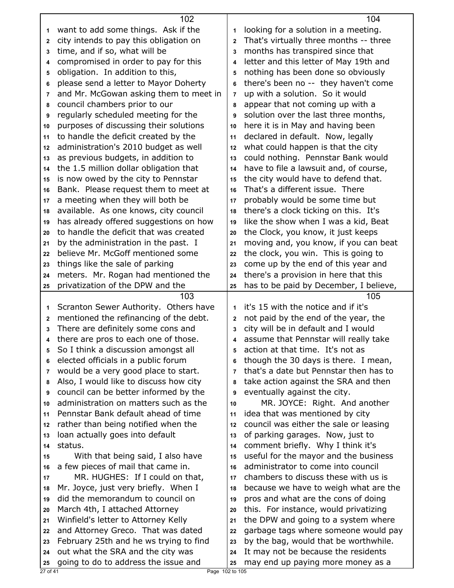|              | 102                                                                             |                         | 104                                        |
|--------------|---------------------------------------------------------------------------------|-------------------------|--------------------------------------------|
| 1            | want to add some things. Ask if the                                             | 1                       | looking for a solution in a meeting.       |
| 2            | city intends to pay this obligation on                                          | $\overline{2}$          | That's virtually three months -- three     |
| 3            | time, and if so, what will be                                                   | 3                       | months has transpired since that           |
| 4            | compromised in order to pay for this                                            | $\overline{\mathbf{A}}$ | letter and this letter of May 19th and     |
| 5            | obligation. In addition to this,                                                | 5                       | nothing has been done so obviously         |
| 6            | please send a letter to Mayor Doherty                                           | 6                       | there's been no -- they haven't come       |
| 7            | and Mr. McGowan asking them to meet in                                          | $\overline{7}$          | up with a solution. So it would            |
| 8            | council chambers prior to our                                                   | 8                       | appear that not coming up with a           |
| 9            | regularly scheduled meeting for the                                             | 9                       | solution over the last three months,       |
| 10           | purposes of discussing their solutions                                          | 10                      | here it is in May and having been          |
| 11           | to handle the deficit created by the                                            | 11                      | declared in default. Now, legally          |
| 12           | administration's 2010 budget as well                                            | 12                      | what could happen is that the city         |
| 13           | as previous budgets, in addition to                                             | 13                      | could nothing. Pennstar Bank would         |
| 14           | the 1.5 million dollar obligation that                                          | 14                      | have to file a lawsuit and, of course,     |
| 15           | is now owed by the city to Pennstar                                             | 15                      | the city would have to defend that.        |
| 16           | Bank. Please request them to meet at                                            | 16                      | That's a different issue. There            |
| 17           | a meeting when they will both be                                                | 17                      | probably would be some time but            |
| 18           | available. As one knows, city council                                           | 18                      | there's a clock ticking on this. It's      |
| 19           | has already offered suggestions on how                                          | 19                      | like the show when I was a kid, Beat       |
| 20           | to handle the deficit that was created                                          | 20                      | the Clock, you know, it just keeps         |
| 21           | by the administration in the past. I                                            | 21                      | moving and, you know, if you can beat      |
| 22           | believe Mr. McGoff mentioned some                                               | 22                      | the clock, you win. This is going to       |
| 23           | things like the sale of parking                                                 | 23                      | come up by the end of this year and        |
| 24           | meters. Mr. Rogan had mentioned the                                             | 24                      | there's a provision in here that this      |
| 25           | privatization of the DPW and the                                                | 25                      | has to be paid by December, I believe,     |
|              | 103                                                                             |                         | 105<br>it's 15 with the notice and if it's |
| 1            | Scranton Sewer Authority. Others have<br>mentioned the refinancing of the debt. | 1                       | not paid by the end of the year, the       |
| $\mathbf{2}$ | There are definitely some cons and                                              | $\mathbf 2$<br>3        | city will be in default and I would        |
| 3<br>4       | there are pros to each one of those.                                            | 4                       | assume that Pennstar will really take      |
| 5            | So I think a discussion amongst all                                             | 5                       | action at that time. It's not as           |
| 6            | elected officials in a public forum                                             | 6                       | though the 30 days is there. I mean,       |
| 7            | would be a very good place to start.                                            | $\overline{7}$          | that's a date but Pennstar then has to     |
| 8            | Also, I would like to discuss how city                                          | 8                       | take action against the SRA and then       |
| 9            | council can be better informed by the                                           | 9                       | eventually against the city.               |
| 10           | administration on matters such as the                                           | 10                      | MR. JOYCE: Right. And another              |
| 11           | Pennstar Bank default ahead of time                                             | 11                      | idea that was mentioned by city            |
| 12           | rather than being notified when the                                             | 12                      | council was either the sale or leasing     |
| 13           | loan actually goes into default                                                 | 13                      | of parking garages. Now, just to           |
| 14           | status.                                                                         | 14                      | comment briefly. Why I think it's          |
| 15           | With that being said, I also have                                               | 15                      | useful for the mayor and the business      |
| 16           | a few pieces of mail that came in.                                              | 16                      | administrator to come into council         |
| 17           | MR. HUGHES: If I could on that,                                                 | 17                      | chambers to discuss these with us is       |
| 18           | Mr. Joyce, just very briefly. When I                                            | 18                      | because we have to weigh what are the      |
| 19           | did the memorandum to council on                                                | 19                      | pros and what are the cons of doing        |
| 20           | March 4th, I attached Attorney                                                  | 20                      | this. For instance, would privatizing      |
| 21           | Winfield's letter to Attorney Kelly                                             | 21                      | the DPW and going to a system where        |
| 22           | and Attorney Greco. That was dated                                              | 22                      | garbage tags where someone would pay       |
| 23           | February 25th and he ws trying to find                                          | 23                      | by the bag, would that be worthwhile.      |
| 24           | out what the SRA and the city was                                               | 24                      | It may not be because the residents        |
| 25           | going to do to address the issue and                                            | 25                      | may end up paying more money as a          |
| $27$ of 41   | Page 102 to 105                                                                 |                         |                                            |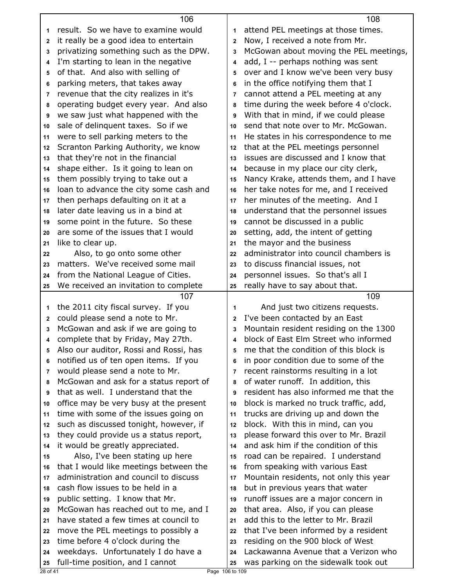| result. So we have to examine would<br>attend PEL meetings at those times.<br>1<br>1<br>Now, I received a note from Mr.<br>it really be a good idea to entertain<br>2<br>2<br>privatizing something such as the DPW.<br>McGowan about moving the PEL meetings,<br>3<br>3<br>I'm starting to lean in the negative<br>add, I -- perhaps nothing was sent<br>4<br>4<br>of that. And also with selling of<br>over and I know we've been very busy<br>5<br>5<br>parking meters, that takes away<br>in the office notifying them that I<br>6<br>6<br>revenue that the city realizes in it's<br>cannot attend a PEL meeting at any<br>7<br>7<br>time during the week before 4 o'clock.<br>operating budget every year. And also<br>8<br>8<br>we saw just what happened with the<br>With that in mind, if we could please<br>9<br>9<br>send that note over to Mr. McGowan.<br>sale of delinquent taxes. So if we<br>10<br>10<br>were to sell parking meters to the<br>He states in his correspondence to me<br>11<br>11<br>Scranton Parking Authority, we know<br>that at the PEL meetings personnel<br>12<br>12<br>issues are discussed and I know that<br>that they're not in the financial<br>13<br>13<br>shape either. Is it going to lean on<br>because in my place our city clerk,<br>14<br>14<br>Nancy Krake, attends them, and I have<br>them possibly trying to take out a<br>15<br>15<br>loan to advance the city some cash and<br>her take notes for me, and I received<br>16<br>16<br>then perhaps defaulting on it at a<br>her minutes of the meeting. And I<br>17<br>17<br>later date leaving us in a bind at<br>understand that the personnel issues<br>18<br>18<br>some point in the future. So these<br>cannot be discussed in a public<br>19<br>19<br>are some of the issues that I would<br>setting, add, the intent of getting<br>20<br>20<br>the mayor and the business<br>like to clear up.<br>21<br>21<br>administrator into council chambers is<br>Also, to go onto some other<br>22<br>22<br>matters. We've received some mail<br>to discuss financial issues, not<br>23<br>23<br>personnel issues. So that's all I<br>from the National League of Cities.<br>24<br>24<br>We received an invitation to complete<br>really have to say about that.<br>25<br>25<br>109<br>107<br>the 2011 city fiscal survey. If you<br>And just two citizens requests.<br>1<br>1<br>could please send a note to Mr.<br>I've been contacted by an East<br>$\mathbf 2$<br>2<br>McGowan and ask if we are going to<br>Mountain resident residing on the 1300<br>3<br>3<br>block of East Elm Street who informed<br>complete that by Friday, May 27th.<br>4<br>4<br>Also our auditor, Rossi and Rossi, has<br>me that the condition of this block is<br>5<br>5<br>notified us of ten open items. If you<br>in poor condition due to some of the<br>6<br>6<br>would please send a note to Mr.<br>recent rainstorms resulting in a lot<br>7<br>7<br>of water runoff. In addition, this<br>McGowan and ask for a status report of<br>8<br>8<br>resident has also informed me that the<br>that as well. I understand that the<br>9<br>9<br>block is marked no truck traffic, add,<br>office may be very busy at the present<br>10<br>10<br>time with some of the issues going on<br>trucks are driving up and down the<br>11<br>11<br>such as discussed tonight, however, if<br>block. With this in mind, can you<br>12<br>12<br>they could provide us a status report,<br>please forward this over to Mr. Brazil<br>13<br>13<br>and ask him if the condition of this<br>it would be greatly appreciated.<br>14<br>14<br>Also, I've been stating up here<br>road can be repaired. I understand<br>15<br>15 |
|----------------------------------------------------------------------------------------------------------------------------------------------------------------------------------------------------------------------------------------------------------------------------------------------------------------------------------------------------------------------------------------------------------------------------------------------------------------------------------------------------------------------------------------------------------------------------------------------------------------------------------------------------------------------------------------------------------------------------------------------------------------------------------------------------------------------------------------------------------------------------------------------------------------------------------------------------------------------------------------------------------------------------------------------------------------------------------------------------------------------------------------------------------------------------------------------------------------------------------------------------------------------------------------------------------------------------------------------------------------------------------------------------------------------------------------------------------------------------------------------------------------------------------------------------------------------------------------------------------------------------------------------------------------------------------------------------------------------------------------------------------------------------------------------------------------------------------------------------------------------------------------------------------------------------------------------------------------------------------------------------------------------------------------------------------------------------------------------------------------------------------------------------------------------------------------------------------------------------------------------------------------------------------------------------------------------------------------------------------------------------------------------------------------------------------------------------------------------------------------------------------------------------------------------------------------------------------------------------------------------------------------------------------------------------------------------------------------------------------------------------------------------------------------------------------------------------------------------------------------------------------------------------------------------------------------------------------------------------------------------------------------------------------------------------------------------------------------------------------------------------------------------------------------------------------------------------------------------------------------------------------------------------------------------------------------------------------------------------------------------------------------------------------------------------------------------------------------------------------------------------------------------------------------------------------------------------------------------------------------------------------------------------------------------------------------------------|
|                                                                                                                                                                                                                                                                                                                                                                                                                                                                                                                                                                                                                                                                                                                                                                                                                                                                                                                                                                                                                                                                                                                                                                                                                                                                                                                                                                                                                                                                                                                                                                                                                                                                                                                                                                                                                                                                                                                                                                                                                                                                                                                                                                                                                                                                                                                                                                                                                                                                                                                                                                                                                                                                                                                                                                                                                                                                                                                                                                                                                                                                                                                                                                                                                                                                                                                                                                                                                                                                                                                                                                                                                                                                                                    |
|                                                                                                                                                                                                                                                                                                                                                                                                                                                                                                                                                                                                                                                                                                                                                                                                                                                                                                                                                                                                                                                                                                                                                                                                                                                                                                                                                                                                                                                                                                                                                                                                                                                                                                                                                                                                                                                                                                                                                                                                                                                                                                                                                                                                                                                                                                                                                                                                                                                                                                                                                                                                                                                                                                                                                                                                                                                                                                                                                                                                                                                                                                                                                                                                                                                                                                                                                                                                                                                                                                                                                                                                                                                                                                    |
|                                                                                                                                                                                                                                                                                                                                                                                                                                                                                                                                                                                                                                                                                                                                                                                                                                                                                                                                                                                                                                                                                                                                                                                                                                                                                                                                                                                                                                                                                                                                                                                                                                                                                                                                                                                                                                                                                                                                                                                                                                                                                                                                                                                                                                                                                                                                                                                                                                                                                                                                                                                                                                                                                                                                                                                                                                                                                                                                                                                                                                                                                                                                                                                                                                                                                                                                                                                                                                                                                                                                                                                                                                                                                                    |
|                                                                                                                                                                                                                                                                                                                                                                                                                                                                                                                                                                                                                                                                                                                                                                                                                                                                                                                                                                                                                                                                                                                                                                                                                                                                                                                                                                                                                                                                                                                                                                                                                                                                                                                                                                                                                                                                                                                                                                                                                                                                                                                                                                                                                                                                                                                                                                                                                                                                                                                                                                                                                                                                                                                                                                                                                                                                                                                                                                                                                                                                                                                                                                                                                                                                                                                                                                                                                                                                                                                                                                                                                                                                                                    |
|                                                                                                                                                                                                                                                                                                                                                                                                                                                                                                                                                                                                                                                                                                                                                                                                                                                                                                                                                                                                                                                                                                                                                                                                                                                                                                                                                                                                                                                                                                                                                                                                                                                                                                                                                                                                                                                                                                                                                                                                                                                                                                                                                                                                                                                                                                                                                                                                                                                                                                                                                                                                                                                                                                                                                                                                                                                                                                                                                                                                                                                                                                                                                                                                                                                                                                                                                                                                                                                                                                                                                                                                                                                                                                    |
|                                                                                                                                                                                                                                                                                                                                                                                                                                                                                                                                                                                                                                                                                                                                                                                                                                                                                                                                                                                                                                                                                                                                                                                                                                                                                                                                                                                                                                                                                                                                                                                                                                                                                                                                                                                                                                                                                                                                                                                                                                                                                                                                                                                                                                                                                                                                                                                                                                                                                                                                                                                                                                                                                                                                                                                                                                                                                                                                                                                                                                                                                                                                                                                                                                                                                                                                                                                                                                                                                                                                                                                                                                                                                                    |
|                                                                                                                                                                                                                                                                                                                                                                                                                                                                                                                                                                                                                                                                                                                                                                                                                                                                                                                                                                                                                                                                                                                                                                                                                                                                                                                                                                                                                                                                                                                                                                                                                                                                                                                                                                                                                                                                                                                                                                                                                                                                                                                                                                                                                                                                                                                                                                                                                                                                                                                                                                                                                                                                                                                                                                                                                                                                                                                                                                                                                                                                                                                                                                                                                                                                                                                                                                                                                                                                                                                                                                                                                                                                                                    |
|                                                                                                                                                                                                                                                                                                                                                                                                                                                                                                                                                                                                                                                                                                                                                                                                                                                                                                                                                                                                                                                                                                                                                                                                                                                                                                                                                                                                                                                                                                                                                                                                                                                                                                                                                                                                                                                                                                                                                                                                                                                                                                                                                                                                                                                                                                                                                                                                                                                                                                                                                                                                                                                                                                                                                                                                                                                                                                                                                                                                                                                                                                                                                                                                                                                                                                                                                                                                                                                                                                                                                                                                                                                                                                    |
|                                                                                                                                                                                                                                                                                                                                                                                                                                                                                                                                                                                                                                                                                                                                                                                                                                                                                                                                                                                                                                                                                                                                                                                                                                                                                                                                                                                                                                                                                                                                                                                                                                                                                                                                                                                                                                                                                                                                                                                                                                                                                                                                                                                                                                                                                                                                                                                                                                                                                                                                                                                                                                                                                                                                                                                                                                                                                                                                                                                                                                                                                                                                                                                                                                                                                                                                                                                                                                                                                                                                                                                                                                                                                                    |
|                                                                                                                                                                                                                                                                                                                                                                                                                                                                                                                                                                                                                                                                                                                                                                                                                                                                                                                                                                                                                                                                                                                                                                                                                                                                                                                                                                                                                                                                                                                                                                                                                                                                                                                                                                                                                                                                                                                                                                                                                                                                                                                                                                                                                                                                                                                                                                                                                                                                                                                                                                                                                                                                                                                                                                                                                                                                                                                                                                                                                                                                                                                                                                                                                                                                                                                                                                                                                                                                                                                                                                                                                                                                                                    |
|                                                                                                                                                                                                                                                                                                                                                                                                                                                                                                                                                                                                                                                                                                                                                                                                                                                                                                                                                                                                                                                                                                                                                                                                                                                                                                                                                                                                                                                                                                                                                                                                                                                                                                                                                                                                                                                                                                                                                                                                                                                                                                                                                                                                                                                                                                                                                                                                                                                                                                                                                                                                                                                                                                                                                                                                                                                                                                                                                                                                                                                                                                                                                                                                                                                                                                                                                                                                                                                                                                                                                                                                                                                                                                    |
|                                                                                                                                                                                                                                                                                                                                                                                                                                                                                                                                                                                                                                                                                                                                                                                                                                                                                                                                                                                                                                                                                                                                                                                                                                                                                                                                                                                                                                                                                                                                                                                                                                                                                                                                                                                                                                                                                                                                                                                                                                                                                                                                                                                                                                                                                                                                                                                                                                                                                                                                                                                                                                                                                                                                                                                                                                                                                                                                                                                                                                                                                                                                                                                                                                                                                                                                                                                                                                                                                                                                                                                                                                                                                                    |
|                                                                                                                                                                                                                                                                                                                                                                                                                                                                                                                                                                                                                                                                                                                                                                                                                                                                                                                                                                                                                                                                                                                                                                                                                                                                                                                                                                                                                                                                                                                                                                                                                                                                                                                                                                                                                                                                                                                                                                                                                                                                                                                                                                                                                                                                                                                                                                                                                                                                                                                                                                                                                                                                                                                                                                                                                                                                                                                                                                                                                                                                                                                                                                                                                                                                                                                                                                                                                                                                                                                                                                                                                                                                                                    |
|                                                                                                                                                                                                                                                                                                                                                                                                                                                                                                                                                                                                                                                                                                                                                                                                                                                                                                                                                                                                                                                                                                                                                                                                                                                                                                                                                                                                                                                                                                                                                                                                                                                                                                                                                                                                                                                                                                                                                                                                                                                                                                                                                                                                                                                                                                                                                                                                                                                                                                                                                                                                                                                                                                                                                                                                                                                                                                                                                                                                                                                                                                                                                                                                                                                                                                                                                                                                                                                                                                                                                                                                                                                                                                    |
|                                                                                                                                                                                                                                                                                                                                                                                                                                                                                                                                                                                                                                                                                                                                                                                                                                                                                                                                                                                                                                                                                                                                                                                                                                                                                                                                                                                                                                                                                                                                                                                                                                                                                                                                                                                                                                                                                                                                                                                                                                                                                                                                                                                                                                                                                                                                                                                                                                                                                                                                                                                                                                                                                                                                                                                                                                                                                                                                                                                                                                                                                                                                                                                                                                                                                                                                                                                                                                                                                                                                                                                                                                                                                                    |
|                                                                                                                                                                                                                                                                                                                                                                                                                                                                                                                                                                                                                                                                                                                                                                                                                                                                                                                                                                                                                                                                                                                                                                                                                                                                                                                                                                                                                                                                                                                                                                                                                                                                                                                                                                                                                                                                                                                                                                                                                                                                                                                                                                                                                                                                                                                                                                                                                                                                                                                                                                                                                                                                                                                                                                                                                                                                                                                                                                                                                                                                                                                                                                                                                                                                                                                                                                                                                                                                                                                                                                                                                                                                                                    |
|                                                                                                                                                                                                                                                                                                                                                                                                                                                                                                                                                                                                                                                                                                                                                                                                                                                                                                                                                                                                                                                                                                                                                                                                                                                                                                                                                                                                                                                                                                                                                                                                                                                                                                                                                                                                                                                                                                                                                                                                                                                                                                                                                                                                                                                                                                                                                                                                                                                                                                                                                                                                                                                                                                                                                                                                                                                                                                                                                                                                                                                                                                                                                                                                                                                                                                                                                                                                                                                                                                                                                                                                                                                                                                    |
|                                                                                                                                                                                                                                                                                                                                                                                                                                                                                                                                                                                                                                                                                                                                                                                                                                                                                                                                                                                                                                                                                                                                                                                                                                                                                                                                                                                                                                                                                                                                                                                                                                                                                                                                                                                                                                                                                                                                                                                                                                                                                                                                                                                                                                                                                                                                                                                                                                                                                                                                                                                                                                                                                                                                                                                                                                                                                                                                                                                                                                                                                                                                                                                                                                                                                                                                                                                                                                                                                                                                                                                                                                                                                                    |
|                                                                                                                                                                                                                                                                                                                                                                                                                                                                                                                                                                                                                                                                                                                                                                                                                                                                                                                                                                                                                                                                                                                                                                                                                                                                                                                                                                                                                                                                                                                                                                                                                                                                                                                                                                                                                                                                                                                                                                                                                                                                                                                                                                                                                                                                                                                                                                                                                                                                                                                                                                                                                                                                                                                                                                                                                                                                                                                                                                                                                                                                                                                                                                                                                                                                                                                                                                                                                                                                                                                                                                                                                                                                                                    |
|                                                                                                                                                                                                                                                                                                                                                                                                                                                                                                                                                                                                                                                                                                                                                                                                                                                                                                                                                                                                                                                                                                                                                                                                                                                                                                                                                                                                                                                                                                                                                                                                                                                                                                                                                                                                                                                                                                                                                                                                                                                                                                                                                                                                                                                                                                                                                                                                                                                                                                                                                                                                                                                                                                                                                                                                                                                                                                                                                                                                                                                                                                                                                                                                                                                                                                                                                                                                                                                                                                                                                                                                                                                                                                    |
|                                                                                                                                                                                                                                                                                                                                                                                                                                                                                                                                                                                                                                                                                                                                                                                                                                                                                                                                                                                                                                                                                                                                                                                                                                                                                                                                                                                                                                                                                                                                                                                                                                                                                                                                                                                                                                                                                                                                                                                                                                                                                                                                                                                                                                                                                                                                                                                                                                                                                                                                                                                                                                                                                                                                                                                                                                                                                                                                                                                                                                                                                                                                                                                                                                                                                                                                                                                                                                                                                                                                                                                                                                                                                                    |
|                                                                                                                                                                                                                                                                                                                                                                                                                                                                                                                                                                                                                                                                                                                                                                                                                                                                                                                                                                                                                                                                                                                                                                                                                                                                                                                                                                                                                                                                                                                                                                                                                                                                                                                                                                                                                                                                                                                                                                                                                                                                                                                                                                                                                                                                                                                                                                                                                                                                                                                                                                                                                                                                                                                                                                                                                                                                                                                                                                                                                                                                                                                                                                                                                                                                                                                                                                                                                                                                                                                                                                                                                                                                                                    |
|                                                                                                                                                                                                                                                                                                                                                                                                                                                                                                                                                                                                                                                                                                                                                                                                                                                                                                                                                                                                                                                                                                                                                                                                                                                                                                                                                                                                                                                                                                                                                                                                                                                                                                                                                                                                                                                                                                                                                                                                                                                                                                                                                                                                                                                                                                                                                                                                                                                                                                                                                                                                                                                                                                                                                                                                                                                                                                                                                                                                                                                                                                                                                                                                                                                                                                                                                                                                                                                                                                                                                                                                                                                                                                    |
|                                                                                                                                                                                                                                                                                                                                                                                                                                                                                                                                                                                                                                                                                                                                                                                                                                                                                                                                                                                                                                                                                                                                                                                                                                                                                                                                                                                                                                                                                                                                                                                                                                                                                                                                                                                                                                                                                                                                                                                                                                                                                                                                                                                                                                                                                                                                                                                                                                                                                                                                                                                                                                                                                                                                                                                                                                                                                                                                                                                                                                                                                                                                                                                                                                                                                                                                                                                                                                                                                                                                                                                                                                                                                                    |
|                                                                                                                                                                                                                                                                                                                                                                                                                                                                                                                                                                                                                                                                                                                                                                                                                                                                                                                                                                                                                                                                                                                                                                                                                                                                                                                                                                                                                                                                                                                                                                                                                                                                                                                                                                                                                                                                                                                                                                                                                                                                                                                                                                                                                                                                                                                                                                                                                                                                                                                                                                                                                                                                                                                                                                                                                                                                                                                                                                                                                                                                                                                                                                                                                                                                                                                                                                                                                                                                                                                                                                                                                                                                                                    |
|                                                                                                                                                                                                                                                                                                                                                                                                                                                                                                                                                                                                                                                                                                                                                                                                                                                                                                                                                                                                                                                                                                                                                                                                                                                                                                                                                                                                                                                                                                                                                                                                                                                                                                                                                                                                                                                                                                                                                                                                                                                                                                                                                                                                                                                                                                                                                                                                                                                                                                                                                                                                                                                                                                                                                                                                                                                                                                                                                                                                                                                                                                                                                                                                                                                                                                                                                                                                                                                                                                                                                                                                                                                                                                    |
|                                                                                                                                                                                                                                                                                                                                                                                                                                                                                                                                                                                                                                                                                                                                                                                                                                                                                                                                                                                                                                                                                                                                                                                                                                                                                                                                                                                                                                                                                                                                                                                                                                                                                                                                                                                                                                                                                                                                                                                                                                                                                                                                                                                                                                                                                                                                                                                                                                                                                                                                                                                                                                                                                                                                                                                                                                                                                                                                                                                                                                                                                                                                                                                                                                                                                                                                                                                                                                                                                                                                                                                                                                                                                                    |
|                                                                                                                                                                                                                                                                                                                                                                                                                                                                                                                                                                                                                                                                                                                                                                                                                                                                                                                                                                                                                                                                                                                                                                                                                                                                                                                                                                                                                                                                                                                                                                                                                                                                                                                                                                                                                                                                                                                                                                                                                                                                                                                                                                                                                                                                                                                                                                                                                                                                                                                                                                                                                                                                                                                                                                                                                                                                                                                                                                                                                                                                                                                                                                                                                                                                                                                                                                                                                                                                                                                                                                                                                                                                                                    |
|                                                                                                                                                                                                                                                                                                                                                                                                                                                                                                                                                                                                                                                                                                                                                                                                                                                                                                                                                                                                                                                                                                                                                                                                                                                                                                                                                                                                                                                                                                                                                                                                                                                                                                                                                                                                                                                                                                                                                                                                                                                                                                                                                                                                                                                                                                                                                                                                                                                                                                                                                                                                                                                                                                                                                                                                                                                                                                                                                                                                                                                                                                                                                                                                                                                                                                                                                                                                                                                                                                                                                                                                                                                                                                    |
|                                                                                                                                                                                                                                                                                                                                                                                                                                                                                                                                                                                                                                                                                                                                                                                                                                                                                                                                                                                                                                                                                                                                                                                                                                                                                                                                                                                                                                                                                                                                                                                                                                                                                                                                                                                                                                                                                                                                                                                                                                                                                                                                                                                                                                                                                                                                                                                                                                                                                                                                                                                                                                                                                                                                                                                                                                                                                                                                                                                                                                                                                                                                                                                                                                                                                                                                                                                                                                                                                                                                                                                                                                                                                                    |
|                                                                                                                                                                                                                                                                                                                                                                                                                                                                                                                                                                                                                                                                                                                                                                                                                                                                                                                                                                                                                                                                                                                                                                                                                                                                                                                                                                                                                                                                                                                                                                                                                                                                                                                                                                                                                                                                                                                                                                                                                                                                                                                                                                                                                                                                                                                                                                                                                                                                                                                                                                                                                                                                                                                                                                                                                                                                                                                                                                                                                                                                                                                                                                                                                                                                                                                                                                                                                                                                                                                                                                                                                                                                                                    |
|                                                                                                                                                                                                                                                                                                                                                                                                                                                                                                                                                                                                                                                                                                                                                                                                                                                                                                                                                                                                                                                                                                                                                                                                                                                                                                                                                                                                                                                                                                                                                                                                                                                                                                                                                                                                                                                                                                                                                                                                                                                                                                                                                                                                                                                                                                                                                                                                                                                                                                                                                                                                                                                                                                                                                                                                                                                                                                                                                                                                                                                                                                                                                                                                                                                                                                                                                                                                                                                                                                                                                                                                                                                                                                    |
|                                                                                                                                                                                                                                                                                                                                                                                                                                                                                                                                                                                                                                                                                                                                                                                                                                                                                                                                                                                                                                                                                                                                                                                                                                                                                                                                                                                                                                                                                                                                                                                                                                                                                                                                                                                                                                                                                                                                                                                                                                                                                                                                                                                                                                                                                                                                                                                                                                                                                                                                                                                                                                                                                                                                                                                                                                                                                                                                                                                                                                                                                                                                                                                                                                                                                                                                                                                                                                                                                                                                                                                                                                                                                                    |
|                                                                                                                                                                                                                                                                                                                                                                                                                                                                                                                                                                                                                                                                                                                                                                                                                                                                                                                                                                                                                                                                                                                                                                                                                                                                                                                                                                                                                                                                                                                                                                                                                                                                                                                                                                                                                                                                                                                                                                                                                                                                                                                                                                                                                                                                                                                                                                                                                                                                                                                                                                                                                                                                                                                                                                                                                                                                                                                                                                                                                                                                                                                                                                                                                                                                                                                                                                                                                                                                                                                                                                                                                                                                                                    |
|                                                                                                                                                                                                                                                                                                                                                                                                                                                                                                                                                                                                                                                                                                                                                                                                                                                                                                                                                                                                                                                                                                                                                                                                                                                                                                                                                                                                                                                                                                                                                                                                                                                                                                                                                                                                                                                                                                                                                                                                                                                                                                                                                                                                                                                                                                                                                                                                                                                                                                                                                                                                                                                                                                                                                                                                                                                                                                                                                                                                                                                                                                                                                                                                                                                                                                                                                                                                                                                                                                                                                                                                                                                                                                    |
|                                                                                                                                                                                                                                                                                                                                                                                                                                                                                                                                                                                                                                                                                                                                                                                                                                                                                                                                                                                                                                                                                                                                                                                                                                                                                                                                                                                                                                                                                                                                                                                                                                                                                                                                                                                                                                                                                                                                                                                                                                                                                                                                                                                                                                                                                                                                                                                                                                                                                                                                                                                                                                                                                                                                                                                                                                                                                                                                                                                                                                                                                                                                                                                                                                                                                                                                                                                                                                                                                                                                                                                                                                                                                                    |
|                                                                                                                                                                                                                                                                                                                                                                                                                                                                                                                                                                                                                                                                                                                                                                                                                                                                                                                                                                                                                                                                                                                                                                                                                                                                                                                                                                                                                                                                                                                                                                                                                                                                                                                                                                                                                                                                                                                                                                                                                                                                                                                                                                                                                                                                                                                                                                                                                                                                                                                                                                                                                                                                                                                                                                                                                                                                                                                                                                                                                                                                                                                                                                                                                                                                                                                                                                                                                                                                                                                                                                                                                                                                                                    |
|                                                                                                                                                                                                                                                                                                                                                                                                                                                                                                                                                                                                                                                                                                                                                                                                                                                                                                                                                                                                                                                                                                                                                                                                                                                                                                                                                                                                                                                                                                                                                                                                                                                                                                                                                                                                                                                                                                                                                                                                                                                                                                                                                                                                                                                                                                                                                                                                                                                                                                                                                                                                                                                                                                                                                                                                                                                                                                                                                                                                                                                                                                                                                                                                                                                                                                                                                                                                                                                                                                                                                                                                                                                                                                    |
|                                                                                                                                                                                                                                                                                                                                                                                                                                                                                                                                                                                                                                                                                                                                                                                                                                                                                                                                                                                                                                                                                                                                                                                                                                                                                                                                                                                                                                                                                                                                                                                                                                                                                                                                                                                                                                                                                                                                                                                                                                                                                                                                                                                                                                                                                                                                                                                                                                                                                                                                                                                                                                                                                                                                                                                                                                                                                                                                                                                                                                                                                                                                                                                                                                                                                                                                                                                                                                                                                                                                                                                                                                                                                                    |
|                                                                                                                                                                                                                                                                                                                                                                                                                                                                                                                                                                                                                                                                                                                                                                                                                                                                                                                                                                                                                                                                                                                                                                                                                                                                                                                                                                                                                                                                                                                                                                                                                                                                                                                                                                                                                                                                                                                                                                                                                                                                                                                                                                                                                                                                                                                                                                                                                                                                                                                                                                                                                                                                                                                                                                                                                                                                                                                                                                                                                                                                                                                                                                                                                                                                                                                                                                                                                                                                                                                                                                                                                                                                                                    |
|                                                                                                                                                                                                                                                                                                                                                                                                                                                                                                                                                                                                                                                                                                                                                                                                                                                                                                                                                                                                                                                                                                                                                                                                                                                                                                                                                                                                                                                                                                                                                                                                                                                                                                                                                                                                                                                                                                                                                                                                                                                                                                                                                                                                                                                                                                                                                                                                                                                                                                                                                                                                                                                                                                                                                                                                                                                                                                                                                                                                                                                                                                                                                                                                                                                                                                                                                                                                                                                                                                                                                                                                                                                                                                    |
| that I would like meetings between the<br>from speaking with various East<br>16<br>16                                                                                                                                                                                                                                                                                                                                                                                                                                                                                                                                                                                                                                                                                                                                                                                                                                                                                                                                                                                                                                                                                                                                                                                                                                                                                                                                                                                                                                                                                                                                                                                                                                                                                                                                                                                                                                                                                                                                                                                                                                                                                                                                                                                                                                                                                                                                                                                                                                                                                                                                                                                                                                                                                                                                                                                                                                                                                                                                                                                                                                                                                                                                                                                                                                                                                                                                                                                                                                                                                                                                                                                                              |
| administration and council to discuss<br>Mountain residents, not only this year<br>17<br>17                                                                                                                                                                                                                                                                                                                                                                                                                                                                                                                                                                                                                                                                                                                                                                                                                                                                                                                                                                                                                                                                                                                                                                                                                                                                                                                                                                                                                                                                                                                                                                                                                                                                                                                                                                                                                                                                                                                                                                                                                                                                                                                                                                                                                                                                                                                                                                                                                                                                                                                                                                                                                                                                                                                                                                                                                                                                                                                                                                                                                                                                                                                                                                                                                                                                                                                                                                                                                                                                                                                                                                                                        |
| cash flow issues to be held in a<br>but in previous years that water<br>18<br>18                                                                                                                                                                                                                                                                                                                                                                                                                                                                                                                                                                                                                                                                                                                                                                                                                                                                                                                                                                                                                                                                                                                                                                                                                                                                                                                                                                                                                                                                                                                                                                                                                                                                                                                                                                                                                                                                                                                                                                                                                                                                                                                                                                                                                                                                                                                                                                                                                                                                                                                                                                                                                                                                                                                                                                                                                                                                                                                                                                                                                                                                                                                                                                                                                                                                                                                                                                                                                                                                                                                                                                                                                   |
| runoff issues are a major concern in<br>public setting. I know that Mr.<br>19<br>19                                                                                                                                                                                                                                                                                                                                                                                                                                                                                                                                                                                                                                                                                                                                                                                                                                                                                                                                                                                                                                                                                                                                                                                                                                                                                                                                                                                                                                                                                                                                                                                                                                                                                                                                                                                                                                                                                                                                                                                                                                                                                                                                                                                                                                                                                                                                                                                                                                                                                                                                                                                                                                                                                                                                                                                                                                                                                                                                                                                                                                                                                                                                                                                                                                                                                                                                                                                                                                                                                                                                                                                                                |
| McGowan has reached out to me, and I<br>that area. Also, if you can please<br>20<br>20                                                                                                                                                                                                                                                                                                                                                                                                                                                                                                                                                                                                                                                                                                                                                                                                                                                                                                                                                                                                                                                                                                                                                                                                                                                                                                                                                                                                                                                                                                                                                                                                                                                                                                                                                                                                                                                                                                                                                                                                                                                                                                                                                                                                                                                                                                                                                                                                                                                                                                                                                                                                                                                                                                                                                                                                                                                                                                                                                                                                                                                                                                                                                                                                                                                                                                                                                                                                                                                                                                                                                                                                             |
| have stated a few times at council to<br>add this to the letter to Mr. Brazil<br>21<br>21                                                                                                                                                                                                                                                                                                                                                                                                                                                                                                                                                                                                                                                                                                                                                                                                                                                                                                                                                                                                                                                                                                                                                                                                                                                                                                                                                                                                                                                                                                                                                                                                                                                                                                                                                                                                                                                                                                                                                                                                                                                                                                                                                                                                                                                                                                                                                                                                                                                                                                                                                                                                                                                                                                                                                                                                                                                                                                                                                                                                                                                                                                                                                                                                                                                                                                                                                                                                                                                                                                                                                                                                          |
| move the PEL meetings to possibly a<br>that I've been informed by a resident<br>22<br>22                                                                                                                                                                                                                                                                                                                                                                                                                                                                                                                                                                                                                                                                                                                                                                                                                                                                                                                                                                                                                                                                                                                                                                                                                                                                                                                                                                                                                                                                                                                                                                                                                                                                                                                                                                                                                                                                                                                                                                                                                                                                                                                                                                                                                                                                                                                                                                                                                                                                                                                                                                                                                                                                                                                                                                                                                                                                                                                                                                                                                                                                                                                                                                                                                                                                                                                                                                                                                                                                                                                                                                                                           |
| time before 4 o'clock during the<br>residing on the 900 block of West<br>23<br>23                                                                                                                                                                                                                                                                                                                                                                                                                                                                                                                                                                                                                                                                                                                                                                                                                                                                                                                                                                                                                                                                                                                                                                                                                                                                                                                                                                                                                                                                                                                                                                                                                                                                                                                                                                                                                                                                                                                                                                                                                                                                                                                                                                                                                                                                                                                                                                                                                                                                                                                                                                                                                                                                                                                                                                                                                                                                                                                                                                                                                                                                                                                                                                                                                                                                                                                                                                                                                                                                                                                                                                                                                  |
| weekdays. Unfortunately I do have a<br>Lackawanna Avenue that a Verizon who<br>24<br>24                                                                                                                                                                                                                                                                                                                                                                                                                                                                                                                                                                                                                                                                                                                                                                                                                                                                                                                                                                                                                                                                                                                                                                                                                                                                                                                                                                                                                                                                                                                                                                                                                                                                                                                                                                                                                                                                                                                                                                                                                                                                                                                                                                                                                                                                                                                                                                                                                                                                                                                                                                                                                                                                                                                                                                                                                                                                                                                                                                                                                                                                                                                                                                                                                                                                                                                                                                                                                                                                                                                                                                                                            |
| full-time position, and I cannot<br>was parking on the sidewalk took out<br>25<br>25<br>28 of 41<br>Page 106 to 109                                                                                                                                                                                                                                                                                                                                                                                                                                                                                                                                                                                                                                                                                                                                                                                                                                                                                                                                                                                                                                                                                                                                                                                                                                                                                                                                                                                                                                                                                                                                                                                                                                                                                                                                                                                                                                                                                                                                                                                                                                                                                                                                                                                                                                                                                                                                                                                                                                                                                                                                                                                                                                                                                                                                                                                                                                                                                                                                                                                                                                                                                                                                                                                                                                                                                                                                                                                                                                                                                                                                                                                |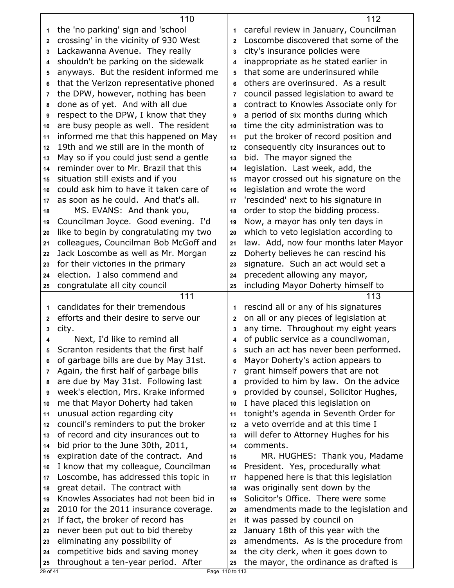|                | 110                                    |              | 112                                    |
|----------------|----------------------------------------|--------------|----------------------------------------|
| 1              | the 'no parking' sign and 'school      | 1            | careful review in January, Councilman  |
| $\mathbf{2}$   | crossing' in the vicinity of 930 West  | $\mathbf{2}$ | Loscombe discovered that some of the   |
| 3              | Lackawanna Avenue. They really         | 3            | city's insurance policies were         |
| 4              | shouldn't be parking on the sidewalk   | 4            | inappropriate as he stated earlier in  |
| 5              | anyways. But the resident informed me  | 5            | that some are underinsured while       |
| 6              | that the Verizon representative phoned | 6            | others are overinsured. As a result    |
| $\overline{7}$ | the DPW, however, nothing has been     | 7            | council passed legislation to award te |
| 8              | done as of yet. And with all due       | 8            | contract to Knowles Associate only for |
| 9              | respect to the DPW, I know that they   | 9            | a period of six months during which    |
| 10             | are busy people as well. The resident  | 10           | time the city administration was to    |
| 11             | informed me that this happened on May  | 11           | put the broker of record position and  |
| 12             | 19th and we still are in the month of  | 12           | consequently city insurances out to    |
| 13             | May so if you could just send a gentle | 13           | bid. The mayor signed the              |
| 14             | reminder over to Mr. Brazil that this  | 14           | legislation. Last week, add, the       |
| 15             | situation still exists and if you      | 15           | mayor crossed out his signature on the |
| 16             | could ask him to have it taken care of | 16           | legislation and wrote the word         |
| 17             | as soon as he could. And that's all.   | 17           | 'rescinded' next to his signature in   |
| 18             | MS. EVANS: And thank you,              | 18           | order to stop the bidding process.     |
| 19             | Councilman Joyce. Good evening. I'd    | 19           | Now, a mayor has only ten days in      |
| 20             | like to begin by congratulating my two | 20           | which to veto legislation according to |
| 21             | colleagues, Councilman Bob McGoff and  | 21           | law. Add, now four months later Mayor  |
| 22             | Jack Loscombe as well as Mr. Morgan    | 22           | Doherty believes he can rescind his    |
| 23             | for their victories in the primary     | 23           | signature. Such an act would set a     |
| 24             | election. I also commend and           | 24           | precedent allowing any mayor,          |
| 25             | congratulate all city council          | 25           | including Mayor Doherty himself to     |
|                |                                        |              |                                        |
|                | 111                                    |              | 113                                    |
| 1              | candidates for their tremendous        | 1            | rescind all or any of his signatures   |
| $\mathbf{2}$   | efforts and their desire to serve our  | 2            | on all or any pieces of legislation at |
| 3              | city.                                  | 3            | any time. Throughout my eight years    |
| 4              | Next, I'd like to remind all           | 4            | of public service as a councilwoman,   |
| 5              | Scranton residents that the first half | 5            | such an act has never been performed.  |
| 6              | of garbage bills are due by May 31st.  | 6            | Mayor Doherty's action appears to      |
| 7              | Again, the first half of garbage bills | 7            | grant himself powers that are not      |
| 8              | are due by May 31st. Following last    | 8            | provided to him by law. On the advice  |
| 9              | week's election, Mrs. Krake informed   | 9            | provided by counsel, Solicitor Hughes, |
| 10             | me that Mayor Doherty had taken        | 10           | I have placed this legislation on      |
| 11             | unusual action regarding city          | 11           | tonight's agenda in Seventh Order for  |
| 12             | council's reminders to put the broker  | 12           | a veto override and at this time I     |
| 13             | of record and city insurances out to   | 13           | will defer to Attorney Hughes for his  |
| 14             | bid prior to the June 30th, 2011,      | 14           | comments.                              |
| 15             | expiration date of the contract. And   | 15           | MR. HUGHES: Thank you, Madame          |
| 16             | I know that my colleague, Councilman   | 16           | President. Yes, procedurally what      |
| 17             | Loscombe, has addressed this topic in  | 17           | happened here is that this legislation |
| 18             | great detail. The contract with        | 18           | was originally sent down by the        |
| 19             | Knowles Associates had not been bid in | 19           | Solicitor's Office. There were some    |
| 20             | 2010 for the 2011 insurance coverage.  | 20           | amendments made to the legislation and |
| 21             | If fact, the broker of record has      | 21           | it was passed by council on            |
| 22             | never been put out to bid thereby      | 22           | January 18th of this year with the     |
| 23             | eliminating any possibility of         | 23           | amendments. As is the procedure from   |
| 24             | competitive bids and saving money      | 24           | the city clerk, when it goes down to   |
| 25             | throughout a ten-year period. After    | 25           | the mayor, the ordinance as drafted is |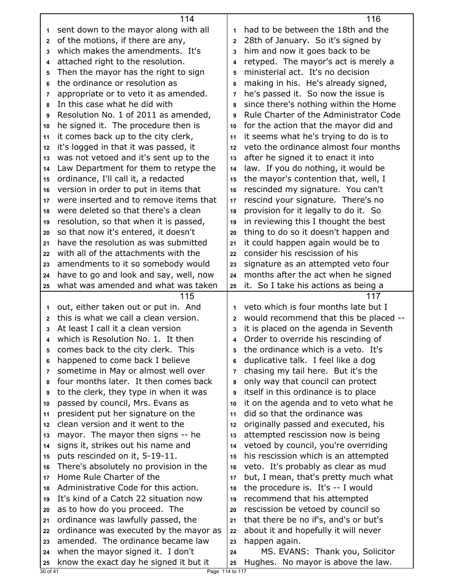|                | 114                                                                           |                | 116                                                                          |
|----------------|-------------------------------------------------------------------------------|----------------|------------------------------------------------------------------------------|
| 1              | sent down to the mayor along with all                                         | 1              | had to be between the 18th and the                                           |
| $\mathbf{2}$   | of the motions, if there are any,                                             | $\overline{2}$ | 28th of January. So it's signed by                                           |
| 3              | which makes the amendments. It's                                              | 3              | him and now it goes back to be                                               |
| 4              | attached right to the resolution.                                             | 4              | retyped. The mayor's act is merely a                                         |
| 5              | Then the mayor has the right to sign                                          | 5              | ministerial act. It's no decision                                            |
| 6              | the ordinance or resolution as                                                | 6              | making in his. He's already signed,                                          |
| 7              | appropriate or to veto it as amended.                                         | $\overline{7}$ | he's passed it. So now the issue is                                          |
| 8              | In this case what he did with                                                 | 8              | since there's nothing within the Home                                        |
| 9              | Resolution No. 1 of 2011 as amended,                                          | 9              | Rule Charter of the Administrator Code                                       |
| 10             | he signed it. The procedure then is                                           | 10             | for the action that the mayor did and                                        |
| 11             | it comes back up to the city clerk,                                           | 11             | it seems what he's trying to do is to                                        |
| 12             | it's logged in that it was passed, it                                         | 12             | veto the ordinance almost four months                                        |
| 13             | was not vetoed and it's sent up to the                                        | 13             | after he signed it to enact it into                                          |
| 14             | Law Department for them to retype the                                         | 14             | law. If you do nothing, it would be                                          |
| 15             | ordinance, I'll call it, a redacted                                           | 15             | the mayor's contention that, well, I                                         |
| 16             | version in order to put in items that                                         | 16             | rescinded my signature. You can't                                            |
| 17             | were inserted and to remove items that                                        | 17             | rescind your signature. There's no                                           |
| 18             | were deleted so that there's a clean                                          | 18             | provision for it legally to do it. So                                        |
| 19             | resolution, so that when it is passed,                                        | 19             | in reviewing this I thought the best                                         |
| 20             | so that now it's entered, it doesn't                                          | 20             | thing to do so it doesn't happen and                                         |
| 21             | have the resolution as was submitted                                          | 21             | it could happen again would be to                                            |
| 22             | with all of the attachments with the                                          | 22             | consider his rescission of his                                               |
| 23             | amendments to it so somebody would                                            | 23             | signature as an attempted veto four                                          |
| 24             | have to go and look and say, well, now                                        | 24             | months after the act when he signed                                          |
| 25             | what was amended and what was taken                                           | 25             | it. So I take his actions as being a                                         |
|                |                                                                               |                |                                                                              |
|                | 115                                                                           |                | 117                                                                          |
| 1              |                                                                               | 1              | veto which is four months late but I                                         |
| $\mathbf{2}$   | out, either taken out or put in. And<br>this is what we call a clean version. | $\mathbf{2}$   |                                                                              |
| 3              | At least I call it a clean version                                            | 3              | would recommend that this be placed --                                       |
|                | which is Resolution No. 1. It then                                            | 4              | it is placed on the agenda in Seventh<br>Order to override his rescinding of |
| 5              | comes back to the city clerk. This                                            | 5              | the ordinance which is a veto. It's                                          |
| 6              |                                                                               | 6              | duplicative talk. I feel like a dog                                          |
| 7              | happened to come back I believe<br>sometime in May or almost well over        | $\overline{7}$ | chasing my tail here. But it's the                                           |
| 8              | four months later. It then comes back                                         | 8              | only way that council can protect                                            |
| 9              | to the clerk, they type in when it was                                        | 9              | itself in this ordinance is to place                                         |
| 10             | passed by council, Mrs. Evans as                                              | 10             | it on the agenda and to veto what he                                         |
| 11             | president put her signature on the                                            | 11             | did so that the ordinance was                                                |
| 12             | clean version and it went to the                                              | 12             | originally passed and executed, his                                          |
| 13             | mayor. The mayor then signs -- he                                             | 13             | attempted rescission now is being                                            |
| 14             | signs it, strikes out his name and                                            | 14             | vetoed by council, you're overriding                                         |
| 15             | puts rescinded on it, 5-19-11.                                                | 15             | his rescission which is an attempted                                         |
| 16             | There's absolutely no provision in the                                        | 16             | veto. It's probably as clear as mud                                          |
| 17             | Home Rule Charter of the                                                      | 17             | but, I mean, that's pretty much what                                         |
| 18             | Administrative Code for this action.                                          | 18             | the procedure is. It's -- I would                                            |
| 19             | It's kind of a Catch 22 situation now                                         | 19             | recommend that his attempted                                                 |
| 20             | as to how do you proceed. The                                                 | 20             | rescission be vetoed by council so                                           |
| 21             | ordinance was lawfully passed, the                                            | 21             | that there be no if's, and's or but's                                        |
| 22             | ordinance was executed by the mayor as                                        | 22             | about it and hopefully it will never                                         |
| 23             | amended. The ordinance became law                                             | 23             | happen again.                                                                |
| 24             | when the mayor signed it. I don't                                             | 24             | MS. EVANS: Thank you, Solicitor                                              |
| 25<br>30 of 41 | know the exact day he signed it but it<br>Page 114 to 117                     | 25             | Hughes. No mayor is above the law.                                           |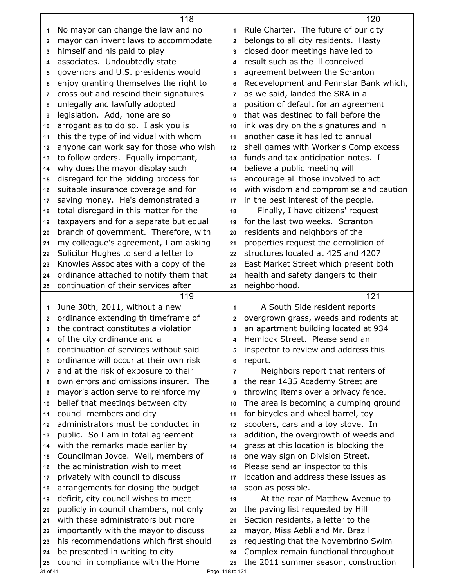|              | 118                                                                    |                | 120                                                                          |
|--------------|------------------------------------------------------------------------|----------------|------------------------------------------------------------------------------|
| 1            | No mayor can change the law and no                                     | 1              | Rule Charter. The future of our city                                         |
| $\mathbf{2}$ | mayor can invent laws to accommodate                                   | 2              | belongs to all city residents. Hasty                                         |
| 3            | himself and his paid to play                                           | 3              | closed door meetings have led to                                             |
| 4            | associates. Undoubtedly state                                          | 4              | result such as the ill conceived                                             |
| 5            | governors and U.S. presidents would                                    | 5              | agreement between the Scranton                                               |
| 6            | enjoy granting themselves the right to                                 | 6              | Redevelopment and Pennstar Bank which,                                       |
| 7            | cross out and rescind their signatures                                 | 7              | as we said, landed the SRA in a                                              |
| 8            | unlegally and lawfully adopted                                         | 8              | position of default for an agreement                                         |
| 9            | legislation. Add, none are so                                          | 9              | that was destined to fail before the                                         |
| 10           | arrogant as to do so. I ask you is                                     | 10             | ink was dry on the signatures and in                                         |
| 11           | this the type of individual with whom                                  | 11             | another case it has led to annual                                            |
| 12           | anyone can work say for those who wish                                 | 12             | shell games with Worker's Comp excess                                        |
| 13           | to follow orders. Equally important,                                   | 13             | funds and tax anticipation notes. I                                          |
| 14           | why does the mayor display such                                        | 14             | believe a public meeting will                                                |
| 15           | disregard for the bidding process for                                  | 15             | encourage all those involved to act                                          |
| 16           | suitable insurance coverage and for                                    | 16             | with wisdom and compromise and caution                                       |
| 17           | saving money. He's demonstrated a                                      | 17             | in the best interest of the people.                                          |
| 18           | total disregard in this matter for the                                 | 18             | Finally, I have citizens' request                                            |
| 19           | taxpayers and for a separate but equal                                 | 19             | for the last two weeks. Scranton                                             |
| 20           | branch of government. Therefore, with                                  | 20             | residents and neighbors of the                                               |
| 21           | my colleague's agreement, I am asking                                  | 21             | properties request the demolition of                                         |
| 22           | Solicitor Hughes to send a letter to                                   | 22             | structures located at 425 and 4207                                           |
| 23           | Knowles Associates with a copy of the                                  | 23             | East Market Street which present both                                        |
| 24           | ordinance attached to notify them that                                 | 24             | health and safety dangers to their                                           |
|              |                                                                        | 25             | neighborhood.                                                                |
| 25           | continuation of their services after                                   |                |                                                                              |
|              | 119                                                                    |                | 121                                                                          |
| 1            | June 30th, 2011, without a new                                         | 1              | A South Side resident reports                                                |
| 2            | ordinance extending th timeframe of                                    | 2              | overgrown grass, weeds and rodents at                                        |
| 3            | the contract constitutes a violation                                   | 3              | an apartment building located at 934                                         |
| 4            | of the city ordinance and a                                            | 4              | Hemlock Street. Please send an                                               |
| 5            | continuation of services without said                                  | 5              | inspector to review and address this                                         |
| 6            | ordinance will occur at their own risk                                 | 6              | report.                                                                      |
| 7            | and at the risk of exposure to their                                   | $\overline{7}$ | Neighbors report that renters of                                             |
| 8            | own errors and omissions insurer. The                                  | 8              | the rear 1435 Academy Street are                                             |
| 9            | mayor's action serve to reinforce my                                   | 9              | throwing items over a privacy fence.                                         |
| 10           | belief that meetings between city                                      | 10             | The area is becoming a dumping ground                                        |
| 11           | council members and city                                               | 11             | for bicycles and wheel barrel, toy                                           |
| 12           | administrators must be conducted in                                    | 12             | scooters, cars and a toy stove. In                                           |
| 13           | public. So I am in total agreement                                     | 13             | addition, the overgrowth of weeds and                                        |
| 14           | with the remarks made earlier by                                       | 14             | grass at this location is blocking the                                       |
| 15           | Councilman Joyce. Well, members of                                     | 15             | one way sign on Division Street.                                             |
| 16           | the administration wish to meet                                        | 16             | Please send an inspector to this                                             |
| 17           | privately with council to discuss                                      | 17             | location and address these issues as                                         |
| 18           | arrangements for closing the budget                                    | 18             | soon as possible.                                                            |
| 19           | deficit, city council wishes to meet                                   | 19             | At the rear of Matthew Avenue to                                             |
| 20           | publicly in council chambers, not only                                 | 20             | the paving list requested by Hill                                            |
| 21           | with these administrators but more                                     | 21             | Section residents, a letter to the                                           |
| 22           | importantly with the mayor to discuss                                  | 22             | mayor, Miss Aebli and Mr. Brazil                                             |
| 23           | his recommendations which first should                                 | 23             | requesting that the Novembrino Swim                                          |
| 24<br>25     | be presented in writing to city<br>council in compliance with the Home | 24<br>25       | Complex remain functional throughout<br>the 2011 summer season, construction |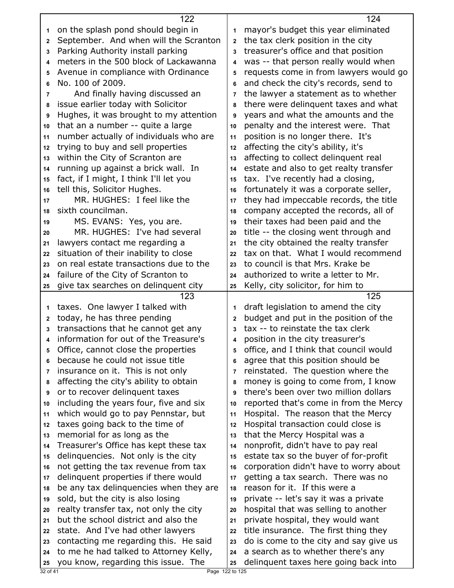|              | 122                                                                             |                | 124                                                                          |
|--------------|---------------------------------------------------------------------------------|----------------|------------------------------------------------------------------------------|
| 1            | on the splash pond should begin in                                              | 1              | mayor's budget this year eliminated                                          |
| $\mathbf{2}$ | September. And when will the Scranton                                           | $\overline{2}$ | the tax clerk position in the city                                           |
| 3            | Parking Authority install parking                                               | 3              | treasurer's office and that position                                         |
| 4            | meters in the 500 block of Lackawanna                                           | 4              | was -- that person really would when                                         |
| 5            | Avenue in compliance with Ordinance                                             | 5              | requests come in from lawyers would go                                       |
| 6            | No. 100 of 2009.                                                                | 6              | and check the city's records, send to                                        |
| 7            | And finally having discussed an                                                 | 7              | the lawyer a statement as to whether                                         |
| 8            | issue earlier today with Solicitor                                              | 8              | there were delinguent taxes and what                                         |
| 9            | Hughes, it was brought to my attention                                          | 9              | years and what the amounts and the                                           |
| 10           | that an a number -- quite a large                                               | 10             | penalty and the interest were. That                                          |
| 11           | number actually of individuals who are                                          | 11             | position is no longer there. It's                                            |
| 12           | trying to buy and sell properties                                               | 12             | affecting the city's ability, it's                                           |
| 13           | within the City of Scranton are                                                 | 13             | affecting to collect delinquent real                                         |
|              | running up against a brick wall. In                                             | 14             | estate and also to get realty transfer                                       |
| 14           |                                                                                 |                | tax. I've recently had a closing,                                            |
| 15           | fact, if I might, I think I'll let you                                          | 15             |                                                                              |
| 16           | tell this, Solicitor Hughes.<br>MR. HUGHES: I feel like the                     | 16             | fortunately it was a corporate seller,                                       |
| 17           |                                                                                 | 17             | they had impeccable records, the title                                       |
| 18           | sixth councilman.                                                               | 18             | company accepted the records, all of                                         |
| 19           | MS. EVANS: Yes, you are.                                                        | 19             | their taxes had been paid and the                                            |
| 20           | MR. HUGHES: I've had several                                                    | 20             | title -- the closing went through and                                        |
| 21           | lawyers contact me regarding a                                                  | 21             | the city obtained the realty transfer                                        |
| 22           | situation of their inability to close                                           | 22             | tax on that. What I would recommend                                          |
| 23           | on real estate transactions due to the                                          | 23             | to council is that Mrs. Krake be                                             |
| 24           | failure of the City of Scranton to                                              | 24             | authorized to write a letter to Mr.                                          |
| 25           | give tax searches on delinquent city                                            | 25             | Kelly, city solicitor, for him to                                            |
|              |                                                                                 |                |                                                                              |
|              | 123                                                                             |                | 125                                                                          |
| 1            | taxes. One lawyer I talked with                                                 | 1              | draft legislation to amend the city                                          |
| 2            | today, he has three pending                                                     | $\mathbf{2}$   | budget and put in the position of the                                        |
| 3            | transactions that he cannot get any                                             | 3              | tax -- to reinstate the tax clerk                                            |
| 4            | information for out of the Treasure's                                           | 4              | position in the city treasurer's                                             |
| 5            | Office, cannot close the properties                                             | 5              | office, and I think that council would                                       |
| 6            | because he could not issue title                                                | 6              | agree that this position should be                                           |
| 7            | insurance on it. This is not only                                               | $\overline{7}$ | reinstated. The question where the                                           |
| 8            | affecting the city's ability to obtain                                          | 8              | money is going to come from, I know                                          |
| 9            | or to recover delinquent taxes                                                  | 9              | there's been over two million dollars                                        |
| 10           | including the years four, five and six                                          | 10             | reported that's come in from the Mercy                                       |
| 11           | which would go to pay Pennstar, but                                             | 11             | Hospital. The reason that the Mercy                                          |
| 12           | taxes going back to the time of                                                 | 12             | Hospital transaction could close is                                          |
| 13           | memorial for as long as the                                                     | 13             | that the Mercy Hospital was a                                                |
| 14           | Treasurer's Office has kept these tax                                           | 14             | nonprofit, didn't have to pay real                                           |
| 15           | delinquencies. Not only is the city                                             | 15             | estate tax so the buyer of for-profit                                        |
| 16           | not getting the tax revenue from tax                                            | 16             | corporation didn't have to worry about                                       |
| 17           | delinquent properties if there would                                            | 17             | getting a tax search. There was no                                           |
| 18           | be any tax delinguencies when they are                                          | 18             | reason for it. If this were a                                                |
| 19           |                                                                                 | 19             |                                                                              |
| 20           | sold, but the city is also losing                                               | 20             | private -- let's say it was a private                                        |
| 21           | realty transfer tax, not only the city<br>but the school district and also the  | 21             | hospital that was selling to another                                         |
| 22           |                                                                                 | 22             | private hospital, they would want                                            |
| 23           | state. And I've had other lawyers                                               | 23             | title insurance. The first thing they                                        |
| 24           | contacting me regarding this. He said<br>to me he had talked to Attorney Kelly, | 24             | do is come to the city and say give us<br>a search as to whether there's any |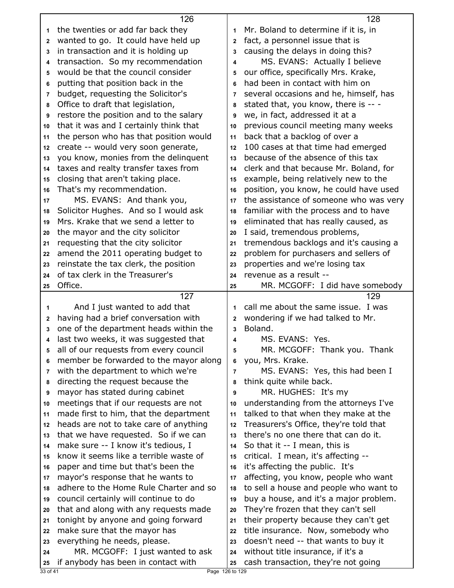|              | 126                                    |                       | 128                                    |
|--------------|----------------------------------------|-----------------------|----------------------------------------|
| 1            | the twenties or add far back they      | 1                     | Mr. Boland to determine if it is, in   |
| $\mathbf{2}$ | wanted to go. It could have held up    | $\mathbf{2}$          | fact, a personnel issue that is        |
| 3            | in transaction and it is holding up    | 3                     | causing the delays in doing this?      |
| 4            | transaction. So my recommendation      | 4                     | MS. EVANS: Actually I believe          |
| 5            | would be that the council consider     | 5                     | our office, specifically Mrs. Krake,   |
| 6            | putting that position back in the      | 6                     | had been in contact with him on        |
| 7            | budget, requesting the Solicitor's     | 7                     | several occasions and he, himself, has |
| 8            | Office to draft that legislation,      | 8                     | stated that, you know, there is -- -   |
| 9            | restore the position and to the salary | 9                     | we, in fact, addressed it at a         |
| 10           | that it was and I certainly think that | 10                    | previous council meeting many weeks    |
| 11           | the person who has that position would | 11                    | back that a backlog of over a          |
| 12           | create -- would very soon generate,    | 12                    | 100 cases at that time had emerged     |
| 13           | you know, monies from the delinquent   | 13                    | because of the absence of this tax     |
| 14           | taxes and realty transfer taxes from   | 14                    | clerk and that because Mr. Boland, for |
| 15           | closing that aren't taking place.      | 15                    | example, being relatively new to the   |
| 16           | That's my recommendation.              | 16                    | position, you know, he could have used |
| 17           | MS. EVANS: And thank you,              | 17                    | the assistance of someone who was very |
| 18           | Solicitor Hughes. And so I would ask   | 18                    | familiar with the process and to have  |
| 19           | Mrs. Krake that we send a letter to    | 19                    | eliminated that has really caused, as  |
| 20           | the mayor and the city solicitor       | 20                    | I said, tremendous problems,           |
| 21           | requesting that the city solicitor     | 21                    | tremendous backlogs and it's causing a |
| 22           | amend the 2011 operating budget to     | 22                    | problem for purchasers and sellers of  |
| 23           | reinstate the tax clerk, the position  | 23                    | properties and we're losing tax        |
| 24           | of tax clerk in the Treasurer's        | 24                    | revenue as a result --                 |
| 25           | Office.                                | 25                    | MR. MCGOFF: I did have somebody        |
|              | 127                                    |                       | 129                                    |
| $\mathbf 1$  | And I just wanted to add that          | 1                     | call me about the same issue. I was    |
| $\mathbf{2}$ | having had a brief conversation with   | $\mathbf{2}$          | wondering if we had talked to Mr.      |
| 3            | one of the department heads within the | 3                     | Boland.                                |
| 4            | last two weeks, it was suggested that  | 4                     | MS. EVANS: Yes.                        |
| 5            | all of our requests from every council | 5                     | MR. MCGOFF: Thank you. Thank           |
| 6            | member be forwarded to the mayor along | 6                     | you, Mrs. Krake.                       |
| 7            | with the department to which we're     | $\overline{7}$        | MS. EVANS: Yes, this had been I        |
| 8            | directing the request because the      | 8                     | think quite while back.                |
| 9            | mayor has stated during cabinet        | 9                     | MR. HUGHES: It's my                    |
| 10           | meetings that if our requests are not  | 10                    | understanding from the attorneys I've  |
| 11           | made first to him, that the department | 11                    | talked to that when they make at the   |
| 12           | heads are not to take care of anything | 12                    | Treasurers's Office, they're told that |
| 13           | that we have requested. So if we can   | 13                    | there's no one there that can do it.   |
| 14           | make sure -- I know it's tedious, I    | 14                    | So that it -- I mean, this is          |
| 15           | know it seems like a terrible waste of | 15                    | critical. I mean, it's affecting --    |
| 16           | paper and time but that's been the     | 16                    | it's affecting the public. It's        |
| 17           | mayor's response that he wants to      | 17                    | affecting, you know, people who want   |
| 18           | adhere to the Home Rule Charter and so | 18                    | to sell a house and people who want to |
| 19           | council certainly will continue to do  | 19                    | buy a house, and it's a major problem. |
| 20           | that and along with any requests made  | 20                    | They're frozen that they can't sell    |
| 21           | tonight by anyone and going forward    | 21                    | their property because they can't get  |
| 22           | make sure that the mayor has           | 22                    | title insurance. Now, somebody who     |
| 23           | everything he needs, please.           | 23                    | doesn't need -- that wants to buy it   |
| 24           | MR. MCGOFF: I just wanted to ask       | 24                    | without title insurance, if it's a     |
| 25           | if anybody has been in contact with    | 25<br>Page 126 to 129 | cash transaction, they're not going    |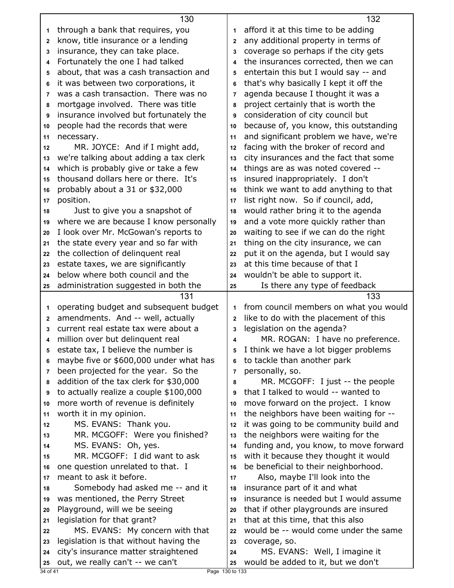|                | 130                                                                       |                | 132                                                            |
|----------------|---------------------------------------------------------------------------|----------------|----------------------------------------------------------------|
| 1              | through a bank that requires, you                                         | 1              | afford it at this time to be adding                            |
| 2              | know, title insurance or a lending                                        | $\overline{2}$ | any additional property in terms of                            |
| 3              | insurance, they can take place.                                           | 3              | coverage so perhaps if the city gets                           |
| 4              | Fortunately the one I had talked                                          | 4              | the insurances corrected, then we can                          |
| 5              | about, that was a cash transaction and                                    | 5              | entertain this but I would say -- and                          |
| 6              | it was between two corporations, it                                       | 6              | that's why basically I kept it off the                         |
| 7              | was a cash transaction. There was no                                      | 7              | agenda because I thought it was a                              |
| 8              | mortgage involved. There was title                                        | 8              | project certainly that is worth the                            |
| 9              | insurance involved but fortunately the                                    | 9              | consideration of city council but                              |
| 10             | people had the records that were                                          | 10             | because of, you know, this outstanding                         |
| 11             | necessary.                                                                | 11             | and significant problem we have, we're                         |
| 12             | MR. JOYCE: And if I might add,                                            | 12             | facing with the broker of record and                           |
| 13             | we're talking about adding a tax clerk                                    | 13             | city insurances and the fact that some                         |
| 14             | which is probably give or take a few                                      | 14             | things are as was noted covered --                             |
| 15             | thousand dollars here or there. It's                                      | 15             | insured inappropriately. I don't                               |
| 16             | probably about a 31 or \$32,000                                           | 16             | think we want to add anything to that                          |
| 17             | position.                                                                 | 17             | list right now. So if council, add,                            |
| 18             | Just to give you a snapshot of                                            | 18             | would rather bring it to the agenda                            |
| 19             | where we are because I know personally                                    | 19             | and a vote more quickly rather than                            |
| 20             | I look over Mr. McGowan's reports to                                      | 20             | waiting to see if we can do the right                          |
| 21             | the state every year and so far with                                      | 21             | thing on the city insurance, we can                            |
| 22             | the collection of delinquent real                                         | 22             | put it on the agenda, but I would say                          |
| 23             | estate taxes, we are significantly                                        | 23             | at this time because of that I                                 |
| 24             | below where both council and the                                          | 24             | wouldn't be able to support it.                                |
| 25             | administration suggested in both the                                      | 25             | Is there any type of feedback                                  |
|                |                                                                           |                |                                                                |
|                |                                                                           |                |                                                                |
|                | 131                                                                       | 1              | 133                                                            |
| 1<br>2         | operating budget and subsequent budget                                    | $\overline{2}$ | from council members on what you would                         |
| 3              | amendments. And -- well, actually<br>current real estate tax were about a | 3              | like to do with the placement of this                          |
| 4              |                                                                           | 4              | legislation on the agenda?<br>MR. ROGAN: I have no preference. |
| 5              | million over but delinquent real<br>estate tax, I believe the number is   | 5              | I think we have a lot bigger problems                          |
| 6              | maybe five or \$600,000 under what has                                    | 6              |                                                                |
| 7              | been projected for the year. So the                                       | $\overline{7}$ | to tackle than another park<br>personally, so.                 |
| 8              | addition of the tax clerk for \$30,000                                    | 8              | MR. MCGOFF: I just -- the people                               |
| 9              | to actually realize a couple \$100,000                                    | 9              | that I talked to would -- wanted to                            |
| 10             | more worth of revenue is definitely                                       | 10             | move forward on the project. I know                            |
| 11             | worth it in my opinion.                                                   | 11             | the neighbors have been waiting for --                         |
| 12             | MS. EVANS: Thank you.                                                     | 12             | it was going to be community build and                         |
| 13             | MR. MCGOFF: Were you finished?                                            | 13             | the neighbors were waiting for the                             |
| 14             | MS. EVANS: Oh, yes.                                                       | 14             | funding and, you know, to move forward                         |
| 15             | MR. MCGOFF: I did want to ask                                             | 15             | with it because they thought it would                          |
| 16             | one question unrelated to that. I                                         | 16             | be beneficial to their neighborhood.                           |
| 17             | meant to ask it before.                                                   | 17             | Also, maybe I'll look into the                                 |
| 18             | Somebody had asked me -- and it                                           | 18             | insurance part of it and what                                  |
| 19             | was mentioned, the Perry Street                                           | 19             | insurance is needed but I would assume                         |
| 20             | Playground, will we be seeing                                             | 20             | that if other playgrounds are insured                          |
| 21             | legislation for that grant?                                               | 21             | that at this time, that this also                              |
| 22             | MS. EVANS: My concern with that                                           | 22             | would be -- would come under the same                          |
| 23             | legislation is that without having the                                    | 23             | coverage, so.                                                  |
| 24             | city's insurance matter straightened                                      | 24             | MS. EVANS: Well, I imagine it                                  |
| 25<br>34 of 41 | out, we really can't -- we can't<br>Page 130 to 133                       | 25             | would be added to it, but we don't                             |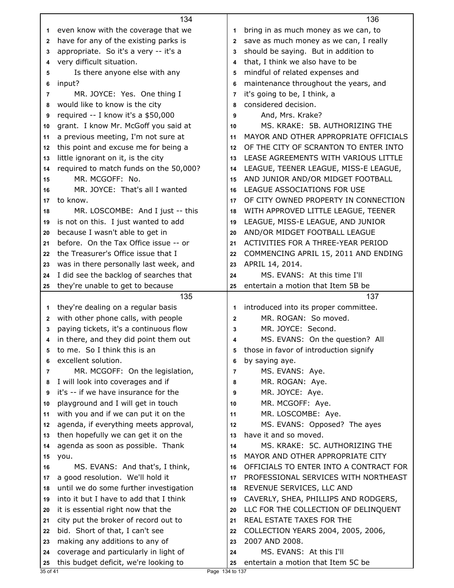|                | 134                                                      |              | 136                                    |
|----------------|----------------------------------------------------------|--------------|----------------------------------------|
| 1              | even know with the coverage that we                      | 1            | bring in as much money as we can, to   |
| 2              | have for any of the existing parks is                    | 2            | save as much money as we can, I really |
| 3              | appropriate. So it's a very -- it's a                    | 3            | should be saying. But in addition to   |
| 4              | very difficult situation.                                | 4            | that, I think we also have to be       |
| 5              | Is there anyone else with any                            | 5            | mindful of related expenses and        |
| 6              | input?                                                   | 6            | maintenance throughout the years, and  |
| 7              | MR. JOYCE: Yes. One thing I                              | 7            | it's going to be, I think, a           |
| 8              | would like to know is the city                           | 8            | considered decision.                   |
| 9              | required -- I know it's a \$50,000                       | 9            | And, Mrs. Krake?                       |
| 10             | grant. I know Mr. McGoff you said at                     | 10           | MS. KRAKE: 5B. AUTHORIZING THE         |
| 11             | a previous meeting, I'm not sure at                      | 11           | MAYOR AND OTHER APPROPRIATE OFFICIALS  |
| 12             | this point and excuse me for being a                     | 12           | OF THE CITY OF SCRANTON TO ENTER INTO  |
| 13             | little ignorant on it, is the city                       | 13           | LEASE AGREEMENTS WITH VARIOUS LITTLE   |
| 14             | required to match funds on the 50,000?                   | 14           | LEAGUE, TEENER LEAGUE, MISS-E LEAGUE,  |
| 15             | MR. MCGOFF: No.                                          | 15           | AND JUNIOR AND/OR MIDGET FOOTBALL      |
| 16             | MR. JOYCE: That's all I wanted                           | 16           | LEAGUE ASSOCIATIONS FOR USE            |
| 17             | to know.                                                 | 17           | OF CITY OWNED PROPERTY IN CONNECTION   |
| 18             | MR. LOSCOMBE: And I just -- this                         | 18           | WITH APPROVED LITTLE LEAGUE, TEENER    |
| 19             | is not on this. I just wanted to add                     | 19           | LEAGUE, MISS-E LEAGUE, AND JUNIOR      |
| 20             | because I wasn't able to get in                          | 20           | AND/OR MIDGET FOOTBALL LEAGUE          |
| 21             | before. On the Tax Office issue -- or                    | 21           | ACTIVITIES FOR A THREE-YEAR PERIOD     |
| 22             | the Treasurer's Office issue that I                      | 22           | COMMENCING APRIL 15, 2011 AND ENDING   |
| 23             | was in there personally last week, and                   | 23           | APRIL 14, 2014.                        |
| 24             | I did see the backlog of searches that                   | 24           | MS. EVANS: At this time I'll           |
| 25             | they're unable to get to because                         | 25           | entertain a motion that Item 5B be     |
|                |                                                          |              |                                        |
|                | 135                                                      |              | 137                                    |
| 1              | they're dealing on a regular basis                       | 1            | introduced into its proper committee.  |
| 2              | with other phone calls, with people                      | $\mathbf{2}$ | MR. ROGAN: So moved.                   |
| 3              | paying tickets, it's a continuous flow                   | 3            | MR. JOYCE: Second.                     |
| 4              | in there, and they did point them out                    | 4            | MS. EVANS: On the question? All        |
| 5              | to me. So I think this is an                             | 5            | those in favor of introduction signify |
| 6              | excellent solution.                                      | 6            | by saying aye.                         |
| 7              | MR. MCGOFF: On the legislation,                          | 7            | MS. EVANS: Aye.                        |
| 8              | I will look into coverages and if                        | 8            | MR. ROGAN: Aye.                        |
| 9              | it's -- if we have insurance for the                     | 9            | MR. JOYCE: Aye.                        |
| 10             | playground and I will get in touch                       | 10           | MR. MCGOFF: Aye.                       |
| 11             | with you and if we can put it on the                     | 11           | MR. LOSCOMBE: Aye.                     |
| 12             | agenda, if everything meets approval,                    | 12           | MS. EVANS: Opposed? The ayes           |
| 13             | then hopefully we can get it on the                      | 13           | have it and so moved.                  |
| 14             | agenda as soon as possible. Thank                        | 14           | MS. KRAKE: 5C. AUTHORIZING THE         |
| 15             | you.                                                     | 15           | MAYOR AND OTHER APPROPRIATE CITY       |
| 16             | MS. EVANS: And that's, I think,                          | 16           | OFFICIALS TO ENTER INTO A CONTRACT FOR |
| 17             | a good resolution. We'll hold it                         | 17           | PROFESSIONAL SERVICES WITH NORTHEAST   |
| 18             | until we do some further investigation                   | 18           | REVENUE SERVICES, LLC AND              |
| 19             | into it but I have to add that I think                   | 19           | CAVERLY, SHEA, PHILLIPS AND RODGERS,   |
| 20             | it is essential right now that the                       | 20           | LLC FOR THE COLLECTION OF DELINQUENT   |
| 21             | city put the broker of record out to                     | 21           | REAL ESTATE TAXES FOR THE              |
| 22             | bid. Short of that, I can't see                          | 22           | COLLECTION YEARS 2004, 2005, 2006,     |
| 23             | making any additions to any of                           | 23           | 2007 AND 2008.                         |
| 24             | coverage and particularly in light of                    | 24           | MS. EVANS: At this I'll                |
| 25<br>35 of 41 | this budget deficit, we're looking to<br>Page 134 to 137 | 25           | entertain a motion that Item 5C be     |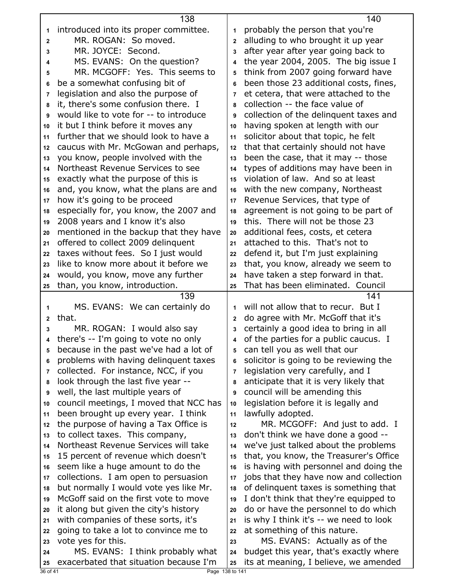|                | 138                                                       |                | 140                                    |
|----------------|-----------------------------------------------------------|----------------|----------------------------------------|
| 1              | introduced into its proper committee.                     | 1              | probably the person that you're        |
| $\mathbf{2}$   | MR. ROGAN: So moved.                                      | $\overline{2}$ | alluding to who brought it up year     |
| 3              | MR. JOYCE: Second.                                        | 3              | after year after year going back to    |
| 4              | MS. EVANS: On the question?                               | 4              | the year 2004, 2005. The big issue I   |
| 5              | MR. MCGOFF: Yes. This seems to                            | 5              | think from 2007 going forward have     |
| 6              | be a somewhat confusing bit of                            | 6              | been those 23 additional costs, fines, |
| 7              | legislation and also the purpose of                       | 7              | et cetera, that were attached to the   |
| 8              | it, there's some confusion there. I                       | 8              | collection -- the face value of        |
| 9              | would like to vote for -- to introduce                    | 9              | collection of the delinquent taxes and |
| 10             | it but I think before it moves any                        | 10             | having spoken at length with our       |
| 11             | further that we should look to have a                     | 11             | solicitor about that topic, he felt    |
| 12             | caucus with Mr. McGowan and perhaps,                      | 12             | that that certainly should not have    |
| 13             | you know, people involved with the                        | 13             | been the case, that it may -- those    |
| 14             | Northeast Revenue Services to see                         | 14             | types of additions may have been in    |
| 15             | exactly what the purpose of this is                       | 15             | violation of law. And so at least      |
| 16             | and, you know, what the plans are and                     | 16             | with the new company, Northeast        |
| 17             | how it's going to be proceed                              | 17             | Revenue Services, that type of         |
| 18             | especially for, you know, the 2007 and                    | 18             | agreement is not going to be part of   |
| 19             | 2008 years and I know it's also                           | 19             | this. There will not be those 23       |
| 20             | mentioned in the backup that they have                    | 20             | additional fees, costs, et cetera      |
| 21             | offered to collect 2009 delinquent                        | 21             | attached to this. That's not to        |
| 22             | taxes without fees. So I just would                       | 22             | defend it, but I'm just explaining     |
| 23             | like to know more about it before we                      | 23             | that, you know, already we seem to     |
| 24             | would, you know, move any further                         | 24             | have taken a step forward in that.     |
| 25             | than, you know, introduction.                             | 25             | That has been eliminated. Council      |
|                | 139                                                       |                | 141                                    |
| 1              | MS. EVANS: We can certainly do                            | 1              | will not allow that to recur. But I    |
| $\mathbf{2}$   | that.                                                     | $\mathbf{2}$   | do agree with Mr. McGoff that it's     |
| 3              | MR. ROGAN: I would also say                               | 3              | certainly a good idea to bring in all  |
| 4              | there's -- I'm going to vote no only                      | 4              | of the parties for a public caucus. I  |
| 5              | because in the past we've had a lot of                    | 5              | can tell you as well that our          |
| 6              | problems with having delinquent taxes                     | 6              | solicitor is going to be reviewing the |
| 7              | collected. For instance, NCC, if you                      | $\overline{7}$ | legislation very carefully, and I      |
| 8              | look through the last five year --                        | 8              | anticipate that it is very likely that |
| 9              | well, the last multiple years of                          | 9              | council will be amending this          |
| 10             | council meetings, I moved that NCC has                    | 10             | legislation before it is legally and   |
| 11             | been brought up every year. I think                       | 11             | lawfully adopted.                      |
| 12             | the purpose of having a Tax Office is                     | 12             | MR. MCGOFF: And just to add. I         |
| 13             | to collect taxes. This company,                           | 13             | don't think we have done a good --     |
| 14             | Northeast Revenue Services will take                      | 14             | we've just talked about the problems   |
| 15             | 15 percent of revenue which doesn't                       | 15             | that, you know, the Treasurer's Office |
| 16             | seem like a huge amount to do the                         | 16             | is having with personnel and doing the |
| 17             | collections. I am open to persuasion                      | 17             | jobs that they have now and collection |
| 18             | but normally I would vote yes like Mr.                    | 18             | of delinquent taxes is something that  |
| 19             | McGoff said on the first vote to move                     | 19             | I don't think that they're equipped to |
| 20             | it along but given the city's history                     | 20             | do or have the personnel to do which   |
| 21             | with companies of these sorts, it's                       | 21             | is why I think it's -- we need to look |
| 22             | going to take a lot to convince me to                     | 22             | at something of this nature.           |
| 23             | vote yes for this.                                        | 23             | MS. EVANS: Actually as of the          |
| 24             | MS. EVANS: I think probably what                          | 24             | budget this year, that's exactly where |
| 25<br>36 of 41 | exacerbated that situation because I'm<br>Page 138 to 141 | 25             | its at meaning, I believe, we amended  |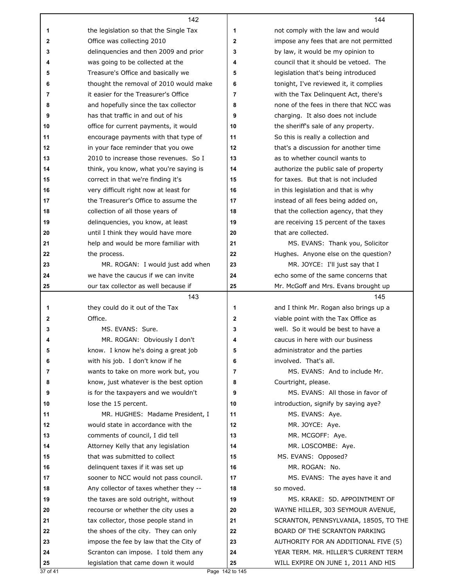|              | 142                                                                  |              | 144                                    |
|--------------|----------------------------------------------------------------------|--------------|----------------------------------------|
| 1            | the legislation so that the Single Tax                               | 1            | not comply with the law and would      |
| $\mathbf{2}$ | Office was collecting 2010                                           | $\mathbf{2}$ | impose any fees that are not permitted |
| 3            | delinquencies and then 2009 and prior                                | 3            | by law, it would be my opinion to      |
| 4            | was going to be collected at the                                     | 4            | council that it should be vetoed. The  |
| 5            | Treasure's Office and basically we                                   | 5            | legislation that's being introduced    |
| 6            | thought the removal of 2010 would make                               | 6            | tonight, I've reviewed it, it complies |
| 7            | it easier for the Treasurer's Office                                 | 7            | with the Tax Delinquent Act, there's   |
| 8            | and hopefully since the tax collector                                | 8            | none of the fees in there that NCC was |
| 9            | has that traffic in and out of his                                   | 9            | charging. It also does not include     |
| 10           | office for current payments, it would                                | 10           | the sheriff's sale of any property.    |
| 11           | encourage payments with that type of                                 | 11           | So this is really a collection and     |
| 12           | in your face reminder that you owe                                   | 12           | that's a discussion for another time   |
| 13           | 2010 to increase those revenues. So I                                | 13           | as to whether council wants to         |
| 14           | think, you know, what you're saying is                               | 14           | authorize the public sale of property  |
| 15           | correct in that we're finding it's                                   | 15           | for taxes. But that is not included    |
| 16           | very difficult right now at least for                                | 16           | in this legislation and that is why    |
| 17           | the Treasurer's Office to assume the                                 | 17           | instead of all fees being added on,    |
| 18           | collection of all those years of                                     | 18           | that the collection agency, that they  |
| 19           | delinquencies, you know, at least                                    | 19           | are receiving 15 percent of the taxes  |
| 20           | until I think they would have more                                   | 20           | that are collected.                    |
| 21           | help and would be more familiar with                                 | 21           | MS. EVANS: Thank you, Solicitor        |
| 22           | the process.                                                         | 22           | Hughes. Anyone else on the question?   |
| 23           | MR. ROGAN: I would just add when                                     | 23           | MR. JOYCE: I'll just say that I        |
| 24           | we have the caucus if we can invite                                  | 24           | echo some of the same concerns that    |
| 25           | our tax collector as well because if                                 | 25           | Mr. McGoff and Mrs. Evans brought up   |
|              |                                                                      |              |                                        |
|              | 143                                                                  |              | 145                                    |
| 1            | they could do it out of the Tax                                      | 1            | and I think Mr. Rogan also brings up a |
| 2            | Office.                                                              | 2            | viable point with the Tax Office as    |
| 3            | MS. EVANS: Sure.                                                     | 3            | well. So it would be best to have a    |
| 4            | MR. ROGAN: Obviously I don't                                         | 4            | caucus in here with our business       |
| 5            | know. I know he's doing a great job                                  | 5            | administrator and the parties          |
| 6            | with his job. I don't know if he                                     | 6            | involved. That's all.                  |
| 7            | wants to take on more work but, you                                  | 7            | MS. EVANS: And to include Mr.          |
| 8            | know, just whatever is the best option                               | 8            | Courtright, please.                    |
| 9            | is for the taxpayers and we wouldn't                                 | 9            | MS. EVANS: All those in favor of       |
| 10           | lose the 15 percent.                                                 | 10           | introduction, signify by saying aye?   |
| 11           | MR. HUGHES: Madame President, I                                      | 11           | MS. EVANS: Aye.                        |
| 12           | would state in accordance with the                                   | 12           | MR. JOYCE: Aye.                        |
| 13           | comments of council, I did tell                                      | 13           | MR. MCGOFF: Aye.                       |
| 14<br>15     | Attorney Kelly that any legislation<br>that was submitted to collect | 14<br>15     | MR. LOSCOMBE: Aye.                     |
| 16           | delinquent taxes if it was set up                                    | 16           | MS. EVANS: Opposed?<br>MR. ROGAN: No.  |
| 17           | sooner to NCC would not pass council.                                | 17           | MS. EVANS: The ayes have it and        |
| 18           | Any collector of taxes whether they --                               | 18           | so moved.                              |
| 19           | the taxes are sold outright, without                                 | 19           | MS. KRAKE: 5D. APPOINTMENT OF          |
| 20           | recourse or whether the city uses a                                  | 20           | WAYNE HILLER, 303 SEYMOUR AVENUE,      |
| 21           | tax collector, those people stand in                                 | 21           | SCRANTON, PENNSYLVANIA, 18505, TO THE  |
| 22           | the shoes of the city. They can only                                 | 22           | BOARD OF THE SCRANTON PARKING          |
| 23           | impose the fee by law that the City of                               | 23           | AUTHORITY FOR AN ADDITIONAL FIVE (5)   |
| 24           | Scranton can impose. I told them any                                 | 24           | YEAR TERM. MR. HILLER'S CURRENT TERM   |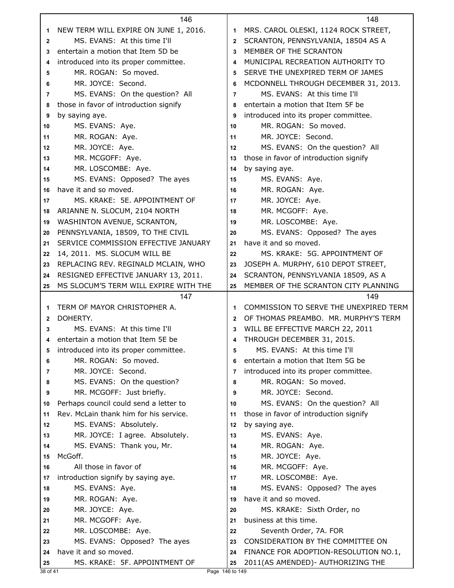|              | 146                                    |              | 148                                    |
|--------------|----------------------------------------|--------------|----------------------------------------|
| 1            | NEW TERM WILL EXPIRE ON JUNE 1, 2016.  | 1            | MRS. CAROL OLESKI, 1124 ROCK STREET,   |
| $\mathbf{2}$ | MS. EVANS: At this time I'll           | $\mathbf{2}$ | SCRANTON, PENNSYLVANIA, 18504 AS A     |
| 3            | entertain a motion that Item 5D be     | 3            | MEMBER OF THE SCRANTON                 |
| 4            | introduced into its proper committee.  | 4            | MUNICIPAL RECREATION AUTHORITY TO      |
| 5            | MR. ROGAN: So moved.                   | 5            | SERVE THE UNEXPIRED TERM OF JAMES      |
| 6            | MR. JOYCE: Second.                     | 6            | MCDONNELL THROUGH DECEMBER 31, 2013.   |
| 7            | MS. EVANS: On the question? All        | 7            | MS. EVANS: At this time I'll           |
| 8            | those in favor of introduction signify | 8            | entertain a motion that Item 5F be     |
| 9            | by saying aye.                         | 9            | introduced into its proper committee.  |
| 10           | MS. EVANS: Aye.                        | 10           | MR. ROGAN: So moved.                   |
| 11           | MR. ROGAN: Aye.                        | 11           | MR. JOYCE: Second.                     |
| $12 \,$      | MR. JOYCE: Aye.                        | 12           | MS. EVANS: On the question? All        |
| 13           | MR. MCGOFF: Aye.                       | 13           | those in favor of introduction signify |
| 14           | MR. LOSCOMBE: Aye.                     | 14           | by saying aye.                         |
| 15           | MS. EVANS: Opposed? The ayes           | 15           | MS. EVANS: Aye.                        |
| 16           | have it and so moved.                  | 16           | MR. ROGAN: Aye.                        |
| 17           | MS. KRAKE: 5E. APPOINTMENT OF          | 17           | MR. JOYCE: Aye.                        |
| 18           | ARIANNE N. SLOCUM, 2104 NORTH          | 18           | MR. MCGOFF: Aye.                       |
| 19           | WASHINTON AVENUE, SCRANTON,            | 19           | MR. LOSCOMBE: Aye.                     |
| 20           | PENNSYLVANIA, 18509, TO THE CIVIL      | 20           | MS. EVANS: Opposed? The ayes           |
| 21           | SERVICE COMMISSION EFFECTIVE JANUARY   | 21           | have it and so moved.                  |
| 22           | 14, 2011. MS. SLOCUM WILL BE           | 22           | MS. KRAKE: 5G. APPOINTMENT OF          |
| 23           | REPLACING REV. REGINALD MCLAIN, WHO    | 23           | JOSEPH A. MURPHY, 610 DEPOT STREET,    |
| 24           | RESIGNED EFFECTIVE JANUARY 13, 2011.   | 24           | SCRANTON, PENNSYLVANIA 18509, AS A     |
| 25           | MS SLOCUM'S TERM WILL EXPIRE WITH THE  | 25           | MEMBER OF THE SCRANTON CITY PLANNING   |
|              | 147                                    |              |                                        |
|              |                                        |              | 149                                    |
| 1            | TERM OF MAYOR CHRISTOPHER A.           | 1            | COMMISSION TO SERVE THE UNEXPIRED TERM |
| $\mathbf{2}$ | DOHERTY.                               | $\mathbf{2}$ | OF THOMAS PREAMBO. MR. MURPHY'S TERM   |
| 3            | MS. EVANS: At this time I'll           | 3            | WILL BE EFFECTIVE MARCH 22, 2011       |
| 4            | entertain a motion that Item 5E be     | 4            | THROUGH DECEMBER 31, 2015.             |
| 5            | introduced into its proper committee.  | 5            | MS. EVANS: At this time I'll           |
| 6            | MR. ROGAN: So moved.                   | 6            | entertain a motion that Item 5G be     |
| 7            | MR. JOYCE: Second.                     | 7            | introduced into its proper committee.  |
| 8            | MS. EVANS: On the question?            | 8            | MR. ROGAN: So moved.                   |
| 9            | MR. MCGOFF: Just briefly.              | 9            | MR. JOYCE: Second.                     |
| 10           | Perhaps council could send a letter to | 10           | MS. EVANS: On the question? All        |
| 11           | Rev. McLain thank him for his service. | 11           | those in favor of introduction signify |
| 12           | MS. EVANS: Absolutely.                 | 12           | by saying aye.                         |
| 13           | MR. JOYCE: I agree. Absolutely.        | 13           | MS. EVANS: Aye.                        |
| 14           | MS. EVANS: Thank you, Mr.              | 14           | MR. ROGAN: Aye.                        |
| 15           | McGoff.                                | 15           | MR. JOYCE: Aye.                        |
| 16           | All those in favor of                  | 16           | MR. MCGOFF: Aye.                       |
| 17           | introduction signify by saying aye.    | 17           | MR. LOSCOMBE: Aye.                     |
| 18           | MS. EVANS: Aye.                        | 18           | MS. EVANS: Opposed? The ayes           |
| 19           | MR. ROGAN: Aye.                        | 19           | have it and so moved.                  |
| 20           | MR. JOYCE: Aye.                        | 20           | MS. KRAKE: Sixth Order, no             |
| 21           | MR. MCGOFF: Aye.                       | 21           | business at this time.                 |
| 22           | MR. LOSCOMBE: Aye.                     | 22           | Seventh Order, 7A. FOR                 |
| 23           | MS. EVANS: Opposed? The ayes           | 23           | CONSIDERATION BY THE COMMITTEE ON      |
| 24           | have it and so moved.                  | 24           | FINANCE FOR ADOPTION-RESOLUTION NO.1,  |
| 25           | MS. KRAKE: 5F. APPOINTMENT OF          | 25           | 2011(AS AMENDED) - AUTHORIZING THE     |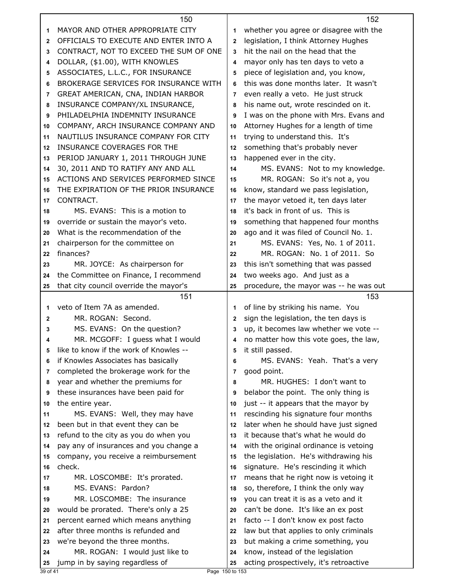|              | 150                                                                  |        | 152                                                                           |  |
|--------------|----------------------------------------------------------------------|--------|-------------------------------------------------------------------------------|--|
| 1            | MAYOR AND OTHER APPROPRIATE CITY                                     | 1      | whether you agree or disagree with the                                        |  |
| $\mathbf{2}$ | OFFICIALS TO EXECUTE AND ENTER INTO A                                | 2      | legislation, I think Attorney Hughes                                          |  |
| 3            | CONTRACT, NOT TO EXCEED THE SUM OF ONE                               | 3      | hit the nail on the head that the                                             |  |
| 4            | DOLLAR, (\$1.00), WITH KNOWLES                                       | 4      | mayor only has ten days to veto a                                             |  |
| 5            | ASSOCIATES, L.L.C., FOR INSURANCE                                    | 5      | piece of legislation and, you know,                                           |  |
| 6            | BROKERAGE SERVICES FOR INSURANCE WITH                                | 6      | this was done months later. It wasn't                                         |  |
| 7            | GREAT AMERICAN, CNA, INDIAN HARBOR                                   | 7      | even really a veto. He just struck                                            |  |
| 8            | INSURANCE COMPANY/XL INSURANCE,                                      | 8      | his name out, wrote rescinded on it.                                          |  |
| 9            | PHILADELPHIA INDEMNITY INSURANCE                                     | 9      | I was on the phone with Mrs. Evans and                                        |  |
| 10           | COMPANY, ARCH INSURANCE COMPANY AND                                  | 10     | Attorney Hughes for a length of time                                          |  |
| 11           | NAUTILUS INSURANCE COMPANY FOR CITY                                  | 11     | trying to understand this. It's                                               |  |
| 12           | INSURANCE COVERAGES FOR THE                                          | 12     | something that's probably never                                               |  |
| 13           | PERIOD JANUARY 1, 2011 THROUGH JUNE                                  | 13     | happened ever in the city.                                                    |  |
| 14           | 30, 2011 AND TO RATIFY ANY AND ALL                                   | 14     | MS. EVANS: Not to my knowledge.                                               |  |
| 15           | ACTIONS AND SERVICES PERFORMED SINCE                                 | 15     | MR. ROGAN: So it's not a, you                                                 |  |
| 16           | THE EXPIRATION OF THE PRIOR INSURANCE                                | 16     | know, standard we pass legislation,                                           |  |
| 17           | CONTRACT.                                                            | 17     | the mayor vetoed it, ten days later                                           |  |
| 18           | MS. EVANS: This is a motion to                                       | 18     | it's back in front of us. This is                                             |  |
| 19           | override or sustain the mayor's veto.                                | 19     | something that happened four months                                           |  |
| 20           | What is the recommendation of the                                    | 20     | ago and it was filed of Council No. 1.                                        |  |
| 21           | chairperson for the committee on                                     | 21     | MS. EVANS: Yes, No. 1 of 2011.                                                |  |
| 22           | finances?                                                            | 22     | MR. ROGAN: No. 1 of 2011. So                                                  |  |
| 23           | MR. JOYCE: As chairperson for                                        | 23     | this isn't something that was passed                                          |  |
| 24           | the Committee on Finance, I recommend                                | 24     | two weeks ago. And just as a                                                  |  |
| 25           | that city council override the mayor's                               | 25     | procedure, the mayor was -- he was out                                        |  |
|              |                                                                      |        |                                                                               |  |
|              |                                                                      |        |                                                                               |  |
|              | 151                                                                  |        | 153                                                                           |  |
| 1            | veto of Item 7A as amended.                                          | 1      | of line by striking his name. You                                             |  |
| $\mathbf{2}$ | MR. ROGAN: Second.                                                   | 2      | sign the legislation, the ten days is                                         |  |
| 3<br>4       | MS. EVANS: On the question?                                          | 3<br>4 | up, it becomes law whether we vote --                                         |  |
|              | MR. MCGOFF: I guess what I would                                     |        | no matter how this vote goes, the law,                                        |  |
| 5            | like to know if the work of Knowles --                               | 5      | it still passed.                                                              |  |
| 6<br>7       | if Knowles Associates has basically                                  | 6<br>7 | MS. EVANS: Yeah. That's a very                                                |  |
| 8            | completed the brokerage work for the                                 | 8      | good point.<br>MR. HUGHES: I don't want to                                    |  |
| 9            | year and whether the premiums for                                    | 9      |                                                                               |  |
| 10           | these insurances have been paid for                                  | 10     | belabor the point. The only thing is                                          |  |
| 11           | the entire year.                                                     | 11     | just -- it appears that the mayor by                                          |  |
| 12           | MS. EVANS: Well, they may have<br>been but in that event they can be | 12     | rescinding his signature four months<br>later when he should have just signed |  |
| 13           | refund to the city as you do when you                                | 13     | it because that's what he would do                                            |  |
| 14           | pay any of insurances and you change a                               | 14     | with the original ordinance is vetoing                                        |  |
| 15           | company, you receive a reimbursement                                 | 15     | the legislation. He's withdrawing his                                         |  |
| 16           | check.                                                               | 16     | signature. He's rescinding it which                                           |  |
| 17           | MR. LOSCOMBE: It's prorated.                                         | 17     | means that he right now is vetoing it                                         |  |
| 18           | MS. EVANS: Pardon?                                                   | 18     |                                                                               |  |
| 19           | MR. LOSCOMBE: The insurance                                          | 19     | so, therefore, I think the only way<br>you can treat it is as a veto and it   |  |
| 20           | would be prorated. There's only a 25                                 | 20     | can't be done. It's like an ex post                                           |  |
| 21           | percent earned which means anything                                  | 21     | facto -- I don't know ex post facto                                           |  |
| 22           | after three months is refunded and                                   | 22     | law but that applies to only criminals                                        |  |
| 23           | we're beyond the three months.                                       | 23     | but making a crime something, you                                             |  |
| 24           | MR. ROGAN: I would just like to                                      | 24     | know, instead of the legislation                                              |  |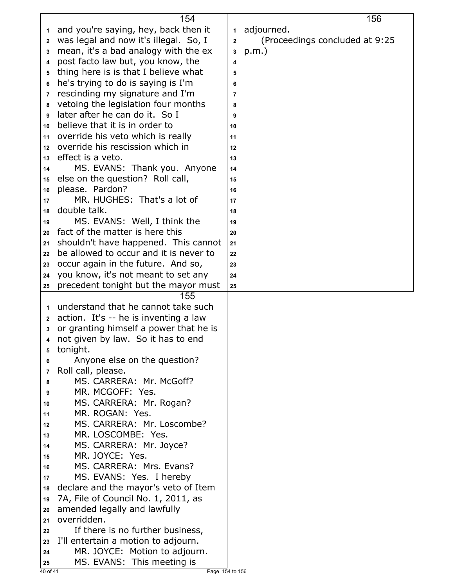|              | 154                                    |              | 156                             |
|--------------|----------------------------------------|--------------|---------------------------------|
| 1            | and you're saying, hey, back then it   | 1            | adjourned.                      |
| $\mathbf{2}$ | was legal and now it's illegal. So, I  | $\mathbf{2}$ | (Proceedings concluded at 9:25) |
| 3            | mean, it's a bad analogy with the ex   | 3            | $p.m.$ )                        |
| 4            | post facto law but, you know, the      | 4            |                                 |
| 5            | thing here is is that I believe what   | 5            |                                 |
| 6            | he's trying to do is saying is I'm     | 6            |                                 |
| 7            | rescinding my signature and I'm        | 7            |                                 |
| 8            | vetoing the legislation four months    | 8            |                                 |
| 9            | later after he can do it. So I         |              |                                 |
|              | believe that it is in order to         | 9            |                                 |
| 10           | override his veto which is really      | 10           |                                 |
| 11           | override his rescission which in       | 11           |                                 |
| 12           | effect is a veto.                      | 12           |                                 |
| 13           |                                        | 13           |                                 |
| 14           | MS. EVANS: Thank you. Anyone           | 14           |                                 |
| 15           | else on the question? Roll call,       | 15           |                                 |
| 16           | please. Pardon?                        | 16           |                                 |
| 17           | MR. HUGHES: That's a lot of            | 17           |                                 |
| 18           | double talk.                           | 18           |                                 |
| 19           | MS. EVANS: Well, I think the           | 19           |                                 |
| 20           | fact of the matter is here this        | 20           |                                 |
| 21           | shouldn't have happened. This cannot   | 21           |                                 |
| 22           | be allowed to occur and it is never to | 22           |                                 |
| 23           | occur again in the future. And so,     | 23           |                                 |
| 24           | you know, it's not meant to set any    | 24           |                                 |
| 25           | precedent tonight but the mayor must   | 25           |                                 |
|              | 155                                    |              |                                 |
| 1            | understand that he cannot take such    |              |                                 |
| $\mathbf{2}$ | action. It's -- he is inventing a law  |              |                                 |
| 3            | or granting himself a power that he is |              |                                 |
| 4            | not given by law. So it has to end     |              |                                 |
| 5            | tonight.                               |              |                                 |
| 6            | Anyone else on the question?           |              |                                 |
| 7            | Roll call, please.                     |              |                                 |
| 8            | MS. CARRERA: Mr. McGoff?               |              |                                 |
| 9            | MR. MCGOFF: Yes.                       |              |                                 |
| 10           | MS. CARRERA: Mr. Rogan?                |              |                                 |
| 11           | MR. ROGAN: Yes.                        |              |                                 |
| 12           | MS. CARRERA: Mr. Loscombe?             |              |                                 |
| 13           | MR. LOSCOMBE: Yes.                     |              |                                 |
| 14           | MS. CARRERA: Mr. Joyce?                |              |                                 |
| 15           | MR. JOYCE: Yes.                        |              |                                 |
| 16           | MS. CARRERA: Mrs. Evans?               |              |                                 |
| 17           | MS. EVANS: Yes. I hereby               |              |                                 |
| 18           | declare and the mayor's veto of Item   |              |                                 |
| 19           | 7A, File of Council No. 1, 2011, as    |              |                                 |
| 20           | amended legally and lawfully           |              |                                 |
| 21           | overridden.                            |              |                                 |
|              | If there is no further business,       |              |                                 |
| 22           | I'll entertain a motion to adjourn.    |              |                                 |
| 23           | MR. JOYCE: Motion to adjourn.          |              |                                 |
| 24           |                                        |              |                                 |
| 25           | MS. EVANS: This meeting is             |              |                                 |